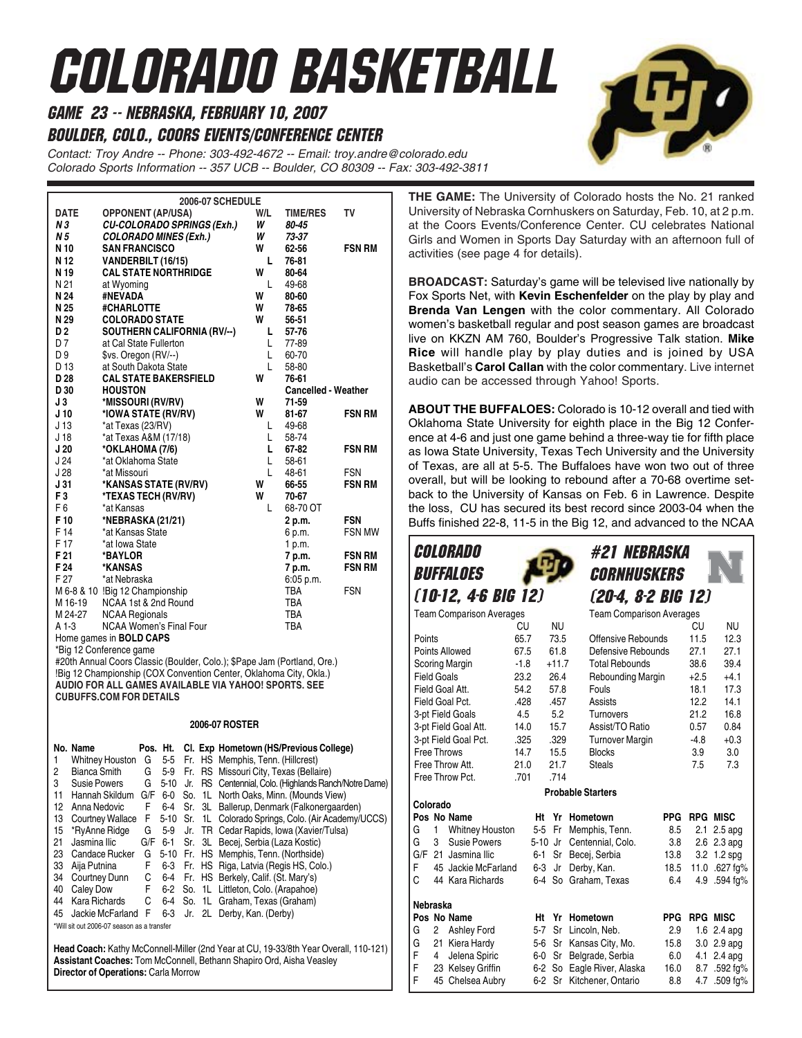# Colorado Basketball

game 23 -- Nebraska, February 10, 2007

Boulder, Colo., Coors EVents/Conference Center

*Contact: Troy Andre -- Phone: 303-492-4672 -- Email: troy.andre@colorado.edu Colorado Sports Information -- 357 UCB -- Boulder, CO 80309 -- Fax: 303-492-3811*

| <b>2006-07 SCHEDULE</b> |                                                                          |     |                            |               |  |  |  |  |  |
|-------------------------|--------------------------------------------------------------------------|-----|----------------------------|---------------|--|--|--|--|--|
| <b>DATE</b>             | <b>OPPONENT (AP/USA)</b>                                                 | W/L | <b>TIME/RES</b>            | т٧            |  |  |  |  |  |
| N 3                     | <b>CU-COLORADO SPRINGS (Exh.)</b>                                        | W   | 80-45                      |               |  |  |  |  |  |
| N 5                     | <b>COLORADO MINES (Exh.)</b>                                             | W   | 73-37                      |               |  |  |  |  |  |
| N 10                    | <b>SAN FRANCISCO</b>                                                     | W   | 62-56                      | <b>FSN RM</b> |  |  |  |  |  |
| N 12                    | VANDERBILT (16/15)                                                       | L   | 76-81                      |               |  |  |  |  |  |
| N 19                    | <b>CAL STATE NORTHRIDGE</b>                                              | W   | 80-64                      |               |  |  |  |  |  |
| N 21                    | at Wyoming                                                               | L   | 49-68                      |               |  |  |  |  |  |
| N 24                    | #NEVADA                                                                  | W   | 80-60                      |               |  |  |  |  |  |
| N 25                    | #CHARLOTTE                                                               | W   | 78-65                      |               |  |  |  |  |  |
| N 29                    | <b>COLORADO STATE</b>                                                    | W   | 56-51                      |               |  |  |  |  |  |
| D <sub>2</sub>          | SOUTHERN CALIFORNIA (RV/--)                                              | L   | $57 - 76$                  |               |  |  |  |  |  |
| D7                      | at Cal State Fullerton                                                   | L.  | 77-89                      |               |  |  |  |  |  |
| D 9                     | \$vs. Oregon (RV/--)                                                     | L   | 60-70                      |               |  |  |  |  |  |
| D 13                    | at South Dakota State                                                    | L   | 58-80                      |               |  |  |  |  |  |
| D <sub>28</sub>         | <b>CAL STATE BAKERSFIELD</b>                                             | W   | 76-61                      |               |  |  |  |  |  |
| D 30                    | <b>HOUSTON</b>                                                           |     | <b>Cancelled - Weather</b> |               |  |  |  |  |  |
| J3                      | *MISSOURI (RV/RV)                                                        | W   | 71-59                      |               |  |  |  |  |  |
| J <sub>10</sub>         | *IOWA STATE (RV/RV)                                                      | w   | $81 - 67$                  | <b>FSN RM</b> |  |  |  |  |  |
| J <sub>13</sub>         | *at Texas (23/RV)                                                        | L   | 49-68                      |               |  |  |  |  |  |
| J <sub>18</sub>         | *at Texas A&M (17/18)                                                    | L   | 58-74                      |               |  |  |  |  |  |
| J20                     | *OKLAHOMA (7/6)                                                          | L   | 67-82                      | <b>FSN RM</b> |  |  |  |  |  |
| J24                     | *at Oklahoma State                                                       | L   | 58-61                      |               |  |  |  |  |  |
| J28                     | *at Missouri                                                             | L   | 48-61                      | <b>FSN</b>    |  |  |  |  |  |
| J31                     | *KANSAS STATE (RV/RV)                                                    | W   | 66-55                      | <b>FSN RM</b> |  |  |  |  |  |
| F <sub>3</sub>          | *TEXAS TECH (RV/RV)                                                      | W   | 70-67                      |               |  |  |  |  |  |
| F <sub>6</sub>          | *at Kansas                                                               | L   | 68-70 OT                   |               |  |  |  |  |  |
| F <sub>10</sub>         | *NEBRASKA (21/21)                                                        |     | 2 p.m.                     | <b>FSN</b>    |  |  |  |  |  |
| F 14                    | *at Kansas State                                                         |     | 6 p.m.                     | <b>FSN MW</b> |  |  |  |  |  |
| F 17                    | *at Iowa State                                                           |     | 1 p.m.                     |               |  |  |  |  |  |
| F <sub>21</sub>         | *BAYLOR                                                                  |     | 7 p.m.                     | <b>FSN RM</b> |  |  |  |  |  |
| F 24                    | *KANSAS                                                                  |     | 7 p.m.                     | <b>FSN RM</b> |  |  |  |  |  |
| F 27                    | *at Nebraska                                                             |     | 6:05 p.m.                  |               |  |  |  |  |  |
|                         | M 6-8 & 10 !Big 12 Championship                                          |     | <b>TBA</b>                 | <b>FSN</b>    |  |  |  |  |  |
| M 16-19                 | NCAA 1st & 2nd Round                                                     |     | <b>TBA</b>                 |               |  |  |  |  |  |
| M 24-27                 | <b>NCAA Regionals</b>                                                    |     | <b>TBA</b>                 |               |  |  |  |  |  |
| A 1-3                   | NCAA Women's Final Four                                                  |     | <b>TBA</b>                 |               |  |  |  |  |  |
|                         | Home games in <b>BOLD CAPS</b>                                           |     |                            |               |  |  |  |  |  |
|                         | *Big 12 Conference game                                                  |     |                            |               |  |  |  |  |  |
|                         | #20th Annual Coors Classic (Boulder, Colo.); \$Pape Jam (Portland, Ore.) |     |                            |               |  |  |  |  |  |
|                         | !Big 12 Championship (COX Convention Center, Oklahoma City, Okla.)       |     |                            |               |  |  |  |  |  |
|                         | AUDIO FOR ALL GAMES AVAILABLE VIA YAHOO! SPORTS, SEE                     |     |                            |               |  |  |  |  |  |
|                         | <b>CUBUFFS.COM FOR DETAILS</b>                                           |     |                            |               |  |  |  |  |  |

#### **2006-07 ROSTER**

|    | No. Name                                   |     |      |  | Pos. Ht. Cl. Exp Hometown (HS/Previous College)        |
|----|--------------------------------------------|-----|------|--|--------------------------------------------------------|
| 1  | Whitney Houston G                          |     |      |  | 5-5 Fr. HS Memphis, Tenn. (Hillcrest)                  |
| 2  | <b>Bianca Smith</b>                        | G   |      |  | 5-9 Fr. RS Missouri City, Texas (Bellaire)             |
| 3  | Susie Powers                               | G   | 5-10 |  | Jr. RS Centennial, Colo. (Highlands Ranch/Notre Dame)  |
| 11 | Hannah Skildum                             | G/F | 6-0  |  | So. 1L North Oaks, Minn. (Mounds View)                 |
| 12 | Anna Nedovic                               | F   |      |  | 6-4 Sr. 3L Ballerup, Denmark (Falkonergaarden)         |
| 13 | Courtney Wallace F                         |     |      |  | 5-10 Sr. 1L Colorado Springs, Colo. (Air Academy/UCCS) |
| 15 | *RyAnne Ridge                              | G   |      |  | 5-9 Jr. TR Cedar Rapids, Iowa (Xavier/Tulsa)           |
| 21 | Jasmina Ilic                               |     |      |  | G/F 6-1 Sr. 3L Becej, Serbia (Laza Kostic)             |
| 23 | Candace Rucker                             | G   |      |  | 5-10 Fr. HS Memphis, Tenn. (Northside)                 |
| 33 | Aija Putnina                               | F.  |      |  | 6-3 Fr. HS Riga, Latvia (Regis HS, Colo.)              |
| 34 | Courtney Dunn                              | C.  |      |  | 6-4 Fr. HS Berkely, Calif. (St. Mary's)                |
| 40 | Caley Dow                                  | F.  |      |  | 6-2 So. 1L Littleton, Colo. (Arapahoe)                 |
| 44 | Kara Richards                              | C.  |      |  | 6-4 So. 1L Graham, Texas (Graham)                      |
| 45 | Jackie McFarland F                         |     |      |  | 6-3 Jr. 2L Derby, Kan. (Derby)                         |
|    | *Will sit out 2006-07 season as a transfer |     |      |  |                                                        |

**Head Coach:** Kathy McConnell-Miller (2nd Year at CU, 19-33/8th Year Overall, 110-121) **Assistant Coaches:** Tom McConnell, Bethann Shapiro Ord, Aisha Veasley **Director of Operations:** Carla Morrow

**THE GAME:** The University of Colorado hosts the No. 21 ranked University of Nebraska Cornhuskers on Saturday, Feb. 10, at 2 p.m. at the Coors Events/Conference Center. CU celebrates National Girls and Women in Sports Day Saturday with an afternoon full of activities (see page 4 for details).

**BROADCAST:** Saturday's game will be televised live nationally by Fox Sports Net, with **Kevin Eschenfelder** on the play by play and **Brenda Van Lengen** with the color commentary. All Colorado women's basketball regular and post season games are broadcast live on KKZN AM 760, Boulder's Progressive Talk station. **Mike Rice** will handle play by play duties and is joined by USA Basketball's **Carol Callan** with the color commentary. Live internet audio can be accessed through Yahoo! Sports.

**ABOUT THE BUFFALOES:** Colorado is 10-12 overall and tied with Oklahoma State University for eighth place in the Big 12 Conference at 4-6 and just one game behind a three-way tie for fifth place as Iowa State University, Texas Tech University and the University of Texas, are all at 5-5. The Buffaloes have won two out of three overall, but will be looking to rebound after a 70-68 overtime setback to the University of Kansas on Feb. 6 in Lawrence. Despite the loss, CU has secured its best record since 2003-04 when the Buffs finished 22-8, 11-5 in the Big 12, and advanced to the NCAA

#21 Nebraska *CORNHUSKERS* (20-4, 8-2 Big 12) Team Comparison Averages CU NU Points 65.7 73.5 Points Allowed 67.5 61.8 Scoring Margin -1.8 +11.7 Field Goals 23.2 26.4 Field Goal Att. 54.2 57.8 Field Goal Pct. 428 .457 3-pt Field Goals 4.5 5.2 3-pt Field Goal Att. 14.0 15.7 3-pt Field Goal Pct. .325 .329 Free Throws 14.7 15.5 Free Throw Att. 21.0 21.7 Free Throw Pct. .701 .714 **Probable Starters Colorado** Pos No Name **Ht Yr Hometown** PPG RPG MISC G 1 Whitney Houston 5-5 Fr Memphis, Tenn. 8.5 2.1 2.5 apg<br>G 3 Susie Powers 5-10 Jr Centennial, Colo. 3.8 2.6 2.3 apg G 3 Susie Powers 5-10 Jr Centennial, Colo. 3.8 2.6 2.3 apg G/F 21 Jasmina Ilic 6-1 Sr Becej, Serbia 13.8 3.2 1.2 spg F 45 Jackie McFarland 6-3 Jr Derby, Kan. 18.5 11.0 .627 fg% 6-4 So Graham, Texas **Nebraska** Pos No Name **Ht Yr Hometown** PPG RPG MISC G 2 Ashley Ford 5-7 Sr Lincoln, Neb. 2.9 1.6 2.4 apg<br>G 21 Kiera Hardy 5-6 Sr Kansas City, Mo. 15.8 3.0 2.9 apg G 21 Kiera Hardy 5-6 Sr Kansas City, Mo. 15.8 F 4 Jelena Spiric 6-0 Sr Belgrade, Serbia 6.0 4.1 2.4 apg F 23 Kelsey Griffin 6-2 So Eagle River, Alaska 16.0 8.7 .592 fg% F 45 Chelsea Aubry 6-2 Sr Kitchener, Ontario 8.8 4.7 .509 fg% Team Comparison Averages CU NU Offensive Rebounds 11.5 12.3 Defensive Rebounds 27.1 27.1 Total Rebounds 38.6 39.4 Rebounding Margin  $+2.5 +4.1$ Fouls 18.1 17.3 Assists 12.2 14.1 Turnovers 21.2 16.8 Assist/TO Ratio 0.57 0.84 Turnover Margin 4.8 +0.3 Blocks 3.9 3.0 Steals 7.5 7.3 **COLORADO BUFFALOES** (10-12, 4-6 Big 12)

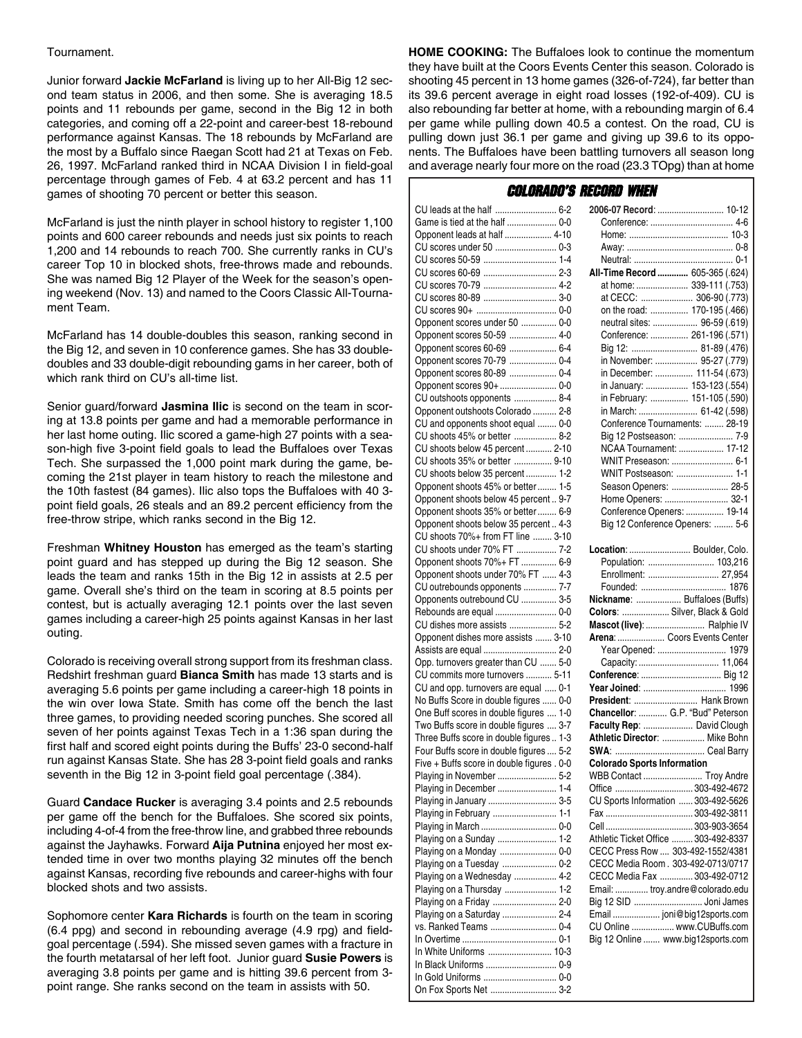#### Tournament.

Junior forward **Jackie McFarland** is living up to her All-Big 12 second team status in 2006, and then some. She is averaging 18.5 points and 11 rebounds per game, second in the Big 12 in both categories, and coming off a 22-point and career-best 18-rebound performance against Kansas. The 18 rebounds by McFarland are the most by a Buffalo since Raegan Scott had 21 at Texas on Feb. 26, 1997. McFarland ranked third in NCAA Division I in field-goal percentage through games of Feb. 4 at 63.2 percent and has 11 games of shooting 70 percent or better this season.

McFarland is just the ninth player in school history to register 1,100 points and 600 career rebounds and needs just six points to reach 1,200 and 14 rebounds to reach 700. She currently ranks in CU's career Top 10 in blocked shots, free-throws made and rebounds. She was named Big 12 Player of the Week for the season's opening weekend (Nov. 13) and named to the Coors Classic All-Tournament Team.

McFarland has 14 double-doubles this season, ranking second in the Big 12, and seven in 10 conference games. She has 33 doubledoubles and 33 double-digit rebounding gams in her career, both of which rank third on CU's all-time list.

Senior guard/forward **Jasmina Ilic** is second on the team in scoring at 13.8 points per game and had a memorable performance in her last home outing. Ilic scored a game-high 27 points with a season-high five 3-point field goals to lead the Buffaloes over Texas Tech. She surpassed the 1,000 point mark during the game, becoming the 21st player in team history to reach the milestone and the 10th fastest (84 games). Ilic also tops the Buffaloes with 40 3 point field goals, 26 steals and an 89.2 percent efficiency from the free-throw stripe, which ranks second in the Big 12.

Freshman **Whitney Houston** has emerged as the team's starting point guard and has stepped up during the Big 12 season. She leads the team and ranks 15th in the Big 12 in assists at 2.5 per game. Overall she's third on the team in scoring at 8.5 points per contest, but is actually averaging 12.1 points over the last seven games including a career-high 25 points against Kansas in her last outing.

Colorado is receiving overall strong support from its freshman class. Redshirt freshman guard **Bianca Smith** has made 13 starts and is averaging 5.6 points per game including a career-high 18 points in the win over Iowa State. Smith has come off the bench the last three games, to providing needed scoring punches. She scored all seven of her points against Texas Tech in a 1:36 span during the first half and scored eight points during the Buffs' 23-0 second-half run against Kansas State. She has 28 3-point field goals and ranks seventh in the Big 12 in 3-point field goal percentage (.384).

Guard **Candace Rucker** is averaging 3.4 points and 2.5 rebounds per game off the bench for the Buffaloes. She scored six points, including 4-of-4 from the free-throw line, and grabbed three rebounds against the Jayhawks. Forward **Aija Putnina** enjoyed her most extended time in over two months playing 32 minutes off the bench against Kansas, recording five rebounds and career-highs with four blocked shots and two assists.

Sophomore center **Kara Richards** is fourth on the team in scoring (6.4 ppg) and second in rebounding average (4.9 rpg) and fieldgoal percentage (.594). She missed seven games with a fracture in the fourth metatarsal of her left foot. Junior guard **Susie Powers** is averaging 3.8 points per game and is hitting 39.6 percent from 3 point range. She ranks second on the team in assists with 50.

**HOME COOKING:** The Buffaloes look to continue the momentum they have built at the Coors Events Center this season. Colorado is shooting 45 percent in 13 home games (326-of-724), far better than its 39.6 percent average in eight road losses (192-of-409). CU is also rebounding far better at home, with a rebounding margin of 6.4 per game while pulling down 40.5 a contest. On the road, CU is pulling down just 36.1 per game and giving up 39.6 to its opponents. The Buffaloes have been battling turnovers all season long and average nearly four more on the road (23.3 TOpg) than at home

#### Colorado's Record When

| Game is tied at the half  0-0              |
|--------------------------------------------|
| Opponent leads at half  4-10               |
| CU scores under 50  0-3                    |
|                                            |
|                                            |
| CU scores 70-79  4-2                       |
| CU scores 80-89  3-0                       |
|                                            |
| Opponent scores under 50  0-0              |
| Opponent scores 50-59  4-0                 |
|                                            |
| Opponent scores 60-69  6-4                 |
| Opponent scores 70-79  0-4                 |
| Opponent scores 80-89  0-4                 |
| Opponent scores 90+  0-0                   |
| CU outshoots opponents  8-4                |
| Opponent outshoots Colorado  2-8           |
| CU and opponents shoot equal  0-0          |
| CU shoots 45% or better  8-2               |
| CU shoots below 45 percent  2-10           |
| CU shoots 35% or better  9-10              |
| CU shoots below 35 percent  1-2            |
| Opponent shoots 45% or better  1-5         |
| Opponent shoots below 45 percent  9-7      |
| Opponent shoots 35% or better  6-9         |
| Opponent shoots below 35 percent  4-3      |
| CU shoots 70%+ from FT line  3-10          |
| CU shoots under 70% FT  7-2                |
|                                            |
| Opponent shoots 70%+ FT  6-9               |
| Opponent shoots under 70% FT  4-3          |
| CU outrebounds opponents  7-7              |
|                                            |
| Opponents outrebound CU  3-5               |
| Rebounds are equal  0-0                    |
| CU dishes more assists  5-2                |
| Opponent dishes more assists  3-10         |
|                                            |
| Assists are equal  2-0                     |
| Opp. turnovers greater than CU  5-0        |
| CU commits more turnovers  5-11            |
| CU and opp. turnovers are equal  0-1       |
| No Buffs Score in double figures  0-0      |
| One Buff scores in double figures  1-0     |
| Two Buffs score in double figures  3-7     |
| Three Buffs score in double figures  1-3   |
| Four Buffs score in double figures  5-2    |
| Five + Buffs score in double figures . 0-0 |
| Playing in November  5-2                   |
| Playing in December  1-4                   |
| Playing in January  3-5                    |
| Playing in February  1-1                   |
|                                            |
| Playing on a Sunday  1-2                   |
|                                            |
| Playing on a Monday  0-0                   |
| Playing on a Tuesday  0-2                  |
| Playing on a Wednesday  4-2                |
| Playing on a Thursday  1-2                 |
| Playing on a Friday  2-0                   |
| Playing on a Saturday  2-4                 |
| vs. Ranked Teams  0-4                      |
|                                            |
| In White Uniforms  10-3                    |
| In Black Uniforms  0-9                     |
| On Fox Sports Net  3-2                     |

| 2006-07 Record:  10-12          |  |
|---------------------------------|--|
|                                 |  |
|                                 |  |
|                                 |  |
|                                 |  |
| All-Time Record  605-365 (.624) |  |
| at home:  339-111 (.753)        |  |
| at CECC:  306-90 (.773)         |  |
| on the road:  170-195 (.466)    |  |
| neutral sites:  96-59 (.619)    |  |
| Conference:  261-196 (.571)     |  |
| Big 12:  81-89 (.476)           |  |
| in November:  95-27 (.779)      |  |
| in December:  111-54 (.673)     |  |
| in January:  153-123 (.554)     |  |
| in February:  151-105 (.590)    |  |
| in March:  61-42 (.598)         |  |
| Conference Tournaments:  28-19  |  |
| Big 12 Postseason:  7-9         |  |
| NCAA Tournament:  17-12         |  |
| WNIT Preseason:  6-1            |  |
| WNIT Postseason:  1-1           |  |
| Season Openers:  28-5           |  |
| Home Openers:  32-1             |  |
| Conference Openers:  19-14      |  |
| Big 12 Conference Openers:  5-6 |  |
| Location:  Boulder, Colo.       |  |
| Population:  103,216            |  |
|                                 |  |

|                                    | Population:  103,216                 |
|------------------------------------|--------------------------------------|
|                                    |                                      |
|                                    | Enrollment:  27,954                  |
|                                    |                                      |
|                                    | Nickname:  Buffaloes (Buffs)         |
|                                    | Colors:  Silver, Black & Gold        |
|                                    | Mascot (live):  Ralphie IV           |
|                                    | Arena:  Coors Events Center          |
|                                    | Year Opened:  1979                   |
|                                    |                                      |
|                                    |                                      |
|                                    |                                      |
|                                    | President:  Hank Brown               |
|                                    | Chancellor:  G.P. "Bud" Peterson     |
|                                    | Faculty Rep:  David Clough           |
|                                    | Athletic Director:  Mike Bohn        |
|                                    |                                      |
|                                    |                                      |
| <b>Colorado Sports Information</b> |                                      |
|                                    | WBB Contact  Troy Andre              |
|                                    | Office  303-492-4672                 |
|                                    | CU Sports Information  303-492-5626  |
|                                    |                                      |
|                                    |                                      |
|                                    | Athletic Ticket Office  303-492-8337 |
|                                    | CECC Press Row  303-492-1552/4381    |
|                                    | CECC Media Room. 303-492-0713/0717   |
|                                    | CECC Media Fax  303-492-0712         |
|                                    | Email:  troy.andre@colorado.edu      |
|                                    | Big 12 SID  Joni James               |
|                                    | Email  joni@big12sports.com          |
|                                    | CU Online  www.CUBuffs.com           |
|                                    | Big 12 Online  www.big12sports.com   |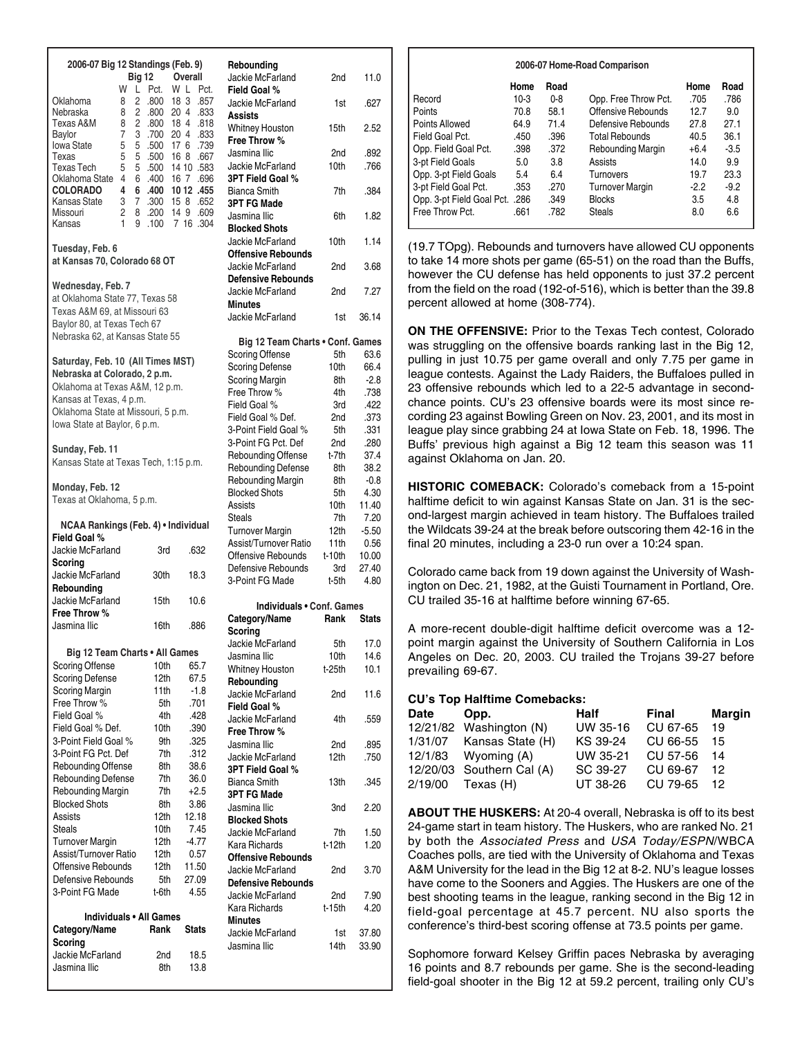| 2006-07 Big 12 Standings (Feb. 9)                                 |              |                                  | Rebounding                                      |                          |                 |
|-------------------------------------------------------------------|--------------|----------------------------------|-------------------------------------------------|--------------------------|-----------------|
| <b>Big 12</b><br>W                                                |              | Overall<br>W L Pct.              | Jackie McFarland                                | 2nd                      | 11.0            |
| L<br>2<br>Oklahoma<br>8<br>$\overline{c}$<br>Nebraska<br>8        | Pct.         | .800 18 3 .857<br>.800 20 4 .833 | Field Goal %<br>Jackie McFarland                | 1st                      | .627            |
| $\overline{2}$<br>Texas A&M<br>8<br>3<br>Baylor<br>7              | .800 18 4    | .818<br>.700 20 4 .833           | Assists<br>Whitney Houston                      | 15 <sub>th</sub>         | 2.52            |
| 5<br>5<br><b>Iowa State</b>                                       |              | .500 17 6 .739                   | Free Throw %<br>Jasmina Ilic                    | 2nd                      | .892            |
| 5<br>5<br>Texas<br><b>Texas Tech</b><br>5<br>5                    | .500         | 16 8 .667<br>.500 14 10 .583     | Jackie McFarland                                | 10 <sub>th</sub>         | .766            |
| 4<br>Oklahoma State<br>6                                          | .400         | 16 7 .696                        | 3PT Field Goal %                                |                          |                 |
| <b>COLORADO</b><br>4<br>6                                         | .400         | 10 12 .455                       | <b>Bianca Smith</b>                             | 7th                      | .384            |
| 3<br>$7^{\circ}$<br>Kansas State<br>Missouri<br>2                 | 8.200        | .300 15 8 .652<br>14 9 .609      | <b>3PT FG Made</b>                              |                          |                 |
| Kansas<br>1                                                       | 9.100        | 7 16 .304                        | Jasmina Ilic<br><b>Blocked Shots</b>            | 6th                      | 1.82            |
|                                                                   |              |                                  | Jackie McFarland                                | 10th                     | 1.14            |
| Tuesday, Feb. 6<br>at Kansas 70, Colorado 68 OT                   |              |                                  | <b>Offensive Rebounds</b>                       |                          |                 |
|                                                                   |              |                                  | Jackie McFarland<br><b>Defensive Rebounds</b>   | 2nd                      | 3.68            |
| Wednesday, Feb. 7                                                 |              |                                  | Jackie McFarland                                | 2nd                      | 7.27            |
| at Oklahoma State 77, Texas 58<br>Texas A&M 69, at Missouri 63    |              |                                  | Minutes                                         |                          |                 |
| Baylor 80, at Texas Tech 67                                       |              |                                  | Jackie McFarland                                | 1st                      | 36.14           |
| Nebraska 62, at Kansas State 55                                   |              |                                  | Big 12 Team Charts . Conf. Games                |                          |                 |
|                                                                   |              |                                  | <b>Scoring Offense</b>                          | 5th                      | 63.6            |
| Saturday, Feb. 10 (All Times MST)<br>Nebraska at Colorado, 2 p.m. |              |                                  | <b>Scoring Defense</b>                          | 10th                     | 66.4            |
| Oklahoma at Texas A&M, 12 p.m.                                    |              |                                  | <b>Scoring Margin</b>                           | 8th                      | $-2.8$          |
| Kansas at Texas, 4 p.m.                                           |              |                                  | Free Throw %                                    | 4th                      | .738            |
| Oklahoma State at Missouri, 5 p.m.                                |              |                                  | Field Goal %<br>Field Goal % Def.               | 3rd<br>2nd               | .422            |
| lowa State at Baylor, 6 p.m.                                      |              |                                  | 3-Point Field Goal %                            | 5th                      | .373<br>.331    |
|                                                                   |              |                                  | 3-Point FG Pct. Def                             | 2nd                      | .280            |
| Sunday, Feb. 11                                                   |              |                                  | Rebounding Offense                              | t-7th                    | 37.4            |
| Kansas State at Texas Tech, 1:15 p.m.                             |              |                                  | <b>Rebounding Defense</b>                       | 8th                      | 38.2            |
| Monday, Feb. 12                                                   |              |                                  | Rebounding Margin                               | 8th                      | $-0.8$          |
| Texas at Oklahoma, 5 p.m.                                         |              |                                  | <b>Blocked Shots</b>                            | 5th                      | 4.30            |
|                                                                   |              |                                  | Assists<br>Steals                               | 10th<br>7th              | 11.40<br>7.20   |
|                                                                   |              |                                  |                                                 |                          |                 |
| NCAA Rankings (Feb. 4) • Individual                               |              |                                  |                                                 |                          |                 |
| Field Goal %                                                      |              |                                  | <b>Turnover Margin</b><br>Assist/Turnover Ratio | 12th<br>11 <sup>th</sup> | $-5.50$<br>0.56 |
| Jackie McFarland                                                  | 3rd          | .632                             | Offensive Rebounds                              | t-10th                   | 10.00           |
| Scoring                                                           |              |                                  | Defensive Rebounds                              | 3rd                      | 27.40           |
| Jackie McFarland<br>Rebounding                                    | 30th         | 18.3                             | 3-Point FG Made                                 | t-5th                    | 4.80            |
| Jackie McFarland                                                  | 15th         | 10.6                             | Individuals . Conf. Games                       |                          |                 |
| Free Throw %                                                      |              |                                  | Category/Name                                   | Rank                     | <b>Stats</b>    |
| Jasmina Ilic                                                      | 16th         | .886                             | Scoring                                         |                          |                 |
|                                                                   |              |                                  | Jackie McFarland                                | 5th                      | 17.0            |
| Big 12 Team Charts . All Games<br><b>Scoring Offense</b>          | 10th         | 65.7                             | Jasmina Ilic                                    | 10th                     | 14.6            |
| <b>Scoring Defense</b>                                            | 12th         | 67.5                             | <b>Whitney Houston</b>                          | t-25th                   | 10.1            |
| <b>Scoring Margin</b>                                             | 11th         | $-1.8$                           | Rebounding<br>Jackie McFarland                  | 2nd                      | 11.6            |
| Free Throw %                                                      | 5th          | .701                             | Field Goal %                                    |                          |                 |
| Field Goal %                                                      | 4th          | .428                             | Jackie McFarland                                | 4th                      | .559            |
| Field Goal % Def.<br>3-Point Field Goal %                         | 10th<br>9th  | .390<br>.325                     | Free Throw %                                    |                          |                 |
| 3-Point FG Pct. Def                                               | 7th          | .312                             | Jasmina Ilic                                    | 2nd                      | .895            |
| Rebounding Offense                                                | 8th          | 38.6                             | Jackie McFarland<br>3PT Field Goal %            | 12th                     | .750            |
| Rebounding Defense                                                | 7th          | 36.0                             | <b>Bianca Smith</b>                             | 13th                     | .345            |
| Rebounding Margin                                                 | 7th          | $+2.5$                           | <b>3PT FG Made</b>                              |                          |                 |
| <b>Blocked Shots</b><br>Assists                                   | 8th          | 3.86                             | Jasmina Ilic                                    | 3nd                      | 2.20            |
| Steals                                                            | 12th<br>10th | 12.18<br>7.45                    | <b>Blocked Shots</b>                            |                          |                 |
| <b>Turnover Margin</b>                                            | 12th         | $-4.77$                          | Jackie McFarland<br>Kara Richards               | 7th<br>t-12th            | 1.50<br>1.20    |
| Assist/Turnover Ratio                                             | 12th         | 0.57                             | <b>Offensive Rebounds</b>                       |                          |                 |
| Offensive Rebounds                                                | 12th         | 11.50                            | Jackie McFarland                                | 2nd                      | 3.70            |
| Defensive Rebounds                                                | 5th          | 27.09                            | <b>Defensive Rebounds</b>                       |                          |                 |
| 3-Point FG Made                                                   | t-6th        | 4.55                             | Jackie McFarland                                | 2nd                      | 7.90            |
| Individuals . All Games                                           |              |                                  | Kara Richards<br><b>Minutes</b>                 | $t-15th$                 | 4.20            |
| Category/Name                                                     | Rank         | <b>Stats</b>                     | Jackie McFarland                                | 1st                      | 37.80           |
| Scoring                                                           |              |                                  | Jasmina Ilic                                    | 14th                     | 33.90           |
| Jackie McFarland<br>Jasmina Ilic                                  | 2nd<br>8th   | 18.5<br>13.8                     |                                                 |                          |                 |

#### **Home Road** Record 10-3 0-8 Points 70.8 58.1 Points Allowed 64.9 71.4 Field Goal Pct. 450 .396 Opp. Field Goal Pct. .398 .372 3-pt Field Goals 5.0 3.8 Opp. 3-pt Field Goals 5.4 6.4 3-pt Field Goal Pct. . .353 .270 Opp. 3-pt Field Goal Pct. .286 .349 Free Throw Pct. .661 .782 **Home Road** Opp. Free Throw Pct. .705 .786 Offensive Rebounds 12.7 9.0 Defensive Rebounds 27.8 27.1 Total Rebounds 40.5 36.1 Rebounding Margin  $+6.4$  -3.5 Assists 14.0 9.9<br>Turnovers 19.7 23.3 Turnovers 19.7 Turnover Margin -2.2 -9.2 Blocks 3.5 4.8 Steals 8.0 6.6 **2006-07 Home-Road Comparison**

(19.7 TOpg). Rebounds and turnovers have allowed CU opponents to take 14 more shots per game (65-51) on the road than the Buffs, however the CU defense has held opponents to just 37.2 percent from the field on the road (192-of-516), which is better than the 39.8 percent allowed at home (308-774).

**ON THE OFFENSIVE:** Prior to the Texas Tech contest, Colorado was struggling on the offensive boards ranking last in the Big 12, pulling in just 10.75 per game overall and only 7.75 per game in league contests. Against the Lady Raiders, the Buffaloes pulled in 23 offensive rebounds which led to a 22-5 advantage in secondchance points. CU's 23 offensive boards were its most since recording 23 against Bowling Green on Nov. 23, 2001, and its most in league play since grabbing 24 at Iowa State on Feb. 18, 1996. The Buffs' previous high against a Big 12 team this season was 11 against Oklahoma on Jan. 20.

**HISTORIC COMEBACK:** Colorado's comeback from a 15-point halftime deficit to win against Kansas State on Jan. 31 is the second-largest margin achieved in team history. The Buffaloes trailed the Wildcats 39-24 at the break before outscoring them 42-16 in the final 20 minutes, including a 23-0 run over a 10:24 span.

Colorado came back from 19 down against the University of Washington on Dec. 21, 1982, at the Guisti Tournament in Portland, Ore. CU trailed 35-16 at halftime before winning 67-65.

A more-recent double-digit halftime deficit overcome was a 12 point margin against the University of Southern California in Los Angeles on Dec. 20, 2003. CU trailed the Trojans 39-27 before prevailing 69-67.

#### **CU's Top Halftime Comebacks:**

| Date | Opp.                      | Half     | Final       | <b>Margin</b> |
|------|---------------------------|----------|-------------|---------------|
|      | 12/21/82 Washington (N)   | UW 35-16 | CU 67-65    | 19            |
|      | 1/31/07 Kansas State (H)  | KS 39-24 | CU 66-55    | 15            |
|      | $12/1/83$ Wyoming $(A)$   | UW 35-21 | CU 57-56    | 14            |
|      | 12/20/03 Southern Cal (A) | SC 39-27 | CU 69-67    | -12           |
|      | 2/19/00 Texas (H)         | UT 38-26 | CU 79-65 12 |               |

**ABOUT THE HUSKERS:** At 20-4 overall, Nebraska is off to its best 24-game start in team history. The Huskers, who are ranked No. 21 by both the *Associated Press* and *USA Today/ESPN*/WBCA Coaches polls, are tied with the University of Oklahoma and Texas A&M University for the lead in the Big 12 at 8-2. NU's league losses have come to the Sooners and Aggies. The Huskers are one of the best shooting teams in the league, ranking second in the Big 12 in field-goal percentage at 45.7 percent. NU also sports the conference's third-best scoring offense at 73.5 points per game.

Sophomore forward Kelsey Griffin paces Nebraska by averaging 16 points and 8.7 rebounds per game. She is the second-leading field-goal shooter in the Big 12 at 59.2 percent, trailing only CU's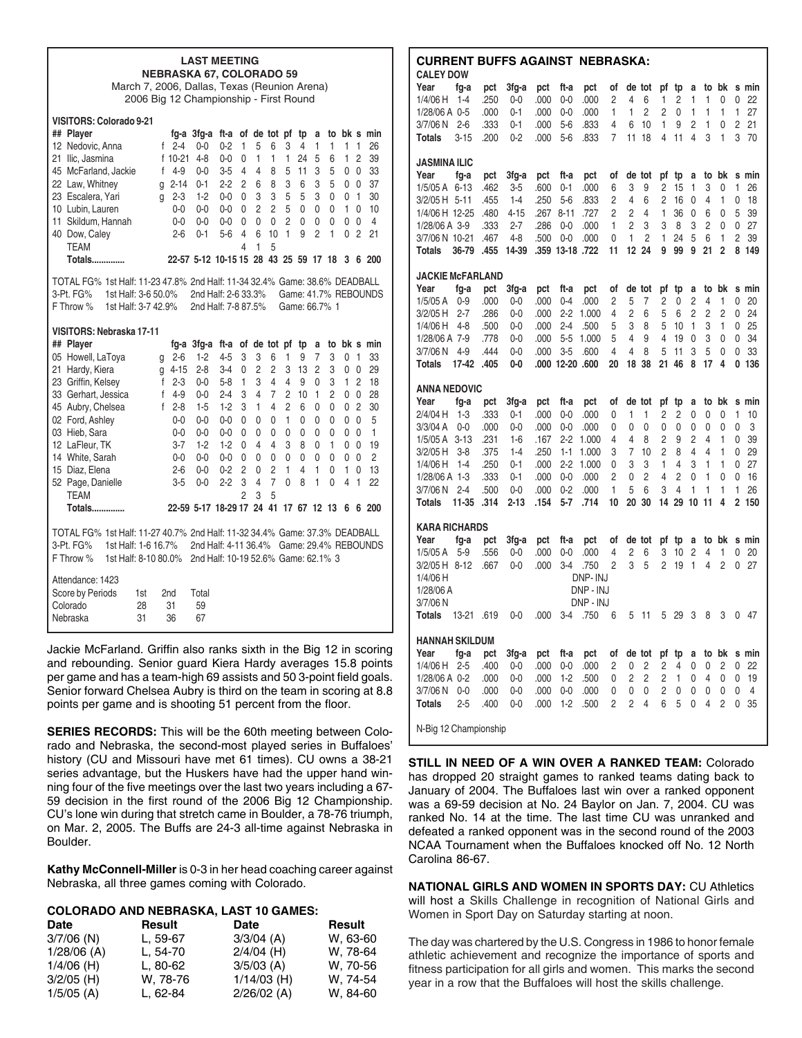| <b>LAST MEETING</b><br><b>NEBRASKA 67, COLORADO 59</b><br>March 7, 2006, Dallas, Texas (Reunion Arena)                                                                                                                                                                                                                                                                                                                                                                                                                                                                                                                                                                                                                                                                                                                                                                                                                                                                                                                                                                                                                                                                                                                                                                                                                                                                                                                                                                                                                                        |  |  |  |  |  |  |  |  |  |  |  |  |  |
|-----------------------------------------------------------------------------------------------------------------------------------------------------------------------------------------------------------------------------------------------------------------------------------------------------------------------------------------------------------------------------------------------------------------------------------------------------------------------------------------------------------------------------------------------------------------------------------------------------------------------------------------------------------------------------------------------------------------------------------------------------------------------------------------------------------------------------------------------------------------------------------------------------------------------------------------------------------------------------------------------------------------------------------------------------------------------------------------------------------------------------------------------------------------------------------------------------------------------------------------------------------------------------------------------------------------------------------------------------------------------------------------------------------------------------------------------------------------------------------------------------------------------------------------------|--|--|--|--|--|--|--|--|--|--|--|--|--|
| 2006 Big 12 Championship - First Round                                                                                                                                                                                                                                                                                                                                                                                                                                                                                                                                                                                                                                                                                                                                                                                                                                                                                                                                                                                                                                                                                                                                                                                                                                                                                                                                                                                                                                                                                                        |  |  |  |  |  |  |  |  |  |  |  |  |  |
| VISITORS: Colorado 9-21<br>## Player<br>ft-a of de tot pf tp<br>fq-a 3fq-a<br>a<br>to bk s min<br>5<br>1<br>$\mathbf{1}$<br>1<br>1<br>26<br>12 Nedovic, Anna<br>$f$ 2-4<br>$0 - 0$<br>$0 - 2$<br>1<br>6<br>3<br>4<br>21 Ilic, Jasmina<br>f 10-21<br>$4 - 8$<br>$0 - 0$<br>1<br>$\mathbf{1}$<br>24<br>5<br>1<br>2<br>39<br>0<br>1<br>6<br>45 McFarland, Jackie<br>4-9<br>5<br>3<br>5<br>33<br>$\mathsf{f}$<br>$0 - 0$<br>3-5<br>4<br>4<br>8<br>11<br>0<br>$\mathbf{0}$<br>22 Law, Whitney<br>g 2-14<br>$\overline{c}$<br>8<br>3<br>6<br>3<br>5<br>37<br>$0 - 1$<br>$2 - 2$<br>6<br>0<br>$\mathbf{0}$<br>5<br>5<br>23 Escalera, Yari<br>$g$ 2-3<br>$1 - 2$<br>$0 - 0$<br>3<br>3<br>3<br>0<br>$\overline{1}$<br>30<br>0<br>0<br>$\overline{c}$<br>$\overline{c}$<br>5<br>10 Lubin, Lauren<br>0<br>0<br>1<br>0<br>10<br>0-0<br>0-0<br>0-0<br>0<br>0<br>11 Skildum, Hannah<br>$0-0$<br>0<br>0<br>2<br>0<br>$\mathbf{0}$<br>4<br>0-0<br>0-0<br>0<br>0<br>0<br>0<br>6<br>10<br>1<br>9<br>$\overline{c}$<br>1<br>0<br>$\overline{2}$<br>40 Dow, Caley<br>$2 - 6$<br>$0 - 1$<br>$5-6$<br>4<br>21<br><b>TEAM</b><br>1<br>5<br>4<br>22-57 5-12 10-15 15 28 43 25 59 17 18 3 6 200<br><b>Totals</b>                                                                                                                                                                                                                                                                                                                                                       |  |  |  |  |  |  |  |  |  |  |  |  |  |
| TOTAL FG% 1st Half: 11-23 47.8% 2nd Half: 11-34 32.4% Game: 38.6% DEADBALL<br>3-Pt. FG%<br>1st Half: 3-6 50.0%<br>2nd Half: 2-6 33.3%<br>Game: 41.7% REBOUNDS<br>1st Half: 3-7 42.9%<br>2nd Half: 7-8 87.5%<br>F Throw %<br>Game: 66.7% 1                                                                                                                                                                                                                                                                                                                                                                                                                                                                                                                                                                                                                                                                                                                                                                                                                                                                                                                                                                                                                                                                                                                                                                                                                                                                                                     |  |  |  |  |  |  |  |  |  |  |  |  |  |
| VISITORS: Nebraska 17-11<br>## Plaver<br>fg-a 3fg-a ft-a of de tot pf<br>tp<br>to bk s min<br>a<br>05 Howell, LaTova<br>$1 - 2$<br>1<br>7<br>3<br>$\mathbf{1}$<br>33<br>$2 - 6$<br>$4 - 5$<br>3<br>3<br>6<br>9<br>0<br>g<br>$\overline{2}$<br>$\overline{c}$<br>21 Hardy, Kiera<br>$2 - 8$<br>$3 - 4$<br>3<br>13<br>2<br>3<br>0<br>0<br>29<br>$q$ 4-15<br>0<br>23 Griffin, Kelsey<br>3<br>$f$ 2-3<br>$0 - 0$<br>$5 - 8$<br>1<br>4<br>4<br>9<br>0<br>3<br>1<br>2<br>18<br>3<br>$\overline{7}$<br>$\overline{c}$<br>1<br>33 Gerhart, Jessica<br>$f$ 4-9<br>4<br>2<br>0<br>28<br>0-0<br>2-4<br>10<br>0<br>45 Aubry, Chelsea<br>1<br>4<br>2<br>$\overline{2}$<br>30<br>f 2-8<br>$1 - 5$<br>$1-2$<br>3<br>6<br>0<br>0<br>0<br>02 Ford, Ashley<br>$\mathbf{1}$<br>$\mathbf{0}$<br>5<br>$0 - 0$<br>$0 - 0$<br>$0 - 0$<br>0<br>0<br>0<br>0<br>0<br>0<br>0<br>03 Hieb, Sara<br>$0 - 0$<br>0<br>0<br>0<br>0<br>0<br>0<br>$\mathbf{0}$<br>1<br>0-0<br>0-0<br>0<br>0<br>3<br>12 LaFleur, TK<br>$3 - 7$<br>$1 - 2$<br>$1 - 2$<br>4<br>4<br>8<br>1<br>$\mathbf{0}$<br>19<br>0<br>0<br>0<br>14 White, Sarah<br>$0-0$<br>0<br>0<br>0<br>0<br>0<br>0<br>0<br>$\overline{0}$<br>2<br>0-0<br>0-0<br>0<br>$\overline{2}$<br>$\overline{c}$<br>1<br>4<br>1<br>1<br>$\Omega$<br>13<br>15 Diaz, Elena<br>$2 - 6$<br>$0 - 0$<br>$0 - 2$<br>0<br>0<br>7<br>8<br>1<br>52 Page, Danielle<br>$3 - 5$<br>$0 - 0$<br>$2 - 2$<br>3<br>4<br>0<br>0<br>4<br>$\mathbf{1}$<br>22<br><b>TEAM</b><br>2<br>3<br>5<br>22-59 5-17 18-29 17 24 41 17 67 12 13 6 6 200<br><b>Totals</b> |  |  |  |  |  |  |  |  |  |  |  |  |  |
| TOTAL FG% 1st Half: 11-27 40.7% 2nd Half: 11-32 34.4% Game: 37.3% DEADBALL<br>3-Pt. FG%<br>1st Half: 1-6 16.7%<br>2nd Half: 4-11 36.4% Game: 29.4% REBOUNDS<br>F Throw %<br>1st Half: 8-10 80.0%<br>2nd Half: 10-19 52.6% Game: 62.1% 3                                                                                                                                                                                                                                                                                                                                                                                                                                                                                                                                                                                                                                                                                                                                                                                                                                                                                                                                                                                                                                                                                                                                                                                                                                                                                                       |  |  |  |  |  |  |  |  |  |  |  |  |  |
| Attendance: 1423<br>Score by Periods<br>Total<br>1st<br>2nd<br>Colorado<br>31<br>59<br>28<br>Nebraska<br>31<br>36<br>67                                                                                                                                                                                                                                                                                                                                                                                                                                                                                                                                                                                                                                                                                                                                                                                                                                                                                                                                                                                                                                                                                                                                                                                                                                                                                                                                                                                                                       |  |  |  |  |  |  |  |  |  |  |  |  |  |

Jackie McFarland. Griffin also ranks sixth in the Big 12 in scoring and rebounding. Senior guard Kiera Hardy averages 15.8 points per game and has a team-high 69 assists and 50 3-point field goals. Senior forward Chelsea Aubry is third on the team in scoring at 8.8 points per game and is shooting 51 percent from the floor.

**SERIES RECORDS:** This will be the 60th meeting between Colorado and Nebraska, the second-most played series in Buffaloes' history (CU and Missouri have met 61 times). CU owns a 38-21 series advantage, but the Huskers have had the upper hand winning four of the five meetings over the last two years including a 67- 59 decision in the first round of the 2006 Big 12 Championship. CU's lone win during that stretch came in Boulder, a 78-76 triumph, on Mar. 2, 2005. The Buffs are 24-3 all-time against Nebraska in Boulder.

**Kathy McConnell-Miller** is 0-3 in her head coaching career against Nebraska, all three games coming with Colorado.

#### **COLORADO AND NEBRASKA, LAST 10 GAMES:**

| <b>Date</b>   | Result   | Date          | <b>Result</b> |
|---------------|----------|---------------|---------------|
| $3/7/06$ (N)  | L. 59-67 | $3/3/04$ (A)  | W. 63-60      |
| $1/28/06$ (A) | L. 54-70 | $2/4/04$ (H)  | W. 78-64      |
| $1/4/06$ (H)  | L. 80-62 | $3/5/03$ (A)  | W. 70-56      |
| $3/2/05$ (H)  | W. 78-76 | $1/14/03$ (H) | W. 74-54      |
| $1/5/05$ (A)  | L. 62-84 | $2/26/02$ (A) | W. 84-60      |

#### **CURRENT BUFFS AGAINST NEBRASKA: CALEY DOW**

| fg-a<br>Year<br>1/4/06 H<br>1-4<br>1/28/06 A 0-5<br>$2 - 6$<br>3/7/06 N<br>$3 - 15$<br>Totals                                                                                                          | pct<br>3fg-a<br>.250<br>$0-0$<br>.000<br>$0 - 1$<br>$0 - 1$<br>.333<br>.200<br>$0 - 2$                                                                  | pct<br>ft-a<br>.000<br>$0 - 0$<br>.000<br>$0 - 0$<br>.000<br>$5 - 6$<br>.000<br>$5-6$                                                                       | pct<br>οf<br>2<br>.000<br>.000<br>1<br>4<br>.833<br>.833<br>7                                                                      | de tot<br>4<br>6<br>$\overline{c}$<br>1<br>10<br>6<br>11<br>18                                                      | pf<br>tp<br>1<br>2<br>2<br>0<br>1<br>9<br>4<br>11                                                                    | a<br>to<br>1<br>1<br>1<br>1<br>$\overline{2}$<br>1<br>4<br>3                                   | bk<br>0<br>1<br>0<br>1                        | s min<br>0<br>22<br>27<br>1<br>$\overline{2}$<br>21<br>3<br>70                                             |
|--------------------------------------------------------------------------------------------------------------------------------------------------------------------------------------------------------|---------------------------------------------------------------------------------------------------------------------------------------------------------|-------------------------------------------------------------------------------------------------------------------------------------------------------------|------------------------------------------------------------------------------------------------------------------------------------|---------------------------------------------------------------------------------------------------------------------|----------------------------------------------------------------------------------------------------------------------|------------------------------------------------------------------------------------------------|-----------------------------------------------|------------------------------------------------------------------------------------------------------------|
| <b>JASMINA ILIC</b><br>Year<br>fg-a<br>1/5/05 A 6-13<br>3/2/05 H 5-11<br>1/4/06 H 12-25<br>1/28/06 A 3-9<br>3/7/06 N 10-21<br><b>Totals</b><br>36-79                                                   | 3fg-a<br>pct<br>.462<br>$3-5$<br>.455<br>$1 - 4$<br>.480<br>$4 - 15$<br>.333<br>$2 - 7$<br>.467<br>4-8<br>.455<br>14-39                                 | pct<br>ft-a<br>.600<br>$0 - 1$<br>.250<br>$5 - 6$<br>.267<br>$8 - 11$<br>.286<br>$0 - 0$<br>.500<br>$0-0$<br>.359 13-18 .722                                | pct<br>οf<br>.000<br>6<br>.833<br>2<br>$\overline{2}$<br>.727<br>1<br>.000<br>0<br>.000<br>11                                      | de tot<br>9<br>3<br>4<br>6<br>2<br>4<br>$\mathfrak{p}$<br>3<br>1<br>2<br>24<br>12                                   | pf<br>tp<br>$\overline{2}$<br>15<br>2<br>16<br>1<br>36<br>3<br>8<br>1<br>24<br>9<br>99                               | a<br>to<br>1<br>3<br>4<br>0<br>0<br>6<br>3<br>$\overline{c}$<br>5<br>6<br>9<br>21              | bk<br>0<br>1<br>0<br>0<br>1<br>$\overline{2}$ | s min<br>1<br>26<br>18<br>0<br>5<br>39<br>27<br>0<br>2<br>39<br>8<br>149                                   |
| <b>JACKIE McFARLAND</b><br>Year<br>fq-a                                                                                                                                                                | pct<br>3fg-a                                                                                                                                            | pct<br>ft-a                                                                                                                                                 | pct<br>of                                                                                                                          | de tot                                                                                                              | рf<br>tp                                                                                                             | to<br>a                                                                                        | bk                                            | s min                                                                                                      |
| $0 - 9$<br>$1/5/05$ A<br>3/2/05 H<br>$2 - 7$<br>$4 - 8$<br>1/4/06 H<br>1/28/06 A 7-9<br>3/7/06 N<br>$4 - 9$<br>17-42<br><b>Totals</b>                                                                  | .000<br>0-0<br>.286<br>$0 - 0$<br>.500<br>$0-0$<br>.778<br>0-0<br>.444<br>$0-0$<br>.405<br>0-0                                                          | .000<br>$0 - 4$<br>.000<br>$2 - 2$<br>$2 - 4$<br>.000<br>.000<br>$5 - 5$<br>.000<br>$3-5$<br>.000 12-20 .600                                                | 2<br>.000<br>1.000<br>4<br>5<br>.500<br>5<br>1.000<br>.600<br>4<br>20                                                              | 5<br>7<br>$\overline{c}$<br>6<br>3<br>8<br>4<br>9<br>$\overline{4}$<br>8<br>18<br>38                                | 2<br>0<br>5<br>6<br>5<br>10<br>4<br>19<br>5<br>11<br>21<br>46                                                        | 2<br>4<br>$\overline{2}$<br>2<br>$\mathbf{1}$<br>3<br>$\mathbf 0$<br>3<br>3<br>5<br>8<br>17    | 1<br>2<br>1<br>0<br>0<br>4                    | 0<br>20<br>24<br>0<br>25<br>0<br>0<br>34<br>33<br>0<br>0<br>136                                            |
| <b>ANNA NEDOVIC</b>                                                                                                                                                                                    |                                                                                                                                                         |                                                                                                                                                             |                                                                                                                                    |                                                                                                                     |                                                                                                                      |                                                                                                |                                               |                                                                                                            |
| Year<br>fg-a<br>$1 - 3$<br>2/4/04 H<br>$0 - 0$<br>$3/3/04$ A<br>$3 - 13$<br>$1/5/05$ A<br>3/2/05 H<br>$3 - 8$<br>$1 - 4$<br>1/4/06 H<br>1/28/06 A 1-3<br>3/7/06 N<br>$2 - 4$<br><b>Totals</b><br>11-35 | pct<br>3fg-a<br>.333<br>$0 - 1$<br>.000<br>0-0<br>.231<br>1-6<br>.375<br>1-4<br>.250<br>$0 - 1$<br>.333<br>$0 - 1$<br>.500<br>$0-0$<br>.314<br>$2 - 13$ | pct<br>ft-a<br>.000<br>0-0<br>.000<br>$0 - 0$<br>$2 - 2$<br>.167<br>.250<br>$1 - 1$<br>$2 - 2$<br>.000<br>$0 - 0$<br>.000<br>.000<br>$0 - 2$<br>.154<br>5-7 | pct<br>of<br>.000<br>0<br>.000<br>0<br>4<br>1.000<br>1.000<br>3<br>1.000<br>0<br>$\overline{2}$<br>.000<br>.000<br>1<br>.714<br>10 | de tot<br>1<br>1<br>0<br>0<br>4<br>8<br>$\overline{7}$<br>10<br>3<br>3<br>$\overline{2}$<br>0<br>5<br>6<br>20<br>30 | рf<br>tp<br>2<br>2<br>0<br>0<br>2<br>9<br>$\overline{2}$<br>8<br>1<br>4<br>4<br>$\overline{2}$<br>3<br>4<br>29<br>14 | a<br>0<br>0<br>0<br>0<br>2<br>4<br>4<br>4<br>3<br>1<br>1<br>$\mathbf{0}$<br>1<br>1<br>11<br>10 | to bk<br>0<br>0<br>1<br>1<br>1<br>0<br>1<br>4 | s min<br>1<br>10<br>3<br>0<br>0<br>39<br>0<br>29<br>27<br>0<br>0<br>16<br>1<br>26<br>$\overline{2}$<br>150 |
| <b>KARA RICHARDS</b>                                                                                                                                                                                   |                                                                                                                                                         |                                                                                                                                                             |                                                                                                                                    |                                                                                                                     |                                                                                                                      |                                                                                                |                                               |                                                                                                            |
| Year<br>fg-a<br>$5-9$<br>1/5/05 A<br>3/2/05 H 8-12<br>1/4/06 H<br>1/28/06 A<br>3/7/06 N                                                                                                                | pct<br>3fg-a<br>.556<br>0-0<br>.667<br>0-0                                                                                                              | pct<br>ft-a<br>.000<br>0-0<br>.000<br>3-4                                                                                                                   | pct<br>of<br>.000<br>4<br>$\overline{2}$<br>.750<br>DNP-INJ<br>DNP - INJ<br>DNP - INJ                                              | de tot<br>2<br>6<br>3<br>5                                                                                          | tp<br>рf<br>3<br>10<br>$\overline{2}$<br>19                                                                          | a<br>to<br>2<br>4<br>1<br>4                                                                    | bk<br>1<br>$\overline{2}$                     | s min<br>0<br>20<br>27<br>0                                                                                |
| <b>Totals</b><br>$13 - 21$                                                                                                                                                                             | .619<br>$0 - 0$                                                                                                                                         | .000<br>3-4                                                                                                                                                 | .750<br>6                                                                                                                          | 5<br>11                                                                                                             | 5<br>29                                                                                                              | 3<br>8                                                                                         | 3                                             | 47<br>0                                                                                                    |
| <b>HANNAH SKILDUM</b><br>Year<br>fg-a<br>1/4/06 H<br>$2 - 5$<br>1/28/06 A 0-2<br>$3/7/06$ N<br>$0 - 0$<br><b>Totals</b><br>$2 - 5$                                                                     | pct<br>3fg-a<br>.400<br>0-0<br>.000<br>$0-0$<br>.000<br>0-0<br>.400<br>$0-0$                                                                            | pct<br>ft-a<br>$0 - 0$<br>.000<br>.000<br>$1 - 2$<br>.000<br>0-0<br>.000<br>$1 - 2$                                                                         | pct<br>of<br>2<br>.000<br>.500<br>0<br>.000<br>0<br>$\overline{2}$<br>.500                                                         | de tot<br>2<br>0<br>$\overline{c}$<br>$\overline{c}$<br>0<br>0<br>$\overline{2}$<br>4                               | tp<br>pf<br>$\overline{c}$<br>4<br>$\overline{c}$<br>1<br>$\overline{2}$<br>0<br>6<br>5                              | to<br>a<br>0<br>0<br>0<br>4<br>0<br>0<br>0<br>4                                                | bk<br>$\overline{c}$<br>0<br>0<br>2           | s min<br>22<br>0<br>0<br>19<br>0<br>4<br>35<br>0                                                           |
| N-Big 12 Championship                                                                                                                                                                                  |                                                                                                                                                         |                                                                                                                                                             |                                                                                                                                    |                                                                                                                     |                                                                                                                      |                                                                                                |                                               |                                                                                                            |

**STILL IN NEED OF A WIN OVER A RANKED TEAM:** Colorado has dropped 20 straight games to ranked teams dating back to January of 2004. The Buffaloes last win over a ranked opponent was a 69-59 decision at No. 24 Baylor on Jan. 7, 2004. CU was ranked No. 14 at the time. The last time CU was unranked and defeated a ranked opponent was in the second round of the 2003 NCAA Tournament when the Buffaloes knocked off No. 12 North Carolina 86-67.

**NATIONAL GIRLS AND WOMEN IN SPORTS DAY:** CU Athletics will host a Skills Challenge in recognition of National Girls and Women in Sport Day on Saturday starting at noon.

The day was chartered by the U.S. Congress in 1986 to honor female athletic achievement and recognize the importance of sports and fitness participation for all girls and women. This marks the second year in a row that the Buffaloes will host the skills challenge.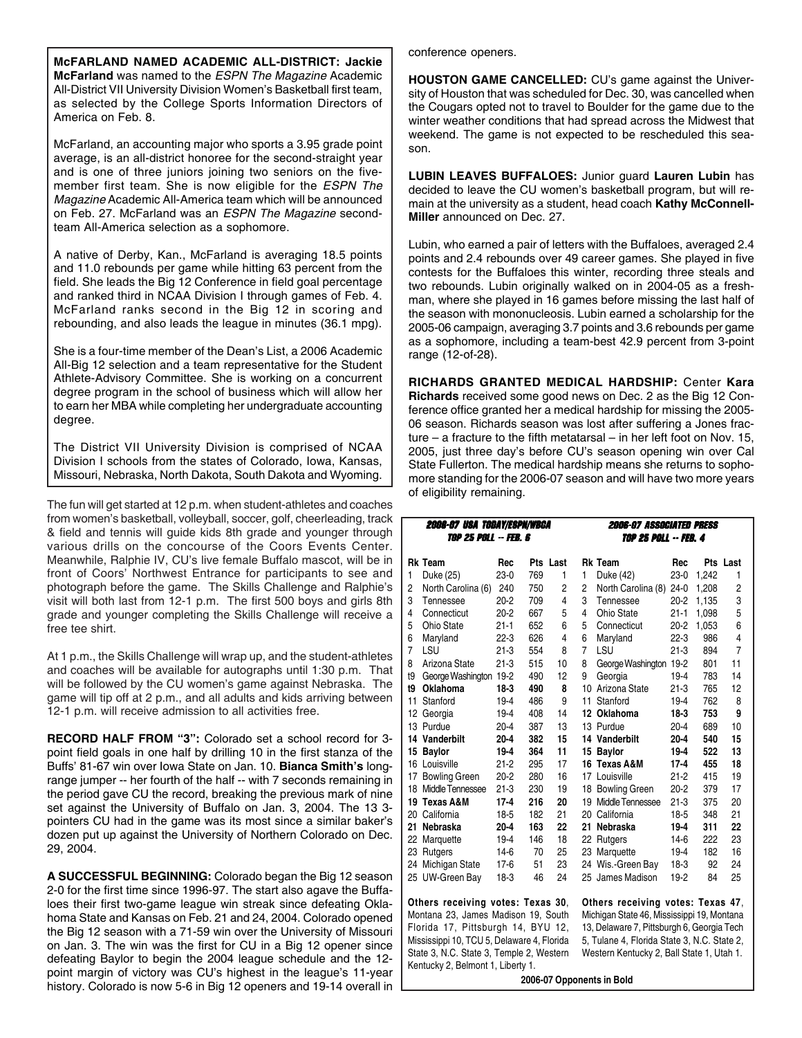**McFARLAND NAMED ACADEMIC ALL-DISTRICT: Jackie McFarland** was named to the *ESPN The Magazine* Academic All-District VII University Division Women's Basketball first team, as selected by the College Sports Information Directors of America on Feb. 8.

McFarland, an accounting major who sports a 3.95 grade point average, is an all-district honoree for the second-straight year and is one of three juniors joining two seniors on the fivemember first team. She is now eligible for the *ESPN The Magazine* Academic All-America team which will be announced on Feb. 27. McFarland was an *ESPN The Magazine* secondteam All-America selection as a sophomore.

A native of Derby, Kan., McFarland is averaging 18.5 points and 11.0 rebounds per game while hitting 63 percent from the field. She leads the Big 12 Conference in field goal percentage and ranked third in NCAA Division I through games of Feb. 4. McFarland ranks second in the Big 12 in scoring and rebounding, and also leads the league in minutes (36.1 mpg).

She is a four-time member of the Dean's List, a 2006 Academic All-Big 12 selection and a team representative for the Student Athlete-Advisory Committee. She is working on a concurrent degree program in the school of business which will allow her to earn her MBA while completing her undergraduate accounting degree.

The District VII University Division is comprised of NCAA Division I schools from the states of Colorado, Iowa, Kansas, Missouri, Nebraska, North Dakota, South Dakota and Wyoming.

The fun will get started at 12 p.m. when student-athletes and coaches from women's basketball, volleyball, soccer, golf, cheerleading, track & field and tennis will guide kids 8th grade and younger through various drills on the concourse of the Coors Events Center. Meanwhile, Ralphie IV, CU's live female Buffalo mascot, will be in front of Coors' Northwest Entrance for participants to see and photograph before the game. The Skills Challenge and Ralphie's visit will both last from 12-1 p.m. The first 500 boys and girls 8th grade and younger completing the Skills Challenge will receive a free tee shirt.

At 1 p.m., the Skills Challenge will wrap up, and the student-athletes and coaches will be available for autographs until 1:30 p.m. That will be followed by the CU women's game against Nebraska. The game will tip off at 2 p.m., and all adults and kids arriving between 12-1 p.m. will receive admission to all activities free.

**RECORD HALF FROM "3":** Colorado set a school record for 3 point field goals in one half by drilling 10 in the first stanza of the Buffs' 81-67 win over Iowa State on Jan. 10. **Bianca Smith's** longrange jumper -- her fourth of the half -- with 7 seconds remaining in the period gave CU the record, breaking the previous mark of nine set against the University of Buffalo on Jan. 3, 2004. The 13 3 pointers CU had in the game was its most since a similar baker's dozen put up against the University of Northern Colorado on Dec. 29, 2004.

**A SUCCESSFUL BEGINNING:** Colorado began the Big 12 season 2-0 for the first time since 1996-97. The start also agave the Buffaloes their first two-game league win streak since defeating Oklahoma State and Kansas on Feb. 21 and 24, 2004. Colorado opened the Big 12 season with a 71-59 win over the University of Missouri on Jan. 3. The win was the first for CU in a Big 12 opener since defeating Baylor to begin the 2004 league schedule and the 12 point margin of victory was CU's highest in the league's 11-year history. Colorado is now 5-6 in Big 12 openers and 19-14 overall in conference openers.

**HOUSTON GAME CANCELLED:** CU's game against the University of Houston that was scheduled for Dec. 30, was cancelled when the Cougars opted not to travel to Boulder for the game due to the winter weather conditions that had spread across the Midwest that weekend. The game is not expected to be rescheduled this season.

**LUBIN LEAVES BUFFALOES:** Junior guard **Lauren Lubin** has decided to leave the CU women's basketball program, but will remain at the university as a student, head coach **Kathy McConnell-Miller** announced on Dec. 27.

Lubin, who earned a pair of letters with the Buffaloes, averaged 2.4 points and 2.4 rebounds over 49 career games. She played in five contests for the Buffaloes this winter, recording three steals and two rebounds. Lubin originally walked on in 2004-05 as a freshman, where she played in 16 games before missing the last half of the season with mononucleosis. Lubin earned a scholarship for the 2005-06 campaign, averaging 3.7 points and 3.6 rebounds per game as a sophomore, including a team-best 42.9 percent from 3-point range (12-of-28).

**RICHARDS GRANTED MEDICAL HARDSHIP:** Center **Kara Richards** received some good news on Dec. 2 as the Big 12 Conference office granted her a medical hardship for missing the 2005- 06 season. Richards season was lost after suffering a Jones fracture – a fracture to the fifth metatarsal – in her left foot on Nov. 15, 2005, just three day's before CU's season opening win over Cal State Fullerton. The medical hardship means she returns to sophomore standing for the 2006-07 season and will have two more years of eligibility remaining.

|    | <b>2006-07 USA TODAY/ESPN/WBCA</b><br><i>Top 25 poll -- FEB. 6</i> |                           |     |          | <b>2006-07 ASSOCIATED PRESS</b><br><b>TOP 25 POLL -- FEB. 4</b> |                                             |          |       |                |  |  |  |
|----|--------------------------------------------------------------------|---------------------------|-----|----------|-----------------------------------------------------------------|---------------------------------------------|----------|-------|----------------|--|--|--|
|    | <b>Rk Team</b>                                                     | Rec                       |     | Pts Last |                                                                 | <b>Rk Team</b>                              | Rec      |       | Pts Last       |  |  |  |
| 1  | Duke (25)                                                          | 230                       | 769 | 1        | 1                                                               | Duke (42)                                   | $23-0$   | 1,242 | 1              |  |  |  |
| 2  | North Carolina (6)                                                 | 240                       | 750 | 2        | $\overline{c}$                                                  | North Carolina (8)                          | $24 - 0$ | 1,208 | $\overline{c}$ |  |  |  |
| 3  | Tennessee                                                          | $20 - 2$                  | 709 | 4        | 3                                                               | Tennessee                                   | $20 - 2$ | 1,135 | 3              |  |  |  |
| 4  | Connecticut                                                        | $20-2$                    | 667 | 5        | 4                                                               | Ohio State                                  | $21 - 1$ | 1,098 | 5              |  |  |  |
| 5  | Ohio State                                                         | $21 - 1$                  | 652 | 6        | 5                                                               | Connecticut                                 | $20-2$   | 1,053 | 6              |  |  |  |
| 6  | Maryland                                                           | $22-3$                    | 626 | 4        | 6                                                               | Maryland                                    | $22-3$   | 986   | 4              |  |  |  |
| 7  | LSU                                                                | $21-3$                    | 554 | 8        | $\overline{7}$                                                  | LSU                                         | $21-3$   | 894   | $\overline{7}$ |  |  |  |
| 8  | Arizona State                                                      | $21 - 3$                  | 515 | 10       | 8                                                               | George Washington 19-2                      |          | 801   | 11             |  |  |  |
| t9 | George Washington 19-2                                             |                           | 490 | 12       | 9                                                               | Georgia                                     | 19-4     | 783   | 14             |  |  |  |
| t9 | <b>Oklahoma</b>                                                    | $18-3$                    | 490 | 8        |                                                                 | 10 Arizona State                            | $21-3$   | 765   | 12             |  |  |  |
| 11 | Stanford                                                           | 194                       | 486 | 9        | 11                                                              | Stanford                                    | $19-4$   | 762   | 8              |  |  |  |
| 12 | Georgia                                                            | 19-4                      | 408 | 14       |                                                                 | 12 Oklahoma                                 | $18-3$   | 753   | 9              |  |  |  |
|    | 13 Purdue                                                          | $20 - 4$                  | 387 | 13       |                                                                 | 13 Purdue                                   | $20 - 4$ | 689   | 10             |  |  |  |
|    | 14 Vanderbilt                                                      | $20 - 4$                  | 382 | 15       |                                                                 | 14 Vanderbilt                               | $20 - 4$ | 540   | 15             |  |  |  |
| 15 | Baylor                                                             | $19 - 4$                  | 364 | 11       | 15                                                              | <b>Baylor</b>                               | $19 - 4$ | 522   | 13             |  |  |  |
|    | 16 Louisville                                                      | $21 - 2$                  | 295 | 17       |                                                                 | 16 Texas A&M                                | $17 - 4$ | 455   | 18             |  |  |  |
| 17 | <b>Bowling Green</b>                                               | $20-2$                    | 280 | 16       |                                                                 | 17 Louisville                               | $21 - 2$ | 415   | 19             |  |  |  |
|    | 18 Middle Tennessee                                                | $21-3$                    | 230 | 19       |                                                                 | 18 Bowling Green                            | $20 - 2$ | 379   | 17             |  |  |  |
|    | 19 Texas A&M                                                       | $17 - 4$                  | 216 | 20       |                                                                 | 19 Middle Tennessee                         | $21-3$   | 375   | 20             |  |  |  |
|    | 20 California                                                      | 18-5                      | 182 | 21       |                                                                 | 20 California                               | 18-5     | 348   | 21             |  |  |  |
| 21 | Nebraska                                                           | $20 - 4$                  | 163 | 22       |                                                                 | 21 Nebraska                                 | $19 - 4$ | 311   | 22             |  |  |  |
|    | 22 Marquette                                                       | 194                       | 146 | 18       |                                                                 | 22 Rutgers                                  | $14-6$   | 222   | 23             |  |  |  |
|    | 23 Rutgers                                                         | $14-6$                    | 70  | 25       |                                                                 | 23 Marquette                                | 19-4     | 182   | 16             |  |  |  |
|    | 24 Michigan State                                                  | $17-6$                    | 51  | 23       |                                                                 | 24 Wis. Green Bay                           | $18-3$   | 92    | 24             |  |  |  |
|    | 25 UW-Green Bay                                                    | $18-3$                    | 46  | 24       |                                                                 | 25 James Madison                            | $19 - 2$ | 84    | 25             |  |  |  |
|    | Others receiving votes: Texas 30.                                  |                           |     |          |                                                                 | Others receiving votes: Texas 47.           |          |       |                |  |  |  |
|    | Montana 23, James Madison 19, South                                |                           |     |          |                                                                 | Michigan State 46, Mississippi 19, Montana  |          |       |                |  |  |  |
|    | Florida 17, Pittsburgh 14, BYU 12,                                 |                           |     |          |                                                                 | 13, Delaware 7, Pittsburgh 6, Georgia Tech  |          |       |                |  |  |  |
|    | Mississippi 10, TCU 5, Delaware 4, Florida                         |                           |     |          |                                                                 | 5, Tulane 4, Florida State 3, N.C. State 2, |          |       |                |  |  |  |
|    | State 3, N.C. State 3, Temple 2, Western                           |                           |     |          |                                                                 | Western Kentucky 2, Ball State 1, Utah 1.   |          |       |                |  |  |  |
|    | Kentucky 2, Belmont 1, Liberty 1.                                  |                           |     |          |                                                                 |                                             |          |       |                |  |  |  |
|    |                                                                    | 2006-07 Opponents in Bold |     |          |                                                                 |                                             |          |       |                |  |  |  |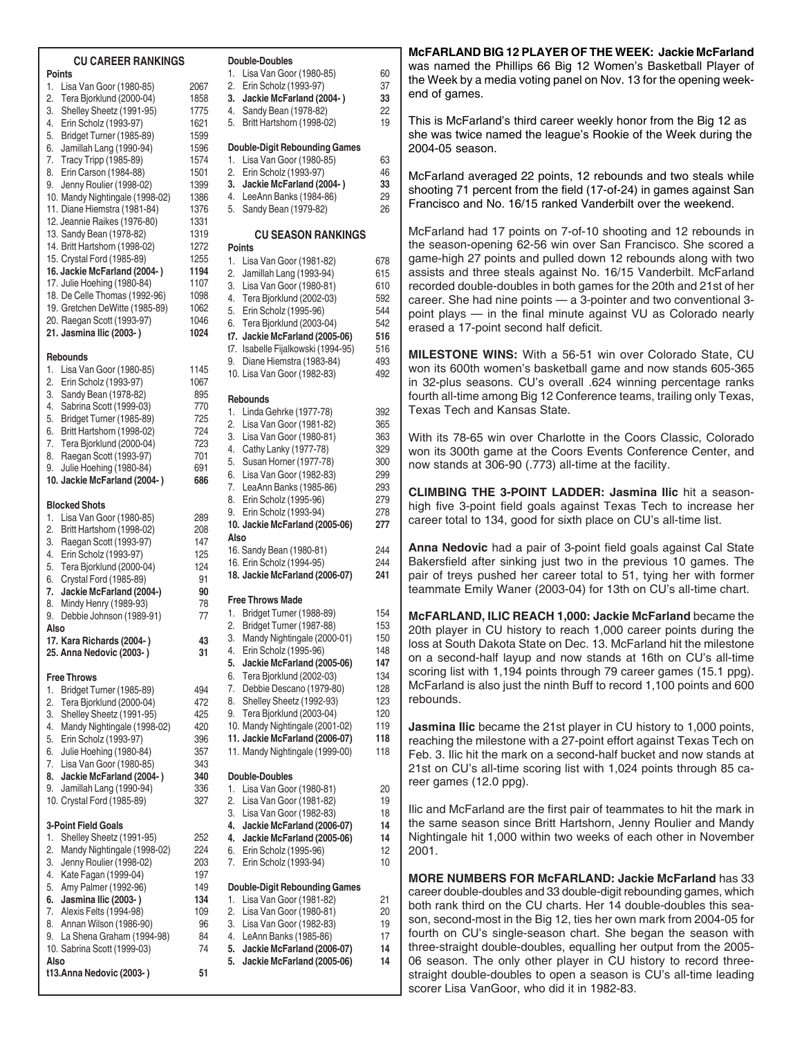#### **CU CAREER RANKINGS Points** 1. Lisa Van Goor (1980-85) 2067 2. Tera Bjorklund (2000-04) 1858 3. Shelley Sheetz (1991-95) 1775 4. Erin Scholz (1993-97) 1621 5. Bridget Turner (1985-89) 1599 6. Jamillah Lang (1990-94) 1596 7. Tracy Tripp (1985-89) 1574 8. Erin Carson (1984-88) 1501 9. Jenny Roulier (1998-02) 1399 10. Mandy Nightingale (1998-02) 1386 11. Diane Hiemstra (1981-84) 1376 12. Jeannie Raikes (1976-80) 1331 13. Sandy Bean (1978-82) 1319<br>14. Britt Hartshorn (1998-02) 1272 14. Britt Hartshorn (1998-02) 15. Crystal Ford (1985-89) 1255 **16. Jackie McFarland (2004- ) 1194** 17. Julie Hoehing (1980-84) 1107 18. De Celle Thomas (1992-96) 1098 19. Gretchen DeWitte (1985-89) 1062 20. Raegan Scott (1993-97) 1046 **21. Jasmina Ilic (2003- ) 1024 Rebounds** 1. Lisa Van Goor (1980-85) 1145 2. Erin Scholz (1993-97) 1067 3. Sandy Bean (1978-82) 895 4. Sabrina Scott (1999-03) 770 5. Bridget Turner (1985-89) 725 6. Britt Hartshorn (1998-02) 724 7. Tera Bjorklund (2000-04) 723 8. Raegan Scott (1993-97) 701 9. Julie Hoehing (1980-84) 691 **10. Jackie McFarland (2004- ) 686 Blocked Shots** 1. Lisa Van Goor (1980-85) 289 2. Britt Hartshorn (1998-02) 208 3. Raegan Scott (1993-97) 147 4. Erin Scholz (1993-97) 125 5. Tera Bjorklund (2000-04) 124 6. Crystal Ford (1985-89) 91 **7. Jackie McFarland (2004-) 90** 8. Mindy Henry (1989-93) 78 9. Debbie Johnson (1989-91) 77 **Also 17. Kara Richards (2004- ) 43 25. Anna Nedovic (2003- ) 31 Free Throws** 1. Bridget Turner (1985-89) 494 2. Tera Bjorklund (2000-04) 472 3. Shelley Sheetz (1991-95) 425 4. Mandy Nightingale (1998-02) 420 5. Erin Scholz (1993-97) 396 6. Julie Hoehing (1980-84) 357 7. Lisa Van Goor (1980-85) 343 **8. Jackie McFarland (2004- ) 340** 9. Jamillah Lang (1990-94) 336 10. Crystal Ford (1985-89) 327 **3-Point Field Goals** 1. Shelley Sheetz (1991-95) 252 2. Mandy Nightingale (1998-02) 224 3. Jenny Roulier (1998-02) 203 4. Kate Fagan (1999-04) 197 5. Amy Palmer (1992-96) 149 **6. Jasmina Ilic (2003- ) 134** 7. Alexis Felts (1994-98) 109 8. Annan Wilson (1986-90) 96 9. La Shena Graham (1994-98) 84 10. Sabrina Scott (1999-03) 74 **Points**

**Also**

**t13.Anna Nedovic (2003- ) 51**

#### **Double-Doubles** 1. Lisa Van Goor (1980-85) 60 2. Erin Scholz (1993-97) 37 **3. Jackie McFarland (2004- ) 33** 4. Sandy Bean (1978-82) 22 5. Britt Hartshorn (1998-02) 19 **Double-Digit Rebounding Games** 1. Lisa Van Goor (1980-85) 63 2. Erin Scholz (1993-97) 46 **3. Jackie McFarland (2004- ) 33** 4. LeeAnn Banks (1984-86) 29<br>5. Sandy Bean (1979-82) 26 5. Sandy Bean (1979-82) **CU SEASON RANKINGS** 1. Lisa Van Goor (1981-82) 678 2. Jamillah Lang (1993-94) 615 3. Lisa Van Goor (1980-81) 610 4. Tera Bjorklund (2002-03) 592 5. Erin Scholz (1995-96) 544 6. Tera Bjorklund (2003-04) 542 **t7. Jackie McFarland (2005-06) 516** t7. Isabelle Fijalkowski (1994-95) 516 9. Diane Hiemstra (1983-84) 493 10. Lisa Van Goor (1982-83) 492 **Rebounds** 1. Linda Gehrke (1977-78) 392 2. Lisa Van Goor (1981-82) 365 3. Lisa Van Goor (1980-81) 363 4. Cathy Lanky (1977-78) 329 5. Susan Horner (1977-78) 300

6. Lisa Van Goor (1982-83) 299 7. LeaAnn Banks (1985-86) 293 8. Erin Scholz (1995-96) 279 9. Erin Scholz (1993-94) 278 **10. Jackie McFarland (2005-06) 277 Also** 16. Sandy Bean (1980-81) 244 16. Erin Scholz (1994-95) 244<br>18. Jackie McFarland (2006-07) 241 **18. Jackie McFarland (2006-07) 241 Free Throws Made** 1. Bridget Turner (1988-89) 154 2. Bridget Turner (1987-88) 153 3. Mandy Nightingale (2000-01) 150 4. Erin Scholz (1995-96) 148 **5. Jackie McFarland (2005-06) 147** 6. Tera Bjorklund (2002-03) 134 7. Debbie Descano (1979-80) 128 8. Shelley Sheetz (1992-93) 123<br>
9. Tera Biorklund (2003-04) 120 9. Tera Bjorklund (2003-04) 10. Mandy Nightingale (2001-02) 119 **11. Jackie McFarland (2006-07) 118** 11. Mandy Nightingale (1999-00) 118

## **Double-Doubles**

- 1. Lisa Van Goor (1980-81) 20
- 2. Lisa Van Goor (1981-82) 19 3. Lisa Van Goor (1982-83) 18
- **4. Jackie McFarland (2006-07) 14**
- **4. Jackie McFarland (2005-06) 14**
- 6. Erin Scholz (1995-96) 12
- 7. Erin Scholz (1993-94) 10

### **Double-Digit Rebounding Games**

1. Lisa Van Goor (1981-82) 21 2. Lisa Van Goor (1980-81) 20 3. Lisa Van Goor (1982-83) 19 4. LeAnn Banks (1985-86) 17 **5. Jackie McFarland (2006-07) 14 5. Jackie McFarland (2005-06) 14**

**McFARLAND BIG 12 PLAYER OF THE WEEK: Jackie McFarland** was named the Phillips 66 Big 12 Women's Basketball Player of the Week by a media voting panel on Nov. 13 for the opening weekend of games.

This is McFarland's third career weekly honor from the Big 12 as she was twice named the league's Rookie of the Week during the 2004-05 season.

McFarland averaged 22 points, 12 rebounds and two steals while shooting 71 percent from the field (17-of-24) in games against San Francisco and No. 16/15 ranked Vanderbilt over the weekend.

McFarland had 17 points on 7-of-10 shooting and 12 rebounds in the season-opening 62-56 win over San Francisco. She scored a game-high 27 points and pulled down 12 rebounds along with two assists and three steals against No. 16/15 Vanderbilt. McFarland recorded double-doubles in both games for the 20th and 21st of her career. She had nine points — a 3-pointer and two conventional 3 point plays — in the final minute against VU as Colorado nearly erased a 17-point second half deficit.

**MILESTONE WINS:** With a 56-51 win over Colorado State, CU won its 600th women's basketball game and now stands 605-365 in 32-plus seasons. CU's overall .624 winning percentage ranks fourth all-time among Big 12 Conference teams, trailing only Texas, Texas Tech and Kansas State.

With its 78-65 win over Charlotte in the Coors Classic, Colorado won its 300th game at the Coors Events Conference Center, and now stands at 306-90 (.773) all-time at the facility.

**CLIMBING THE 3-POINT LADDER: Jasmina Ilic** hit a seasonhigh five 3-point field goals against Texas Tech to increase her career total to 134, good for sixth place on CU's all-time list.

**Anna Nedovic** had a pair of 3-point field goals against Cal State Bakersfield after sinking just two in the previous 10 games. The pair of treys pushed her career total to 51, tying her with former teammate Emily Waner (2003-04) for 13th on CU's all-time chart.

**McFARLAND, ILIC REACH 1,000: Jackie McFarland** became the 20th player in CU history to reach 1,000 career points during the loss at South Dakota State on Dec. 13. McFarland hit the milestone on a second-half layup and now stands at 16th on CU's all-time scoring list with 1,194 points through 79 career games (15.1 ppg). McFarland is also just the ninth Buff to record 1,100 points and 600 rebounds.

**Jasmina Ilic** became the 21st player in CU history to 1,000 points, reaching the milestone with a 27-point effort against Texas Tech on Feb. 3. Ilic hit the mark on a second-half bucket and now stands at 21st on CU's all-time scoring list with 1,024 points through 85 career games (12.0 ppg).

Ilic and McFarland are the first pair of teammates to hit the mark in the same season since Britt Hartshorn, Jenny Roulier and Mandy Nightingale hit 1,000 within two weeks of each other in November 2001.

**MORE NUMBERS FOR McFARLAND: Jackie McFarland** has 33 career double-doubles and 33 double-digit rebounding games, which both rank third on the CU charts. Her 14 double-doubles this season, second-most in the Big 12, ties her own mark from 2004-05 for fourth on CU's single-season chart. She began the season with three-straight double-doubles, equalling her output from the 2005- 06 season. The only other player in CU history to record threestraight double-doubles to open a season is CU's all-time leading scorer Lisa VanGoor, who did it in 1982-83.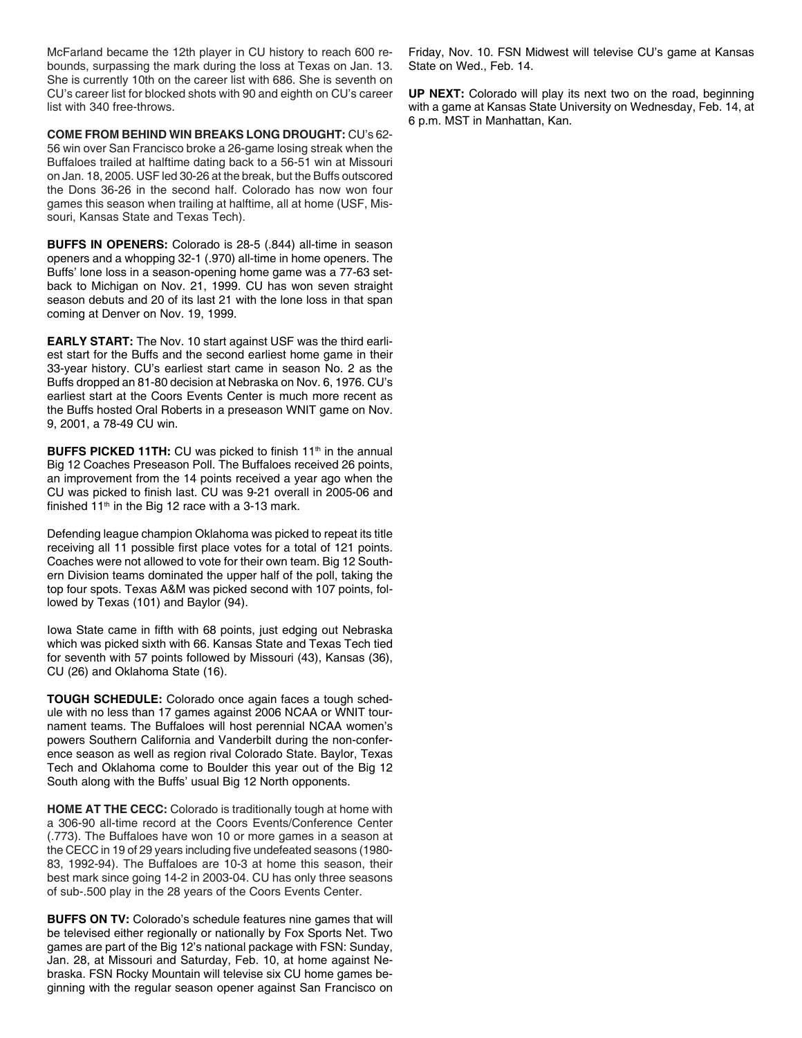McFarland became the 12th player in CU history to reach 600 rebounds, surpassing the mark during the loss at Texas on Jan. 13. She is currently 10th on the career list with 686. She is seventh on CU's career list for blocked shots with 90 and eighth on CU's career list with 340 free-throws.

**COME FROM BEHIND WIN BREAKS LONG DROUGHT:** CU's 62- 56 win over San Francisco broke a 26-game losing streak when the Buffaloes trailed at halftime dating back to a 56-51 win at Missouri on Jan. 18, 2005. USF led 30-26 at the break, but the Buffs outscored the Dons 36-26 in the second half. Colorado has now won four games this season when trailing at halftime, all at home (USF, Missouri, Kansas State and Texas Tech).

**BUFFS IN OPENERS:** Colorado is 28-5 (.844) all-time in season openers and a whopping 32-1 (.970) all-time in home openers. The Buffs' lone loss in a season-opening home game was a 77-63 setback to Michigan on Nov. 21, 1999. CU has won seven straight season debuts and 20 of its last 21 with the lone loss in that span coming at Denver on Nov. 19, 1999.

**EARLY START:** The Nov. 10 start against USF was the third earliest start for the Buffs and the second earliest home game in their 33-year history. CU's earliest start came in season No. 2 as the Buffs dropped an 81-80 decision at Nebraska on Nov. 6, 1976. CU's earliest start at the Coors Events Center is much more recent as the Buffs hosted Oral Roberts in a preseason WNIT game on Nov. 9, 2001, a 78-49 CU win.

**BUFFS PICKED 11TH:** CU was picked to finish 11<sup>th</sup> in the annual Big 12 Coaches Preseason Poll. The Buffaloes received 26 points, an improvement from the 14 points received a year ago when the CU was picked to finish last. CU was 9-21 overall in 2005-06 and finished  $11<sup>th</sup>$  in the Big 12 race with a 3-13 mark.

Defending league champion Oklahoma was picked to repeat its title receiving all 11 possible first place votes for a total of 121 points. Coaches were not allowed to vote for their own team. Big 12 Southern Division teams dominated the upper half of the poll, taking the top four spots. Texas A&M was picked second with 107 points, followed by Texas (101) and Baylor (94).

Iowa State came in fifth with 68 points, just edging out Nebraska which was picked sixth with 66. Kansas State and Texas Tech tied for seventh with 57 points followed by Missouri (43), Kansas (36), CU (26) and Oklahoma State (16).

**TOUGH SCHEDULE:** Colorado once again faces a tough schedule with no less than 17 games against 2006 NCAA or WNIT tournament teams. The Buffaloes will host perennial NCAA women's powers Southern California and Vanderbilt during the non-conference season as well as region rival Colorado State. Baylor, Texas Tech and Oklahoma come to Boulder this year out of the Big 12 South along with the Buffs' usual Big 12 North opponents.

**HOME AT THE CECC:** Colorado is traditionally tough at home with a 306-90 all-time record at the Coors Events/Conference Center (.773). The Buffaloes have won 10 or more games in a season at the CECC in 19 of 29 years including five undefeated seasons (1980- 83, 1992-94). The Buffaloes are 10-3 at home this season, their best mark since going 14-2 in 2003-04. CU has only three seasons of sub-.500 play in the 28 years of the Coors Events Center.

**BUFFS ON TV:** Colorado's schedule features nine games that will be televised either regionally or nationally by Fox Sports Net. Two games are part of the Big 12's national package with FSN: Sunday, Jan. 28, at Missouri and Saturday, Feb. 10, at home against Nebraska. FSN Rocky Mountain will televise six CU home games beginning with the regular season opener against San Francisco on

Friday, Nov. 10. FSN Midwest will televise CU's game at Kansas State on Wed., Feb. 14.

**UP NEXT:** Colorado will play its next two on the road, beginning with a game at Kansas State University on Wednesday, Feb. 14, at 6 p.m. MST in Manhattan, Kan.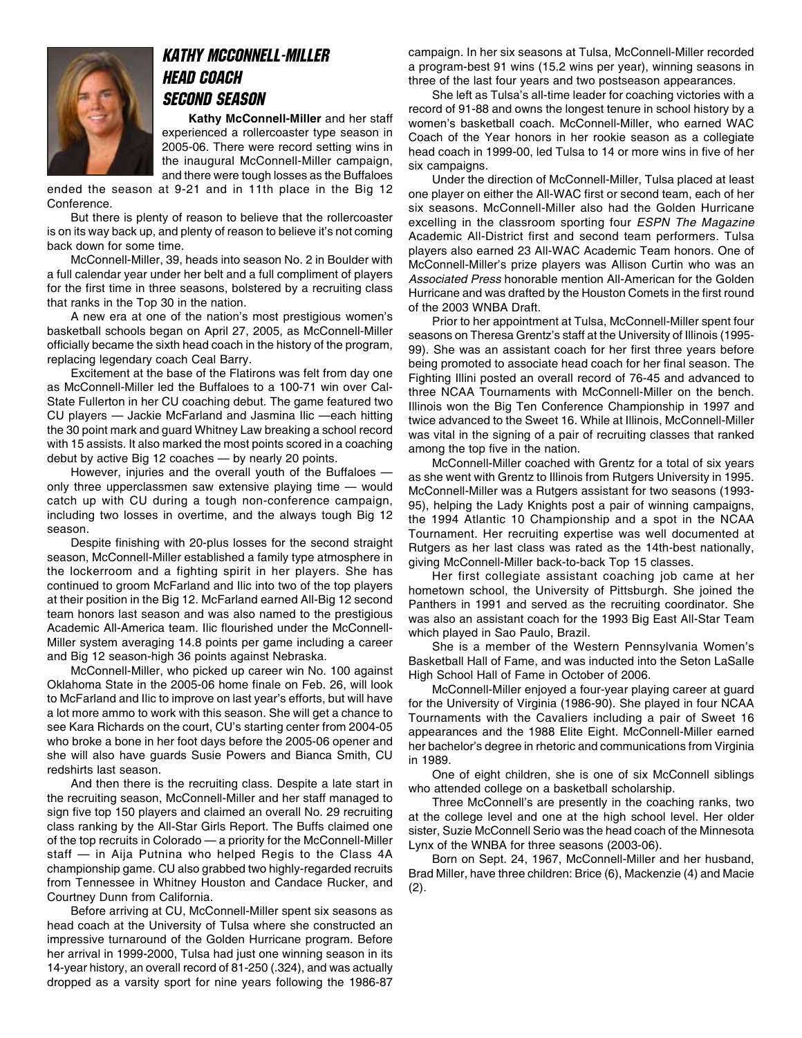

### Kathy McConnell-Miller Head Coach second Season

**Kathy McConnell-Miller** and her staff experienced a rollercoaster type season in 2005-06. There were record setting wins in the inaugural McConnell-Miller campaign, and there were tough losses as the Buffaloes

ended the season at 9-21 and in 11th place in the Big 12 Conference.

But there is plenty of reason to believe that the rollercoaster is on its way back up, and plenty of reason to believe it's not coming back down for some time.

McConnell-Miller, 39, heads into season No. 2 in Boulder with a full calendar year under her belt and a full compliment of players for the first time in three seasons, bolstered by a recruiting class that ranks in the Top 30 in the nation.

A new era at one of the nation's most prestigious women's basketball schools began on April 27, 2005, as McConnell-Miller officially became the sixth head coach in the history of the program, replacing legendary coach Ceal Barry.

Excitement at the base of the Flatirons was felt from day one as McConnell-Miller led the Buffaloes to a 100-71 win over Cal-State Fullerton in her CU coaching debut. The game featured two CU players — Jackie McFarland and Jasmina Ilic —each hitting the 30 point mark and guard Whitney Law breaking a school record with 15 assists. It also marked the most points scored in a coaching debut by active Big 12 coaches — by nearly 20 points.

However, injuries and the overall youth of the Buffaloes only three upperclassmen saw extensive playing time — would catch up with CU during a tough non-conference campaign, including two losses in overtime, and the always tough Big 12 season.

Despite finishing with 20-plus losses for the second straight season, McConnell-Miller established a family type atmosphere in the lockerroom and a fighting spirit in her players. She has continued to groom McFarland and Ilic into two of the top players at their position in the Big 12. McFarland earned All-Big 12 second team honors last season and was also named to the prestigious Academic All-America team. Ilic flourished under the McConnell-Miller system averaging 14.8 points per game including a career and Big 12 season-high 36 points against Nebraska.

McConnell-Miller, who picked up career win No. 100 against Oklahoma State in the 2005-06 home finale on Feb. 26, will look to McFarland and Ilic to improve on last year's efforts, but will have a lot more ammo to work with this season. She will get a chance to see Kara Richards on the court, CU's starting center from 2004-05 who broke a bone in her foot days before the 2005-06 opener and she will also have guards Susie Powers and Bianca Smith, CU redshirts last season.

And then there is the recruiting class. Despite a late start in the recruiting season, McConnell-Miller and her staff managed to sign five top 150 players and claimed an overall No. 29 recruiting class ranking by the All-Star Girls Report. The Buffs claimed one of the top recruits in Colorado — a priority for the McConnell-Miller staff — in Aija Putnina who helped Regis to the Class 4A championship game. CU also grabbed two highly-regarded recruits from Tennessee in Whitney Houston and Candace Rucker, and Courtney Dunn from California.

Before arriving at CU, McConnell-Miller spent six seasons as head coach at the University of Tulsa where she constructed an impressive turnaround of the Golden Hurricane program. Before her arrival in 1999-2000, Tulsa had just one winning season in its 14-year history, an overall record of 81-250 (.324), and was actually dropped as a varsity sport for nine years following the 1986-87

campaign. In her six seasons at Tulsa, McConnell-Miller recorded a program-best 91 wins (15.2 wins per year), winning seasons in three of the last four years and two postseason appearances.

She left as Tulsa's all-time leader for coaching victories with a record of 91-88 and owns the longest tenure in school history by a women's basketball coach. McConnell-Miller, who earned WAC Coach of the Year honors in her rookie season as a collegiate head coach in 1999-00, led Tulsa to 14 or more wins in five of her six campaigns.

Under the direction of McConnell-Miller, Tulsa placed at least one player on either the All-WAC first or second team, each of her six seasons. McConnell-Miller also had the Golden Hurricane excelling in the classroom sporting four *ESPN The Magazine* Academic All-District first and second team performers. Tulsa players also earned 23 All-WAC Academic Team honors. One of McConnell-Miller's prize players was Allison Curtin who was an *Associated Press* honorable mention All-American for the Golden Hurricane and was drafted by the Houston Comets in the first round of the 2003 WNBA Draft.

Prior to her appointment at Tulsa, McConnell-Miller spent four seasons on Theresa Grentz's staff at the University of Illinois (1995- 99). She was an assistant coach for her first three years before being promoted to associate head coach for her final season. The Fighting Illini posted an overall record of 76-45 and advanced to three NCAA Tournaments with McConnell-Miller on the bench. Illinois won the Big Ten Conference Championship in 1997 and twice advanced to the Sweet 16. While at Illinois, McConnell-Miller was vital in the signing of a pair of recruiting classes that ranked among the top five in the nation.

McConnell-Miller coached with Grentz for a total of six years as she went with Grentz to Illinois from Rutgers University in 1995. McConnell-Miller was a Rutgers assistant for two seasons (1993- 95), helping the Lady Knights post a pair of winning campaigns, the 1994 Atlantic 10 Championship and a spot in the NCAA Tournament. Her recruiting expertise was well documented at Rutgers as her last class was rated as the 14th-best nationally, giving McConnell-Miller back-to-back Top 15 classes.

Her first collegiate assistant coaching job came at her hometown school, the University of Pittsburgh. She joined the Panthers in 1991 and served as the recruiting coordinator. She was also an assistant coach for the 1993 Big East All-Star Team which played in Sao Paulo, Brazil.

She is a member of the Western Pennsylvania Women's Basketball Hall of Fame, and was inducted into the Seton LaSalle High School Hall of Fame in October of 2006.

McConnell-Miller enjoyed a four-year playing career at guard for the University of Virginia (1986-90). She played in four NCAA Tournaments with the Cavaliers including a pair of Sweet 16 appearances and the 1988 Elite Eight. McConnell-Miller earned her bachelor's degree in rhetoric and communications from Virginia in 1989.

One of eight children, she is one of six McConnell siblings who attended college on a basketball scholarship.

Three McConnell's are presently in the coaching ranks, two at the college level and one at the high school level. Her older sister, Suzie McConnell Serio was the head coach of the Minnesota Lynx of the WNBA for three seasons (2003-06).

Born on Sept. 24, 1967, McConnell-Miller and her husband, Brad Miller, have three children: Brice (6), Mackenzie (4) and Macie (2).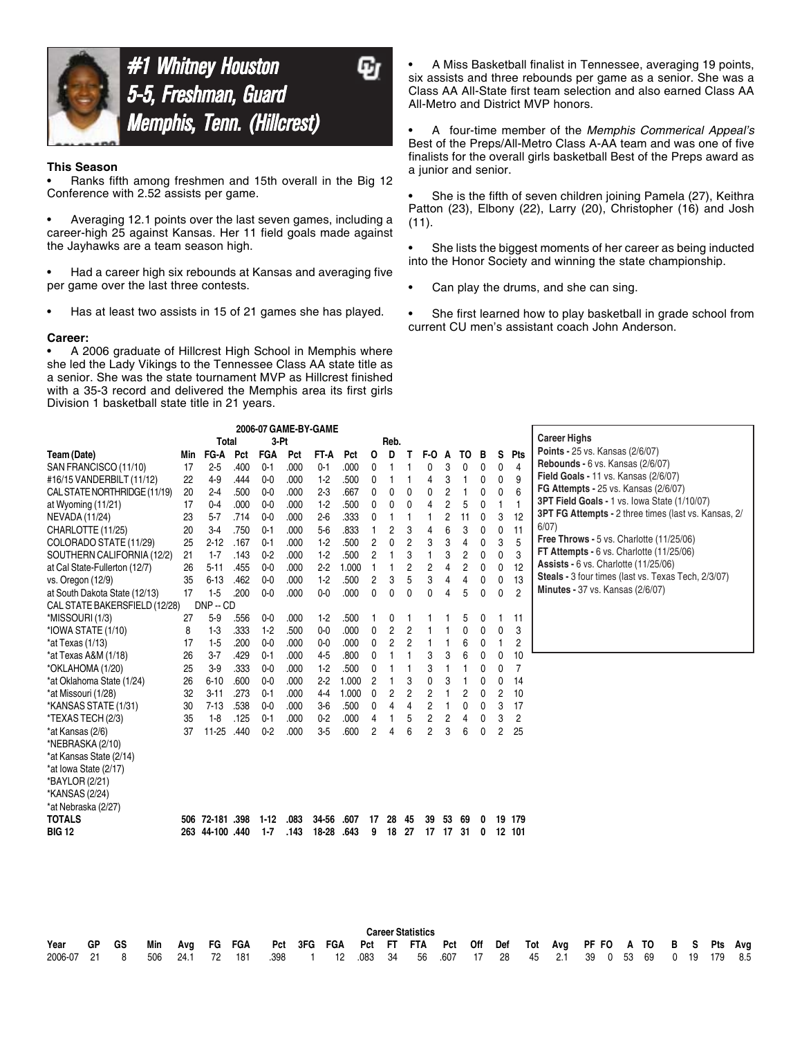

# **#1 Whitney Houston** 5-5, Freshman, Guard Memphis, Tenn. (Hillcrest)

### **This Season**

• Ranks fifth among freshmen and 15th overall in the Big 12 Conference with 2.52 assists per game.

• Averaging 12.1 points over the last seven games, including a career-high 25 against Kansas. Her 11 field goals made against the Jayhawks are a team season high.

• Had a career high six rebounds at Kansas and averaging five per game over the last three contests.

• Has at least two assists in 15 of 21 games she has played.

#### **Career:**

• A 2006 graduate of Hillcrest High School in Memphis where she led the Lady Vikings to the Tennessee Class AA state title as a senior. She was the state tournament MVP as Hillcrest finished with a 35-3 record and delivered the Memphis area its first girls Division 1 basketball state title in 21 years.

• A Miss Basketball finalist in Tennessee, averaging 19 points, six assists and three rebounds per game as a senior. She was a Class AA All-State first team selection and also earned Class AA All-Metro and District MVP honors.

• A four-time member of the *Memphis Commerical Appeal's* Best of the Preps/All-Metro Class A-AA team and was one of five finalists for the overall girls basketball Best of the Preps award as a junior and senior.

She is the fifth of seven children joining Pamela (27), Keithra Patton (23), Elbony (22), Larry (20), Christopher (16) and Josh (11).

• She lists the biggest moments of her career as being inducted into the Honor Society and winning the state championship.

• Can play the drums, and she can sing.

• She first learned how to play basketball in grade school from current CU men's assistant coach John Anderson.

| 2006-07 GAME-BY-GAME                                                          |     |                                                 |      |                    |      |                    |                                                |                |      |                           |                      |    |                           |   |              |                                      |                                                                                                                                                                                                                                           |
|-------------------------------------------------------------------------------|-----|-------------------------------------------------|------|--------------------|------|--------------------|------------------------------------------------|----------------|------|---------------------------|----------------------|----|---------------------------|---|--------------|--------------------------------------|-------------------------------------------------------------------------------------------------------------------------------------------------------------------------------------------------------------------------------------------|
|                                                                               |     | <b>Total</b>                                    |      | 3-Pt               |      |                    |                                                |                | Reb. |                           |                      |    |                           |   |              |                                      | <b>Career Highs</b>                                                                                                                                                                                                                       |
| Team (Date)                                                                   | Min | FG-A                                            | Pct  | <b>FGA</b>         | Pct  | FT-A               | Pct                                            | O              | D    |                           | F-0                  | A  | TO                        | в | s            | <b>Pts</b>                           | Points - 25 vs. Kansas (2/6/07)                                                                                                                                                                                                           |
| SAN FRANCISCO (11/10)                                                         | 17  | $2-5$                                           | .400 | $0 - 1$            | .000 | $0 - 1$            | .000                                           | 0              |      |                           |                      | 3  | 0                         | 0 | 0            | $\overline{4}$                       | Rebounds - 6 vs. Kansas (2/6/07)                                                                                                                                                                                                          |
| #16/15 VANDERBILT (11/12)                                                     | 22  | $4-9$                                           | .444 | $0 - 0$            | .000 | $1-2$              | .500                                           | 0              |      |                           | 4                    | 3  | 1                         | 0 | $\mathbf{0}$ | 9                                    | <b>Field Goals - 11 vs. Kansas (2/6/07)</b>                                                                                                                                                                                               |
| CAL STATE NORTHRIDGE (11/19)                                                  | 20  | $2-4$                                           | .500 | $0-0$              | .000 | $2-3$              | .667                                           | 0              | 0    | 0                         | 0                    | 2  |                           | 0 | 0            | 6                                    | FG Attempts - 25 vs. Kansas (2/6/07)                                                                                                                                                                                                      |
| at Wyoming (11/21)                                                            | 17  | $0 - 4$                                         | .000 | $0-0$              | .000 | $1-2$              | .500                                           | 0              | 0    | 0                         | 4                    | 2  | 5                         | 0 |              | $\overline{1}$                       | 3PT Field Goals - 1 vs. lowa State (1/10/07)                                                                                                                                                                                              |
| NEVADA (11/24)                                                                | 23  | $5 - 7$                                         | .714 | $0-0$              | .000 | $2-6$              | .333                                           | 0              |      |                           |                      | 2  | 11                        | 0 | 3            | 12                                   | <b>3PT FG Attempts - 2 three times (last vs. Kansas, 2/</b>                                                                                                                                                                               |
| CHARLOTTE (11/25)                                                             | 20  | $3-4$                                           | .750 | $0 - 1$            | .000 | $5-6$              | .833                                           |                | 2    | 3                         | 4                    | 6  | 3                         | 0 | $\mathbf{0}$ | 11                                   | 6/07)                                                                                                                                                                                                                                     |
| COLORADO STATE (11/29)                                                        | 25  | $2 - 12$                                        | .167 | $0 - 1$            | .000 | $1-2$              | .500                                           | 2              | 0    | $\overline{c}$            | 3                    | 3  | $\overline{4}$            | 0 | 3            | 5                                    |                                                                                                                                                                                                                                           |
| SOUTHERN CALIFORNIA (12/2)                                                    | 21  | $1 - 7$                                         | .143 | $0 - 2$            | .000 | $1-2$              | .500                                           | 2              |      | 3                         |                      | 3  | $\overline{c}$            | 0 | 0            | 3                                    |                                                                                                                                                                                                                                           |
| at Cal State-Fullerton (12/7)                                                 | 26  | $5-11$                                          | .455 | $0-0$              | .000 | 2.2                |                                                | -1             |      | $\overline{2}$            | $\overline{2}$       | 4  |                           | 0 | 0            | 12                                   |                                                                                                                                                                                                                                           |
| vs. Oregon (12/9)                                                             | 35  | $6 - 13$                                        | .462 | $0 - 0$            | .000 | $1-2$              | .500                                           | 2              | 3    | 5                         | 3                    | 4  | $\overline{4}$            | 0 | 0            | 13                                   |                                                                                                                                                                                                                                           |
| at South Dakota State (12/13)                                                 | 17  | $1-5$                                           | .200 | $0 - 0$            | .000 | $0-0$              | .000                                           | 0              | 0    | 0                         | 0                    | 4  | 5                         | 0 | $\mathbf{0}$ | $\overline{2}$                       |                                                                                                                                                                                                                                           |
| CAL STATE BAKERSFIELD (12/28)                                                 |     |                                                 |      |                    |      |                    |                                                |                |      |                           |                      |    |                           |   |              |                                      |                                                                                                                                                                                                                                           |
| *MISSOURI (1/3)                                                               | 27  | $5-9$                                           | .556 | $0-0$              | .000 | $1-2$              | .500                                           |                |      |                           |                      |    | 5                         | 0 |              | 11                                   |                                                                                                                                                                                                                                           |
| *IOWA STATE (1/10)                                                            | 8   | $1-3$                                           | .333 | $1-2$              | .500 | $0-0$              | .000                                           | 0              | 2    | 2                         |                      |    | 0                         | 0 | 0            | 3                                    |                                                                                                                                                                                                                                           |
| *at Texas (1/13)                                                              | 17  | $1-5$                                           | .200 | $0-0$              | .000 | $0-0$              | .000                                           | 0              | 2    |                           |                      |    | 6                         | 0 |              | $\overline{c}$                       |                                                                                                                                                                                                                                           |
| *at Texas A&M (1/18)                                                          | 26  | $3-7$                                           | .429 | $0 - 1$            | .000 | $4-5$              | .800                                           | 0              |      |                           |                      | 3  | 6                         | 0 | 0            | 10                                   |                                                                                                                                                                                                                                           |
| *OKLAHOMA (1/20)                                                              | 25  |                                                 |      | $0-0$              | .000 | $1-2$              |                                                | $\mathbf{0}$   |      |                           | 3                    | f  |                           | 0 | 0            |                                      |                                                                                                                                                                                                                                           |
|                                                                               | 26  | $6 - 10$                                        | .600 | $0 - 0$            | .000 | 2.2                |                                                | $\overline{2}$ |      | 3                         | $\Omega$             | 3  |                           | 0 | 0            |                                      |                                                                                                                                                                                                                                           |
| *at Missouri (1/28)                                                           | 32  | $3 - 11$                                        | .273 | $0 - 1$            | .000 | $4 - 4$            | 1.000                                          | 0              | 2    | 2                         | 2                    |    | 2                         | 0 | 2            | 10                                   |                                                                                                                                                                                                                                           |
| *KANSAS STATE (1/31)                                                          | 30  | $7 - 13$                                        | .538 | $0 - 0$            | .000 | $3-6$              | .500                                           | 0              |      | 4                         | 2                    |    | 0                         | 0 | 3            | 17                                   |                                                                                                                                                                                                                                           |
| *TEXAS TECH (2/3)                                                             | 35  |                                                 | .125 | $0 - 1$            | .000 | $0-2$              |                                                | 4              |      | 5                         | 2                    | 2  | 4                         | 0 | 3            | 2                                    |                                                                                                                                                                                                                                           |
| *at Kansas (2/6)                                                              | 37  | $11 - 25$                                       | .440 |                    | .000 |                    |                                                | 2              | Δ    |                           |                      | 3  |                           | 0 | 2            |                                      |                                                                                                                                                                                                                                           |
| *NEBRASKA (2/10)                                                              |     |                                                 |      |                    |      |                    |                                                |                |      |                           |                      |    |                           |   |              |                                      |                                                                                                                                                                                                                                           |
| *at Kansas State (2/14)                                                       |     |                                                 |      |                    |      |                    |                                                |                |      |                           |                      |    |                           |   |              |                                      |                                                                                                                                                                                                                                           |
| *at Iowa State (2/17)                                                         |     |                                                 |      |                    |      |                    |                                                |                |      |                           |                      |    |                           |   |              |                                      |                                                                                                                                                                                                                                           |
| *BAYLOR (2/21)                                                                |     |                                                 |      |                    |      |                    |                                                |                |      |                           |                      |    |                           |   |              |                                      |                                                                                                                                                                                                                                           |
|                                                                               |     |                                                 |      |                    |      |                    |                                                |                |      |                           |                      |    |                           |   |              |                                      |                                                                                                                                                                                                                                           |
| *at Nebraska (2/27)                                                           |     |                                                 |      |                    |      |                    |                                                |                |      |                           |                      |    |                           |   |              |                                      |                                                                                                                                                                                                                                           |
|                                                                               |     | 506 72-181 398                                  |      | $1-12$             | .083 | 34-56              | .607                                           | 17             | 28   | 45                        | 39                   | 53 | 69                        | 0 |              | 19 179                               |                                                                                                                                                                                                                                           |
|                                                                               |     |                                                 |      |                    |      |                    |                                                | 9              | 18   |                           |                      | 17 |                           | 0 |              |                                      |                                                                                                                                                                                                                                           |
|                                                                               |     |                                                 |      |                    |      |                    |                                                |                |      |                           |                      |    |                           |   |              |                                      |                                                                                                                                                                                                                                           |
| *at Oklahoma State (1/24)<br>*KANSAS (2/24)<br><b>TOTALS</b><br><b>BIG 12</b> |     | $DNP - CD$<br>$3-9$<br>$1-8$<br>263 44-100 .440 | .333 | $0 - 2$<br>$1 - 7$ | .143 | $3-5$<br>$18 - 28$ | 1.000<br>.500<br>1.000<br>.000<br>.600<br>.643 |                |      | $\overline{c}$<br>6<br>27 | $\overline{2}$<br>17 |    | $\overline{2}$<br>6<br>31 |   |              | $\overline{7}$<br>14<br>25<br>12 101 | Free Throws - 5 vs. Charlotte (11/25/06)<br>FT Attempts - $6$ vs. Charlotte $(11/25/06)$<br><b>Assists - 6 vs. Charlotte (11/25/06)</b><br>Steals - 3 four times (last vs. Texas Tech, 2/3/07)<br><b>Minutes - 37 vs. Kansas (2/6/07)</b> |

|                                                                                             |  |  |                                                                                        |  |  | <b>Career Statistics</b> |  |  |  |  |  |  |  |
|---------------------------------------------------------------------------------------------|--|--|----------------------------------------------------------------------------------------|--|--|--------------------------|--|--|--|--|--|--|--|
| Year                                                                                        |  |  | GP GS Min Avg FG FGA Pct 3FG FGA Pct FT FTA Pct Off Def Tot Avg PF_FO A_TO B S Pts Avg |  |  |                          |  |  |  |  |  |  |  |
| 2006-07 21 8 506 24.1 72 181 .398 1 12 .083 34 56 .607 17 28 45 2.1 39 0 53 69 0 19 179 8.5 |  |  |                                                                                        |  |  |                          |  |  |  |  |  |  |  |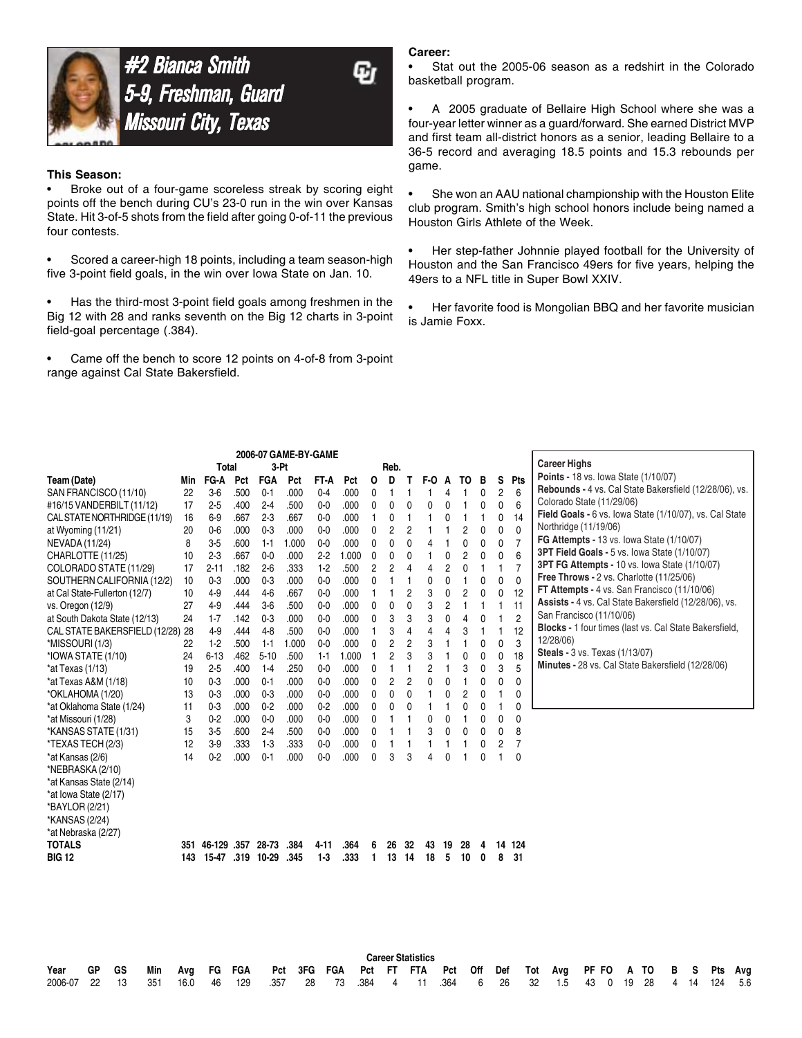

#2 Bianca Smith 5-9, Freshman, Guard Missouri City, Texas

#### **This Season:**

• Broke out of a four-game scoreless streak by scoring eight points off the bench during CU's 23-0 run in the win over Kansas State. Hit 3-of-5 shots from the field after going 0-of-11 the previous four contests.

• Scored a career-high 18 points, including a team season-high five 3-point field goals, in the win over Iowa State on Jan. 10.

Has the third-most 3-point field goals among freshmen in the Big 12 with 28 and ranks seventh on the Big 12 charts in 3-point field-goal percentage (.384).

• Came off the bench to score 12 points on 4-of-8 from 3-point range against Cal State Bakersfield.

#### **Career:**

Stat out the 2005-06 season as a redshirt in the Colorado basketball program.

• A 2005 graduate of Bellaire High School where she was a four-year letter winner as a guard/forward. She earned District MVP and first team all-district honors as a senior, leading Bellaire to a 36-5 record and averaging 18.5 points and 15.3 rebounds per game.

• She won an AAU national championship with the Houston Elite club program. Smith's high school honors include being named a Houston Girls Athlete of the Week.

• Her step-father Johnnie played football for the University of Houston and the San Francisco 49ers for five years, helping the 49ers to a NFL title in Super Bowl XXIV.

• Her favorite food is Mongolian BBQ and her favorite musician is Jamie Foxx.

|                               |     |              |      |            | 2006-07 GAME-BY-GAME |         |       |   |                |                |          |                |                |   |              |                |                                                               |
|-------------------------------|-----|--------------|------|------------|----------------------|---------|-------|---|----------------|----------------|----------|----------------|----------------|---|--------------|----------------|---------------------------------------------------------------|
|                               |     | <b>Total</b> |      | $3-Pt$     |                      |         |       |   | Reb.           |                |          |                |                |   |              |                | <b>Career Highs</b>                                           |
| Team (Date)                   | Min | FG-A         | Pct  | <b>FGA</b> | Pct                  | FT-A    | Pct   | 0 | D              | т              | F-0      | A              | TO             | в | S            | Pts            | <b>Points - 18 vs. lowa State (1/10/07)</b>                   |
| SAN FRANCISCO (11/10)         | 22  | 36           | .500 | $0 - 1$    | .000                 | $0-4$   | .000  | 0 |                |                |          |                |                | 0 | 2            | 6              | Rebounds - 4 vs. Cal State Bakersfield (12/28/06), vs.        |
| #16/15 VANDERBILT (11/12)     | 17  | $2 - 5$      | .400 | $2 - 4$    | .500                 | $0 - 0$ | .000  | 0 | 0              | 0              | 0        | 0              |                | 0 | 0            | 6              | Colorado State (11/29/06)                                     |
| CAL STATE NORTHRIDGE (11/19)  | 16  | $6-9$        | .667 | $2 - 3$    | .667                 | $0-0$   | .000  |   | 0              |                |          | 0              |                |   | 0            | 14             | Field Goals - 6 vs. lowa State (1/10/07), vs. Cal State       |
| at Wyoming (11/21)            | 20  | $0 - 6$      | .000 | $0 - 3$    | .000                 | $0 - 0$ | .000  | 0 | 2              | $\overline{c}$ |          |                | $\overline{c}$ | 0 | 0            | $\mathbf{0}$   | Northridge (11/19/06)                                         |
| NEVADA (11/24)                | 8   | $3-5$        | .600 | $1 - 1$    | 1.000                | $0 - 0$ | .000  | 0 | 0              | 0              | 4        | 1              | 0              | 0 | $\mathbf{0}$ | $\overline{7}$ | <b>FG Attempts - 13 vs. lowa State (1/10/07)</b>              |
| CHARLOTTE (11/25)             | 10  | $2-3$        | .667 | $0 - 0$    | .000                 | $2-2$   | 1.000 | 0 | 0              | $\mathbf{0}$   |          | 0              | $\overline{c}$ | 0 | $\mathbf{0}$ | 6              | 3PT Field Goals - 5 vs. lowa State (1/10/07)                  |
| COLORADO STATE (11/29)        | 17  | $2 - 11$     | .182 | $2-6$      | .333                 | $1-2$   | .500  | 2 | 2              | 4              | 4        | $\overline{c}$ | 0              |   |              |                | 3PT FG Attempts - 10 vs. lowa State (1/10/07)                 |
| SOUTHERN CALIFORNIA (12/2)    | 10  | $0 - 3$      | .000 | $0 - 3$    | .000                 | $0 - 0$ | .000  | 0 |                |                | 0        | 0              |                | 0 | $\mathbf{0}$ | $\mathbf{0}$   | Free Throws - 2 vs. Charlotte (11/25/06)                      |
| at Cal State-Fullerton (12/7) | 10  | $4-9$        | .444 | $4-6$      | .667                 | $0 - 0$ | .000  |   |                | $\overline{2}$ | 3        | 0              | 2              | 0 | 0            | 12             | FT Attempts - 4 vs. San Francisco (11/10/06)                  |
| vs. Oregon (12/9)             | 27  | $4-9$        | .444 | $3-6$      | .500                 | $0 - 0$ | .000  | 0 | 0              | 0              | 3        | $\overline{c}$ |                |   |              | 11             | Assists - 4 vs. Cal State Bakersfield (12/28/06), vs.         |
| at South Dakota State (12/13) | 24  | $1 - 7$      | .142 | $0-3$      | .000                 | $0-0$   | .000  | 0 | 3              | 3              | 3        | 0              | $\overline{4}$ | 0 |              | $\overline{2}$ | San Francisco (11/10/06)                                      |
| CAL STATE BAKERSFIELD (12/28) | 28  | $4-9$        | .444 | $4-8$      | .500                 | $0 - 0$ | .000  |   | 3              | 4              | 4        | 4              | 3              |   |              | 12             | <b>Blocks - 1 four times (last vs. Cal State Bakersfield,</b> |
| *MISSOURI (1/3)               | 22  | $1-2$        | .500 | $1 - 1$    | 1.000                | $0-0$   | .000  | 0 | 2              | 2              | 3        |                |                | 0 | $\mathbf{0}$ | 3              | 12/28/06)                                                     |
| *IOWA STATE (1/10)            | 24  | $6 - 13$     | .462 | $5 - 10$   | .500                 | $1 - 1$ | 1.000 |   | $\overline{c}$ | 3              | 3        |                | 0              | 0 | $\mathbf{0}$ | 18             | <b>Steals - 3 vs. Texas (1/13/07)</b>                         |
| *at Texas (1/13)              | 19  | $2-5$        | .400 | $1-4$      | .250                 | $0-0$   | .000  | 0 |                |                | 2        |                | 3              | 0 | 3            | 5              | Minutes - 28 vs. Cal State Bakersfield (12/28/06)             |
| *at Texas A&M (1/18)          | 10  | $0-3$        | .000 | $0 - 1$    | .000                 | $0 - 0$ | .000  | 0 | 2              | $\overline{c}$ | $\Omega$ | 0              |                | 0 | 0            | 0              |                                                               |
| *OKLAHOMA (1/20)              | 13  | $0-3$        | .000 | $0-3$      | .000                 | $0 - 0$ | .000  | 0 | $\mathbf{0}$   | 0              |          | 0              | $\overline{c}$ | 0 |              | 0              |                                                               |
| *at Oklahoma State (1/24)     | 11  | $0 - 3$      | .000 | $0 - 2$    | .000                 | $0 - 2$ | .000  | 0 | 0              | 0              |          |                | $\mathbf 0$    | 0 |              | 0              |                                                               |
| *at Missouri (1/28)           | 3   | $0 - 2$      | .000 | $0 - 0$    | .000                 | $0 - 0$ | .000  | 0 |                |                | 0        | 0              |                | 0 | 0            | 0              |                                                               |
| *KANSAS STATE (1/31)          | 15  | $3-5$        | .600 | $2-4$      | .500                 | $0 - 0$ | .000  | 0 |                |                | 3        | 0              | 0              | 0 | 0            | 8              |                                                               |
| *TEXAS TECH (2/3)             | 12  | $3-9$        | .333 | $1-3$      | .333                 | $0-0$   | .000  | 0 |                |                |          |                |                | 0 | 2            | 7              |                                                               |
| *at Kansas (2/6)              | 14  | 0.2          | .000 | $0 - 1$    | .000                 | $0-0$   | .000  | 0 | 3              | 3              |          | O              |                | 0 |              | $\Omega$       |                                                               |
| *NEBRASKA (2/10)              |     |              |      |            |                      |         |       |   |                |                |          |                |                |   |              |                |                                                               |
| *at Kansas State (2/14)       |     |              |      |            |                      |         |       |   |                |                |          |                |                |   |              |                |                                                               |
| *at lowa State (2/17)         |     |              |      |            |                      |         |       |   |                |                |          |                |                |   |              |                |                                                               |
| *BAYLOR (2/21)                |     |              |      |            |                      |         |       |   |                |                |          |                |                |   |              |                |                                                               |
| *KANSAS (2/24)                |     |              |      |            |                      |         |       |   |                |                |          |                |                |   |              |                |                                                               |
| *at Nebraska (2/27)           |     |              |      |            |                      |         |       |   |                |                |          |                |                |   |              |                |                                                               |
| <b>TOTALS</b>                 | 351 | 46-129 .357  |      | 28-73      | .384                 | 4-11    | .364  | 6 | 26             | 32             | 43       | 19             | 28             | 4 |              | 14 124         |                                                               |
| <b>BIG 12</b>                 | 143 | 15-47        | .319 | 10-29      | .345                 | $1-3$   | .333  |   | 13             | 14             | 18       | 5              | 10             | 0 | 8            | 31             |                                                               |
|                               |     |              |      |            |                      |         |       |   |                |                |          |                |                |   |              |                |                                                               |

|                                                                                             |       |  |                                                                                  |  |  | <b>Career Statistics</b> |  |  |  |  |  |  |  |
|---------------------------------------------------------------------------------------------|-------|--|----------------------------------------------------------------------------------|--|--|--------------------------|--|--|--|--|--|--|--|
| Year                                                                                        | GP GS |  | Min Avg FG FGA Pct 3FG FGA Pct FT FTA Pct Off Def Tot Avg PF-FO A-TO B S Pts Avg |  |  |                          |  |  |  |  |  |  |  |
| 2006-07 22 13 351 16.0 46 129 .357 28 73 .384 4 11 .364 6 26 32 1.5 43 0 19 28 4 14 124 5.6 |       |  |                                                                                  |  |  |                          |  |  |  |  |  |  |  |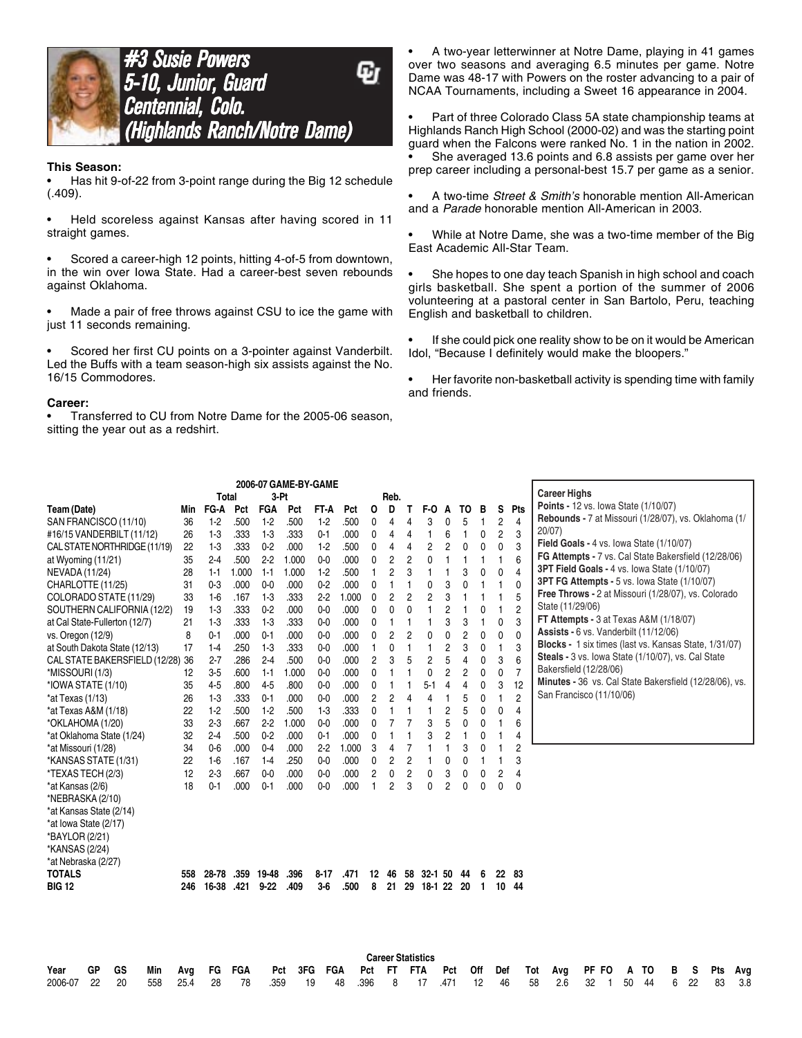



#### **This Season:**

• Has hit 9-of-22 from 3-point range during the Big 12 schedule (.409).

• Held scoreless against Kansas after having scored in 11 straight games.

Scored a career-high 12 points, hitting 4-of-5 from downtown, in the win over Iowa State. Had a career-best seven rebounds against Oklahoma.

Made a pair of free throws against CSU to ice the game with just 11 seconds remaining.

Scored her first CU points on a 3-pointer against Vanderbilt. Led the Buffs with a team season-high six assists against the No. 16/15 Commodores.

#### **Career:**

• Transferred to CU from Notre Dame for the 2005-06 season, sitting the year out as a redshirt.

• A two-year letterwinner at Notre Dame, playing in 41 games over two seasons and averaging 6.5 minutes per game. Notre Dame was 48-17 with Powers on the roster advancing to a pair of NCAA Tournaments, including a Sweet 16 appearance in 2004.

• Part of three Colorado Class 5A state championship teams at Highlands Ranch High School (2000-02) and was the starting point guard when the Falcons were ranked No. 1 in the nation in 2002.

She averaged 13.6 points and 6.8 assists per game over her prep career including a personal-best 15.7 per game as a senior.

• A two-time *Street & Smith's* honorable mention All-American and a *Parade* honorable mention All-American in 2003.

• While at Notre Dame, she was a two-time member of the Big East Academic All-Star Team.

She hopes to one day teach Spanish in high school and coach girls basketball. She spent a portion of the summer of 2006 volunteering at a pastoral center in San Bartolo, Peru, teaching English and basketball to children.

• If she could pick one reality show to be on it would be American Idol, "Because I definitely would make the bloopers."

• Her favorite non-basketball activity is spending time with family and friends.

|                                  |       |                |              |              | 2006-07 GAME-BY-GAME |                |       |                |                |                |                          |                |                        |                |                          |                |                                                        |
|----------------------------------|-------|----------------|--------------|--------------|----------------------|----------------|-------|----------------|----------------|----------------|--------------------------|----------------|------------------------|----------------|--------------------------|----------------|--------------------------------------------------------|
|                                  |       | <b>Total</b>   |              | 3-Pt         |                      |                |       |                | Reb.           |                |                          |                |                        |                |                          |                | <b>Career Highs</b>                                    |
| Team (Date)                      | Min   | FG-A           | Pct          | <b>FGA</b>   | Pct                  | FT-A           | Pct   | O              | D              | Τ              | F-0                      | A              | TO                     | в              | s                        | Pts            | Points - 12 vs. lowa State (1/10/07)                   |
| SAN FRANCISCO (11/10)            | 36    | $1-2$          | .500         | $1-2$        | .500                 | $1-2$          | .500  | 0              | 4              | 4              | 3                        | 0              | 5                      | 1              | $\overline{c}$           | 4              | Rebounds - 7 at Missouri (1/28/07), vs. Oklahoma (1/   |
| #16/15 VANDERBILT (11/12)        | 26    | $1-3$          | .333         | $1-3$        | .333                 | $0 - 1$        | .000  | 0              | 4              | 4              | 1                        | 6              | 1                      | 0              | 2                        | 3              | $20/07$ )                                              |
| CAL STATE NORTHRIDGE (11/19)     | 22    | $1-3$          | .333         | $0-2$        | .000                 | $1-2$          | .500  | $\mathbf{0}$   | 4              | 4              | $\overline{c}$           | $\overline{c}$ | 0                      | 0              | 0                        | 3              | Field Goals - 4 vs. lowa State (1/10/07)               |
| at Wyoming (11/21)               | 35    | $2-4$          | .500         | 2.2          | 1.000                | $0 - 0$        | .000  | 0              | 2              | $\overline{c}$ | 0                        | 1              | 1                      | 1              | 1                        | 6              | FG Attempts - 7 vs. Cal State Bakersfield (12/28/06)   |
| NEVADA (11/24)                   | 28    | $1 - 1$        | 1.000        | $1 - 1$      | 1.000                | $1-2$          | .500  | $\mathbf{1}$   | $\overline{c}$ | 3              | 1                        | 1              | 3                      | 0              | 0                        | 4              | 3PT Field Goals - 4 vs. lowa State (1/10/07)           |
| CHARLOTTE (11/25)                | 31    | $0 - 3$        | .000         | $0-0$        | .000                 | $0 - 2$        | .000  | 0              | 1              | 1              | 0                        | 3              | 0                      | $\mathbf{1}$   | 1                        | $\mathbf{0}$   | 3PT FG Attempts - 5 vs. lowa State (1/10/07)           |
| COLORADO STATE (11/29)           | 33    | $1-6$          | .167         | $1-3$        | .333                 | $2-2$          | 1.000 | 0              | 2              | $\overline{c}$ | $\overline{c}$           | 3              | 1                      | 1              | 1                        | 5              | Free Throws - 2 at Missouri (1/28/07), vs. Colorado    |
| SOUTHERN CALIFORNIA (12/2)       | 19    | $1-3$          | .333         | $0 - 2$      | .000                 | $0 - 0$        | .000  | 0              | 0              | 0              | 1                        | $\overline{c}$ | 1                      | 0              | 1                        | $\overline{c}$ | State (11/29/06)                                       |
| at Cal State-Fullerton (12/7)    | 21    | $1-3$          | .333         | $1-3$        | .333                 | $0 - 0$        | .000  | 0              | 1              | 1              | 1                        | 3              | 3                      | 1              | 0                        | 3              | FT Attempts - 3 at Texas A&M (1/18/07)                 |
| vs. Oregon (12/9)                | 8     | $0 - 1$        | .000         | $0 - 1$      | .000                 | $0-0$          | .000  | 0              | 2              | $\overline{c}$ | 0                        | 0              | $\overline{c}$         | $\mathbf 0$    | 0                        | 0              | Assists - 6 vs. Vanderbilt (11/12/06)                  |
| at South Dakota State (12/13)    | 17    | $1 - 4$        | .250         | $1-3$        | .333                 | $0 - 0$        | .000  | $\mathbf{1}$   | 0              | 1              | 1                        | 2              | 3                      | 0              | $\mathbf{1}$             | 3              | Blocks - 1 six times (last vs. Kansas State, 1/31/07)  |
| CAL STATE BAKERSFIELD (12/28) 36 |       | $2 - 7$        | .286         | $2-4$        | .500                 | $0 - 0$        | .000  | $\overline{c}$ | 3              | 5              | $\overline{c}$           | 5              | 4                      | 0              | 3                        | 6              | Steals - 3 vs. lowa State (1/10/07), vs. Cal State     |
| *MISSOURI (1/3)                  | 1.000 | $0 - 0$        | .000         | $\mathbf{0}$ | 1                    |                | 0     | $\overline{2}$ | 2              | 0              | 0                        | $\overline{7}$ | Bakersfield (12/28/06) |                |                          |                |                                                        |
| *IOWA STATE (1/10)               | 35    | $4-5$<br>$1-3$ | .800<br>.333 | $4-5$        | .800                 | $0 - 0$        | .000  | 0              | 1              |                | $5 - 1$                  | 4              | 4                      | 0              | 3                        | 12             | Minutes - 36 vs. Cal State Bakersfield (12/28/06), vs. |
| $*at Texas (1/13)$               | 26    | $0 - 1$        | .000         | $0-0$        | .000                 | $\overline{c}$ | 2     | 4              | $\overline{4}$ |                | 5                        | 0              | 1                      | $\overline{c}$ | San Francisco (11/10/06) |                |                                                        |
| *at Texas A&M (1/18)             | 22    | $1-2$          | .500         | $1-2$        | .500                 | $1-3$          | .333  | 0              | 1              |                | 1                        | $\overline{c}$ | 5                      | 0              | 0                        | 4              |                                                        |
| *OKLAHOMA (1/20)                 | 33    | $2 - 3$        | .667         | 2.2          | 1.000                | $0-0$          | .000  | 0              | 7              |                | 3                        | 5              | 0                      | 0              | $\mathbf{1}$             | 6              |                                                        |
| *at Oklahoma State (1/24)        | 32    | $2-4$          | .500         | $0-2$        | .000                 | $0 - 1$        | .000  | 0              | $\mathbf{1}$   |                | 3                        | $\overline{c}$ | 1                      | 0              | 1                        | 4              |                                                        |
| *at Missouri (1/28)              | 34    | $0-6$          | .000         | $0-4$        | .000                 | $2-2$          | 1.000 | 3              | 4              | $\overline{7}$ | 1                        | 1              | 3                      | 0              | 1                        | 2              |                                                        |
| *KANSAS STATE (1/31)             | 22    | $1-6$          | .167         | $1-4$        | .250                 | $0 - 0$        | .000  | 0              | 2              | $\overline{c}$ | 1                        | 0              | 0                      |                | $\overline{1}$           | 3              |                                                        |
| *TEXAS TECH (2/3)                | 12    | $2-3$          | .667         | $0-0$        | .000                 | $0 - 0$        | .000  | $\overline{2}$ | 0              | 2              | 0                        | 3              | 0                      | 0              | 2                        | $\overline{4}$ |                                                        |
| *at Kansas (2/6)                 | 18    | $0 - 1$        | .000         | $0 - 1$      | .000                 | $0-0$          | .000  | 1              | $\overline{c}$ | 3              | $\mathbf 0$              | $\overline{c}$ | 0                      | 0              | 0                        | $\mathbf{0}$   |                                                        |
| *NEBRASKA (2/10)                 |       |                |              |              |                      |                |       |                |                |                |                          |                |                        |                |                          |                |                                                        |
| *at Kansas State (2/14)          |       |                |              |              |                      |                |       |                |                |                |                          |                |                        |                |                          |                |                                                        |
| *at lowa State (2/17)            |       |                |              |              |                      |                |       |                |                |                |                          |                |                        |                |                          |                |                                                        |
| *BAYLOR (2/21)                   |       |                |              |              |                      |                |       |                |                |                |                          |                |                        |                |                          |                |                                                        |
| *KANSAS (2/24)                   |       |                |              |              |                      |                |       |                |                |                |                          |                |                        |                |                          |                |                                                        |
| *at Nebraska (2/27)              |       |                |              |              |                      |                |       |                |                |                |                          |                |                        |                |                          |                |                                                        |
| <b>TOTALS</b>                    | 558   | $28 - 78$      | .359         | 19-48        | .396                 | $8 - 17$       | .471  | 12             | 46             |                | 58 32-1 50               |                | 44                     | 6              | 22                       | 83             |                                                        |
| <b>BIG 12</b>                    | 246   | 16-38          | .421         | $9 - 22$     | .409                 | $3-6$          | .500  | 8              | 21             |                | 29 18-1 22 20            |                |                        | $\mathbf{1}$   | 10                       | 44             |                                                        |
|                                  |       |                |              |              |                      |                |       |                |                |                |                          |                |                        |                |                          |                |                                                        |
|                                  |       |                |              |              |                      |                |       |                |                |                | <b>Career Statistics</b> |                |                        |                |                          |                |                                                        |
|                                  |       |                |              |              |                      |                |       |                |                |                |                          |                |                        |                |                          |                |                                                        |

|                                                                                             |  |  |  |  |  | Gareer Statistics |  |  |  |  |  |  |
|---------------------------------------------------------------------------------------------|--|--|--|--|--|-------------------|--|--|--|--|--|--|
| Year GP GS Min Avg FG FGA Pct 3FG FGA Pct FT FTA Pct Off Def Tot Avg PF-FO A-TO B S Pts Avg |  |  |  |  |  |                   |  |  |  |  |  |  |
| 2006-07 22 20 558 25.4 28 78 .359 19 48 .396 8 17 .471 12 46 58 2.6 32 1 50 44 6 22 83 3.8  |  |  |  |  |  |                   |  |  |  |  |  |  |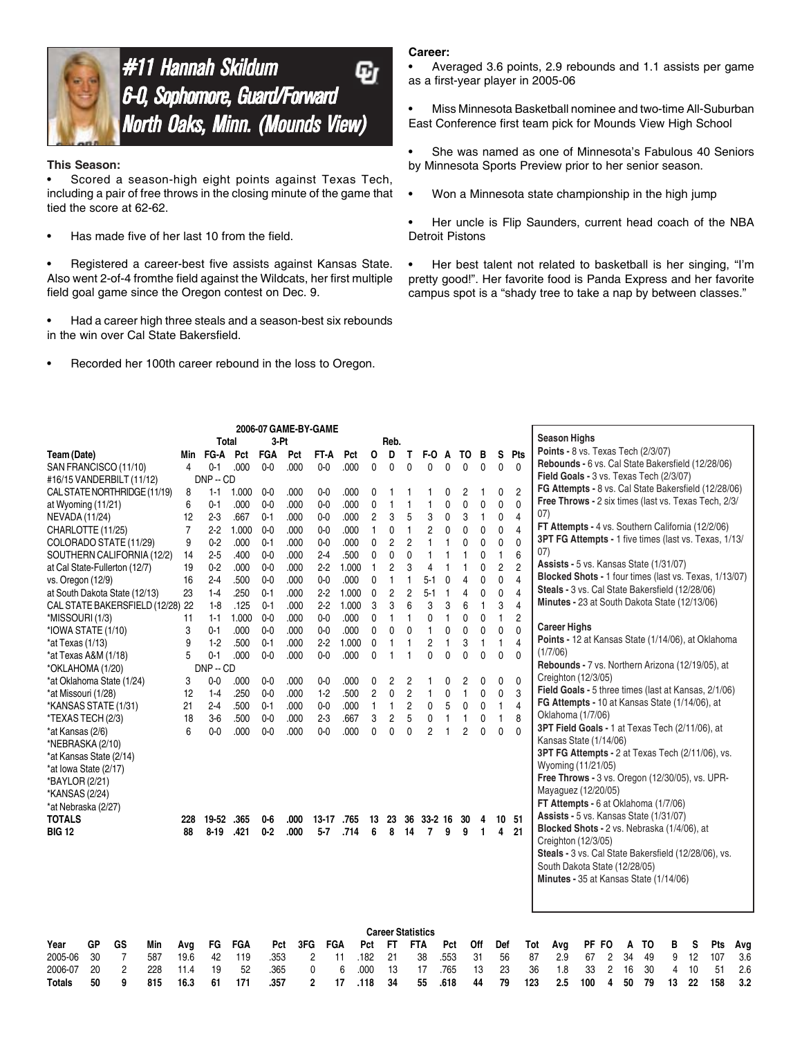

### **#11 Hannah Skildum** Ģг 6-0, Sophomore, Guard/Forward North Oaks, Minn. (Mounds View)

#### **This Season:**

Scored a season-high eight points against Texas Tech, including a pair of free throws in the closing minute of the game that tied the score at 62-62.

• Has made five of her last 10 from the field.

• Registered a career-best five assists against Kansas State. Also went 2-of-4 fromthe field against the Wildcats, her first multiple field goal game since the Oregon contest on Dec. 9.

• Had a career high three steals and a season-best six rebounds in the win over Cal State Bakersfield.

• Recorded her 100th career rebound in the loss to Oregon.

#### **Career:**

• Averaged 3.6 points, 2.9 rebounds and 1.1 assists per game as a first-year player in 2005-06

- Miss Minnesota Basketball nominee and two-time All-Suburban East Conference first team pick for Mounds View High School
- She was named as one of Minnesota's Fabulous 40 Seniors by Minnesota Sports Preview prior to her senior season.
- Won a Minnesota state championship in the high jump
- Her uncle is Flip Saunders, current head coach of the NBA Detroit Pistons

• Her best talent not related to basketball is her singing, "I'm pretty good!". Her favorite food is Panda Express and her favorite campus spot is a "shady tree to take a nap by between classes."

|                                        |                |            |            | 2006-07 GAME-BY-GAME |      |                |       |                |                |                |                          |      |                |              |                |                |                                                         |                      |    |    |   |    |     |     |
|----------------------------------------|----------------|------------|------------|----------------------|------|----------------|-------|----------------|----------------|----------------|--------------------------|------|----------------|--------------|----------------|----------------|---------------------------------------------------------|----------------------|----|----|---|----|-----|-----|
|                                        |                | Total      |            | 3-Pt                 |      |                |       |                | Reb.           |                |                          |      |                |              |                |                | <b>Season Highs</b>                                     |                      |    |    |   |    |     |     |
| Team (Date)                            | Min            | FG-A       | Pct        | FGA                  | Pct  | FT-A           | Pct   | 0              | D              | Τ              | F-O                      | A    | то             | в            | s              | Pts            | <b>Points - 8 vs. Texas Tech (2/3/07)</b>               |                      |    |    |   |    |     |     |
| SAN FRANCISCO (11/10)                  | 4              | $0 - 1$    | .000       | $0-0$                | .000 | $0-0$          | .000  | 0              | 0              | 0              | 0                        | 0    | 0              | $\mathbf{0}$ | 0              | $\mathbf{0}$   | Rebounds - 6 vs. Cal State Bakersfield (12/28/06)       |                      |    |    |   |    |     |     |
| #16/15 VANDERBILT (11/12)              |                | $DNP - CD$ |            |                      |      |                |       |                |                |                |                          |      |                |              |                |                | Field Goals - 3 vs. Texas Tech (2/3/07)                 |                      |    |    |   |    |     |     |
| CAL STATE NORTHRIDGE (11/19)           | 8              | $1 - 1$    | 1.000      | $0-0$                | .000 | $0-0$          | .000  | 0              |                |                |                          | 0    | 2              | 1            | 0              | $\overline{c}$ | FG Attempts - 8 vs. Cal State Bakersfield (12/28/06)    |                      |    |    |   |    |     |     |
| at Wyoming (11/21)                     | 6              | 0-1        | .000       | $0-0$                | .000 | $0-0$          | .000  | 0              | 1              | 1              | 1                        | 0    | 0              | 0            | 0              | $\mathbf 0$    | Free Throws - 2 six times (last vs. Texas Tech, 2/3/    |                      |    |    |   |    |     |     |
| NEVADA (11/24)                         | 12             | $2-3$      | .667       | $0 - 1$              | .000 | $0 - 0$        | .000  | $\overline{c}$ | 3              | 5              | 3                        | 0    | 3              | $\mathbf{1}$ | 0              | $\overline{4}$ | 07)                                                     |                      |    |    |   |    |     |     |
| CHARLOTTE (11/25)                      | $\overline{7}$ | $2-2$      | 1.000      | $0-0$                | .000 | $0-0$          | .000  | 1              | 0              | 1              | $\overline{c}$           | 0    | 0              | 0            | 0              | 4              | FT Attempts - 4 vs. Southern California (12/2/06)       |                      |    |    |   |    |     |     |
| COLORADO STATE (11/29)                 | 9              | $0 - 2$    | .000       | $0 - 1$              | .000 | $0-0$          | .000  | 0              | $\overline{c}$ | $\overline{c}$ | 1                        | 1    | 0              | 0            | 0              | 0              | 3PT FG Attempts - 1 five times (last vs. Texas, 1/13/   |                      |    |    |   |    |     |     |
| SOUTHERN CALIFORNIA (12/2)             | 14             | $2-5$      | .400       | $0-0$                | .000 | $2-4$          | .500  | $\mathbf{0}$   | 0              | $\mathbf{0}$   | $\mathbf{1}$             | 1    |                | 0            | 1              | 6              | 07)                                                     |                      |    |    |   |    |     |     |
| at Cal State-Fullerton (12/7)          | 19             | $0 - 2$    | .000       | 0 <sub>0</sub>       | .000 | $2-2$          | 1.000 | 1              | 2              | 3              | 4                        |      | 1              | 0            | $\overline{c}$ | $\overline{c}$ | Assists - 5 vs. Kansas State (1/31/07)                  |                      |    |    |   |    |     |     |
| vs. Oregon (12/9)                      | 16             | $2-4$      | .500       | $0 - 0$              | .000 | $0-0$          | .000  | 0              | 1              | 1              | $5 - 1$                  | 0    | 4              | 0            | 0              | $\overline{4}$ | Blocked Shots - 1 four times (last vs. Texas, 1/13/07)  |                      |    |    |   |    |     |     |
| at South Dakota State (12/13)          | 23             | $1 - 4$    | .250       | $0 - 1$              | .000 | $2-2$          | 1.000 | 0              | $\overline{c}$ | $\overline{c}$ | $5-1$                    |      | 4              | 0            | 0              | 4              | Steals - 3 vs. Cal State Bakersfield (12/28/06)         |                      |    |    |   |    |     |     |
| CAL STATE BAKERSFIELD (12/28) 22       |                | $1-8$      | .125       | $0 - 1$              | .000 | $2-2$          | 1.000 | 3              | 3              | 6              | 3                        | 3    | 6              | $\mathbf{1}$ | 3              | 4              | Minutes - 23 at South Dakota State (12/13/06)           |                      |    |    |   |    |     |     |
| *MISSOURI (1/3)                        | 11             | $1 - 1$    | 1.000      | $0-0$                | .000 | $0-0$          | .000  | 0              | 1              | 1              | 0                        | 1    | 0              | 0            | 1              | $\overline{c}$ |                                                         |                      |    |    |   |    |     |     |
| *IOWA STATE (1/10)                     | 3              | $0 - 1$    | .000       | $0-0$                | .000 | $0-0$          | .000  | $\mathbf{0}$   | 0              | $\mathbf{0}$   | $\mathbf{1}$             | 0    | 0              | 0            | 0              | $\Omega$       | Career Highs                                            |                      |    |    |   |    |     |     |
| *at Texas (1/13)                       | 9              | $1 - 2$    | .500       | $0 - 1$              | .000 | $2-2$          | 1.000 | $\mathbf{0}$   | 1              | 1              | $\overline{c}$           | 1    | 3              | 1            | 1              | 4              | Points - 12 at Kansas State (1/14/06), at Oklahoma      |                      |    |    |   |    |     |     |
| *at Texas A&M (1/18)                   | 5              | $0 - 1$    | .000       | $0 - 0$              | .000 | 0 <sub>0</sub> | .000  | $\mathbf{0}$   | 1              |                | 0                        | 0    | 0              | 0            | 0              | 0              | (1/7/06)                                                |                      |    |    |   |    |     |     |
| *OKLAHOMA (1/20)                       |                | $DNP - CD$ |            |                      |      |                |       |                |                |                |                          |      |                |              |                |                | <b>Rebounds - 7 vs. Northern Arizona (12/19/05), at</b> |                      |    |    |   |    |     |     |
| *at Oklahoma State (1/24)              | 3              | $0-0$      | .000       | $0-0$                | .000 | $0-0$          | .000  | 0              | 2              | 2              |                          | 0    | 2              | 0            | 0              | 0              | Creighton (12/3/05)                                     |                      |    |    |   |    |     |     |
| *at Missouri (1/28)                    | 12             | $1-4$      | .250       | $0 - 0$              | .000 | $1-2$          | .500  | $\overline{c}$ | 0              | $\overline{c}$ | 1                        | 0    | 1              | 0            | 0              | 3              | Field Goals - 5 three times (last at Kansas, 2/1/06)    |                      |    |    |   |    |     |     |
| *KANSAS STATE (1/31)                   | 21             | $2-4$      | .500       | $0 - 1$              | .000 | $0-0$          | .000  | 1              | 1              | $\overline{c}$ | 0                        | 5    | 0              | 0            | 1              | 4              | FG Attempts - 10 at Kansas State (1/14/06), at          |                      |    |    |   |    |     |     |
| *TEXAS TECH (2/3)                      | 18             | $3-6$      | .500       | $0-0$                | .000 | $2-3$          | .667  | 3              | $\overline{c}$ | 5              | 0                        | 1    | 1              | 0            | $\mathbf{1}$   | 8              | Oklahoma (1/7/06)                                       |                      |    |    |   |    |     |     |
| *at Kansas (2/6)                       | 6              | 00         | .000       | 0 <sub>0</sub>       | .000 | $0-0$          | .000  | 0              | 0              | 0              | $\overline{2}$           |      | $\overline{2}$ | $\mathbf{0}$ | 0              | 0              | 3PT Field Goals - 1 at Texas Tech (2/11/06), at         |                      |    |    |   |    |     |     |
| *NEBRASKA (2/10)                       |                |            |            |                      |      |                |       |                |                |                |                          |      |                |              |                |                | Kansas State (1/14/06)                                  |                      |    |    |   |    |     |     |
| *at Kansas State (2/14)                |                |            |            |                      |      |                |       |                |                |                |                          |      |                |              |                |                | 3PT FG Attempts - 2 at Texas Tech (2/11/06), vs.        |                      |    |    |   |    |     |     |
| *at Iowa State (2/17)                  |                |            |            |                      |      |                |       |                |                |                |                          |      |                |              |                |                | Wyoming (11/21/05)                                      |                      |    |    |   |    |     |     |
| *BAYLOR (2/21)                         |                |            |            |                      |      |                |       |                |                |                |                          |      |                |              |                |                | Free Throws - 3 vs. Oregon (12/30/05), vs. UPR-         |                      |    |    |   |    |     |     |
| *KANSAS (2/24)                         |                |            |            |                      |      |                |       |                |                |                |                          |      |                |              |                |                | Mayaguez (12/20/05)                                     |                      |    |    |   |    |     |     |
| *at Nebraska (2/27)                    |                |            |            |                      |      |                |       |                |                |                |                          |      |                |              |                |                | FT Attempts - 6 at Oklahoma (1/7/06)                    |                      |    |    |   |    |     |     |
| TOTALS                                 | 228            | 19-52      | .365       | $0-6$                | .000 | 13-17          | .765  | 13             | 23             | 36             | $33-2$ 16                |      | 30             | 4            | 10             | -51            | Assists - 5 vs. Kansas State (1/31/07)                  |                      |    |    |   |    |     |     |
| BIG 12                                 | 88             | $8 - 19$   | .421       | $0 - 2$              | .000 | $5 - 7$        | .714  | 6              | 8              | 14             | 7                        | 9    | 9              | $\mathbf{1}$ | 4              | 21             | Blocked Shots - 2 vs. Nebraska (1/4/06), at             |                      |    |    |   |    |     |     |
|                                        |                |            |            |                      |      |                |       |                |                |                |                          |      |                |              |                |                | Creighton (12/3/05)                                     |                      |    |    |   |    |     |     |
|                                        |                |            |            |                      |      |                |       |                |                |                |                          |      |                |              |                |                | Steals - 3 vs. Cal State Bakersfield (12/28/06), vs.    |                      |    |    |   |    |     |     |
|                                        |                |            |            |                      |      |                |       |                |                |                |                          |      |                |              |                |                | South Dakota State (12/28/05)                           |                      |    |    |   |    |     |     |
|                                        |                |            |            |                      |      |                |       |                |                |                |                          |      |                |              |                |                | Minutes - 35 at Kansas State (1/14/06)                  |                      |    |    |   |    |     |     |
|                                        |                |            |            |                      |      |                |       |                |                |                |                          |      |                |              |                |                |                                                         |                      |    |    |   |    |     |     |
|                                        |                |            |            |                      |      |                |       |                |                |                |                          |      |                |              |                |                |                                                         |                      |    |    |   |    |     |     |
|                                        |                |            |            |                      |      |                |       |                |                |                |                          |      |                |              |                |                |                                                         |                      |    |    |   |    |     |     |
|                                        |                |            |            |                      |      |                |       |                |                |                | <b>Career Statistics</b> |      |                |              |                |                |                                                         |                      |    |    |   |    |     |     |
| Year<br>GP<br>GS<br>Min                | Avg            | FG         | <b>FGA</b> | Pct                  | 3FG  | <b>FGA</b>     |       | Pct            | FT.            |                | <b>FTA</b>               | Pct  |                | Off          | Def            |                | Tot<br>Avg                                              | PF FO                | A  | то | В | s  | Pts | Avg |
| 7<br>30<br>587<br>2005-06              | 19.6           | 42         | 119        | .353                 |      | 2              | 11    | .182           | 21             |                | 38                       | .553 |                | 31           | 56             |                | 2.9<br>87<br>67                                         | $\overline{c}$       | 34 | 49 | 9 | 12 | 107 | 3.6 |
| $\overline{c}$<br>2006-07<br>20<br>228 | 11.4           | 19         | 52         | .365                 |      | 0              | 6     | .000           | 13             |                | 17                       | .765 |                | 13           | 23             |                | 36<br>1.8                                               | $\overline{c}$<br>33 | 16 | 30 | 4 | 10 | 51  | 2.6 |

**Totals 50 9 815 16.3 61 171 .357 2 17 .118 34 55 .618 44 79 123 2.5 100 4 50 79 13 22 158 3.2**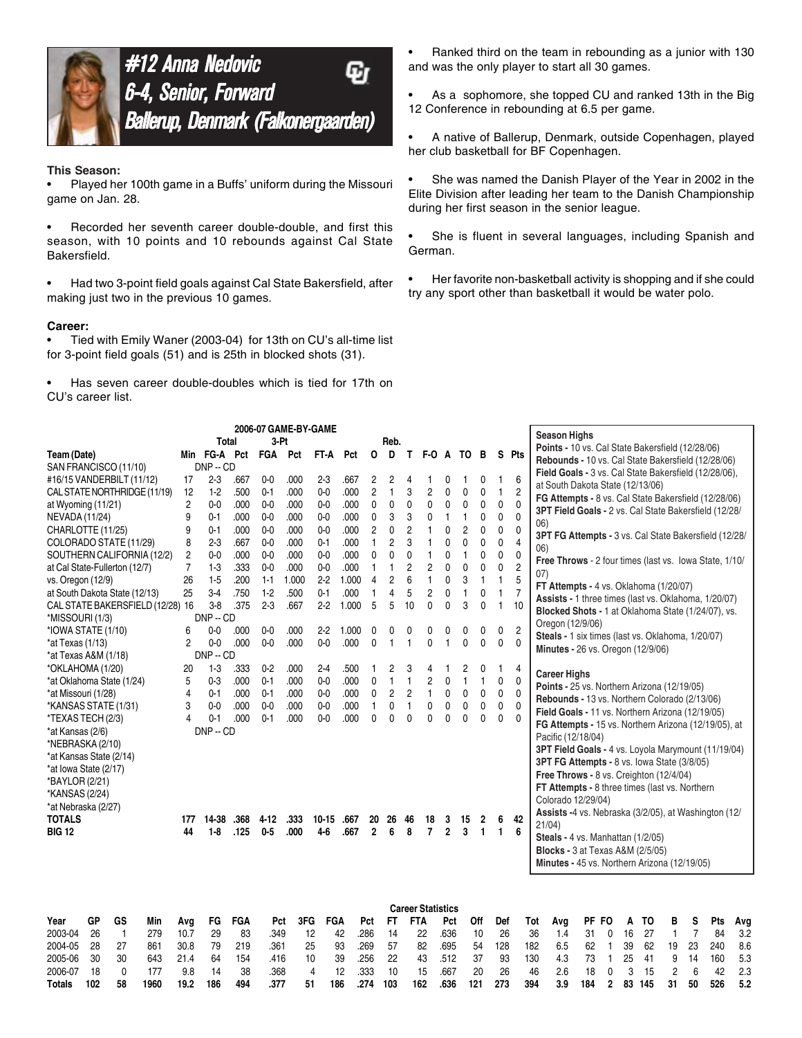

#12 Anna Nedovic 6-4, Senior, Forward Ballerup, Denmark (Falkonergaarden)

#### **This Season:**

• Played her 100th game in a Buffs' uniform during the Missouri game on Jan. 28.

• Recorded her seventh career double-double, and first this season, with 10 points and 10 rebounds against Cal State Bakersfield.

• Had two 3-point field goals against Cal State Bakersfield, after making just two in the previous 10 games.

#### **Career:**

• Tied with Emily Waner (2003-04) for 13th on CU's all-time list for 3-point field goals (51) and is 25th in blocked shots (31).

Has seven career double-doubles which is tied for 17th on CU's career list.

• Ranked third on the team in rebounding as a junior with 130 and was the only player to start all 30 games.

As a sophomore, she topped CU and ranked 13th in the Big 12 Conference in rebounding at 6.5 per game.

• A native of Ballerup, Denmark, outside Copenhagen, played her club basketball for BF Copenhagen.

• She was named the Danish Player of the Year in 2002 in the Elite Division after leading her team to the Danish Championship during her first season in the senior league.

She is fluent in several languages, including Spanish and German.

• Her favorite non-basketball activity is shopping and if she could try any sport other than basketball it would be water polo.

|                                                                                                                                                                                                                                                                                                                                                                                                                                                                                                    |                                                                             |                                                                                                                    |                                                                                              | 2006-07 GAME-BY-GAME                                                                                       |                                                                             |                                                                                  |                                                                      |                                                                                                               |                                                                              |                                                                  |                                                                                                      |                                                                                               |                                                                              |                                                           |                                                                          |                                                                                           | <b>Season Highs</b>                                                                                                                                                                                                                                                                                                                                                                                                                           |                                      |                                    |                                |                                   |                                                      |                                            |                                      |                                        |
|----------------------------------------------------------------------------------------------------------------------------------------------------------------------------------------------------------------------------------------------------------------------------------------------------------------------------------------------------------------------------------------------------------------------------------------------------------------------------------------------------|-----------------------------------------------------------------------------|--------------------------------------------------------------------------------------------------------------------|----------------------------------------------------------------------------------------------|------------------------------------------------------------------------------------------------------------|-----------------------------------------------------------------------------|----------------------------------------------------------------------------------|----------------------------------------------------------------------|---------------------------------------------------------------------------------------------------------------|------------------------------------------------------------------------------|------------------------------------------------------------------|------------------------------------------------------------------------------------------------------|-----------------------------------------------------------------------------------------------|------------------------------------------------------------------------------|-----------------------------------------------------------|--------------------------------------------------------------------------|-------------------------------------------------------------------------------------------|-----------------------------------------------------------------------------------------------------------------------------------------------------------------------------------------------------------------------------------------------------------------------------------------------------------------------------------------------------------------------------------------------------------------------------------------------|--------------------------------------|------------------------------------|--------------------------------|-----------------------------------|------------------------------------------------------|--------------------------------------------|--------------------------------------|----------------------------------------|
|                                                                                                                                                                                                                                                                                                                                                                                                                                                                                                    |                                                                             | <b>Total</b>                                                                                                       |                                                                                              | 3-Pt                                                                                                       |                                                                             |                                                                                  |                                                                      |                                                                                                               | Reb.                                                                         |                                                                  |                                                                                                      |                                                                                               |                                                                              |                                                           |                                                                          |                                                                                           | Points - 10 vs. Cal State Bakersfield (12/28/06)                                                                                                                                                                                                                                                                                                                                                                                              |                                      |                                    |                                |                                   |                                                      |                                            |                                      |                                        |
| Team (Date)                                                                                                                                                                                                                                                                                                                                                                                                                                                                                        |                                                                             |                                                                                                                    |                                                                                              | Min FG-A Pct FGA Pct                                                                                       |                                                                             | FT-A                                                                             | Pct                                                                  | O                                                                                                             | D                                                                            | Т                                                                | F-O                                                                                                  | A                                                                                             | то                                                                           | в                                                         |                                                                          | S Pts                                                                                     | Rebounds - 10 vs. Cal State Bakersfield (12/28/06)                                                                                                                                                                                                                                                                                                                                                                                            |                                      |                                    |                                |                                   |                                                      |                                            |                                      |                                        |
| SAN FRANCISCO (11/10)                                                                                                                                                                                                                                                                                                                                                                                                                                                                              |                                                                             | $DNP - CD$                                                                                                         |                                                                                              |                                                                                                            |                                                                             |                                                                                  |                                                                      |                                                                                                               |                                                                              |                                                                  |                                                                                                      |                                                                                               |                                                                              |                                                           |                                                                          |                                                                                           | Field Goals - 3 vs. Cal State Bakersfield (12/28/06),                                                                                                                                                                                                                                                                                                                                                                                         |                                      |                                    |                                |                                   |                                                      |                                            |                                      |                                        |
| #16/15 VANDERBILT (11/12)                                                                                                                                                                                                                                                                                                                                                                                                                                                                          | 17                                                                          | $2-3$                                                                                                              | .667                                                                                         | $0 - 0$                                                                                                    | .000                                                                        | $2-3$                                                                            | .667                                                                 | 2                                                                                                             | 2                                                                            | 4                                                                |                                                                                                      | 0                                                                                             | 1                                                                            | 0                                                         | 1                                                                        | 6                                                                                         | at South Dakota State (12/13/06)                                                                                                                                                                                                                                                                                                                                                                                                              |                                      |                                    |                                |                                   |                                                      |                                            |                                      |                                        |
| CAL STATE NORTHRIDGE (11/19)                                                                                                                                                                                                                                                                                                                                                                                                                                                                       | 12                                                                          | $1-2$                                                                                                              | .500                                                                                         | $0 - 1$                                                                                                    | .000                                                                        | $0-0$                                                                            | .000                                                                 | $\overline{2}$                                                                                                | 1                                                                            | 3                                                                | $\overline{c}$                                                                                       | 0                                                                                             | $\mathbf 0$                                                                  | 0                                                         | $\mathbf{1}$                                                             | $\overline{c}$                                                                            | FG Attempts - 8 vs. Cal State Bakersfield (12/28/06)                                                                                                                                                                                                                                                                                                                                                                                          |                                      |                                    |                                |                                   |                                                      |                                            |                                      |                                        |
| at Wyoming (11/21)                                                                                                                                                                                                                                                                                                                                                                                                                                                                                 | $\overline{c}$                                                              | $0 - 0$                                                                                                            | .000                                                                                         | $0-0$                                                                                                      | .000                                                                        | $0-0$                                                                            | .000                                                                 | $\mathbf 0$                                                                                                   | 0                                                                            | $\mathbf 0$                                                      | 0                                                                                                    | 0                                                                                             | $\mathbf 0$                                                                  | $\mathbf 0$                                               | 0                                                                        | 0                                                                                         | 3PT Field Goals - 2 vs. Cal State Bakersfield (12/28/                                                                                                                                                                                                                                                                                                                                                                                         |                                      |                                    |                                |                                   |                                                      |                                            |                                      |                                        |
| <b>NEVADA (11/24)</b>                                                                                                                                                                                                                                                                                                                                                                                                                                                                              | 9                                                                           | $0 - 1$                                                                                                            | .000                                                                                         | $0 - 0$                                                                                                    | .000                                                                        | $0 - 0$                                                                          | .000                                                                 | $\mathbf{0}$                                                                                                  | 3                                                                            | 3                                                                | 0                                                                                                    | $\mathbf{1}$                                                                                  | $\mathbf{1}$                                                                 | 0                                                         | $\mathbf{0}$                                                             | $\mathbf{0}$                                                                              |                                                                                                                                                                                                                                                                                                                                                                                                                                               |                                      |                                    |                                |                                   |                                                      |                                            |                                      |                                        |
| CHARLOTTE (11/25)                                                                                                                                                                                                                                                                                                                                                                                                                                                                                  | 9                                                                           | $0 - 1$                                                                                                            | .000                                                                                         | $0 - 0$                                                                                                    | .000                                                                        | $0 - 0$                                                                          | .000                                                                 | $\overline{c}$                                                                                                | 0                                                                            | $\overline{2}$                                                   |                                                                                                      | 0                                                                                             | $\overline{2}$                                                               | 0                                                         | 0                                                                        | 0                                                                                         | 06)                                                                                                                                                                                                                                                                                                                                                                                                                                           |                                      |                                    |                                |                                   |                                                      |                                            |                                      |                                        |
| COLORADO STATE (11/29)                                                                                                                                                                                                                                                                                                                                                                                                                                                                             | 8                                                                           | $2-3$                                                                                                              | .667                                                                                         | $0 - 0$                                                                                                    | .000                                                                        | $0 - 1$                                                                          | .000                                                                 | $\mathbf{1}$                                                                                                  | $\overline{2}$                                                               | 3                                                                | 1                                                                                                    | 0                                                                                             | $\mathbf 0$                                                                  | 0                                                         | 0                                                                        | 4                                                                                         | 3PT FG Attempts - 3 vs. Cal State Bakersfield (12/28/                                                                                                                                                                                                                                                                                                                                                                                         |                                      |                                    |                                |                                   |                                                      |                                            |                                      |                                        |
| SOUTHERN CALIFORNIA (12/2)                                                                                                                                                                                                                                                                                                                                                                                                                                                                         | 2                                                                           | $0 - 0$                                                                                                            | .000                                                                                         | $0 - 0$                                                                                                    | .000                                                                        | $0 - 0$                                                                          | .000                                                                 | 0                                                                                                             | 0                                                                            | 0                                                                | 1                                                                                                    | 0                                                                                             | 1                                                                            | 0                                                         | 0                                                                        | $\mathbf 0$                                                                               | 06)                                                                                                                                                                                                                                                                                                                                                                                                                                           |                                      |                                    |                                |                                   |                                                      |                                            |                                      |                                        |
| at Cal State-Fullerton (12/7)                                                                                                                                                                                                                                                                                                                                                                                                                                                                      | $\overline{7}$                                                              | $1-3$                                                                                                              | .333                                                                                         | 0 <sub>0</sub>                                                                                             | .000                                                                        | 0 <sub>0</sub>                                                                   | .000                                                                 | $\mathbf{1}$                                                                                                  |                                                                              | $\overline{c}$                                                   | $\overline{c}$                                                                                       | 0                                                                                             | $\mathbf 0$                                                                  | 0                                                         | 0                                                                        | $\overline{c}$                                                                            | Free Throws - 2 four times (last vs. lowa State, 1/10/                                                                                                                                                                                                                                                                                                                                                                                        |                                      |                                    |                                |                                   |                                                      |                                            |                                      |                                        |
| vs. Oregon (12/9)                                                                                                                                                                                                                                                                                                                                                                                                                                                                                  | 26                                                                          | $1 - 5$                                                                                                            | .200                                                                                         | $1 - 1$                                                                                                    | 1.000                                                                       | $2 - 2$                                                                          | 1.000                                                                | 4                                                                                                             | $\overline{2}$                                                               | 6                                                                | $\mathbf{1}$                                                                                         | 0                                                                                             | 3                                                                            | $\mathbf{1}$                                              | $\mathbf{1}$                                                             | 5                                                                                         | (07)                                                                                                                                                                                                                                                                                                                                                                                                                                          |                                      |                                    |                                |                                   |                                                      |                                            |                                      |                                        |
| at South Dakota State (12/13)                                                                                                                                                                                                                                                                                                                                                                                                                                                                      | 25                                                                          | $3-4$                                                                                                              | .750                                                                                         | $1-2$                                                                                                      | .500                                                                        | $0 - 1$                                                                          | .000                                                                 | 1                                                                                                             | 4                                                                            | 5                                                                | $\overline{c}$                                                                                       | $\mathbf{0}$                                                                                  | $\mathbf{1}$                                                                 | 0                                                         | 1                                                                        | 7                                                                                         | FT Attempts - 4 vs. Oklahoma (1/20/07)                                                                                                                                                                                                                                                                                                                                                                                                        |                                      |                                    |                                |                                   |                                                      |                                            |                                      |                                        |
| CAL STATE BAKERSFIELD (12/28) 16                                                                                                                                                                                                                                                                                                                                                                                                                                                                   |                                                                             | $3-8$                                                                                                              | .375                                                                                         | $2 - 3$                                                                                                    | .667                                                                        | $2-2$                                                                            | 1.000                                                                | 5                                                                                                             | 5                                                                            | 10                                                               | 0                                                                                                    | $\Omega$                                                                                      | 3                                                                            | 0                                                         | 1                                                                        | 10                                                                                        | Assists - 1 three times (last vs. Oklahoma, 1/20/07)                                                                                                                                                                                                                                                                                                                                                                                          |                                      |                                    |                                |                                   |                                                      |                                            |                                      |                                        |
| *MISSOURI (1/3)                                                                                                                                                                                                                                                                                                                                                                                                                                                                                    |                                                                             | $DNP - CD$                                                                                                         |                                                                                              |                                                                                                            |                                                                             |                                                                                  |                                                                      |                                                                                                               |                                                                              |                                                                  |                                                                                                      |                                                                                               |                                                                              |                                                           |                                                                          |                                                                                           | Blocked Shots - 1 at Oklahoma State (1/24/07), vs.                                                                                                                                                                                                                                                                                                                                                                                            |                                      |                                    |                                |                                   |                                                      |                                            |                                      |                                        |
| *IOWA STATE (1/10)                                                                                                                                                                                                                                                                                                                                                                                                                                                                                 | 6                                                                           | 0 <sub>0</sub>                                                                                                     | .000                                                                                         | $0-0$                                                                                                      | .000                                                                        | $2 - 2$                                                                          | 1.000                                                                | 0                                                                                                             |                                                                              | 0                                                                | $\Omega$                                                                                             | 0                                                                                             | 0                                                                            | 0                                                         | 0                                                                        | $\overline{c}$                                                                            | Oregon (12/9/06)                                                                                                                                                                                                                                                                                                                                                                                                                              |                                      |                                    |                                |                                   |                                                      |                                            |                                      |                                        |
| *at Texas (1/13)                                                                                                                                                                                                                                                                                                                                                                                                                                                                                   | 2                                                                           | $0 - 0$                                                                                                            | .000                                                                                         | 0 <sub>0</sub>                                                                                             | .000                                                                        | $0-0$                                                                            | .000                                                                 | 0                                                                                                             |                                                                              | 1                                                                | 0                                                                                                    | 1                                                                                             | $\mathbf 0$                                                                  | 0                                                         | 0                                                                        | $\mathbf 0$                                                                               | Steals - 1 six times (last vs. Oklahoma, 1/20/07)                                                                                                                                                                                                                                                                                                                                                                                             |                                      |                                    |                                |                                   |                                                      |                                            |                                      |                                        |
| *at Texas A&M (1/18)                                                                                                                                                                                                                                                                                                                                                                                                                                                                               |                                                                             | $DNP - CD$                                                                                                         |                                                                                              |                                                                                                            |                                                                             |                                                                                  |                                                                      |                                                                                                               |                                                                              |                                                                  |                                                                                                      |                                                                                               |                                                                              |                                                           |                                                                          |                                                                                           | Minutes - 26 vs. Oregon (12/9/06)                                                                                                                                                                                                                                                                                                                                                                                                             |                                      |                                    |                                |                                   |                                                      |                                            |                                      |                                        |
| *OKLAHOMA (1/20)                                                                                                                                                                                                                                                                                                                                                                                                                                                                                   | 20                                                                          | $1-3$                                                                                                              | .333                                                                                         | $0-2$                                                                                                      | .000                                                                        | $2-4$                                                                            | .500                                                                 |                                                                                                               | 2                                                                            | 3                                                                | 4                                                                                                    |                                                                                               | 2                                                                            | 0                                                         | 1                                                                        | 4                                                                                         |                                                                                                                                                                                                                                                                                                                                                                                                                                               |                                      |                                    |                                |                                   |                                                      |                                            |                                      |                                        |
|                                                                                                                                                                                                                                                                                                                                                                                                                                                                                                    |                                                                             |                                                                                                                    |                                                                                              |                                                                                                            |                                                                             |                                                                                  |                                                                      |                                                                                                               |                                                                              |                                                                  |                                                                                                      |                                                                                               |                                                                              |                                                           |                                                                          |                                                                                           | <b>Career Highs</b>                                                                                                                                                                                                                                                                                                                                                                                                                           |                                      |                                    |                                |                                   |                                                      |                                            |                                      |                                        |
|                                                                                                                                                                                                                                                                                                                                                                                                                                                                                                    |                                                                             |                                                                                                                    |                                                                                              |                                                                                                            |                                                                             |                                                                                  |                                                                      |                                                                                                               |                                                                              |                                                                  |                                                                                                      |                                                                                               |                                                                              |                                                           |                                                                          |                                                                                           |                                                                                                                                                                                                                                                                                                                                                                                                                                               |                                      |                                    |                                |                                   |                                                      |                                            |                                      |                                        |
|                                                                                                                                                                                                                                                                                                                                                                                                                                                                                                    |                                                                             |                                                                                                                    |                                                                                              |                                                                                                            |                                                                             |                                                                                  |                                                                      |                                                                                                               |                                                                              |                                                                  |                                                                                                      |                                                                                               |                                                                              |                                                           |                                                                          |                                                                                           |                                                                                                                                                                                                                                                                                                                                                                                                                                               |                                      |                                    |                                |                                   |                                                      |                                            |                                      |                                        |
|                                                                                                                                                                                                                                                                                                                                                                                                                                                                                                    |                                                                             |                                                                                                                    |                                                                                              |                                                                                                            |                                                                             |                                                                                  |                                                                      |                                                                                                               |                                                                              |                                                                  |                                                                                                      |                                                                                               |                                                                              |                                                           |                                                                          |                                                                                           |                                                                                                                                                                                                                                                                                                                                                                                                                                               |                                      |                                    |                                |                                   |                                                      |                                            |                                      |                                        |
|                                                                                                                                                                                                                                                                                                                                                                                                                                                                                                    |                                                                             |                                                                                                                    |                                                                                              |                                                                                                            |                                                                             |                                                                                  |                                                                      |                                                                                                               |                                                                              |                                                                  |                                                                                                      |                                                                                               |                                                                              |                                                           |                                                                          |                                                                                           |                                                                                                                                                                                                                                                                                                                                                                                                                                               |                                      |                                    |                                |                                   |                                                      |                                            |                                      |                                        |
|                                                                                                                                                                                                                                                                                                                                                                                                                                                                                                    |                                                                             |                                                                                                                    |                                                                                              |                                                                                                            |                                                                             |                                                                                  |                                                                      |                                                                                                               |                                                                              |                                                                  |                                                                                                      |                                                                                               |                                                                              |                                                           |                                                                          |                                                                                           |                                                                                                                                                                                                                                                                                                                                                                                                                                               |                                      |                                    |                                |                                   |                                                      |                                            |                                      |                                        |
|                                                                                                                                                                                                                                                                                                                                                                                                                                                                                                    |                                                                             |                                                                                                                    |                                                                                              |                                                                                                            |                                                                             |                                                                                  |                                                                      |                                                                                                               |                                                                              |                                                                  |                                                                                                      |                                                                                               |                                                                              |                                                           |                                                                          |                                                                                           |                                                                                                                                                                                                                                                                                                                                                                                                                                               |                                      |                                    |                                |                                   |                                                      |                                            |                                      |                                        |
|                                                                                                                                                                                                                                                                                                                                                                                                                                                                                                    |                                                                             |                                                                                                                    |                                                                                              |                                                                                                            |                                                                             |                                                                                  |                                                                      |                                                                                                               |                                                                              |                                                                  |                                                                                                      |                                                                                               |                                                                              |                                                           |                                                                          |                                                                                           | 3PT FG Attempts - 8 vs. lowa State (3/8/05)                                                                                                                                                                                                                                                                                                                                                                                                   |                                      |                                    |                                |                                   |                                                      |                                            |                                      |                                        |
|                                                                                                                                                                                                                                                                                                                                                                                                                                                                                                    |                                                                             |                                                                                                                    |                                                                                              |                                                                                                            |                                                                             |                                                                                  |                                                                      |                                                                                                               |                                                                              |                                                                  |                                                                                                      |                                                                                               |                                                                              |                                                           |                                                                          |                                                                                           |                                                                                                                                                                                                                                                                                                                                                                                                                                               |                                      |                                    |                                |                                   |                                                      |                                            |                                      |                                        |
|                                                                                                                                                                                                                                                                                                                                                                                                                                                                                                    |                                                                             |                                                                                                                    |                                                                                              |                                                                                                            |                                                                             |                                                                                  |                                                                      |                                                                                                               |                                                                              |                                                                  |                                                                                                      |                                                                                               |                                                                              |                                                           |                                                                          |                                                                                           | FT Attempts - 8 three times (last vs. Northern                                                                                                                                                                                                                                                                                                                                                                                                |                                      |                                    |                                |                                   |                                                      |                                            |                                      |                                        |
|                                                                                                                                                                                                                                                                                                                                                                                                                                                                                                    |                                                                             |                                                                                                                    |                                                                                              |                                                                                                            |                                                                             |                                                                                  |                                                                      |                                                                                                               |                                                                              |                                                                  |                                                                                                      |                                                                                               |                                                                              |                                                           |                                                                          |                                                                                           | Colorado 12/29/04)                                                                                                                                                                                                                                                                                                                                                                                                                            |                                      |                                    |                                |                                   |                                                      |                                            |                                      |                                        |
|                                                                                                                                                                                                                                                                                                                                                                                                                                                                                                    |                                                                             |                                                                                                                    |                                                                                              |                                                                                                            |                                                                             |                                                                                  |                                                                      |                                                                                                               |                                                                              |                                                                  |                                                                                                      |                                                                                               |                                                                              |                                                           |                                                                          |                                                                                           | Assists -4 vs. Nebraska (3/2/05), at Washington (12/                                                                                                                                                                                                                                                                                                                                                                                          |                                      |                                    |                                |                                   |                                                      |                                            |                                      |                                        |
|                                                                                                                                                                                                                                                                                                                                                                                                                                                                                                    |                                                                             |                                                                                                                    |                                                                                              |                                                                                                            |                                                                             |                                                                                  |                                                                      |                                                                                                               |                                                                              |                                                                  |                                                                                                      |                                                                                               |                                                                              |                                                           |                                                                          |                                                                                           | 21/04                                                                                                                                                                                                                                                                                                                                                                                                                                         |                                      |                                    |                                |                                   |                                                      |                                            |                                      |                                        |
|                                                                                                                                                                                                                                                                                                                                                                                                                                                                                                    |                                                                             |                                                                                                                    |                                                                                              |                                                                                                            |                                                                             |                                                                                  |                                                                      |                                                                                                               |                                                                              |                                                                  |                                                                                                      |                                                                                               |                                                                              |                                                           |                                                                          |                                                                                           | Steals - 4 vs. Manhattan (1/2/05)                                                                                                                                                                                                                                                                                                                                                                                                             |                                      |                                    |                                |                                   |                                                      |                                            |                                      |                                        |
|                                                                                                                                                                                                                                                                                                                                                                                                                                                                                                    |                                                                             |                                                                                                                    |                                                                                              |                                                                                                            |                                                                             |                                                                                  |                                                                      |                                                                                                               |                                                                              |                                                                  |                                                                                                      |                                                                                               |                                                                              |                                                           |                                                                          |                                                                                           | <b>Blocks - 3 at Texas A&amp;M (2/5/05)</b>                                                                                                                                                                                                                                                                                                                                                                                                   |                                      |                                    |                                |                                   |                                                      |                                            |                                      |                                        |
|                                                                                                                                                                                                                                                                                                                                                                                                                                                                                                    |                                                                             |                                                                                                                    |                                                                                              |                                                                                                            |                                                                             |                                                                                  |                                                                      |                                                                                                               |                                                                              |                                                                  |                                                                                                      |                                                                                               |                                                                              |                                                           |                                                                          |                                                                                           |                                                                                                                                                                                                                                                                                                                                                                                                                                               |                                      |                                    |                                |                                   |                                                      |                                            |                                      |                                        |
|                                                                                                                                                                                                                                                                                                                                                                                                                                                                                                    |                                                                             |                                                                                                                    |                                                                                              |                                                                                                            |                                                                             |                                                                                  |                                                                      |                                                                                                               |                                                                              |                                                                  |                                                                                                      |                                                                                               |                                                                              |                                                           |                                                                          |                                                                                           |                                                                                                                                                                                                                                                                                                                                                                                                                                               |                                      |                                    |                                |                                   |                                                      |                                            |                                      |                                        |
|                                                                                                                                                                                                                                                                                                                                                                                                                                                                                                    |                                                                             |                                                                                                                    |                                                                                              |                                                                                                            |                                                                             |                                                                                  |                                                                      |                                                                                                               |                                                                              |                                                                  |                                                                                                      |                                                                                               |                                                                              |                                                           |                                                                          |                                                                                           |                                                                                                                                                                                                                                                                                                                                                                                                                                               |                                      |                                    |                                |                                   |                                                      |                                            |                                      |                                        |
|                                                                                                                                                                                                                                                                                                                                                                                                                                                                                                    |                                                                             |                                                                                                                    |                                                                                              |                                                                                                            |                                                                             |                                                                                  |                                                                      |                                                                                                               |                                                                              |                                                                  |                                                                                                      |                                                                                               |                                                                              |                                                           |                                                                          |                                                                                           |                                                                                                                                                                                                                                                                                                                                                                                                                                               |                                      |                                    |                                |                                   |                                                      |                                            |                                      |                                        |
|                                                                                                                                                                                                                                                                                                                                                                                                                                                                                                    |                                                                             |                                                                                                                    |                                                                                              |                                                                                                            |                                                                             |                                                                                  |                                                                      |                                                                                                               |                                                                              |                                                                  |                                                                                                      |                                                                                               |                                                                              |                                                           |                                                                          |                                                                                           |                                                                                                                                                                                                                                                                                                                                                                                                                                               |                                      |                                    |                                |                                   |                                                      |                                            |                                      |                                        |
|                                                                                                                                                                                                                                                                                                                                                                                                                                                                                                    |                                                                             |                                                                                                                    |                                                                                              |                                                                                                            |                                                                             |                                                                                  |                                                                      |                                                                                                               |                                                                              |                                                                  |                                                                                                      |                                                                                               |                                                                              |                                                           |                                                                          |                                                                                           |                                                                                                                                                                                                                                                                                                                                                                                                                                               |                                      |                                    |                                |                                   |                                                      |                                            |                                      |                                        |
|                                                                                                                                                                                                                                                                                                                                                                                                                                                                                                    |                                                                             |                                                                                                                    |                                                                                              |                                                                                                            |                                                                             |                                                                                  |                                                                      |                                                                                                               |                                                                              |                                                                  |                                                                                                      |                                                                                               |                                                                              |                                                           |                                                                          |                                                                                           |                                                                                                                                                                                                                                                                                                                                                                                                                                               |                                      |                                    |                                |                                   |                                                      |                                            |                                      |                                        |
|                                                                                                                                                                                                                                                                                                                                                                                                                                                                                                    |                                                                             |                                                                                                                    |                                                                                              |                                                                                                            |                                                                             |                                                                                  |                                                                      |                                                                                                               |                                                                              |                                                                  |                                                                                                      |                                                                                               |                                                                              |                                                           |                                                                          |                                                                                           |                                                                                                                                                                                                                                                                                                                                                                                                                                               |                                      |                                    |                                |                                   |                                                      |                                            |                                      |                                        |
|                                                                                                                                                                                                                                                                                                                                                                                                                                                                                                    |                                                                             |                                                                                                                    |                                                                                              |                                                                                                            |                                                                             |                                                                                  |                                                                      |                                                                                                               |                                                                              |                                                                  |                                                                                                      |                                                                                               |                                                                              |                                                           |                                                                          |                                                                                           |                                                                                                                                                                                                                                                                                                                                                                                                                                               |                                      |                                    |                                |                                   |                                                      |                                            |                                      |                                        |
|                                                                                                                                                                                                                                                                                                                                                                                                                                                                                                    |                                                                             |                                                                                                                    |                                                                                              |                                                                                                            |                                                                             |                                                                                  |                                                                      |                                                                                                               |                                                                              |                                                                  |                                                                                                      |                                                                                               |                                                                              |                                                           |                                                                          |                                                                                           |                                                                                                                                                                                                                                                                                                                                                                                                                                               |                                      |                                    |                                |                                   |                                                      |                                            |                                      |                                        |
| *at Oklahoma State (1/24)<br>*at Missouri (1/28)<br>*KANSAS STATE (1/31)<br>*TEXAS TECH (2/3)<br>*at Kansas (2/6)<br>*NEBRASKA (2/10)<br>*at Kansas State (2/14)<br>*at lowa State (2/17)<br>*BAYLOR (2/21)<br>*KANSAS (2/24)<br>*at Nebraska (2/27)<br><b>TOTALS</b><br><b>BIG 12</b><br>GР<br>GS<br>Year<br>Min<br>$\mathbf{1}$<br>279<br>2003-04<br>26<br>27<br>2004-05<br>28<br>861<br>30<br>2005-06<br>30<br>643<br>18<br>$\mathbf 0$<br>2006-07<br>177<br>102<br>58<br>1960<br><b>Totals</b> | 5<br>4<br>3<br>4<br>177<br>44<br>Avq<br>10.7<br>30.8<br>21.4<br>9.8<br>19.2 | $0-3$<br>$0 - 1$<br>0 <sub>0</sub><br>$0 - 1$<br>$DNP - CD$<br>14-38<br>$1-8$<br>FG<br>29<br>79<br>64<br>14<br>186 | .000<br>.000<br>.000<br>.000.<br>.368<br>.125<br><b>FGA</b><br>83<br>219<br>154<br>38<br>494 | $0 - 1$<br>$0 - 1$<br>$0 - 0$<br>$0 - 1$<br>4-12<br>$0 - 5$<br>Pct<br>.349<br>.361<br>.416<br>.368<br>.377 | .000<br>.000<br>.000<br>.000<br>.333<br>,000<br>3FG<br>12<br>25<br>10<br>51 | $0 - 0$<br>$0-0$<br>$0-0$<br>$0 - 0$<br>10-15<br>$4-6$<br><b>FGA</b><br>4<br>186 | .000<br>.000<br>.000<br>.000<br>.667<br>.667<br>42<br>93<br>39<br>12 | 0<br>0<br>$\mathbf{1}$<br>$\mathbf{0}$<br>20<br>$\overline{2}$<br>Pct<br>.286<br>.269<br>.256<br>.333<br>.274 | 2<br>$\mathbf 0$<br>0<br>26<br>6<br><b>FT</b><br>14<br>57<br>22<br>10<br>103 | 1<br>$\overline{c}$<br>$\overline{1}$<br>$\mathbf{0}$<br>46<br>8 | 2<br>1<br>0<br>0<br>18<br>7<br><b>Career Statistics</b><br><b>FTA</b><br>22<br>82<br>43<br>15<br>162 | 0<br>0<br>0<br>$\Omega$<br>3<br>$\overline{2}$<br>Pct<br>.636<br>.695<br>.512<br>.667<br>.636 | $\mathbf{1}$<br>$\mathbf 0$<br>$\mathbf 0$<br>$\mathbf{0}$<br>15<br>3<br>121 | 1<br>0<br>0<br>0<br>2<br>1<br>Off<br>10<br>54<br>37<br>20 | 0<br>0<br>0<br>$\Omega$<br>6<br>1<br>Def<br>26<br>128<br>93<br>26<br>273 | $\mathbf 0$<br>$\mathbf 0$<br>$\mathbf 0$<br>$\mathbf{0}$<br>42<br>6<br>182<br>130<br>394 | Points - 25 vs. Northern Arizona (12/19/05)<br>Rebounds - 13 vs. Northern Colorado (2/13/06)<br>Field Goals - 11 vs. Northern Arizona (12/19/05)<br>FG Attempts - 15 vs. Northern Arizona (12/19/05), at<br>Pacific (12/18/04)<br>3PT Field Goals - 4 vs. Loyola Marymount (11/19/04)<br>Free Throws - 8 vs. Creighton (12/4/04)<br>Minutes - 45 vs. Northern Arizona (12/19/05)<br>Tot<br>Avq<br>36<br>1.4<br>6.5<br>4.3<br>46<br>2.6<br>3.9 | PF FO<br>31<br>62<br>73<br>18<br>184 | 0<br>1<br>1<br>0<br>$\overline{2}$ | A<br>16<br>39<br>25<br>3<br>83 | TO<br>27<br>62<br>41<br>15<br>145 | В<br>$\mathbf{1}$<br>19<br>9<br>$\overline{2}$<br>31 | S<br>$\overline{7}$<br>23<br>14<br>6<br>50 | Pts<br>84<br>240<br>160<br>42<br>526 | Avg<br>3.2<br>8.6<br>5.3<br>2.3<br>5.2 |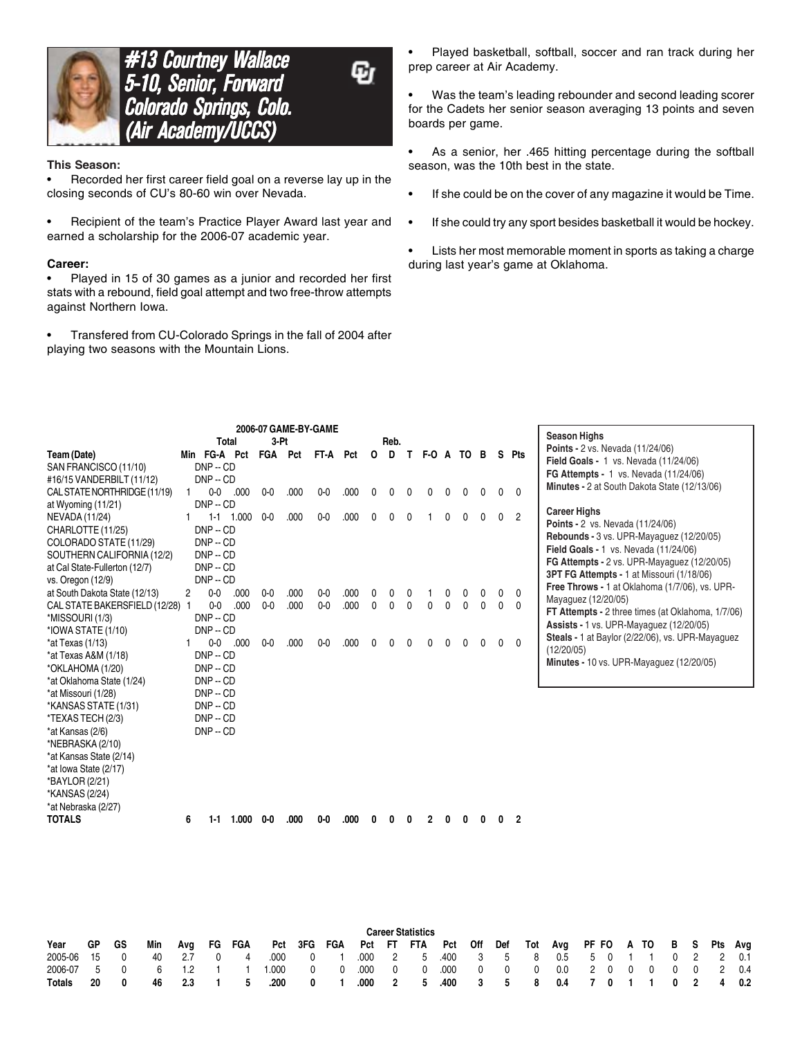

**#13 Courtney Wallace** 5-10, Senior, Forward Colorado Springs, Colo. (Air Academy/UCCS) (Air Academy/UCCS)

Ω

#### **This Season:**

• Recorded her first career field goal on a reverse lay up in the closing seconds of CU's 80-60 win over Nevada.

• Recipient of the team's Practice Player Award last year and earned a scholarship for the 2006-07 academic year.

#### **Career:**

• Played in 15 of 30 games as a junior and recorded her first stats with a rebound, field goal attempt and two free-throw attempts against Northern Iowa.

• Transfered from CU-Colorado Springs in the fall of 2004 after playing two seasons with the Mountain Lions.

• Played basketball, softball, soccer and ran track during her prep career at Air Academy.

• Was the team's leading rebounder and second leading scorer for the Cadets her senior season averaging 13 points and seven boards per game.

- As a senior, her .465 hitting percentage during the softball season, was the 10th best in the state.
- If she could be on the cover of any magazine it would be Time.
- If she could try any sport besides basketball it would be hockey.
- Lists her most memorable moment in sports as taking a charge during last year's game at Oklahoma.

|                                 |   |                |             |         | 2006-07 GAME-BY-GAME |          |      |              |          |              |              |   |      |   |   |                |                                                                                          |
|---------------------------------|---|----------------|-------------|---------|----------------------|----------|------|--------------|----------|--------------|--------------|---|------|---|---|----------------|------------------------------------------------------------------------------------------|
|                                 |   | <b>Total</b>   |             | $3-Pt$  |                      |          |      |              | Reb.     |              |              |   |      |   |   |                | <b>Season Highs</b>                                                                      |
| Team (Date)                     |   | Min FG-A Pct   |             | FGA Pct |                      | FT-A Pct |      | $\mathbf{o}$ | D        |              | T F-0 A      |   | TO B |   |   | S Pts          | Points - 2 vs. Nevada (11/24/06)                                                         |
| SAN FRANCISCO (11/10)           |   | $DNP - CD$     |             |         |                      |          |      |              |          |              |              |   |      |   |   |                | Field Goals - 1 vs. Nevada (11/24/06)                                                    |
| #16/15 VANDERBILT (11/12)       |   | $DNP - CD$     |             |         |                      |          |      |              |          |              |              |   |      |   |   |                | <b>FG Attempts - 1 vs. Nevada (11/24/06)</b>                                             |
| CAL STATE NORTHRIDGE (11/19)    |   | 0 <sub>0</sub> | .000        | $0-0$   | .000                 | $0-0$    | .000 | U            |          | <sup>0</sup> |              |   |      |   | U | $\mathbf{0}$   | Minutes - 2 at South Dakota State (12/13/06)                                             |
| at Wyoming (11/21)              |   | $DNP - CD$     |             |         |                      |          |      |              |          |              |              |   |      |   |   |                | <b>Career Highs</b>                                                                      |
| NEVADA (11/24)                  |   |                | $1-1$ 1.000 | $0-0$   | .000                 | $0-0$    | .000 |              |          |              |              |   |      |   | 0 | $\overline{2}$ |                                                                                          |
| CHARLOTTE (11/25)               |   | $DNP - CD$     |             |         |                      |          |      |              |          |              |              |   |      |   |   |                | <b>Points - 2 vs. Nevada (11/24/06)</b>                                                  |
| COLORADO STATE (11/29)          |   | $DNP - CD$     |             |         |                      |          |      |              |          |              |              |   |      |   |   |                | Rebounds - 3 vs. UPR-Mayaguez (12/20/05)<br><b>Field Goals - 1 vs. Nevada (11/24/06)</b> |
| SOUTHERN CALIFORNIA (12/2)      |   | $DNP - CD$     |             |         |                      |          |      |              |          |              |              |   |      |   |   |                | FG Attempts - 2 vs. UPR-Mayaguez (12/20/05)                                              |
| at Cal State-Fullerton (12/7)   |   | $DNP - CD$     |             |         |                      |          |      |              |          |              |              |   |      |   |   |                | <b>3PT FG Attempts - 1 at Missouri (1/18/06)</b>                                         |
| vs. Oregon (12/9)               |   | $DNP - CD$     |             |         |                      |          |      |              |          |              |              |   |      |   |   |                | Free Throws - 1 at Oklahoma (1/7/06), vs. UPR-                                           |
| at South Dakota State (12/13)   | 2 | $0-0$          | .000        | $0-0$   | .000                 | $0-0$    | .000 |              |          |              |              |   |      |   | 0 | 0              | Mayaguez (12/20/05)                                                                      |
| CAL STATE BAKERSFIELD (12/28) 1 |   | $0 - 0$        | .000        | $0 - 0$ | .000                 | $0 - 0$  | .000 | 0            | $\Omega$ | $\mathbf{0}$ | <sup>0</sup> | 0 | 0    | 0 | 0 | $\mathbf{0}$   | FT Attempts - 2 three times (at Oklahoma, 1/7/06)                                        |
| *MISSOURI (1/3)                 |   | $DNP - CD$     |             |         |                      |          |      |              |          |              |              |   |      |   |   |                | Assists - 1 vs. UPR-Mayaguez (12/20/05)                                                  |
| *IOWA STATE (1/10)              |   | $DNP - CD$     |             |         |                      |          |      |              |          |              |              |   |      |   |   |                | Steals - 1 at Baylor (2/22/06), vs. UPR-Mayaguez                                         |
| $*$ at Texas (1/13)             | 1 |                | $0-0$ .000  | $0 - 0$ | .000                 | $0-0$    | .000 |              |          |              |              |   |      |   |   | $\Omega$       | (12/20/05)                                                                               |
| *at Texas A&M (1/18)            |   | $DNP - CD$     |             |         |                      |          |      |              |          |              |              |   |      |   |   |                | Minutes - 10 vs. UPR-Mayaguez (12/20/05)                                                 |
| *OKLAHOMA (1/20)                |   | $DNP - CD$     |             |         |                      |          |      |              |          |              |              |   |      |   |   |                |                                                                                          |
| *at Oklahoma State (1/24)       |   | $DNP - CD$     |             |         |                      |          |      |              |          |              |              |   |      |   |   |                |                                                                                          |
| *at Missouri (1/28)             |   | $DNP - CD$     |             |         |                      |          |      |              |          |              |              |   |      |   |   |                |                                                                                          |
| *KANSAS STATE (1/31)            |   | $DNP - CD$     |             |         |                      |          |      |              |          |              |              |   |      |   |   |                |                                                                                          |
| *TEXAS TECH (2/3)               |   | $DNP - CD$     |             |         |                      |          |      |              |          |              |              |   |      |   |   |                |                                                                                          |
| *at Kansas (2/6)                |   | $DNP - CD$     |             |         |                      |          |      |              |          |              |              |   |      |   |   |                |                                                                                          |
| *NEBRASKA (2/10)                |   |                |             |         |                      |          |      |              |          |              |              |   |      |   |   |                |                                                                                          |
| *at Kansas State (2/14)         |   |                |             |         |                      |          |      |              |          |              |              |   |      |   |   |                |                                                                                          |
| *at lowa State (2/17)           |   |                |             |         |                      |          |      |              |          |              |              |   |      |   |   |                |                                                                                          |
| *BAYLOR (2/21)                  |   |                |             |         |                      |          |      |              |          |              |              |   |      |   |   |                |                                                                                          |
| *KANSAS (2/24)                  |   |                |             |         |                      |          |      |              |          |              |              |   |      |   |   |                |                                                                                          |
| *at Nebraska (2/27)             |   |                |             |         |                      |          |      |              |          |              |              |   |      |   |   |                |                                                                                          |
| <b>TOTALS</b>                   | 6 | $1-1$          | 1.000       | $0-0$   | .000                 | $0-0$    | .000 |              |          |              |              |   |      |   |   | $\overline{2}$ |                                                                                          |

|               |     |                |     |            |                |        |       |              |             |      | <b>Career Statistics</b>                                          |  |  |                                   |  |  |  |  |
|---------------|-----|----------------|-----|------------|----------------|--------|-------|--------------|-------------|------|-------------------------------------------------------------------|--|--|-----------------------------------|--|--|--|--|
| Year          | GP. | - GS           | Min | Ava        |                | FG FGA |       |              |             |      | Pct 3FG FGA Pct FT FTA Pct Off Def Tot Avg PF-FO A-TO B S Pts Avg |  |  |                                   |  |  |  |  |
| 2005-06 15    |     | $\overline{0}$ | 40  | $\sim$ 2.7 | $\overline{0}$ | 4      | .000  | $0 \t 1$     |             |      | 000 2 5 400 3 5 8 0.5 5 0 1 1 0 2 2 0.1                           |  |  |                                   |  |  |  |  |
| 2006-07 5 0   |     |                |     | 6 1.2 1    |                |        | 1.000 |              | $0\qquad 0$ |      | $.000$ 0 0                                                        |  |  | 000 0 0 0 0.0 2 0 0 0 0 0 0 2 0.4 |  |  |  |  |
| <b>Totals</b> | 20  | $\mathbf{0}$   | 46. | - 2.3      |                | -5     | .200  | $\mathbf{0}$ |             | .000 | 2 5 .400 3 5 8 0.4 7 0 1 1 0 2 4 0.2                              |  |  |                                   |  |  |  |  |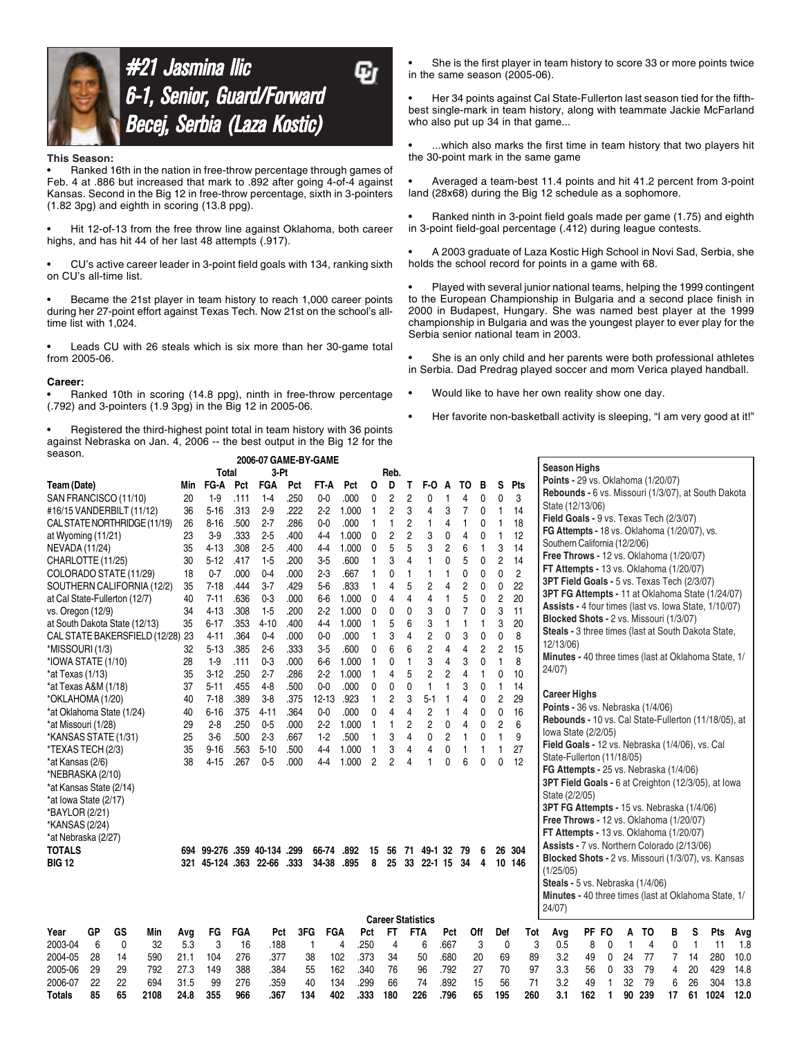

### #21 Jasmina Ilic G 6-1, Senior, Guard/Forward Becej, Serbia (Laza Kostic)

#### **This Season:**

• Ranked 16th in the nation in free-throw percentage through games of Feb. 4 at .886 but increased that mark to .892 after going 4-of-4 against Kansas. Second in the Big 12 in free-throw percentage, sixth in 3-pointers (1.82 3pg) and eighth in scoring (13.8 ppg).

• Hit 12-of-13 from the free throw line against Oklahoma, both career highs, and has hit 44 of her last 48 attempts (.917).

• CU's active career leader in 3-point field goals with 134, ranking sixth on CU's all-time list.

• Became the 21st player in team history to reach 1,000 career points during her 27-point effort against Texas Tech. Now 21st on the school's alltime list with 1,024.

Leads CU with 26 steals which is six more than her 30-game total from 2005-06.

#### **Career:**

• Ranked 10th in scoring (14.8 ppg), ninth in free-throw percentage (.792) and 3-pointers (1.9 3pg) in the Big 12 in 2005-06.

• Registered the third-highest point total in team history with 36 points against Nebraska on Jan. 4, 2006 -- the best output in the Big 12 for the season.

She is the first player in team history to score 33 or more points twice in the same season (2005-06).

• Her 34 points against Cal State-Fullerton last season tied for the fifthbest single-mark in team history, along with teammate Jackie McFarland who also put up 34 in that game...

...which also marks the first time in team history that two players hit the 30-point mark in the same game

• Averaged a team-best 11.4 points and hit 41.2 percent from 3-point land (28x68) during the Big 12 schedule as a sophomore.

• Ranked ninth in 3-point field goals made per game (1.75) and eighth in 3-point field-goal percentage (.412) during league contests.

• A 2003 graduate of Laza Kostic High School in Novi Sad, Serbia, she holds the school record for points in a game with 68.

• Played with several junior national teams, helping the 1999 contingent to the European Championship in Bulgaria and a second place finish in 2000 in Budapest, Hungary. She was named best player at the 1999 championship in Bulgaria and was the youngest player to ever play for the Serbia senior national team in 2003.

She is an only child and her parents were both professional athletes in Serbia. Dad Predrag played soccer and mom Verica played handball.

- Would like to have her own reality show one day.
- Her favorite non-basketball activity is sleeping, "I am very good at it!"

| season.                       |    |    |                                  |      |                   |            | 2006-07 GAME-BY-GAME    |      |            |       |                |                          |                |                |                |                |                |                |                |                                                       |       |   |    |     |    |    |      |      |
|-------------------------------|----|----|----------------------------------|------|-------------------|------------|-------------------------|------|------------|-------|----------------|--------------------------|----------------|----------------|----------------|----------------|----------------|----------------|----------------|-------------------------------------------------------|-------|---|----|-----|----|----|------|------|
|                               |    |    |                                  |      | Total             |            | 3-Pt                    |      |            |       |                | Reb.                     |                |                |                |                |                |                |                | <b>Season Highs</b>                                   |       |   |    |     |    |    |      |      |
| Team (Date)                   |    |    |                                  | Min  | FG-A              | Pct        | <b>FGA</b>              | Pct  | FT-A       | Pct   | 0              | D                        | Т              | F-O            | A              | TO             | в              | S              | Pts            | Points - 29 vs. Oklahoma (1/20/07)                    |       |   |    |     |    |    |      |      |
| SAN FRANCISCO (11/10)         |    |    |                                  | 20   | $1-9$             | .111       | $1-4$                   | .250 | $0-0$      | .000  | 0              | 2                        | $\overline{c}$ | 0              | 1              | 4              | 0              | 0              | 3              | Rebounds - 6 vs. Missouri (1/3/07), at South Dakota   |       |   |    |     |    |    |      |      |
| #16/15 VANDERBILT (11/12)     |    |    |                                  | 36   | $5 - 16$          | .313       | $2-9$                   | .222 | 2.2        | 1.000 | $\mathbf{1}$   | 2                        | 3              | 4              | 3              | $\overline{7}$ | 0              | 1              | 14             | State (12/13/06)                                      |       |   |    |     |    |    |      |      |
| CAL STATE NORTHRIDGE (11/19)  |    |    |                                  | 26   | $8 - 16$          | .500       | $2 - 7$                 | .286 | $0 - 0$    | .000  | $\mathbf{1}$   | 1                        | 2              |                | 4              | 1              | 0              | 1              | 18             | Field Goals - 9 vs. Texas Tech (2/3/07)               |       |   |    |     |    |    |      |      |
| at Wyoming (11/21)            |    |    |                                  | 23   | $3-9$             | .333       | $2-5$                   | .400 | $4-4$      | 1.000 | 0              | 2                        | $\overline{2}$ | 3              | 0              | 4              | 0              | 1              | 12             | FG Attempts - 18 vs. Oklahoma (1/20/07), vs.          |       |   |    |     |    |    |      |      |
| NEVADA (11/24)                |    |    |                                  | 35   | 4-13              | .308       | $2-5$                   | .400 | $4-4$      | 1.000 | $\mathbf{0}$   | 5                        | 5              | 3              | $\overline{2}$ | 6              | $\mathbf{1}$   | 3              | 14             | Southern California (12/2/06)                         |       |   |    |     |    |    |      |      |
| CHARLOTTE (11/25)             |    |    |                                  | 30   | $5 - 12$          | .417       | $1-5$                   | .200 | $3-5$      | .600  | 1              | 3                        | $\overline{4}$ |                | $\Omega$       | 5              | 0              | $\overline{c}$ | 14             | Free Throws - 12 vs. Oklahoma (1/20/07)               |       |   |    |     |    |    |      |      |
| COLORADO STATE (11/29)        |    |    |                                  | 18   | $0 - 7$           | .000       | $0-4$                   | .000 | $2-3$      | .667  | 1              | 0                        | $\mathbf{1}$   | 1              | $\mathbf{1}$   | 0              | 0              | 0              | $\overline{c}$ | FT Attempts - 13 vs. Oklahoma (1/20/07)               |       |   |    |     |    |    |      |      |
| SOUTHERN CALIFORNIA (12/2)    |    |    |                                  | 35   | $7 - 18$          | .444       | $3 - 7$                 | .429 | $5-6$      | .833  | $\mathbf{1}$   | 4                        | 5              | $\overline{c}$ | 4              | $\overline{c}$ | 0              | 0              | 22             | 3PT Field Goals - 5 vs. Texas Tech (2/3/07)           |       |   |    |     |    |    |      |      |
| at Cal State-Fullerton (12/7) |    |    |                                  | 40   | $7 - 11$          | .636       | $0 - 3$                 | .000 | $6-6$      | 1.000 | $\Omega$       | 4                        | 4              | 4              | $\mathbf{1}$   | 5              | 0              | $\overline{c}$ | 20             | 3PT FG Attempts - 11 at Oklahoma State (1/24/07)      |       |   |    |     |    |    |      |      |
| vs. Oregon (12/9)             |    |    |                                  | 34   | $4-13$            | .308       | $1-5$                   | .200 | $2 - 2$    | 1.000 | 0              | 0                        | 0              | 3              | 0              | $\overline{7}$ | 0              | 3              | 11             | Assists - 4 four times (last vs. Iowa State, 1/10/07) |       |   |    |     |    |    |      |      |
| at South Dakota State (12/13) |    |    |                                  | 35   | $6 - 17$          | .353       | $4 - 10$                | .400 | 44         | 1.000 | -1             | 5                        | 6              | 3              | $\mathbf{1}$   | 1              | 1              | 3              | 20             | Blocked Shots - 2 vs. Missouri (1/3/07)               |       |   |    |     |    |    |      |      |
|                               |    |    | CAL STATE BAKERSFIELD (12/28) 23 |      | $4 - 11$          | .364       | $0 - 4$                 | .000 | $0-0$      | .000  | -1             | 3                        | 4              | $\overline{c}$ | 0              | 3              | 0              | 0              | 8              | Steals - 3 three times (last at South Dakota State,   |       |   |    |     |    |    |      |      |
| *MISSOURI (1/3)               |    |    |                                  | 32   | $5-13$            | .385       | $2 - 6$                 | .333 | $3-5$      | .600  | 0              | 6                        | 6              | $\overline{2}$ | 4              | $\overline{4}$ | $\overline{c}$ | 2              | 15             | 12/13/06)                                             |       |   |    |     |    |    |      |      |
| *IOWA STATE (1/10)            |    |    |                                  | 28   | $1-9$             | .111       | $0 - 3$                 | .000 | 66         | 1.000 | -1             | 0                        | 1              | 3              | 4              | 3              | 0              | 1              | 8              | Minutes - 40 three times (last at Oklahoma State, 1/  |       |   |    |     |    |    |      |      |
| $*$ at Texas (1/13)           |    |    |                                  | 35   | $3 - 12$          | .250       | $2 - 7$                 | .286 | 2.2        | 1.000 | -1             | 4                        | 5              | $\overline{c}$ | $\overline{c}$ | 4              | $\mathbf{1}$   | 0              | 10             | 24/07)                                                |       |   |    |     |    |    |      |      |
| *at Texas A&M (1/18)          |    |    |                                  | 37   | $5 - 11$          | .455       | $4-8$                   | .500 | $0-0$      | .000  | 0              | 0                        | 0              | 1              | $\overline{1}$ | 3              | 0              | 1              | 14             | <b>Career Highs</b>                                   |       |   |    |     |    |    |      |      |
| *OKLAHOMA (1/20)              |    |    |                                  | 40   | $7 - 18$          | .389       | $3-8$                   | .375 | $12 - 13$  | .923  | $\mathbf{1}$   | 2                        | 3              | $5-1$          | 1              | 4              | 0              | $\overline{c}$ | 29             | Points - 36 vs. Nebraska (1/4/06)                     |       |   |    |     |    |    |      |      |
| *at Oklahoma State (1/24)     |    |    |                                  | 40   | $6 - 16$          | .375       | $4 - 11$                | .364 | $0 - 0$    | .000  | 0              | 4                        | 4              | $\overline{c}$ | 1              | 4              | 0              | 0              | 16             | Rebounds - 10 vs. Cal State-Fullerton (11/18/05), at  |       |   |    |     |    |    |      |      |
| *at Missouri (1/28)           |    |    |                                  | 29   | $2 - 8$           | .250       | $0-5$                   | .000 | $2-2$      | 1.000 | -1             |                          | 2              | 2              | 0              | 4              | 0              | 2              | 6              | lowa State (2/2/05)                                   |       |   |    |     |    |    |      |      |
| *KANSAS STATE (1/31)          |    |    |                                  | 25   | 36                | .500       | $2 - 3$                 | .667 | $1-2$      | .500  | -1             | 3                        | 4              | 0              | $\overline{c}$ | 1              | 0              | 1              | 9              | Field Goals - 12 vs. Nebraska (1/4/06), vs. Cal       |       |   |    |     |    |    |      |      |
| *TEXAS TECH (2/3)             |    |    |                                  | 35   | $9 - 16$          | .563       | $5 - 10$                | .500 | $4 - 4$    | 1.000 | $\mathbf{1}$   | 3                        | 4              | 4              | 0              | 1              | 1              | 1              | 27             | State-Fullerton (11/18/05)                            |       |   |    |     |    |    |      |      |
| *at Kansas (2/6)              |    |    |                                  | 38   | $4 - 15$          | .267       | $0-5$                   | .000 | 44         | 1.000 | $\overline{c}$ | $\overline{2}$           | 4              |                | 0              | 6              | 0              | $\mathbf{0}$   | 12             | FG Attempts - 25 vs. Nebraska (1/4/06)                |       |   |    |     |    |    |      |      |
| *NEBRASKA (2/10)              |    |    |                                  |      |                   |            |                         |      |            |       |                |                          |                |                |                |                |                |                |                | 3PT Field Goals - 6 at Creighton (12/3/05), at lowa   |       |   |    |     |    |    |      |      |
| *at Kansas State (2/14)       |    |    |                                  |      |                   |            |                         |      |            |       |                |                          |                |                |                |                |                |                |                | State (2/2/05)                                        |       |   |    |     |    |    |      |      |
| *at Iowa State (2/17)         |    |    |                                  |      |                   |            |                         |      |            |       |                |                          |                |                |                |                |                |                |                | 3PT FG Attempts - 15 vs. Nebraska (1/4/06)            |       |   |    |     |    |    |      |      |
| *BAYLOR (2/21)                |    |    |                                  |      |                   |            |                         |      |            |       |                |                          |                |                |                |                |                |                |                | Free Throws - 12 vs. Oklahoma (1/20/07)               |       |   |    |     |    |    |      |      |
| *KANSAS (2/24)                |    |    |                                  |      |                   |            |                         |      |            |       |                |                          |                |                |                |                |                |                |                | FT Attempts - 13 vs. Oklahoma (1/20/07)               |       |   |    |     |    |    |      |      |
| *at Nebraska (2/27)           |    |    |                                  |      |                   |            |                         |      |            |       |                |                          |                |                |                |                |                |                |                | Assists - 7 vs. Northern Colorado (2/13/06)           |       |   |    |     |    |    |      |      |
| <b>TOTALS</b>                 |    |    |                                  | 694  |                   |            | 99-276 .359 40-134 .299 |      | 66-74      | .892  | 15             | 56                       |                | 71 49-1 32     |                | 79             | 6              |                | 26 304         | Blocked Shots - 2 vs. Missouri (1/3/07), vs. Kansas   |       |   |    |     |    |    |      |      |
| <b>BIG 12</b>                 |    |    |                                  | 321  | 45-124 .363 22-66 |            |                         | .333 | 34-38      | .895  | 8              | 25                       |                | 33 22-1 15 34  |                |                | 4              |                | 10 146         | (1/25/05)                                             |       |   |    |     |    |    |      |      |
|                               |    |    |                                  |      |                   |            |                         |      |            |       |                |                          |                |                |                |                |                |                |                | Steals - 5 vs. Nebraska (1/4/06)                      |       |   |    |     |    |    |      |      |
|                               |    |    |                                  |      |                   |            |                         |      |            |       |                |                          |                |                |                |                |                |                |                | Minutes - 40 three times (last at Oklahoma State, 1/  |       |   |    |     |    |    |      |      |
|                               |    |    |                                  |      |                   |            |                         |      |            |       |                |                          |                |                |                |                |                |                |                | 24/07                                                 |       |   |    |     |    |    |      |      |
|                               |    |    |                                  |      |                   |            |                         |      |            |       |                | <b>Career Statistics</b> |                |                |                |                |                |                |                |                                                       |       |   |    |     |    |    |      |      |
| Year                          | GP | GS | Min                              | Avq  | FG                | <b>FGA</b> | Pct                     | 3FG  | <b>FGA</b> |       | Pct            | FT                       |                | FTA            | Pct            |                | Off            | Def            | Tot            | Avg                                                   | PF FO |   | Α  | то  | в  | s  | Pts  | Avg  |
| 2003-04                       | 6  | 0  | 32                               | 5.3  | 3                 | 16         | .188                    | 1    |            | 4     | .250           | $\overline{4}$           |                | 6              | .667           |                | 3              | 0              | 3              | 0.5                                                   | 8     | 0 | -1 | 4   | 0  | 1  | 11   | 1.8  |
| 2004-05                       | 28 | 14 | 590                              | 21.1 | 104               | 276        | .377                    | 38   | 102        |       | .373           | 34                       |                | 50             | .680           |                | 20             | 69             | 89             | 3.2                                                   | 49    | 0 | 24 | 77  | 7  | 14 | 280  | 10.0 |
| 2005-06                       | 29 | 29 | 792                              | 27.3 | 149               | 388        | .384                    | 55   | 162        |       | .340           | 76                       |                | 96             | .792           |                | 27             | 70             | 97             | 3.3                                                   | 56    | 0 | 33 | 79  | 4  | 20 | 429  | 14.8 |
| 2006-07                       | 22 | 22 | 694                              | 31.5 | 99                | 276        | .359                    | 40   | 134        |       | .299           | 66                       |                | 74             | .892           |                | 15             | 56             | 71             | 3.2                                                   | 49    |   | 32 | 79  | 6  | 26 | 304  | 13.8 |
| Totals                        | 85 | 65 | 2108                             | 24.8 | 355               | 966        | .367                    | 134  | 402        |       | .333           | 180                      |                | 226            | .796           |                | 65             | 195            | 260            | 3.1                                                   | 162   | 1 | 90 | 239 | 17 | 61 | 1024 | 12.0 |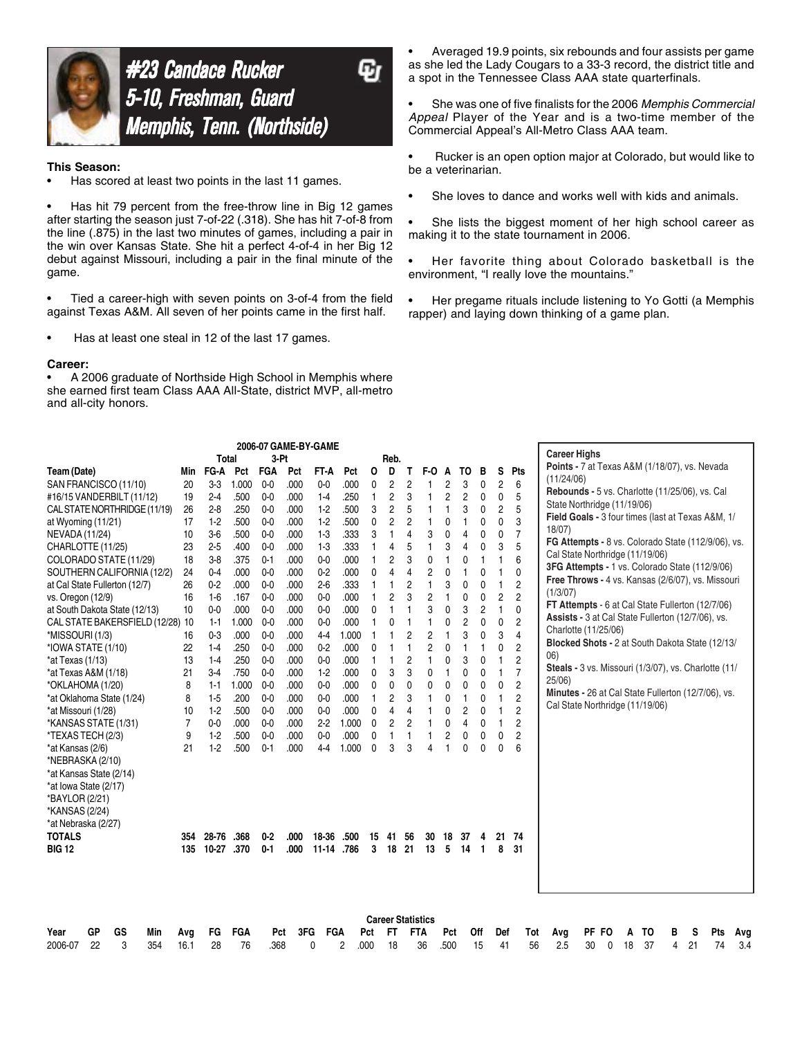

# #23 Candace Rucker 5-10, Freshman, Guard **Memphis, Tenn. (Northside)**

#### **This Season:**

Has scored at least two points in the last 11 games.

Has hit 79 percent from the free-throw line in Big 12 games after starting the season just 7-of-22 (.318). She has hit 7-of-8 from the line (.875) in the last two minutes of games, including a pair in the win over Kansas State. She hit a perfect 4-of-4 in her Big 12 debut against Missouri, including a pair in the final minute of the game.

• Tied a career-high with seven points on 3-of-4 from the field against Texas A&M. All seven of her points came in the first half.

Has at least one steal in 12 of the last 17 games.

#### **Career:**

A 2006 graduate of Northside High School in Memphis where she earned first team Class AAA All-State, district MVP, all-metro and all-city honors.

• Averaged 19.9 points, six rebounds and four assists per game as she led the Lady Cougars to a 33-3 record, the district title and a spot in the Tennessee Class AAA state quarterfinals.

• She was one of five finalists for the 2006 *Memphis Commercial Appeal* Player of the Year and is a two-time member of the Commercial Appeal's All-Metro Class AAA team.

• Rucker is an open option major at Colorado, but would like to be a veterinarian.

- She loves to dance and works well with kids and animals.
- She lists the biggest moment of her high school career as making it to the state tournament in 2006.
- Her favorite thing about Colorado basketball is the environment, "I really love the mountains."
- Her pregame rituals include listening to Yo Gotti (a Memphis rapper) and laying down thinking of a game plan.

|                                  |                |           |       |                |      | 2006-07 GAME-BY-GAME |       |                          |                |                |                |                |                |                |                |                | <b>Career Highs</b>                                        |
|----------------------------------|----------------|-----------|-------|----------------|------|----------------------|-------|--------------------------|----------------|----------------|----------------|----------------|----------------|----------------|----------------|----------------|------------------------------------------------------------|
|                                  |                | Total     |       | 3-Pt           |      |                      |       |                          | Reb.           |                |                |                |                |                |                |                | Points - 7 at Texas A&M (1/18/07), vs. Nevada              |
| Team (Date)                      | Min            | FG-A      | Pct   | <b>FGA</b>     | Pct  | FT-A                 | Pct   | O                        | D              | T              | F-O            | A              | TO             | в              | s              | <b>Pts</b>     | (11/24/06)                                                 |
| SAN FRANCISCO (11/10)            | 20             | $3-3$     | 1.000 | $0-0$          | .000 | $0-0$                | .000  | 0                        | $\overline{c}$ | $\overline{c}$ |                | $\overline{c}$ | 3              | 0              | $\overline{c}$ | 6              | Rebounds - 5 vs. Charlotte (11/25/06), vs. Cal             |
| #16/15 VANDERBILT (11/12)        | 19             | $2-4$     | .500  | $0-0$          | .000 | $1-4$                | .250  | 1                        | 2              | 3              |                | $\overline{c}$ | $\overline{c}$ | 0              | 0              | 5              |                                                            |
| CAL STATE NORTHRIDGE (11/19)     | 26             | $2-8$     | .250  | $0-0$          | .000 | $1-2$                | .500  | 3                        | 2              | 5              |                | 1              | 3              | 0              | 2              | 5              | State Northridge (11/19/06)                                |
| at Wyoming (11/21)               | 17             | $1-2$     | .500  | $0 - 0$        | .000 | $1-2$                | .500  | 0                        | $\overline{2}$ | $\overline{c}$ | 1              | 0              | $\overline{1}$ | 0              | 0              | 3              | Field Goals - 3 four times (last at Texas A&M, 1/<br>18/07 |
| <b>NEVADA (11/24)</b>            | 10             | $3-6$     | .500  | 0 <sub>0</sub> | .000 | $1-3$                | .333  | 3                        |                | 4              | 3              | 0              | 4              | 0              | 0              | $\overline{7}$ |                                                            |
| CHARLOTTE (11/25)                | 23             | $2-5$     | .400  | $0 - 0$        | .000 | $1-3$                | .333  |                          | 4              | 5              | 1              | 3              | 4              | 0              | 3              | 5              | FG Attempts - 8 vs. Colorado State (112/9/06), vs.         |
| COLORADO STATE (11/29)           | 18             | $3-8$     | .375  | $0 - 1$        | .000 | $0-0$                | .000  | 1                        | 2              | 3              | 0              | 1              | 0              | 1              | 1              | 6              | Cal State Northridge (11/19/06)                            |
| SOUTHERN CALIFORNIA (12/2)       | 24             | $0-4$     | .000  | $0-0$          | .000 | $0 - 2$              | .000  | 0                        | 4              | 4              | $\overline{c}$ | 0              | $\mathbf{1}$   | 0              | 1              | 0              | 3FG Attempts - 1 vs. Colorado State (112/9/06)             |
| at Cal State Fullerton (12/7)    | 26             | 0.2       | .000  | $0-0$          | .000 | $2-6$                | .333  |                          |                | $\overline{2}$ | $\mathbf{1}$   | 3              | $\mathbf{0}$   | 0              | 1              | $\overline{2}$ | Free Throws - 4 vs. Kansas (2/6/07), vs. Missouri          |
| vs. Oregon (12/9)                | 16             | $1-6$     | .167  | $0-0$          | .000 | $0-0$                | .000  |                          | $\overline{c}$ | 3              | $\overline{c}$ | $\mathbf{1}$   | $\mathbf 0$    | 0              | $\overline{c}$ | $\overline{c}$ | (1/3/07)                                                   |
| at South Dakota State (12/13)    | 10             | $0-0$     | .000  | $0 - 0$        | .000 | $0-0$                | .000  | 0                        |                | 1              | 3              | 0              | 3              | $\overline{c}$ | 1              | 0              | FT Attempts - 6 at Cal State Fullerton (12/7/06)           |
| CAL STATE BAKERSFIELD (12/28) 10 |                | $1 - 1$   | 1.000 | $0-0$          | .000 | 0 <sub>0</sub>       | .000  | 1                        | 0              | $\mathbf{1}$   |                | 0              | $\overline{2}$ | 0              | 0              | $\overline{c}$ | Assists - 3 at Cal State Fullerton (12/7/06), vs.          |
| *MISSOURI (1/3)                  | 16             | $0-3$     | .000  | $0-0$          | .000 | 44                   | 1.000 | -1                       |                | $\overline{c}$ | 2              | $\mathbf{1}$   | 3              | 0              | 3              | 4              | Charlotte (11/25/06)                                       |
| *IOWA STATE (1/10)               | 22             | $1-4$     | .250  | $0-0$          | .000 | 0.2                  | .000  | 0                        |                | $\mathbf{1}$   | $\overline{c}$ | 0              | $\mathbf{1}$   | $\mathbf{1}$   | 0              | $\overline{c}$ | Blocked Shots - 2 at South Dakota State (12/13/            |
| *at Texas (1/13)                 | 13             | $1-4$     | .250  | $0 - 0$        | .000 | $0-0$                | .000  | $\mathbf{1}$             | 1              | $\overline{c}$ | 1              | 0              | 3              | 0              | 1              | $\overline{c}$ | 06)                                                        |
| *at Texas A&M (1/18)             | 21             | $3-4$     | .750  | $0 - 0$        | .000 | $1-2$                | .000  | 0                        | 3              | 3              | 0              | 1              | 0              | 0              | 1              | 7              | Steals - 3 vs. Missouri (1/3/07), vs. Charlotte (11/       |
| *OKLAHOMA (1/20)                 | 8              | $1 - 1$   | 1.000 | $0-0$          | .000 | $0-0$                | .000  | 0                        | 0              | $\mathbf 0$    | 0              | 0              | 0              | 0              | 0              | $\overline{c}$ | 25/06                                                      |
| *at Oklahoma State (1/24)        | 8              | $1-5$     | .200  | $0 - 0$        | .000 | $0 - 0$              | .000  | 1                        | 2              | 3              |                | 0              | $\mathbf{1}$   | 0              | 1              | 2              | Minutes - 26 at Cal State Fullerton (12/7/06), vs.         |
| *at Missouri (1/28)              | 10             | $1-2$     | .500  | $0-0$          | .000 | $0-0$                | .000  | 0                        | 4              | 4              |                | 0              | $\overline{c}$ | 0              | 1              | $\overline{c}$ | Cal State Northridge (11/19/06)                            |
| *KANSAS STATE (1/31)             | $\overline{7}$ | $0-0$     | .000  | $0 - 0$        | .000 | 2.2                  | 1.000 | 0                        | 2              | $\overline{c}$ |                | 0              | $\overline{4}$ | 0              | 1              | $\overline{c}$ |                                                            |
| *TEXAS TECH (2/3)                | 9              | $1-2$     | .500  | $0 - 0$        | .000 | $0 - 0$              | .000  | 0                        |                | 1              |                | 2              | 0              | 0              | $\mathbf{0}$   | 2              |                                                            |
| *at Kansas (2/6)                 | 21             | $1-2$     | .500  | $0 - 1$        | .000 | $4-4$                | 1.000 | 0                        | 3              | 3              | 4              | $\overline{1}$ | $\mathbf{0}$   | $\mathbf{0}$   | $\mathbf{0}$   | 6              |                                                            |
| *NEBRASKA (2/10)                 |                |           |       |                |      |                      |       |                          |                |                |                |                |                |                |                |                |                                                            |
| *at Kansas State (2/14)          |                |           |       |                |      |                      |       |                          |                |                |                |                |                |                |                |                |                                                            |
| *at lowa State (2/17)            |                |           |       |                |      |                      |       |                          |                |                |                |                |                |                |                |                |                                                            |
| *BAYLOR (2/21)                   |                |           |       |                |      |                      |       |                          |                |                |                |                |                |                |                |                |                                                            |
| *KANSAS (2/24)                   |                |           |       |                |      |                      |       |                          |                |                |                |                |                |                |                |                |                                                            |
| *at Nebraska (2/27)              |                |           |       |                |      |                      |       |                          |                |                |                |                |                |                |                |                |                                                            |
| <b>TOTALS</b>                    | 354            | 28-76     | .368  | $0 - 2$        | .000 | 18-36                | .500  | 15                       | 41             | 56             | 30             | 18             | 37             | 4              | 21             | 74             |                                                            |
| <b>BIG 12</b>                    | 135            | $10 - 27$ | .370  | $0 - 1$        | .000 | $11 - 14$            | .786  | 3                        | 18             | 21             | 13             | 5              | - 14           | $\mathbf{1}$   | 8              | 31             |                                                            |
|                                  |                |           |       |                |      |                      |       |                          |                |                |                |                |                |                |                |                |                                                            |
|                                  |                |           |       |                |      |                      |       |                          |                |                |                |                |                |                |                |                |                                                            |
|                                  |                |           |       |                |      |                      |       |                          |                |                |                |                |                |                |                |                |                                                            |
|                                  |                |           |       |                |      |                      |       | <b>Career Statistics</b> |                |                |                |                |                |                |                |                |                                                            |

|                                                                                                                  |  |  |  |  |  | Gareer Statistics |  |  |  |  |  |  |  |
|------------------------------------------------------------------------------------------------------------------|--|--|--|--|--|-------------------|--|--|--|--|--|--|--|
| Year GP GS Min Avg FG FGA Pct 3FG FGA Pct FT FTA Pct Off Def Tot Avg PF FO A TO B S Pts Avg                      |  |  |  |  |  |                   |  |  |  |  |  |  |  |
| 2006-07 22  3  354  16.1  28  76  .368  0  2  .000  18  36  .500  15  41  56  2.5  30  0  18  37  4  21  74  3.4 |  |  |  |  |  |                   |  |  |  |  |  |  |  |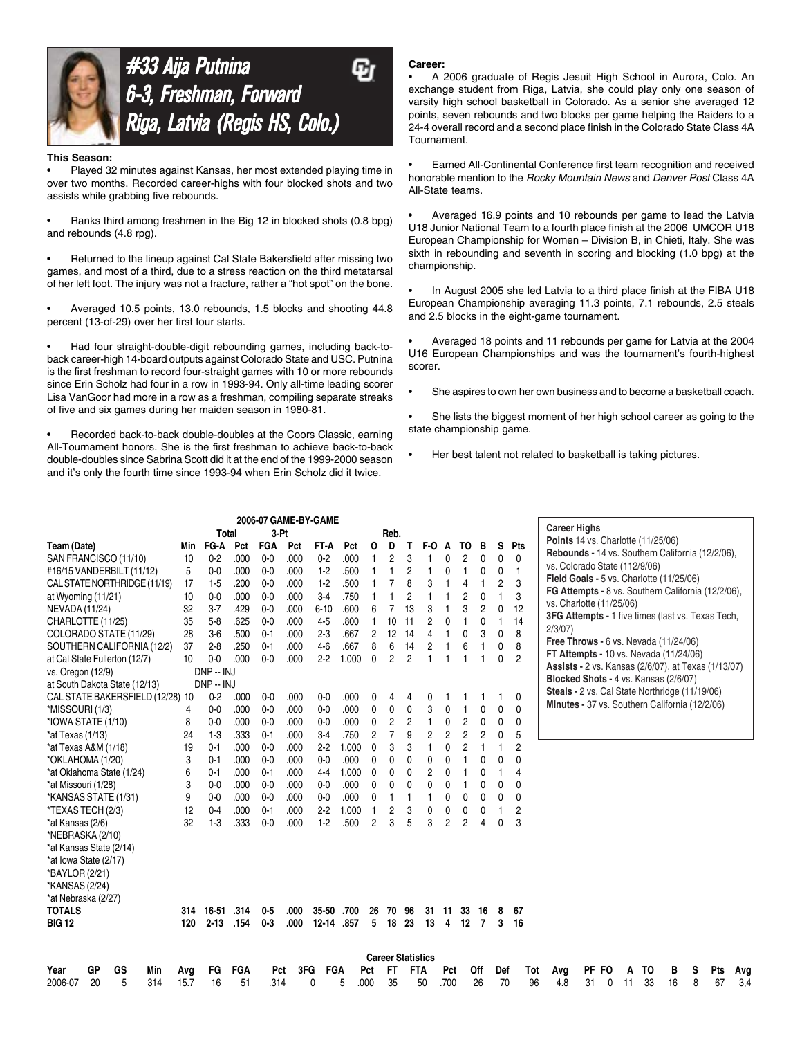



#### **This Season:**

• Played 32 minutes against Kansas, her most extended playing time in over two months. Recorded career-highs with four blocked shots and two assists while grabbing five rebounds.

• Ranks third among freshmen in the Big 12 in blocked shots (0.8 bpg) and rebounds (4.8 rpg).

• Returned to the lineup against Cal State Bakersfield after missing two games, and most of a third, due to a stress reaction on the third metatarsal of her left foot. The injury was not a fracture, rather a "hot spot" on the bone.

• Averaged 10.5 points, 13.0 rebounds, 1.5 blocks and shooting 44.8 percent (13-of-29) over her first four starts.

• Had four straight-double-digit rebounding games, including back-toback career-high 14-board outputs against Colorado State and USC. Putnina is the first freshman to record four-straight games with 10 or more rebounds since Erin Scholz had four in a row in 1993-94. Only all-time leading scorer Lisa VanGoor had more in a row as a freshman, compiling separate streaks of five and six games during her maiden season in 1980-81.

• Recorded back-to-back double-doubles at the Coors Classic, earning All-Tournament honors. She is the first freshman to achieve back-to-back double-doubles since Sabrina Scott did it at the end of the 1999-2000 season and it's only the fourth time since 1993-94 when Erin Scholz did it twice.

#### **Career:**

• A 2006 graduate of Regis Jesuit High School in Aurora, Colo. An exchange student from Riga, Latvia, she could play only one season of varsity high school basketball in Colorado. As a senior she averaged 12 points, seven rebounds and two blocks per game helping the Raiders to a 24-4 overall record and a second place finish in the Colorado State Class 4A Tournament.

• Earned All-Continental Conference first team recognition and received honorable mention to the *Rocky Mountain News* and *Denver Post* Class 4A All-State teams.

• Averaged 16.9 points and 10 rebounds per game to lead the Latvia U18 Junior National Team to a fourth place finish at the 2006 UMCOR U18 European Championship for Women – Division B, in Chieti, Italy. She was sixth in rebounding and seventh in scoring and blocking (1.0 bpg) at the championship.

• In August 2005 she led Latvia to a third place finish at the FIBA U18 European Championship averaging 11.3 points, 7.1 rebounds, 2.5 steals and 2.5 blocks in the eight-game tournament.

• Averaged 18 points and 11 rebounds per game for Latvia at the 2004 U16 European Championships and was the tournament's fourth-highest scorer.

She aspires to own her own business and to become a basketball coach.

• She lists the biggest moment of her high school career as going to the state championship game.

Her best talent not related to basketball is taking pictures.

|                                  |      | <b>Total</b> |            | $3-Pt$         |      | 2006-07 GAME-BY-GAME |       |                | Reb.                     |                |     |                |                 |                |     |                | <b>Career Highs</b>                                      |       |    |    |    |   |     |     |
|----------------------------------|------|--------------|------------|----------------|------|----------------------|-------|----------------|--------------------------|----------------|-----|----------------|-----------------|----------------|-----|----------------|----------------------------------------------------------|-------|----|----|----|---|-----|-----|
| Team (Date)                      | Min  | FG-A         | Pct        | <b>FGA</b>     | Pct  | FT-A                 | Pct   | 0              | D                        | Т              | F-O | A              | то              | в              | s   | Pts            | <b>Points 14 vs. Charlotte (11/25/06)</b>                |       |    |    |    |   |     |     |
| SAN FRANCISCO (11/10)            | 10   | $0 - 2$      | .000       | 0 <sub>0</sub> | .000 | $0-2$                | .000  |                | 2                        | 3              |     | 0              | 2               | 0              | 0   | 0              | Rebounds - 14 vs. Southern California (12/2/06),         |       |    |    |    |   |     |     |
| #16/15 VANDERBILT (11/12)        | 5    | $0 - 0$      | .000       | 0 <sub>0</sub> | .000 | $1-2$                | .500  |                | 1                        | 2              |     | 0              | 1               | 0              | 0   | 1              | vs. Colorado State (112/9/06)                            |       |    |    |    |   |     |     |
| CAL STATE NORTHRIDGE (11/19)     | 17   | $1-5$        | .200       | $0 - 0$        | .000 | $1-2$                | .500  |                | 7                        | 8              | 3   | 1              | 4               |                | 2   | 3              | Field Goals - 5 vs. Charlotte (11/25/06)                 |       |    |    |    |   |     |     |
| at Wyoming (11/21)               | 10   | $0-0$        | .000       | $0 - 0$        | .000 | $3-4$                | .750  |                |                          | 2              |     |                | 2               | 0              |     | 3              | FG Attempts - 8 vs. Southern California (12/2/06),       |       |    |    |    |   |     |     |
| NEVADA (11/24)                   | 32   | $3 - 7$      | .429       | $0-0$          | .000 | $6 - 10$             | .600  | 6              | $\overline{7}$           | 13             | 3   |                | 3               | 2              | 0   | 12             | vs. Charlotte (11/25/06)                                 |       |    |    |    |   |     |     |
| CHARLOTTE (11/25)                | 35   | $5-8$        | .625       | $0 - 0$        | .000 | $4-5$                | .800  |                | 10                       | 11             | 2   | 0              |                 | 0              | 1   | 14             | <b>3FG Attempts - 1 five times (last vs. Texas Tech,</b> |       |    |    |    |   |     |     |
| COLORADO STATE (11/29)           | 28   | $3-6$        | .500       | $0 - 1$        | .000 | $2-3$                | .667  | 2              | 12                       | 14             | 4   |                | 0               | 3              | 0   | 8              | 2/3/07                                                   |       |    |    |    |   |     |     |
| SOUTHERN CALIFORNIA (12/2)       | 37   | $2-8$        | .250       | $0 - 1$        | .000 | $4-6$                | .667  | 8              | 6                        | 14             | 2   |                | 6               |                | 0   | 8              | Free Throws - $6$ vs. Nevada $(11/24/06)$                |       |    |    |    |   |     |     |
| at Cal State Fullerton (12/7)    | 10   | $0-0$        | .000       | $0-0$          | .000 | 2.2                  | 1.000 | $\mathbf{0}$   | 2                        | $\overline{c}$ |     | $\mathbf{1}$   |                 | 1              | 0   | $\overline{c}$ | <b>FT Attempts - 10 vs. Nevada (11/24/06)</b>            |       |    |    |    |   |     |     |
| vs. Oregon (12/9)                |      | DNP -- INJ   |            |                |      |                      |       |                |                          |                |     |                |                 |                |     |                | Assists - 2 vs. Kansas (2/6/07), at Texas (1/13/07)      |       |    |    |    |   |     |     |
| at South Dakota State (12/13)    |      | DNP - INJ    |            |                |      |                      |       |                |                          |                |     |                |                 |                |     |                | Blocked Shots - 4 vs. Kansas (2/6/07)                    |       |    |    |    |   |     |     |
| CAL STATE BAKERSFIELD (12/28) 10 |      | $0-2$        | .000       | $0-0$          | .000 | $0-0$                | .000  | 0              | 4                        | 4              | 0   |                |                 |                |     | 0              | Steals - 2 vs. Cal State Northridge (11/19/06)           |       |    |    |    |   |     |     |
| *MISSOURI (1/3)                  | 4    | $0 - 0$      | .000       | $0-0$          | .000 | $0-0$                | .000  | 0              | 0                        | 0              | 3   | 0              |                 | 0              | 0   | $\mathbf{0}$   | Minutes - 37 vs. Southern California (12/2/06)           |       |    |    |    |   |     |     |
| *IOWA STATE (1/10)               | 8    | $0-0$        | .000       | $0-0$          | .000 | $0-0$                | .000  | 0              | 2                        | 2              | 1   | 0              | 2               | 0              | 0   | 0              |                                                          |       |    |    |    |   |     |     |
| $*$ at Texas (1/13)              | 24   | $1-3$        | .333       | $0 - 1$        | .000 | $3-4$                | .750  | $\overline{c}$ | 7                        | 9              | 2   | $\overline{c}$ | $\overline{c}$  | 2              | 0   | 5              |                                                          |       |    |    |    |   |     |     |
| *at Texas A&M (1/18)             | 19   | $0 - 1$      | .000       | $0-0$          | .000 | $2-2$                | 1.000 | $\mathbf{0}$   | 3                        | 3              |     | 0              | $\overline{2}$  |                |     | $\overline{2}$ |                                                          |       |    |    |    |   |     |     |
| *OKLAHOMA (1/20)                 | 3    | $0 - 1$      | .000       | 0 <sub>0</sub> | .000 | $0-0$                | .000  | $\mathbf{0}$   | 0                        | 0              | 0   | 0              |                 | 0              | 0   | $\mathbf{0}$   |                                                          |       |    |    |    |   |     |     |
| *at Oklahoma State (1/24)        | 6    | $0 - 1$      | .000       | $0 - 1$        | .000 | 44                   | 1.000 | 0              | 0                        | 0              | 2   | 0              |                 | 0              |     | $\overline{4}$ |                                                          |       |    |    |    |   |     |     |
| *at Missouri (1/28)              | 3    | $0 - 0$      | .000       | $0-0$          | .000 | $0-0$                | .000  | 0              | 0                        | 0              | 0   | 0              |                 | 0              | 0   | 0              |                                                          |       |    |    |    |   |     |     |
| *KANSAS STATE (1/31)             | 9    | $0-0$        | .000       | 0 <sub>0</sub> | .000 | $0-0$                | .000  | 0              | 1                        | 1              |     | 0              | 0               | 0              | 0   | 0              |                                                          |       |    |    |    |   |     |     |
| *TEXAS TECH (2/3)                | 12   | $0 - 4$      | .000       | $0 - 1$        | .000 | 2.2                  | 1.000 | 1              | 2                        | 3              | 0   | 0              | 0               | 0              |     | $\overline{c}$ |                                                          |       |    |    |    |   |     |     |
| *at Kansas (2/6)                 | 32   | $1-3$        | .333       | $0-0$          | .000 | $1-2$                | .500  | $\overline{c}$ | 3                        | 5              | 3   | 2              | $\overline{2}$  | 4              | 0   | 3              |                                                          |       |    |    |    |   |     |     |
| *NEBRASKA (2/10)                 |      |              |            |                |      |                      |       |                |                          |                |     |                |                 |                |     |                |                                                          |       |    |    |    |   |     |     |
| *at Kansas State (2/14)          |      |              |            |                |      |                      |       |                |                          |                |     |                |                 |                |     |                |                                                          |       |    |    |    |   |     |     |
| *at lowa State (2/17)            |      |              |            |                |      |                      |       |                |                          |                |     |                |                 |                |     |                |                                                          |       |    |    |    |   |     |     |
| *BAYLOR (2/21)                   |      |              |            |                |      |                      |       |                |                          |                |     |                |                 |                |     |                |                                                          |       |    |    |    |   |     |     |
| *KANSAS (2/24)                   |      |              |            |                |      |                      |       |                |                          |                |     |                |                 |                |     |                |                                                          |       |    |    |    |   |     |     |
| *at Nebraska (2/27)              |      |              |            |                |      |                      |       |                |                          |                |     |                |                 |                |     |                |                                                          |       |    |    |    |   |     |     |
| <b>TOTALS</b>                    | 314  | $16 - 51$    | .314       | $0 - 5$        | .000 | $35 - 50$            | .700  | 26             | 70                       | 96             | 31  | 11             | 33              | 16             | 8   | 67             |                                                          |       |    |    |    |   |     |     |
| <b>BIG 12</b>                    | 120  | $2 - 13$     | .154       | $0 - 3$        | .000 | 12-14 857            |       | 5              | 18                       | 23             | 13  | 4              | 12 <sup>2</sup> | $\overline{7}$ | 3   | 16             |                                                          |       |    |    |    |   |     |     |
|                                  |      |              |            |                |      |                      |       |                | <b>Career Statistics</b> |                |     |                |                 |                |     |                |                                                          |       |    |    |    |   |     |     |
| GP<br>GS<br>Year<br>Min          | Avg  | FG           | <b>FGA</b> | Pct            | 3FG  | FGA                  |       | Pct            | <b>FT</b>                | <b>FTA</b>     |     | Pct            |                 | Off            | Def | Tot            | Avg                                                      | PF FO | A  | TO | в  | s | Pts | Avg |
| 2006-07<br>20<br>5<br>314        | 15.7 | 16           | 51         | .314           |      | 0                    | 5     | .000           | 35                       |                | 50  | .700           |                 | 26             | 70  | 96             | 31<br>4.8                                                | 0     | 11 | 33 | 16 | 8 | 67  | 3.4 |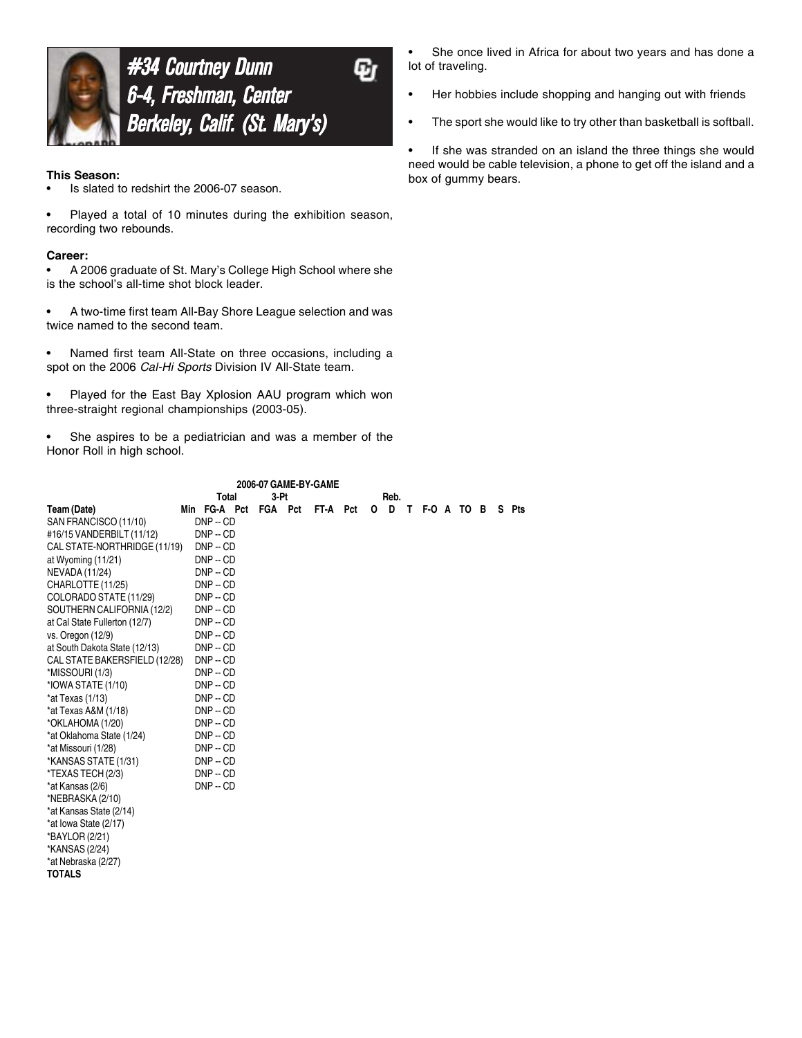

**#34 Courtney Dunn** 6-4, Freshman, Center Center 6-4, Freshman, Berkeley, Calif. (St. Mary's)

ω

#### **This Season:**

- Is slated to redshirt the 2006-07 season.
- Played a total of 10 minutes during the exhibition season, recording two rebounds.

#### **Career:**

• A 2006 graduate of St. Mary's College High School where she is the school's all-time shot block leader.

• A two-time first team All-Bay Shore League selection and was twice named to the second team.

Named first team All-State on three occasions, including a spot on the 2006 *Cal-Hi Sports* Division IV All-State team.

Played for the East Bay Xplosion AAU program which won three-straight regional championships (2003-05).

She aspires to be a pediatrician and was a member of the Honor Roll in high school.

|                               | 2006-07 GAME-BY-GAME |  |  |  |                  |  |  |         |  |              |  |  |  |    |     |
|-------------------------------|----------------------|--|--|--|------------------|--|--|---------|--|--------------|--|--|--|----|-----|
|                               | 3-Pt<br>Total        |  |  |  |                  |  |  |         |  |              |  |  |  |    |     |
| Team (Date)                   | Min FG-A Pct         |  |  |  | FGA Pct FT-A Pct |  |  | $O$ $D$ |  | T F-O A TO B |  |  |  | S. | Pts |
| SAN FRANCISCO (11/10)         | $DNP - CD$           |  |  |  |                  |  |  |         |  |              |  |  |  |    |     |
| #16/15 VANDERBILT (11/12)     | $DNP - CD$           |  |  |  |                  |  |  |         |  |              |  |  |  |    |     |
| CAL STATE-NORTHRIDGE (11/19)  | $DNP - CD$           |  |  |  |                  |  |  |         |  |              |  |  |  |    |     |
| at Wyoming (11/21)            | $DNP - CD$           |  |  |  |                  |  |  |         |  |              |  |  |  |    |     |
| <b>NEVADA (11/24)</b>         | $DNP - CD$           |  |  |  |                  |  |  |         |  |              |  |  |  |    |     |
| CHARLOTTE (11/25)             | $DNP - CD$           |  |  |  |                  |  |  |         |  |              |  |  |  |    |     |
| COLORADO STATE (11/29)        | $DNP - CD$           |  |  |  |                  |  |  |         |  |              |  |  |  |    |     |
| SOUTHERN CALIFORNIA (12/2)    | $DNP - CD$           |  |  |  |                  |  |  |         |  |              |  |  |  |    |     |
| at Cal State Fullerton (12/7) | $DNP - CD$           |  |  |  |                  |  |  |         |  |              |  |  |  |    |     |
| vs. Oregon (12/9)             | $DNP - CD$           |  |  |  |                  |  |  |         |  |              |  |  |  |    |     |
| at South Dakota State (12/13) | $DNP - CD$           |  |  |  |                  |  |  |         |  |              |  |  |  |    |     |
| CAL STATE BAKERSFIELD (12/28) | $DNP - CD$           |  |  |  |                  |  |  |         |  |              |  |  |  |    |     |
| *MISSOURI (1/3)               | $DNP - CD$           |  |  |  |                  |  |  |         |  |              |  |  |  |    |     |
| *IOWA STATE (1/10)            | $DNP - CD$           |  |  |  |                  |  |  |         |  |              |  |  |  |    |     |
| $*$ at Texas (1/13)           | $DNP - CD$           |  |  |  |                  |  |  |         |  |              |  |  |  |    |     |
| *at Texas A&M (1/18)          | $DNP - CD$           |  |  |  |                  |  |  |         |  |              |  |  |  |    |     |
| *OKLAHOMA (1/20)              | $DNP - CD$           |  |  |  |                  |  |  |         |  |              |  |  |  |    |     |
| *at Oklahoma State (1/24)     | $DNP - CD$           |  |  |  |                  |  |  |         |  |              |  |  |  |    |     |
| *at Missouri (1/28)           | $DNP - CD$           |  |  |  |                  |  |  |         |  |              |  |  |  |    |     |
| *KANSAS STATE (1/31)          | $DNP - CD$           |  |  |  |                  |  |  |         |  |              |  |  |  |    |     |
| *TEXAS TECH (2/3)             | $DNP - CD$           |  |  |  |                  |  |  |         |  |              |  |  |  |    |     |
| *at Kansas (2/6)              | $DNP - CD$           |  |  |  |                  |  |  |         |  |              |  |  |  |    |     |
| *NEBRASKA (2/10)              |                      |  |  |  |                  |  |  |         |  |              |  |  |  |    |     |
| *at Kansas State (2/14)       |                      |  |  |  |                  |  |  |         |  |              |  |  |  |    |     |
| *at lowa State (2/17)         |                      |  |  |  |                  |  |  |         |  |              |  |  |  |    |     |
| *BAYLOR (2/21)                |                      |  |  |  |                  |  |  |         |  |              |  |  |  |    |     |
| *KANSAS (2/24)                |                      |  |  |  |                  |  |  |         |  |              |  |  |  |    |     |
| *at Nebraska (2/27)           |                      |  |  |  |                  |  |  |         |  |              |  |  |  |    |     |
| <b>TOTALS</b>                 |                      |  |  |  |                  |  |  |         |  |              |  |  |  |    |     |
|                               |                      |  |  |  |                  |  |  |         |  |              |  |  |  |    |     |

She once lived in Africa for about two years and has done a lot of traveling.

- Her hobbies include shopping and hanging out with friends
- The sport she would like to try other than basketball is softball.

• If she was stranded on an island the three things she would need would be cable television, a phone to get off the island and a box of gummy bears.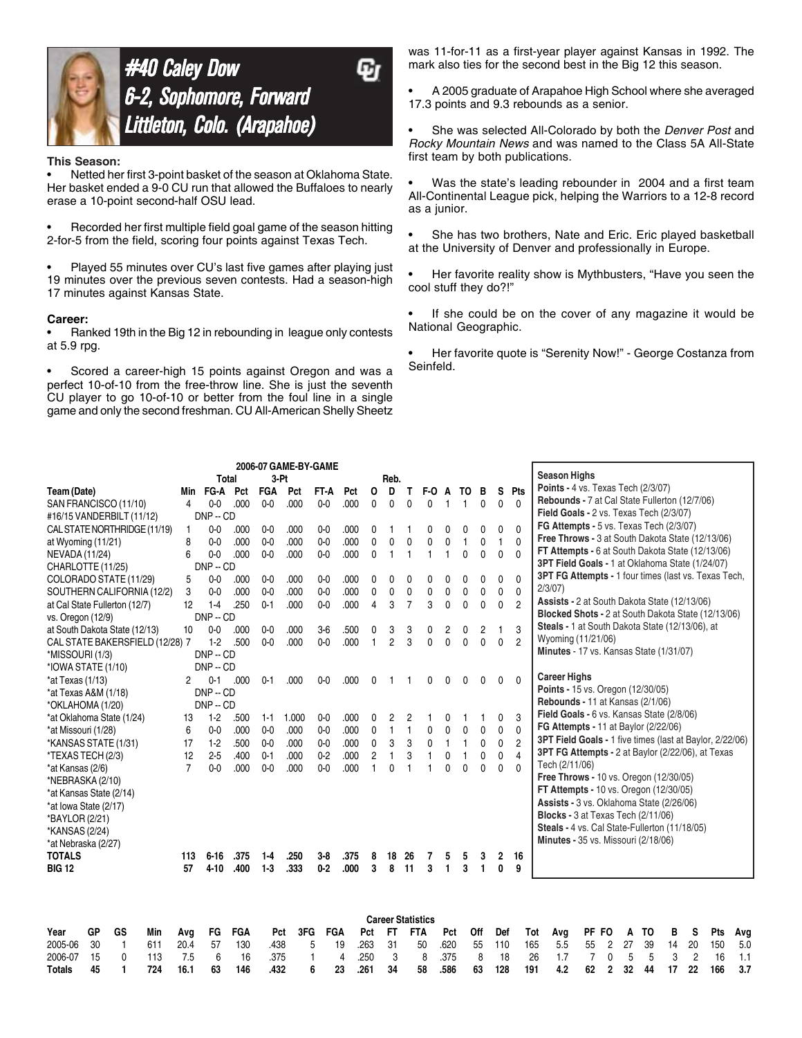

# **#40 Caley Dow** 6-2, Sophomore, Forward Littleton, Colo. (Arapahoe)

Ψī

#### **This Season:**

• Netted her first 3-point basket of the season at Oklahoma State. Her basket ended a 9-0 CU run that allowed the Buffaloes to nearly erase a 10-point second-half OSU lead.

• Recorded her first multiple field goal game of the season hitting 2-for-5 from the field, scoring four points against Texas Tech.

Played 55 minutes over CU's last five games after playing just 19 minutes over the previous seven contests. Had a season-high 17 minutes against Kansas State.

#### **Career:**

• Ranked 19th in the Big 12 in rebounding in league only contests at 5.9 rpg.

• Scored a career-high 15 points against Oregon and was a perfect 10-of-10 from the free-throw line. She is just the seventh CU player to go 10-of-10 or better from the foul line in a single game and only the second freshman. CU All-American Shelly Sheetz

was 11-for-11 as a first-year player against Kansas in 1992. The mark also ties for the second best in the Big 12 this season.

• A 2005 graduate of Arapahoe High School where she averaged 17.3 points and 9.3 rebounds as a senior.

• She was selected All-Colorado by both the *Denver Post* and *Rocky Mountain News* and was named to the Class 5A All-State first team by both publications.

Was the state's leading rebounder in 2004 and a first team All-Continental League pick, helping the Warriors to a 12-8 record as a junior.

She has two brothers, Nate and Eric. Eric played basketball at the University of Denver and professionally in Europe.

• Her favorite reality show is Mythbusters, "Have you seen the cool stuff they do?!"

• If she could be on the cover of any magazine it would be National Geographic.

• Her favorite quote is "Serenity Now!" - George Costanza from Seinfeld.

|                                 |    |              |     |                 |            |            | 2006-07 GAME-BY-GAME |       |         |          |                |                |                |                                        |                |              |              |              |                |                     |                                                          |                |    |    |    |                |     |     |
|---------------------------------|----|--------------|-----|-----------------|------------|------------|----------------------|-------|---------|----------|----------------|----------------|----------------|----------------------------------------|----------------|--------------|--------------|--------------|----------------|---------------------|----------------------------------------------------------|----------------|----|----|----|----------------|-----|-----|
|                                 |    |              |     |                 | Total      |            | 3-Pt                 |       |         |          |                | Reb.           |                |                                        |                |              |              |              |                |                     | <b>Season Highs</b>                                      |                |    |    |    |                |     |     |
| Team (Date)                     |    |              |     | Min             | FG-A       | Pct        | <b>FGA</b>           | Pct   | FT-A    | Pct      | O              | D              | т              | F-O                                    | A              | TO           | в            | s            | Pts            |                     | <b>Points - 4 vs. Texas Tech (2/3/07)</b>                |                |    |    |    |                |     |     |
| SAN FRANCISCO (11/10)           |    |              |     | 4               | $0 - 0$    | .000       | $0 - 0$              | .000  | $0-0$   | .000     | 0              | 0              | 0              | 0                                      |                | $\mathbf{1}$ | 0            | 0            | $\mathbf{0}$   |                     | Rebounds - 7 at Cal State Fullerton (12/7/06)            |                |    |    |    |                |     |     |
| #16/15 VANDERBILT (11/12)       |    |              |     |                 | $DNP - CD$ |            |                      |       |         |          |                |                |                |                                        |                |              |              |              |                |                     | Field Goals - 2 vs. Texas Tech (2/3/07)                  |                |    |    |    |                |     |     |
| CAL STATE NORTHRIDGE (11/19)    |    |              |     | 1               | $0-0$      | .000       | $0-0$                | .000  | $0-0$   | .000     | 0              |                |                | 0                                      | 0              | 0            | 0            | 0            | $\Omega$       |                     | FG Attempts - 5 vs. Texas Tech (2/3/07)                  |                |    |    |    |                |     |     |
| at Wyoming (11/21)              |    |              |     | 8               | $0-0$      | .000       | $0-0$                | .000  | $0-0$   | .000     | 0              | $\mathbf 0$    | 0              | 0                                      | 0              | $\mathbf{1}$ | 0            |              | $\mathbf{0}$   |                     | Free Throws - 3 at South Dakota State (12/13/06)         |                |    |    |    |                |     |     |
| NEVADA (11/24)                  |    |              |     | 6               | $0-0$      | .000       | $0-0$                | .000  | $0 - 0$ | .000     | 0              |                | $\overline{1}$ |                                        |                | $\mathbf{0}$ | $\mathbf 0$  | $\mathbf{0}$ | $\mathbf{0}$   |                     | FT Attempts - 6 at South Dakota State (12/13/06)         |                |    |    |    |                |     |     |
| CHARLOTTE (11/25)               |    |              |     |                 | $DNP - CD$ |            |                      |       |         |          |                |                |                |                                        |                |              |              |              |                |                     | 3PT Field Goals - 1 at Oklahoma State (1/24/07)          |                |    |    |    |                |     |     |
| COLORADO STATE (11/29)          |    |              |     | 5               | $0-0$      | .000       | $0-0$                | .000  | $0-0$   | .000     | 0              | 0              | 0              | 0                                      | ŋ              | 0            | 0            | 0            | $\mathbf{0}$   |                     | 3PT FG Attempts - 1 four times (last vs. Texas Tech,     |                |    |    |    |                |     |     |
| SOUTHERN CALIFORNIA (12/2)      |    |              |     | 3               | $0-0$      | .000       | $0-0$                | .000  | $0-0$   | .000     | 0              | 0              | 0              | 0                                      | 0              | $\mathbf 0$  | 0            | 0            | 0              | 2/3/07              |                                                          |                |    |    |    |                |     |     |
| at Cal State Fullerton (12/7)   |    |              |     | 12 <sup>2</sup> | $1-4$      | .250       | $0 - 1$              | .000  | $0 - 0$ | .000     | 4              | 3              | 7              | 3                                      | $\Omega$       | $\mathbf{0}$ | $\mathbf{0}$ | 0            | $\overline{2}$ |                     | Assists - 2 at South Dakota State (12/13/06)             |                |    |    |    |                |     |     |
| vs. Oregon (12/9)               |    |              |     |                 | $DNP - CD$ |            |                      |       |         |          |                |                |                |                                        |                |              |              |              |                |                     | Blocked Shots - 2 at South Dakota State (12/13/06)       |                |    |    |    |                |     |     |
| at South Dakota State (12/13)   |    |              |     | $10^{\circ}$    | $0-0$      | .000       | $0 - 0$              | .000  | $3-6$   | .500     | 0              | 3              | 3              | 0                                      | $\overline{c}$ | 0            | 2            | 1            | 3              |                     | Steals - 1 at South Dakota State (12/13/06), at          |                |    |    |    |                |     |     |
| CAL STATE BAKERSFIELD (12/28) 7 |    |              |     |                 | $1-2$      | .500       | $0-0$                | .000  | $0-0$   | .000     | 1              | $\overline{2}$ | 3              | $\mathbf 0$                            | $\Omega$       | $\mathbf 0$  | 0            | $\mathbf 0$  | $\overline{2}$ |                     | Wyoming (11/21/06)                                       |                |    |    |    |                |     |     |
| *MISSOURI (1/3)                 |    |              |     |                 | $DNP - CD$ |            |                      |       |         |          |                |                |                |                                        |                |              |              |              |                |                     | Minutes - 17 vs. Kansas State (1/31/07)                  |                |    |    |    |                |     |     |
| *IOWA STATE (1/10)              |    |              |     |                 | $DNP - CD$ |            |                      |       |         |          |                |                |                |                                        |                |              |              |              |                |                     |                                                          |                |    |    |    |                |     |     |
| $*at Texas (1/13)$              |    |              |     | 2               | $0 - 1$    | .000       | $0 - 1$              | .000  | $0-0$   | .000     | 0              |                |                | 0                                      |                | 0            | 0            | 0            | $\Omega$       | <b>Career Highs</b> |                                                          |                |    |    |    |                |     |     |
| *at Texas A&M (1/18)            |    |              |     |                 | $DNP - CD$ |            |                      |       |         |          |                |                |                |                                        |                |              |              |              |                |                     | Points - 15 vs. Oregon (12/30/05)                        |                |    |    |    |                |     |     |
| *OKLAHOMA (1/20)                |    |              |     |                 | $DNP - CD$ |            |                      |       |         |          |                |                |                |                                        |                |              |              |              |                |                     | Rebounds - 11 at Kansas (2/1/06)                         |                |    |    |    |                |     |     |
| *at Oklahoma State (1/24)       |    |              |     | 13              | $1-2$      | .500       | $1 - 1$              | 1.000 | $0-0$   | .000     | 0              | 2              | 2              |                                        | 0              |              |              | 0            | 3              |                     | Field Goals - 6 vs. Kansas State (2/8/06)                |                |    |    |    |                |     |     |
| *at Missouri (1/28)             |    |              |     | 6               | $0-0$      | .000       | $0 - 0$              | .000  | $0 - 0$ | .000     | 0              | 1              | $\mathbf{1}$   | 0                                      | 0              | 0            | 0            | $\mathbf 0$  | $\mathbf{0}$   |                     | <b>FG Attempts - 11 at Baylor (2/22/06)</b>              |                |    |    |    |                |     |     |
| *KANSAS STATE (1/31)            |    |              |     | 17              | $1-2$      | .500       | $0-0$                | .000  | $0 - 0$ | .000     | 0              | 3              | 3              | 0                                      |                | $\mathbf{1}$ | 0            | 0            | $\overline{c}$ |                     | 3PT Field Goals - 1 five times (last at Baylor, 2/22/06) |                |    |    |    |                |     |     |
| *TEXAS TECH (2/3)               |    |              |     | 12              | $2-5$      | .400       | $0 - 1$              | .000  | $0-2$   | .000     | $\overline{2}$ | 1              | 3              | 1                                      | 0              | 1            | 0            | 0            | $\overline{4}$ |                     | 3PT FG Attempts - 2 at Baylor (2/22/06), at Texas        |                |    |    |    |                |     |     |
| *at Kansas (2/6)                |    |              |     | $\overline{7}$  | $0 - 0$    | .000       | $0 - 0$              | .000  | $0-0$   | .000     | 1              | 0              | 1              | 1                                      | $\Omega$       | $\mathbf{0}$ | 0            | $\mathbf{0}$ | $\Omega$       |                     | Tech (2/11/06)                                           |                |    |    |    |                |     |     |
| *NEBRASKA (2/10)                |    |              |     |                 |            |            |                      |       |         |          |                |                |                |                                        |                |              |              |              |                |                     | <b>Free Throws - 10 vs. Oregon (12/30/05)</b>            |                |    |    |    |                |     |     |
| *at Kansas State (2/14)         |    |              |     |                 |            |            |                      |       |         |          |                |                |                |                                        |                |              |              |              |                |                     | FT Attempts - 10 vs. Oregon (12/30/05)                   |                |    |    |    |                |     |     |
| *at lowa State (2/17)           |    |              |     |                 |            |            |                      |       |         |          |                |                |                |                                        |                |              |              |              |                |                     | Assists - 3 vs. Oklahoma State (2/26/06)                 |                |    |    |    |                |     |     |
| *BAYLOR (2/21)                  |    |              |     |                 |            |            |                      |       |         |          |                |                |                |                                        |                |              |              |              |                |                     | Blocks - 3 at Texas Tech (2/11/06)                       |                |    |    |    |                |     |     |
| *KANSAS (2/24)                  |    |              |     |                 |            |            |                      |       |         |          |                |                |                |                                        |                |              |              |              |                |                     | Steals - 4 vs. Cal State-Fullerton (11/18/05)            |                |    |    |    |                |     |     |
| *at Nebraska (2/27)             |    |              |     |                 |            |            |                      |       |         |          |                |                |                |                                        |                |              |              |              |                |                     | Minutes - 35 vs. Missouri (2/18/06)                      |                |    |    |    |                |     |     |
| <b>TOTALS</b>                   |    |              |     | 113             | $6 - 16$   | .375       | $1 - 4$              | .250  | $3 - 8$ | .375     | 8              | 18             | 26             |                                        | 5              | 5            | 3            | 2            | 16             |                     |                                                          |                |    |    |    |                |     |     |
| <b>BIG 12</b>                   |    |              |     | 57              | $4 - 10$   | .400       | $1-3$                | .333  | $0 - 2$ | .000     | 3              | 8              | 11             | 3                                      | 1              | 3            | $\mathbf{1}$ | 0            | 9              |                     |                                                          |                |    |    |    |                |     |     |
| Year                            | GP | GS           | Min | Avg             | FG         | <b>FGA</b> | Pct                  | 3FG   | FGA     |          | Pct            | FT             |                | <b>Career Statistics</b><br><b>FTA</b> | Pct            |              | Off          | Def          |                | Tot<br>Avq          | <b>PF</b>                                                | F0             | A  | Т٥ | в  | S              | Pts | Avg |
| 2005-06                         | 30 | $\mathbf{1}$ | 611 | 20.4            | 57         | 130        | .438                 | 5     |         | 19       | .263           | 31             |                | 50                                     | .620           |              | 55           | 110          | 165            | 5.5                 | 55                                                       | $\overline{c}$ | 27 | 39 | 14 | 20             | 150 | 5.0 |
| 2006-07                         | 15 | $\Omega$     | 113 | 7.5             | 6          | 16         | .375                 | 1     |         | $\Delta$ | .250           | 3              |                | Я                                      | .375           |              | 8            | 18           |                | 26<br>1.7           | 7                                                        | 0              | 5  | 5  | 3  | $\overline{2}$ | 16  | 1.1 |

**Totals 45 1 724 16.1 63 146 .432 6 23 .261 34 58 .586 63 128 191 4.2 62 2 32 44 17 22 166 3.7**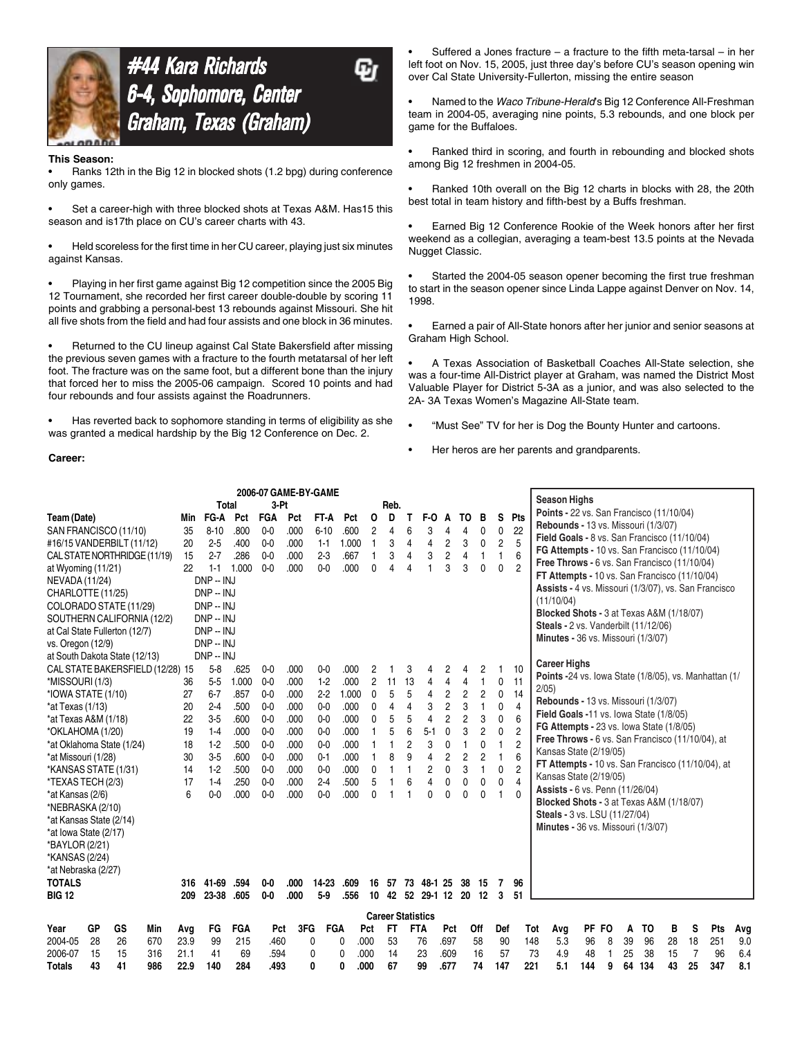

# **#44 Kara Richards** 6-4, Sophomore, Center 6-4, Sophomore, Center<br>Graham, Texas (Graham)

#### **This Season:**

**Career:**

• Ranks 12th in the Big 12 in blocked shots (1.2 bpg) during conference only games.

Set a career-high with three blocked shots at Texas A&M. Has15 this season and is17th place on CU's career charts with 43.

• Held scoreless for the first time in her CU career, playing just six minutes against Kansas.

• Playing in her first game against Big 12 competition since the 2005 Big 12 Tournament, she recorded her first career double-double by scoring 11 points and grabbing a personal-best 13 rebounds against Missouri. She hit all five shots from the field and had four assists and one block in 36 minutes.

• Returned to the CU lineup against Cal State Bakersfield after missing the previous seven games with a fracture to the fourth metatarsal of her left foot. The fracture was on the same foot, but a different bone than the injury that forced her to miss the 2005-06 campaign. Scored 10 points and had four rebounds and four assists against the Roadrunners.

• Has reverted back to sophomore standing in terms of eligibility as she was granted a medical hardship by the Big 12 Conference on Dec. 2.

Suffered a Jones fracture – a fracture to the fifth meta-tarsal – in her left foot on Nov. 15, 2005, just three day's before CU's season opening win over Cal State University-Fullerton, missing the entire season

• Named to the *Waco Tribune-Herald*'s Big 12 Conference All-Freshman team in 2004-05, averaging nine points, 5.3 rebounds, and one block per game for the Buffaloes.

• Ranked third in scoring, and fourth in rebounding and blocked shots among Big 12 freshmen in 2004-05.

• Ranked 10th overall on the Big 12 charts in blocks with 28, the 20th best total in team history and fifth-best by a Buffs freshman.

• Earned Big 12 Conference Rookie of the Week honors after her first weekend as a collegian, averaging a team-best 13.5 points at the Nevada Nugget Classic.

Started the 2004-05 season opener becoming the first true freshman to start in the season opener since Linda Lappe against Denver on Nov. 14, 1998.

• Earned a pair of All-State honors after her junior and senior seasons at Graham High School.

• A Texas Association of Basketball Coaches All-State selection, she was a four-time All-District player at Graham, was named the District Most Valuable Player for District 5-3A as a junior, and was also selected to the 2A- 3A Texas Women's Magazine All-State team.

• "Must See" TV for her is Dog the Bounty Hunter and cartoons.

• Her heros are her parents and grandparents.

|                         |    |                                  |     |      |                |       | 2006-07 GAME-BY-GAME |      |            |       |                |                          |                |                  |                |                |                |                |                |                                                       |       |   |    |                |    |                |     |     |
|-------------------------|----|----------------------------------|-----|------|----------------|-------|----------------------|------|------------|-------|----------------|--------------------------|----------------|------------------|----------------|----------------|----------------|----------------|----------------|-------------------------------------------------------|-------|---|----|----------------|----|----------------|-----|-----|
|                         |    |                                  |     |      | <b>Total</b>   |       | $3-Pt$               |      |            |       |                | Reb.                     |                |                  |                |                |                |                |                | <b>Season Highs</b>                                   |       |   |    |                |    |                |     |     |
| Team (Date)             |    |                                  |     | Min  | FG-A           | Pct   | <b>FGA</b>           | Pct  | FT-A       | Pct   | 0              | D                        | т              | F-O              | A              | ТΟ             | в              | S              | Pts            | Points - 22 vs. San Francisco (11/10/04)              |       |   |    |                |    |                |     |     |
|                         |    | SAN FRANCISCO (11/10)            |     | 35   | $8 - 10$       | .800  | $0-0$                | .000 | $6 - 10$   | .600  | 2              | 4                        | 6              | 3                | 4              | 4              | 0              | 0              | 22             | Rebounds - 13 vs. Missouri (1/3/07)                   |       |   |    |                |    |                |     |     |
|                         |    | #16/15 VANDERBILT (11/12)        |     | 20   | $2 - 5$        | .400  | $0 - 0$              | .000 | $1 - 1$    | 1.000 | $\mathbf{1}$   | 3                        | 4              | $\overline{4}$   | $\overline{c}$ | 3              | 0              | $\overline{c}$ | 5              | Field Goals - 8 vs. San Francisco (11/10/04)          |       |   |    |                |    |                |     |     |
|                         |    | CAL STATE NORTHRIDGE (11/19)     |     | 15   | $2 - 7$        | .286  | $0-0$                | .000 | $2-3$      | .667  | 1              | 3                        | 4              | 3                | $\overline{c}$ | 4              | 1              | 1              | 6              | FG Attempts - 10 vs. San Francisco (11/10/04)         |       |   |    |                |    |                |     |     |
| at Wyoming (11/21)      |    |                                  |     | 22   | $1 - 1$        | 1.000 | $0 - 0$              | .000 | $0 - 0$    | .000  | 0              | 4                        | 4              |                  | 3              | 3              | 0              | $\mathbf{0}$   | $\overline{2}$ | Free Throws - 6 vs. San Francisco (11/10/04)          |       |   |    |                |    |                |     |     |
| NEVADA (11/24)          |    |                                  |     |      | DNP -- INJ     |       |                      |      |            |       |                |                          |                |                  |                |                |                |                |                | FT Attempts - 10 vs. San Francisco (11/10/04)         |       |   |    |                |    |                |     |     |
| CHARLOTTE (11/25)       |    |                                  |     |      | DNP -- INJ     |       |                      |      |            |       |                |                          |                |                  |                |                |                |                |                | Assists - 4 vs. Missouri (1/3/07), vs. San Francisco  |       |   |    |                |    |                |     |     |
|                         |    | COLORADO STATE (11/29)           |     |      | DNP -- INJ     |       |                      |      |            |       |                |                          |                |                  |                |                |                |                |                | (11/10/04)                                            |       |   |    |                |    |                |     |     |
|                         |    | SOUTHERN CALIFORNIA (12/2)       |     |      | DNP -- INJ     |       |                      |      |            |       |                |                          |                |                  |                |                |                |                |                | <b>Blocked Shots - 3 at Texas A&amp;M (1/18/07)</b>   |       |   |    |                |    |                |     |     |
|                         |    | at Cal State Fullerton (12/7)    |     |      | DNP -- INJ     |       |                      |      |            |       |                |                          |                |                  |                |                |                |                |                | <b>Steals - 2 vs. Vanderbilt (11/12/06)</b>           |       |   |    |                |    |                |     |     |
| vs. Oregon (12/9)       |    |                                  |     |      | DNP -- INJ     |       |                      |      |            |       |                |                          |                |                  |                |                |                |                |                | Minutes - 36 vs. Missouri (1/3/07)                    |       |   |    |                |    |                |     |     |
|                         |    | at South Dakota State (12/13)    |     |      | DNP - INJ      |       |                      |      |            |       |                |                          |                |                  |                |                |                |                |                |                                                       |       |   |    |                |    |                |     |     |
|                         |    | CAL STATE BAKERSFIELD (12/28) 15 |     |      | $5-8$          | .625  | $0-0$                | .000 | $0-0$      | .000  | 2              |                          | 3              |                  | 2              | 4              | 2              |                | 10             | <b>Career Highs</b>                                   |       |   |    |                |    |                |     |     |
| *MISSOURI (1/3)         |    |                                  |     | 36   | $5-5$          | 1.000 | $0-0$                | .000 | $1-2$      | .000  | $\overline{c}$ | 11                       | 13             | 4                | 4              | 4              | 1              | $\mathbf{0}$   | 11             | Points -24 vs. lowa State (1/8/05), vs. Manhattan (1/ |       |   |    |                |    |                |     |     |
| *IOWA STATE (1/10)      |    |                                  |     | 27   | $6 - 7$        | .857  | $0-0$                | .000 | 2.2        | 1.000 | 0              | 5                        | 5              | 4                | $\overline{c}$ | $\overline{c}$ | $\overline{c}$ | 0              | 14             | $2/05$ )                                              |       |   |    |                |    |                |     |     |
| *at Texas (1/13)        |    |                                  |     | 20   | $2-4$          | .500  | $0 - 0$              | .000 | $0-0$      | .000  | 0              | 4                        | 4              | 3                | $\overline{c}$ | 3              | $\mathbf{1}$   | $\Omega$       | $\overline{4}$ | Rebounds - 13 vs. Missouri (1/3/07)                   |       |   |    |                |    |                |     |     |
| *at Texas A&M (1/18)    |    |                                  |     | 22   | $3-5$          | .600  | $0-0$                | .000 | $0-0$      | .000  | 0              | 5                        | 5              | $\overline{4}$   | $\overline{2}$ | $\overline{c}$ | 3              | 0              | 6              | Field Goals -11 vs. lowa State (1/8/05)               |       |   |    |                |    |                |     |     |
| *OKLAHOMA (1/20)        |    |                                  |     | 19   | $1-4$          | .000  | $0 - 0$              | .000 | $0 - 0$    | .000  |                | 5                        | 6              | $5-1$            | 0              | 3              | 2              | 0              | $\overline{c}$ | FG Attempts - 23 vs. lowa State (1/8/05)              |       |   |    |                |    |                |     |     |
|                         |    | *at Oklahoma State (1/24)        |     | 18   | $1-2$          | .500  | $0 - 0$              | .000 | $0 - 0$    | .000  |                |                          | $\overline{2}$ | 3                | $\mathbf 0$    | $\overline{1}$ | 0              | 1              | $\overline{c}$ | Free Throws - 6 vs. San Francisco (11/10/04), at      |       |   |    |                |    |                |     |     |
| *at Missouri (1/28)     |    |                                  |     | 30   | $3-5$          | .600  | $0 - 0$              | .000 | $0 - 1$    | .000  |                | 8                        | 9              | 4                | $\overline{2}$ | $\overline{c}$ | $\overline{c}$ | 1              | 6              | Kansas State (2/19/05)                                |       |   |    |                |    |                |     |     |
| *KANSAS STATE (1/31)    |    |                                  |     | 14   | $1-2$          | .500  | $0 - 0$              | .000 | $0-0$      | .000  | 0              |                          |                | $\overline{c}$   | 0              | 3              | $\mathbf{1}$   | 0              | $\overline{c}$ | FT Attempts - 10 vs. San Francisco (11/10/04), at     |       |   |    |                |    |                |     |     |
| *TEXAS TECH (2/3)       |    |                                  |     | 17   | $1-4$          | .250  | $0 - 0$              | .000 | $2-4$      | .500  | 5              |                          | 6              | 4                | 0              | 0              | 0              | 0              | $\overline{4}$ | Kansas State (2/19/05)                                |       |   |    |                |    |                |     |     |
| *at Kansas (2/6)        |    |                                  |     | 6    | 0 <sub>0</sub> | .000  | $0 - 0$              | .000 | $0 - 0$    | .000  | 0              |                          |                | 0                | $\mathbf{0}$   | $\mathbf 0$    | 0              | 1              | $\Omega$       | Assists - 6 vs. Penn (11/26/04)                       |       |   |    |                |    |                |     |     |
| *NEBRASKA (2/10)        |    |                                  |     |      |                |       |                      |      |            |       |                |                          |                |                  |                |                |                |                |                | Blocked Shots - 3 at Texas A&M (1/18/07)              |       |   |    |                |    |                |     |     |
| *at Kansas State (2/14) |    |                                  |     |      |                |       |                      |      |            |       |                |                          |                |                  |                |                |                |                |                | Steals - 3 vs. LSU (11/27/04)                         |       |   |    |                |    |                |     |     |
| *at Iowa State (2/17)   |    |                                  |     |      |                |       |                      |      |            |       |                |                          |                |                  |                |                |                |                |                | Minutes - 36 vs. Missouri (1/3/07)                    |       |   |    |                |    |                |     |     |
| *BAYLOR (2/21)          |    |                                  |     |      |                |       |                      |      |            |       |                |                          |                |                  |                |                |                |                |                |                                                       |       |   |    |                |    |                |     |     |
| *KANSAS (2/24)          |    |                                  |     |      |                |       |                      |      |            |       |                |                          |                |                  |                |                |                |                |                |                                                       |       |   |    |                |    |                |     |     |
| *at Nebraska (2/27)     |    |                                  |     |      |                |       |                      |      |            |       |                |                          |                |                  |                |                |                |                |                |                                                       |       |   |    |                |    |                |     |     |
| <b>TOTALS</b>           |    |                                  |     | 316  | 41-69          | .594  | $0-0$                | .000 | 14-23      | .609  | 16             | 57                       | 73             | 48-1 25          |                | 38             | 15             | 7              | 96             |                                                       |       |   |    |                |    |                |     |     |
| <b>BIG 12</b>           |    |                                  |     | 209  | 23-38          | .605  | $0-0$                | .000 | $5-9$      | .556  | 10             |                          |                | 42 52 29-1 12 20 |                |                | 12             | 3              | 51             |                                                       |       |   |    |                |    |                |     |     |
|                         |    |                                  |     |      |                |       |                      |      |            |       |                | <b>Career Statistics</b> |                |                  |                |                |                |                |                |                                                       |       |   |    |                |    |                |     |     |
| Year                    | GP | GS                               | Min | Avq  | FG             | FGA   | Pct                  | 3FG  | <b>FGA</b> |       | Pct            | <b>FT</b>                |                | <b>FTA</b>       | Pct            |                | Off            | Def            |                | Tot<br>Avg                                            | PF FO |   | Α  | T <sub>0</sub> | в  | S              | Pts | Avg |
| 2004-05                 | 28 | 26                               | 670 | 23.9 | 99             | 215   | .460                 | 0    |            | 0     | .000           | 53                       |                | 76               | .697           |                | 58             | 90             |                | 148<br>5.3                                            | 96    | 8 | 39 | 96             | 28 | 18             | 251 | 9.0 |
| 2006-07                 | 15 | 15                               | 316 | 21.1 | 41             | 69    | .594                 | 0    |            | 0     | .000           | 14                       |                | 23               | .609           |                | 16             | 57             |                | 4.9<br>73                                             | 48    | 1 | 25 | 38             | 15 | $\overline{7}$ | 96  | 6.4 |
| <b>Totals</b>           | 43 | 41                               | 986 | 22.9 | 140            | 284   | .493                 | 0    |            | 0     | .000           | 67                       |                | 99               | .677           |                | 74             | 147            |                | 221<br>5.1                                            | 144   | 9 | 64 | 134            | 43 | 25             | 347 | 8.1 |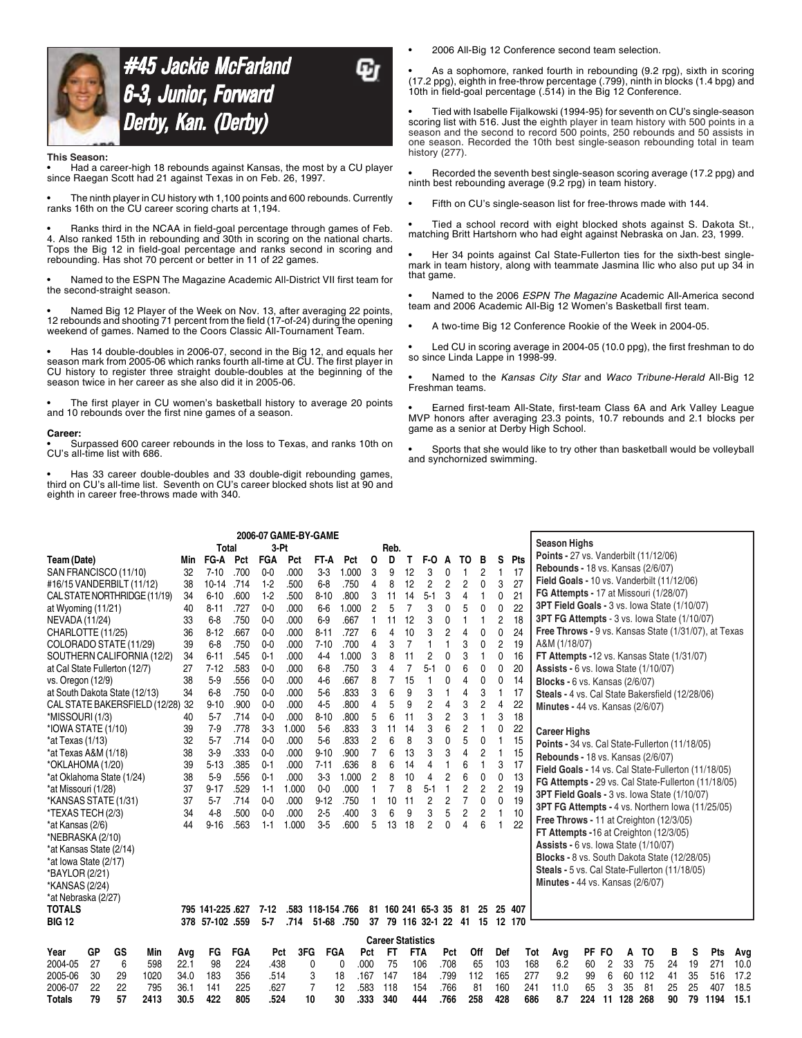

#45 Jackie McFarland 6-3, Junior, Forward 6-3, Junior, Forward Derby, Kan. (Derby) Derby, Kan.

#### **This Season:**

• Had a career-high 18 rebounds against Kansas, the most by a CU player since Raegan Scott had 21 against Texas in on Feb. 26, 1997.

• The ninth player in CU history wth 1,100 points and 600 rebounds. Currently ranks 16th on the CU career scoring charts at 1,194.

• Ranks third in the NCAA in field-goal percentage through games of Feb. 4. Also ranked 15th in rebounding and 30th in scoring on the national charts. Tops the Big 12 in field-goal percentage and ranks second in scoring and rebounding. Has shot 70 percent or better in 11 of 22 games.

• Named to the ESPN The Magazine Academic All-District VII first team for the second-straight season.

• Named Big 12 Player of the Week on Nov. 13, after averaging 22 points, 12 rebounds and shooting 71 percent from the field (17-of-24) during the opening weekend of games. Named to the Coors Classic All-Tournament Team.

• Has 14 double-doubles in 2006-07, second in the Big 12, and equals her season mark from 2005-06 which ranks fourth all-time at CU. The first player in CU history to register three straight double-doubles at the beginning of the season twice in her career as she also did it in 2005-06.

The first player in CU women's basketball history to average 20 points and 10 rebounds over the first nine games of a season.

#### **Career:**

• Surpassed 600 career rebounds in the loss to Texas, and ranks 10th on CU's all-time list with 686.

• Has 33 career double-doubles and 33 double-digit rebounding games, third on CU's all-time list. Seventh on CU's career blocked shots list at 90 and eighth in career free-throws made with 340.

• 2006 All-Big 12 Conference second team selection.

• As a sophomore, ranked fourth in rebounding (9.2 rpg), sixth in scoring (17.2 ppg), eighth in free-throw percentage (.799), ninth in blocks (1.4 bpg) and 10th in field-goal percentage (.514) in the Big 12 Conference.

• Tied with Isabelle Fijalkowski (1994-95) for seventh on CU's single-season scoring list with 516. Just the eighth player in team history with 500 points in a season and the second to record 500 points, 250 rebounds and 50 assists in one season. Recorded the 10th best single-season rebounding total in team history (277).

• Recorded the seventh best single-season scoring average (17.2 ppg) and ninth best rebounding average (9.2 rpg) in team history.

Fifth on CU's single-season list for free-throws made with 144.

• Tied a school record with eight blocked shots against S. Dakota St., matching Britt Hartshorn who had eight against Nebraska on Jan. 23, 1999.

• Her 34 points against Cal State-Fullerton ties for the sixth-best singlemark in team history, along with teammate Jasmina Ilic who also put up 34 in that game.

• Named to the 2006 *ESPN The Magazine* Academic All-America second team and 2006 Academic All-Big 12 Women's Basketball first team.

• A two-time Big 12 Conference Rookie of the Week in 2004-05.

Led CU in scoring average in 2004-05 (10.0 ppg), the first freshman to do so since Linda Lappe in 1998-99.

• Named to the *Kansas City Star* and *Waco Tribune-Herald* All-Big 12 Freshman teams.

• Earned first-team All-State, first-team Class 6A and Ark Valley League MVP honors after averaging 23.3 points, 10.7 rebounds and 2.1 blocks per game as a senior at Derby High School.

• Sports that she would like to try other than basketball would be volleyball and synchornized swimming.

|                               | 2006-07 GAME-BY-GAME<br><b>Total</b><br>3-Pt<br>Reb. |    |      |      |                 |      |                |                   |           |       |                |                          |                |                   |                |                |                |                |     |                                                      |     |           |     |     |    |    |      |      |
|-------------------------------|------------------------------------------------------|----|------|------|-----------------|------|----------------|-------------------|-----------|-------|----------------|--------------------------|----------------|-------------------|----------------|----------------|----------------|----------------|-----|------------------------------------------------------|-----|-----------|-----|-----|----|----|------|------|
|                               |                                                      |    |      |      |                 |      |                |                   |           |       |                |                          |                |                   |                |                |                |                |     | <b>Season Highs</b>                                  |     |           |     |     |    |    |      |      |
| Team (Date)                   |                                                      |    |      | Min  | FG-A            | Pct  | <b>FGA</b>     | Pct               | FT-A      | Pct   | 0              | D                        | т              | F-0               | A              | ТΟ             | в              | S              | Pts | Points - 27 vs. Vanderbilt (11/12/06)                |     |           |     |     |    |    |      |      |
| SAN FRANCISCO (11/10)         |                                                      |    |      | 32   | $7 - 10$        | .700 | $0 - 0$        | .000              | $3-3$     | 1.000 | 3              | 9                        | 12             | 3                 | 0              |                | $\overline{2}$ |                | 17  | Rebounds - 18 vs. Kansas (2/6/07)                    |     |           |     |     |    |    |      |      |
| #16/15 VANDERBILT (11/12)     |                                                      |    |      | 38   | $10 - 14$       | .714 | $1-2$          | .500              | $6-8$     | .750  | 4              | 8                        | 12             | 2                 | 2              | $\overline{c}$ | 0              | 3              | 27  | Field Goals - 10 vs. Vanderbilt (11/12/06)           |     |           |     |     |    |    |      |      |
| CAL STATE NORTHRIDGE (11/19)  |                                                      |    |      | 34   | $6 - 10$        | .600 | $1-2$          | .500              | $8 - 10$  | .800  | 3              | 11                       | 14             | $5 - 1$           | 3              | $\overline{4}$ | 1              | 0              | 21  | FG Attempts - 17 at Missouri (1/28/07)               |     |           |     |     |    |    |      |      |
| at Wyoming (11/21)            |                                                      |    |      | 40   | $8 - 11$        | .727 | $0 - 0$        | .000              | $6-6$     | 1.000 | $\overline{2}$ | 5                        | 7              | 3                 | 0              | 5              | 0              | 0              | 22  | 3PT Field Goals - 3 vs. lowa State (1/10/07)         |     |           |     |     |    |    |      |      |
| NEVADA (11/24)                |                                                      |    |      | 33   | $6-8$           | .750 | 0 <sub>0</sub> | .000              | $6-9$     | .667  | 1              | 11                       | 12             | 3                 | $\Omega$       | $\mathbf{1}$   | 1              | 2              | 18  | 3PT FG Attempts - 3 vs. lowa State (1/10/07)         |     |           |     |     |    |    |      |      |
| CHARLOTTE (11/25)             |                                                      |    |      | 36   | $8 - 12$        | .667 | $0 - 0$        | .000              | $8 - 11$  | .727  | 6              | 4                        | 10             | 3                 | 2              | 4              | 0              | 0              | 24  | Free Throws - 9 vs. Kansas State (1/31/07), at Texas |     |           |     |     |    |    |      |      |
| COLORADO STATE (11/29)        |                                                      |    |      | 39   | $6-8$           | .750 | $0 - 0$        | .000              | $7 - 10$  | .700  | 4              | 3                        | $\overline{7}$ |                   |                | 3              | 0              | $\overline{c}$ | 19  | A&M (1/18/07)                                        |     |           |     |     |    |    |      |      |
| SOUTHERN CALIFORNIA (12/2)    |                                                      |    |      | 34   | $6 - 11$        | .545 | $0 - 1$        | .000              | $4-4$     | 1.000 | 3              | 8                        | 11             | 2                 | 0              | 3              | 1              | 0              | 16  | FT Attempts -12 vs. Kansas State (1/31/07)           |     |           |     |     |    |    |      |      |
| at Cal State Fullerton (12/7) |                                                      |    |      | 27   | $7 - 12$        | .583 | $0 - 0$        | .000              | $6-8$     | .750  | 3              | 4                        | $\overline{7}$ | $5-1$             | 0              | 6              | 0              | $\Omega$       | 20  | <b>Assists - 6 vs. lowa State (1/10/07)</b>          |     |           |     |     |    |    |      |      |
| vs. Oregon (12/9)             |                                                      |    |      | 38   | $5-9$           | .556 | $0-0$          | .000              | $4-6$     | .667  | 8              | $\overline{7}$           | 15             |                   | 0              | 4              | 0              | 0              | 14  | <b>Blocks - 6 vs. Kansas (2/6/07)</b>                |     |           |     |     |    |    |      |      |
| at South Dakota State (12/13) |                                                      |    |      | 34   | $6-8$           | .750 | $0 - 0$        | .000              | $5-6$     | .833  | 3              | 6                        | 9              | 3                 |                | 4              | 3              |                | 17  | Steals - 4 vs. Cal State Bakersfield (12/28/06)      |     |           |     |     |    |    |      |      |
| CAL STATE BAKERSFIELD (12/28) |                                                      |    |      | 32   | $9 - 10$        | .900 | $0 - 0$        | .000              | $4-5$     | .800  | 4              | 5                        | 9              | 2                 | 4              | 3              | 2              | 4              | 22  | Minutes - 44 vs. Kansas (2/6/07)                     |     |           |     |     |    |    |      |      |
| *MISSOURI (1/3)               |                                                      |    |      | 40   | $5 - 7$         | .714 | $0 - 0$        | .000              | $8 - 10$  | .800  | 5              | 6                        | 11             | 3                 | $\overline{2}$ | 3              | 1              | 3              | 18  |                                                      |     |           |     |     |    |    |      |      |
| *IOWA STATE (1/10)            |                                                      |    |      | 39   | $7-9$           | .778 | $3-3$          | 1.000             | $5-6$     | .833  | 3              | 11                       | 14             | 3                 | 6              | $\overline{c}$ | 1              | 0              | 22  | <b>Career Highs</b>                                  |     |           |     |     |    |    |      |      |
| *at Texas (1/13)              |                                                      |    |      | 32   | $5 - 7$         | .714 | $0 - 0$        | .000              | $5-6$     | .833  | $\overline{2}$ | 6                        | 8              | 3                 | 0              | 5              | 0              |                | 15  | Points - 34 vs. Cal State-Fullerton (11/18/05)       |     |           |     |     |    |    |      |      |
| *at Texas A&M (1/18)          |                                                      |    |      | 38   | $3-9$           | .333 | $0 - 0$        | .000              | $9 - 10$  | .900  | 7              | 6                        | 13             | 3                 | 3              | 4              | $\overline{2}$ |                | 15  | <b>Rebounds - 18 vs. Kansas (2/6/07)</b>             |     |           |     |     |    |    |      |      |
| *OKLAHOMA (1/20)              |                                                      |    |      | 39   | $5 - 13$        | .385 | $0 - 1$        | .000              | $7 - 11$  | .636  | 8              | 6                        | 14             | 4                 |                | 6              | 1              | 3              | 17  | Field Goals - 14 vs. Cal State-Fullerton (11/18/05)  |     |           |     |     |    |    |      |      |
| *at Oklahoma State (1/24)     |                                                      |    |      | 38   | $5-9$           | .556 | $0 - 1$        | .000              | $3-3$     | 1.000 | $\overline{2}$ | 8                        | 10             | 4                 | 2              | 6              | 0              | 0              | 13  | FG Attempts - 29 vs. Cal State-Fullerton (11/18/05)  |     |           |     |     |    |    |      |      |
| *at Missouri (1/28)           |                                                      |    |      | 37   | $9 - 17$        | .529 | $1 - 1$        | 1.000             | $0 - 0$   | .000  | 1              |                          | 8              | $5 - 1$           |                | $\overline{c}$ | $\overline{c}$ | $\overline{2}$ | 19  | <b>3PT Field Goals - 3 vs. lowa State (1/10/07)</b>  |     |           |     |     |    |    |      |      |
| *KANSAS STATE (1/31)          |                                                      |    |      | 37   | $5 - 7$         | .714 | $0 - 0$        | .000              | $9 - 12$  | .750  | 1              | 10                       | 11             | $\overline{c}$    | $\overline{c}$ | 7              | 0              | 0              | 19  |                                                      |     |           |     |     |    |    |      |      |
| *TEXAS TECH (2/3)             |                                                      |    |      | 34   | $4-8$           | .500 | $0 - 0$        | .000              | $2 - 5$   | .400  | 3              | 6                        | 9              | 3                 | 5              | $\overline{c}$ | 2              |                | 10  | 3PT FG Attempts - 4 vs. Northern Iowa (11/25/05)     |     |           |     |     |    |    |      |      |
| *at Kansas (2/6)              |                                                      |    |      | 44   | $9 - 16$        | .563 | $1 - 1$        | 1.000             | $3-5$     | .600  | 5              | 13                       | 18             | 2                 | $\Omega$       | $\overline{4}$ | 6              |                | 22  | Free Throws - 11 at Creighton (12/3/05)              |     |           |     |     |    |    |      |      |
| *NEBRASKA (2/10)              |                                                      |    |      |      |                 |      |                |                   |           |       |                |                          |                |                   |                |                |                |                |     | FT Attempts -16 at Creighton (12/3/05)               |     |           |     |     |    |    |      |      |
| *at Kansas State (2/14)       |                                                      |    |      |      |                 |      |                |                   |           |       |                |                          |                |                   |                |                |                |                |     | <b>Assists - 6 vs. lowa State (1/10/07)</b>          |     |           |     |     |    |    |      |      |
| *at lowa State (2/17)         |                                                      |    |      |      |                 |      |                |                   |           |       |                |                          |                |                   |                |                |                |                |     | Blocks - 8 vs. South Dakota State (12/28/05)         |     |           |     |     |    |    |      |      |
| *BAYLOR (2/21)                |                                                      |    |      |      |                 |      |                |                   |           |       |                |                          |                |                   |                |                |                |                |     | Steals - 5 vs. Cal State-Fullerton (11/18/05)        |     |           |     |     |    |    |      |      |
| *KANSAS (2/24)                |                                                      |    |      |      |                 |      |                |                   |           |       |                |                          |                |                   |                |                |                |                |     | <b>Minutes - 44 vs. Kansas (2/6/07)</b>              |     |           |     |     |    |    |      |      |
| *at Nebraska (2/27)           |                                                      |    |      |      |                 |      |                |                   |           |       |                |                          |                |                   |                |                |                |                |     |                                                      |     |           |     |     |    |    |      |      |
| <b>TOTALS</b>                 |                                                      |    |      |      | 795 141-225 627 |      | $7 - 12$       | .583 118-154 .766 |           |       | 81             |                          |                | 160 241 65-3 35   |                | 81             | 25             | 25             | 407 |                                                      |     |           |     |     |    |    |      |      |
| <b>BIG 12</b>                 |                                                      |    |      |      | 378 57-102 .559 |      | $5 - 7$        | .714              | $51 - 68$ | .750  | 37             |                          |                | 79 116 32-1 22 41 |                |                | 15             | 12 170         |     |                                                      |     |           |     |     |    |    |      |      |
|                               |                                                      |    |      |      |                 |      |                |                   |           |       |                | <b>Career Statistics</b> |                |                   |                |                |                |                |     |                                                      |     |           |     |     |    |    |      |      |
| Year                          | GP                                                   | GS | Min  | Avg  | FG              | FGA  | Pct            | 3FG               | FGA       |       | Pct            | FT                       | <b>FTA</b>     |                   | Pct            |                | Off            | Def            |     | Tot<br>Avg                                           | PF  | <b>FO</b> | A   | TO  | в  | S  | Pts  | Avg  |
| 2004-05                       | 27                                                   | 6  | 598  | 22.1 | 98              | 224  | .438           | 0                 | C         |       | .000           | 75                       |                | 106               | .708           |                | 65             | 103            |     | 168<br>6.2                                           | 60  | 2         | 33  | 75  | 24 | 19 | 271  | 10.0 |
| 2005-06                       | 30                                                   | 29 | 1020 | 34.0 | 183             | 356  | .514           | 3                 | 18        |       | .167           | 147                      |                | 184               | .799           |                | 112            | 165            | 277 | 9.2                                                  | 99  | 6         | 60  | 112 | 41 | 35 | 516  | 17.2 |
| 2006-07                       | 22                                                   | 22 | 795  | 36.1 | 141             | 225  | .627           | $\overline{7}$    | 12        |       | .583           | 118                      |                | 154               | .766           |                | 81             | 160            | 241 | 11.0                                                 | 65  | 3         | 35  | 81  | 25 | 25 | 407  | 18.5 |
| <b>Totals</b>                 | 79                                                   | 57 | 2413 | 30.5 | 422             | 805  | .524           | 10                | 30        |       | .333           | 340                      |                | 444               | .766           |                | 258            | 428            | 686 | 8.7                                                  | 224 | 11        | 128 | 268 | 90 | 79 | 1194 | 15.1 |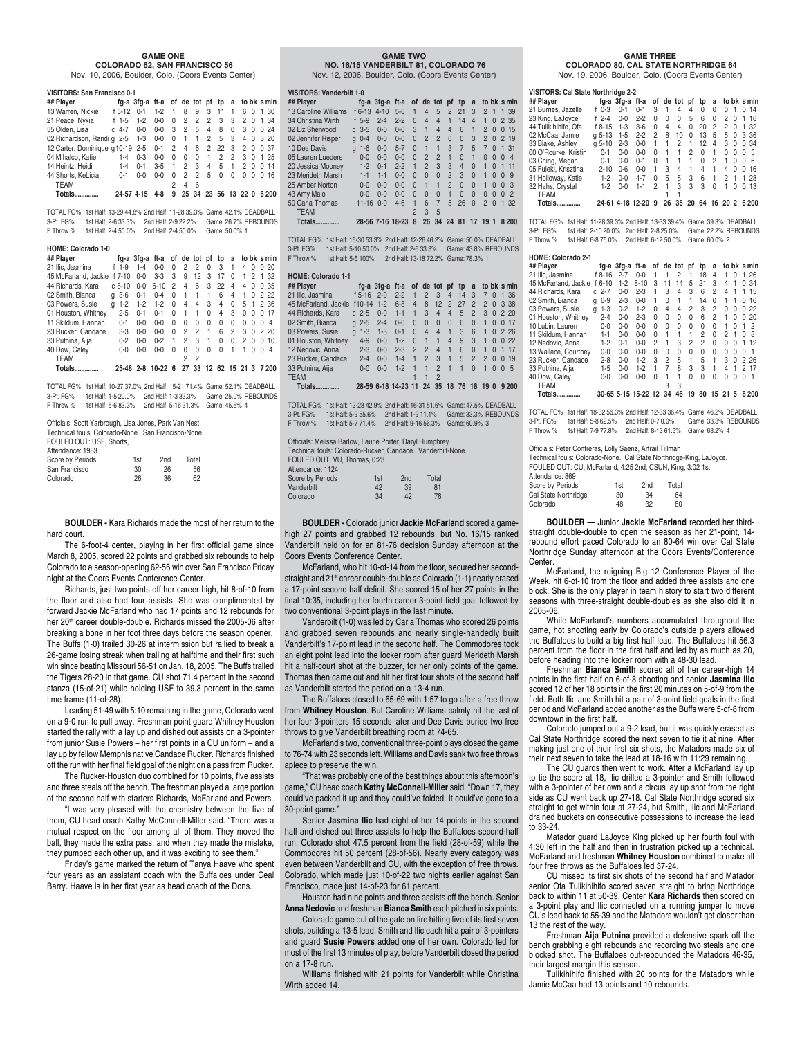#### **GAME ONE COLORADO 62, SAN FRANCISCO 56**

Nov. 10, 2006, Boulder, Colo. (Coors Events Center)

#### **VISITORS: San Francisco 0-1**

| ## Plaver                                              |              | fg-a 3fg-a ft-a of de tot pf tp a to bk s min |                 |                |          |                       |                |                   |              |          |          |          |
|--------------------------------------------------------|--------------|-----------------------------------------------|-----------------|----------------|----------|-----------------------|----------------|-------------------|--------------|----------|----------|----------|
| 13 Warren, Nickie                                      | $f$ 5-12 0-1 |                                               | $1 - 2$         | $\overline{1}$ | 8        | 9                     | 3 11           |                   | $\mathbf{1}$ |          |          | 6 0 1 30 |
| 21 Peace, Nykia                                        | f 1-5 1-2    |                                               | $0 - 0$         | $\Omega$       | 2        | 2                     | $\overline{2}$ | $\mathbf{3}$      | 3 2 0 1 34   |          |          |          |
| 55 Olden, Lisa                                         | $c$ 4-7 0-0  |                                               | $0-0$ 3 2 5 4 8 |                |          |                       |                |                   | $\Omega$     | 3 0 0 24 |          |          |
| 02 Richardson, Randig 2-5 1-3 0-0 0 1 1 2 5 3 4 0 3 20 |              |                                               |                 |                |          |                       |                |                   |              |          |          |          |
| 12 Carter, Dominique g 10-19 2-5 0-1 2 4               |              |                                               |                 |                |          | 6                     |                | 2 2 2 3 2 0 0 3 7 |              |          |          |          |
| 04 Mihalco, Katie                                      | $1 - 4$      | $0 - 3$                                       | $0 - 0$         | $\Omega$       | $\Omega$ | $\overline{0}$        | $\overline{1}$ | 2                 | 2 3 0 1 25   |          |          |          |
| 14 Heintz, Heidi                                       | $1 - 4$      | $0 - 1$                                       | $3-5$ 1 2 3     |                |          |                       |                | 4 5 1             |              |          |          | 2 0 0 14 |
| 44 Shorts, KeLicia                                     | $0 - 1$      | $0 - 0$                                       | $0 - 0$         | <sup>0</sup>   | 2        | 2                     | 5              | $\Omega$          | $\Omega$     | 0        | $\Omega$ | 0,16     |
| <b>TEAM</b>                                            |              |                                               |                 | 2              | Δ        | 6                     |                |                   |              |          |          |          |
| <b>Totals</b>                                          |              | 24-57 4-15                                    | 4-8             |                |          | 9 25 34 23 56 13 22 0 |                |                   |              |          |          | 6 200    |

TOTAL FG% 1st Half: 13-29 44.8% 2nd Half: 11-28 39.3% Game: 42.1% DEADBALL 3-Pt. FG% 1st Half: 2-6 33.3% 2nd Half: 2-9 22.2% Game: 26.7% REBOUNDS F Throw % 1st Half: 2-4 50.0% 2nd Half: 2-4 50.0% Game: 50.0% 1

#### **HOME: Colorado 1-0**

| ## Player            |              |         | fg-a 3fg-a ft-a of de tot pf |          |                |              |          | tp                                                                                                                                                                                                                                                                                                                                                                                   | a        |                |              | to bk s min                   |
|----------------------|--------------|---------|------------------------------|----------|----------------|--------------|----------|--------------------------------------------------------------------------------------------------------------------------------------------------------------------------------------------------------------------------------------------------------------------------------------------------------------------------------------------------------------------------------------|----------|----------------|--------------|-------------------------------|
| 21 Ilic. Jasmina     | $f$ 1-9      | $1 - 4$ | $0 - 0$                      | $\Omega$ | 2              | 2            | $\Omega$ | 3                                                                                                                                                                                                                                                                                                                                                                                    | 1        | $\overline{4}$ | <sup>0</sup> | 20<br>0                       |
| 45 McFarland, Jackie | $f$ 7-10     | $0 - 0$ | $3-3$                        | 3        | 9              | 12           | 3        | 17                                                                                                                                                                                                                                                                                                                                                                                   | $\Omega$ |                | 2            | 1 32                          |
| 44 Richards, Kara    | $c.8 - 10$   | $0 - 0$ | $6 - 10$                     | 2        | 4              | 6            | 3        | 22                                                                                                                                                                                                                                                                                                                                                                                   | 4        | 4              | $\Omega$     | 35<br><sup>0</sup>            |
| 02 Smith, Bianca     | $q - 3 - 6$  | $0 - 1$ | $0 - 4$                      | $\Omega$ | $\overline{1}$ | $\mathbf{1}$ | 1        | 6                                                                                                                                                                                                                                                                                                                                                                                    | 4        | 1              | $\Omega$     | 222                           |
| 03 Powers, Susie     | $1 - 2$<br>a | $1-2$   | $1 - 2$                      | $\Omega$ | 4              | 4            | 3        | 4                                                                                                                                                                                                                                                                                                                                                                                    | $\Omega$ | 5 <sub>1</sub> |              | 2 36                          |
| 01 Houston, Whitney  | $2 - 5$      | $0 - 1$ | $0 - 1$                      | $\Omega$ | 1              | 1            | U        | 4                                                                                                                                                                                                                                                                                                                                                                                    | 3        | U              | <sup>0</sup> | 17<br>O                       |
| 11 Skildum, Hannah   | $0 - 1$      | $0 - 0$ | $0 - 0$                      | $\Omega$ | $\Omega$       | U            | U        | $\Omega$                                                                                                                                                                                                                                                                                                                                                                             | $\Omega$ | U              | <sup>0</sup> | $\overline{\mathcal{A}}$<br>O |
| 23 Rucker, Candace   | $3-3$        | $0 - 0$ | $0 - 0$                      | $\Omega$ | 2              | 2            | 1        | 6                                                                                                                                                                                                                                                                                                                                                                                    | 2        | 30             |              | 2.20                          |
| 33 Putnina, Aija     | $0 - 2$      | $0 - 0$ | $0 - 2$                      | 1        | 2              | 3            | 1        | $\Omega$                                                                                                                                                                                                                                                                                                                                                                             | U        | $\mathcal{P}$  | <sup>0</sup> | 10<br>O                       |
| 40 Dow, Caley        | $0 - 0$      | $0 - 0$ | $0 - 0$                      | U        | 0              | 0            | U        | $\Omega$                                                                                                                                                                                                                                                                                                                                                                             | 1        |                | O            | $\overline{\mathcal{A}}$<br>O |
| TEAM                 |              |         |                              |          | 2              | 2            |          |                                                                                                                                                                                                                                                                                                                                                                                      |          |                |              |                               |
| $2.4 - 1.7$          |              | 0.71000 | $\sim$ 00 $\sim$             |          | $\sim$         | $\sim$       |          | $\overline{a}$ $\overline{a}$ $\overline{a}$ $\overline{a}$ $\overline{a}$ $\overline{a}$ $\overline{a}$ $\overline{a}$ $\overline{a}$ $\overline{a}$ $\overline{a}$ $\overline{a}$ $\overline{a}$ $\overline{a}$ $\overline{a}$ $\overline{a}$ $\overline{a}$ $\overline{a}$ $\overline{a}$ $\overline{a}$ $\overline{a}$ $\overline{a}$ $\overline{a}$ $\overline{a}$ $\overline{$ |          | $\sim$         |              | 7000                          |

#### **Totals.............. 25-48 2-8 10-22 6 27 33 12 62 15 21 3 7 200**

TOTAL FG% 1st Half: 10-27 37.0% 2nd Half: 15-21 71.4% Game: 52.1% DEADBALL 3-Pt. FG% 1st Half: 1-5 20.0% 2nd Half: 1-3 33.3% Game: 25.0% REBOUNDS F Throw % 1st Half: 5-6 83.3% 2nd Half: 5-16 31.3% Game: 45.5% 4

| Officials: Scott Yarbrough, Lisa Jones, Park Van Nest |     |                 |       |  |
|-------------------------------------------------------|-----|-----------------|-------|--|
| Technical fouls: Colorado-None. San Francisco-None.   |     |                 |       |  |
| FOULED OUT: USF, Shorts.                              |     |                 |       |  |
| Attendance: 1983                                      |     |                 |       |  |
| Score by Periods                                      | 1st | 2 <sub>nd</sub> | Total |  |
| San Francisco                                         | 30  | 26              | 56    |  |
| Colorado                                              | 26  | 36              | 62    |  |

**BOULDER -** Kara Richards made the most of her return to the hard court.

The 6-foot-4 center, playing in her first official game since March 8, 2005, scored 22 points and grabbed six rebounds to help Colorado to a season-opening 62-56 win over San Francisco Friday night at the Coors Events Conference Center.

Richards, just two points off her career high, hit 8-of-10 from the floor and also had four assists. She was complimented by forward Jackie McFarland who had 17 points and 12 rebounds for her 20<sup>th</sup> career double-double. Richards missed the 2005-06 after breaking a bone in her foot three days before the season opener. The Buffs (1-0) trailed 30-26 at intermission but rallied to break a 26-game losing streak when trailing at halftime and their first such win since beating Missouri 56-51 on Jan. 18, 2005. The Buffs trailed the Tigers 28-20 in that game. CU shot 71.4 percent in the second stanza (15-of-21) while holding USF to 39.3 percent in the same time frame (11-of-28).

Leading 51-49 with 5:10 remaining in the game, Colorado went on a 9-0 run to pull away. Freshman point guard Whitney Houston started the rally with a lay up and dished out assists on a 3-pointer from junior Susie Powers – her first points in a CU uniform – and a lay up by fellow Memphis native Candace Rucker. Richards finished off the run with her final field goal of the night on a pass from Rucker.

The Rucker-Houston duo combined for 10 points, five assists and three steals off the bench. The freshman played a large portion of the second half with starters Richards, McFarland and Powers.

"I was very pleased with the chemistry between the five of them, CU head coach Kathy McConnell-Miller said. "There was a mutual respect on the floor among all of them. They moved the ball, they made the extra pass, and when they made the mistake, they pumped each other up, and it was exciting to see them."

Friday's game marked the return of Tanya Haave who spent four years as an assistant coach with the Buffaloes under Ceal Barry. Haave is in her first year as head coach of the Dons.

#### **GAME TWO NO. 16/15 VANDERBILT 81, COLORADO 76**

Nov. 12, 2006, Boulder, Colo. (Coors Events Center)

#### **VISITORS: Vanderbilt 1-0**

| ## Player            |                   | fa-a 3fa-a ft-a |         |                |                | of de tot pf   |                | tp       | a        |                |              |          | to bk s min   |  |
|----------------------|-------------------|-----------------|---------|----------------|----------------|----------------|----------------|----------|----------|----------------|--------------|----------|---------------|--|
| 13 Caroline Williams | $f_{6-13}$        | $4 - 10$        | $5 - 6$ | 1              | $\overline{4}$ | 5              | $\mathfrak{p}$ | 21       | 3        | $\overline{2}$ | $\mathbf{1}$ |          | 1 39          |  |
| 34 Christina Wirth   | $f$ 5-9           | $2 - 4$         | $2 - 2$ | $\Omega$       | $\overline{4}$ | $\Delta$       |                | 14       | $\Delta$ | 1              | $\Omega$     |          | 2 35          |  |
| 32 Liz Sherwood      | $c.3-5$           | $0 - 0$         | $0 - 0$ | 3              | $\overline{1}$ | 4              | 4              | 6        |          | $\mathfrak{p}$ | $\Omega$     | $\Omega$ | 15            |  |
| 02 Jennifer Risper   | $0 - 4$<br>a      | $0 - 0$         | $0 - 0$ | $\Omega$       | $\mathfrak{p}$ | $\mathfrak{p}$ | $\Omega$       | $\Omega$ | 3        | $\mathfrak{p}$ | $\Omega$     |          | 2,19          |  |
| 10 Dee Davis         | $1-6$<br>$\alpha$ | $0 - 0$         | $5 - 7$ | $\Omega$       | 1              |                | 3              | 7        | 5        | 7              | $\Omega$     |          | 131           |  |
| 05 Lauren Lueders    | $0 - 0$           | $0 - 0$         | $0 - 0$ | $\Omega$       | $\mathfrak{p}$ | $\mathcal{P}$  | 1              | $\Omega$ | 1        | $\Omega$       | $\Omega$     | $\Omega$ | $\Delta$      |  |
| 20 Jessica Mooney    | $1 - 2$           | $0 - 1$         | $2 - 2$ | 1              | $\mathfrak{p}$ | 3              | 3              | $\Delta$ | $\Omega$ | 1              | $\Omega$     | 1        | 11            |  |
| 23 Merideth Marsh    | $1 - 1$           | $1 - 1$         | $0 - 0$ | $\Omega$       | $\Omega$       | $\Omega$       | $\mathfrak{p}$ | 3        | $\Omega$ | 1              | $\Omega$     | $\Omega$ | -9            |  |
| 25 Amber Norton      | $0 - 0$           | $0 - 0$         | $0 - 0$ | $\Omega$       | $\overline{1}$ | 1              | $\mathfrak{D}$ | $\Omega$ | $\Omega$ | 1              | $\Omega$     | $\Omega$ | $\cdot$ 3     |  |
| 43 Amy Malo          | $0 - 0$           | $0 - 0$         | $0 - 0$ | $\Omega$       | $\Omega$       | $\Omega$       | 1              | $\Omega$ | $\Omega$ | $\Omega$       | $\Omega$     | $\Omega$ | $\mathcal{P}$ |  |
| 50 Carla Thomas      | $11 - 16$         | $0 - 0$         | $4 - 6$ |                | 6              | 7              | 5              | 26       | $\Omega$ | $\mathfrak{p}$ | $\Omega$     | 1        | 32            |  |
| <b>TEAM</b>          |                   |                 |         | $\mathfrak{p}$ | 3              | 5              |                |          |          |                |              |          |               |  |
| Totals.              | 28-56 7-16 18-23  |                 |         | 8              | 26             | 34             | 24             | 81       |          | 19             |              |          | 8 2 0 0       |  |

TOTAL FG% 1st Half: 16-30 53.3% 2nd Half: 12-26 46.2% Game: 50.0% DEADBALL 3-Pt. FG% 1st Half: 5-10 50.0% 2nd Half: 2-6 33.3% Game: 43.8% REBOUNDS F Throw % 1st Half: 5-5 100% 2nd Half: 13-18 72.2% Game: 78.3% 1

**HOME: Colorado 1-1 ## Player fg-a 3fg-a ft-a of de tot pf tp a to bk s min** 21 Ilic, Jasmina f 5-16 2-9 2-2 1 2 3 4 14 3 7 0 1 36 45 McFarland, Jackie f10-14 1-2 6-8 4 8 12 2 27 2 2 0 3 38 44 Richards, Kara c 2-5 0-0 1-1 1 3 4 4 5 2 3 0 2 20 02 Smith, Bianca g 2-5 2-4 0-0 0 0 0 0 6 0 1 0 0 17<br>03 Powers, Susie g 1-3 1-3 0-1 0 4 4 1 3 6 1 0 2 26 03 Powers, Susie 01 Houston, Whitney 4-9 0-0 1-2 0 1 1 4 9 3 1 0 0 22 12 Nedovic, Anna 2-3 0-0 2-3 2 2 4 1 6 0 1 0 1 17 23 Rucker, Candace 2-4 0-0 1-4 1 2 3 1 5 2 2 0 0 19 33 Putnina, Aija 0-0 0-0 1-2 1 1 2 1 1 0 1005 TEAM 1 1 2 **Totals.............. 28-59 6-18 14-23 11 24 35 18 76 18 19 0 9 200**

TOTAL FG% 1st Half: 12-28 42.9% 2nd Half: 16-31 51.6% Game: 47.5% DEADBALL 3-Pt. FG% 1st Half: 5-9 55.6% 2nd Half: 1-9 11.1% Game: 33.3% REBOUNDS F Throw % 1st Half: 5-7 71.4% 2nd Half: 9-16 56.3% Game: 60.9% 3

| Officials: Melissa Barlow, Laurie Porter, Daryl Humphrey    |     |     |       |  |
|-------------------------------------------------------------|-----|-----|-------|--|
| Technical fouls: Colorado-Rucker, Candace, Vanderbilt-None, |     |     |       |  |
| FOULED OUT: VU. Thomas. 0:23                                |     |     |       |  |
| Attendance: 1124                                            |     |     |       |  |
| <b>Score by Periods</b>                                     | 1st | 2nd | Total |  |
| Vanderbilt                                                  | 42  | 39  | 81    |  |
| Colorado                                                    | 34  | 42  | 76    |  |

**BOULDER -** Colorado junior **Jackie McFarland** scored a gamehigh 27 points and grabbed 12 rebounds, but No. 16/15 ranked Vanderbilt held on for an 81-76 decision Sunday afternoon at the Coors Events Conference Center.

McFarland, who hit 10-of-14 from the floor, secured her secondstraight and 21<sup>st</sup> career double-double as Colorado (1-1) nearly erased a 17-point second half deficit. She scored 15 of her 27 points in the final 10:35, including her fourth career 3-point field goal followed by two conventional 3-point plays in the last minute.

Vanderbilt (1-0) was led by Carla Thomas who scored 26 points and grabbed seven rebounds and nearly single-handedly built Vanderbilt's 17-point lead in the second half. The Commodores took an eight point lead into the locker room after guard Merideth Marsh hit a half-court shot at the buzzer, for her only points of the game. Thomas then came out and hit her first four shots of the second half as Vanderbilt started the period on a 13-4 run.

The Buffaloes closed to 65-69 with 1:57 to go after a free throw from **Whitney Houston**. But Caroline Williams calmly hit the last of her four 3-pointers 15 seconds later and Dee Davis buried two free throws to give Vanderbilt breathing room at 74-65.

McFarland's two, conventional three-point plays closed the game to 76-74 with 23 seconds left. Williams and Davis sank two free throws apiece to preserve the win.

"That was probably one of the best things about this afternoon's game," CU head coach **Kathy McConnell-Miller** said. "Down 17, they could've packed it up and they could've folded. It could've gone to a 30-point game."

Senior **Jasmina Ilic** had eight of her 14 points in the second half and dished out three assists to help the Buffaloes second-half run. Colorado shot 47.5 percent from the field (28-of-59) while the Commodores hit 50 percent (28-of-56). Nearly every category was even between Vanderbilt and CU, with the exception of free throws. Colorado, which made just 10-of-22 two nights earlier against San Francisco, made just 14-of-23 for 61 percent.

Houston had nine points and three assists off the bench. Senior **Anna Nedovic** and freshman **Bianca Smith** each pitched in six points.

Colorado game out of the gate on fire hitting five of its first seven shots, building a 13-5 lead. Smith and Ilic each hit a pair of 3-pointers and guard **Susie Powers** added one of her own. Colorado led for most of the first 13 minutes of play, before Vanderbilt closed the period on a 17-8 run.

Williams finished with 21 points for Vanderbilt while Christina Wirth added 14.

#### **GAME THREE**

 **COLORADO 80, CAL STATE NORTHRIDGE 64** Nov. 19, 2006, Boulder, Colo. (Coors Events Center)

| VISITORS: Cal State Northridge 2-2 |            |                 |            |              |              |    |     |          |          |      |   |             |
|------------------------------------|------------|-----------------|------------|--------------|--------------|----|-----|----------|----------|------|---|-------------|
| ## Plaver                          |            | fa-a 3fa-a ft-a |            |              | of de tot pf |    |     | tp       | a        |      |   | to bk s min |
| 21 Burries, Jazelle                | f 0-3      | $0 - 1$         | $0 - 1$    | 3            | 1            | 4  | 4   | $\Omega$ | 0        | U    | 1 | 14<br>0     |
| 23 King, LaJoyce                   | f $2-4$    | $0 - 0$         | $2 - 2$    | U            | U            | U  | 5   | 6        | 0        | 2    | 0 | 16<br>1     |
| 44 Tulikihihifo, Ofa               | f 8-15     | $1 - 3$         | $3-6$      | 0            | 4            | 4  | U   | 20       | 2        | 2    | O | -32<br>1.   |
| 02 McCaa, Jamie                    | $a.5 - 13$ | $1-5$           | $2 - 2$    | 2            | 8            | 10 | 0   | 13       | 5        | 5    | 0 | 3 36        |
| 33 Blake, Ashley                   | $a 5-10$   | $2 - 3$         | $0 - 0$    | 1            | 1            | 2  | 1   | 12       | 4        | 3    | 0 | 0.34        |
| 00 O'Rourke, Kristin               | $0 - 1$    | $0 - 0$         | በ-በ        | <sup>0</sup> |              | 1  | 2   | $\Omega$ | 1        | U    | O | - 5<br>0    |
| 03 Ching, Megan                    | $0 - 1$    | $0 - 0$         | $0 - 1$    | U            | 1            | 1  | 1   | $\Omega$ | 2        | 1    | U | - 6<br>O    |
| 05 Fuleki, Krisztina               | $2 - 10$   | $0 - 6$         | $0 - 0$    |              | 3            | 4  | 1   | 4        | 1        | 4    | U | 16<br>0     |
| 31 Holloway, Katie                 | $1-2$      | $0 - 0$         | $4 - 7$    | U            | 5            | 5  | 3   | 6        | 1        | 2    | 1 | -28<br>1    |
| 32 Hahs, Crystal                   | $1-2$      | $0 - 0$         | $1 - 1$    | 2            | 1            | 3  | 3   | 3        | $\Omega$ |      | O | 13<br>O     |
| <b>TEAM</b>                        |            |                 |            |              |              |    |     |          |          |      |   |             |
| Totals.                            | 24-61      |                 | 4-18 12-20 | 9            | 26           | 35 | -20 | 64       | 16       | 20 2 |   | 6 200       |

TOTAL FG% 1st Half: 11-28 39.3% 2nd Half: 13-33 39.4% Game: 39.3% DEADBALL 3-Pt. FG% 1st Half: 2-10 20.0% 2nd Half: 2-8 25.0% Game: 22.2% REBOUNDS F Throw % 1st Half: 6-8 75.0% 2nd Half: 6-12 50.0% Game: 60.0% 2

#### **HOME: Colorado 2-1**

|   |         | ft-a                                                                                                                               |            |    |                     | рt | tp        | a              |   |   |     |             |
|---|---------|------------------------------------------------------------------------------------------------------------------------------------|------------|----|---------------------|----|-----------|----------------|---|---|-----|-------------|
|   | $2 - 7$ | $0 - 0$                                                                                                                            |            |    | 2                   | 1  | 18        | 4              | 1 | U | 1   | -26         |
| f | $1 - 2$ | $8 - 10$                                                                                                                           | 3          | 11 | 14                  | 5  | 21        | 3              | 4 | 1 | 0   | 34          |
|   | $0 - 0$ | $2 - 3$                                                                                                                            |            | З  | 4                   | 3  | 6         | $\overline{c}$ | 4 |   |     | 15          |
| a | $2 - 3$ | $0 - 0$                                                                                                                            |            | 0  |                     | 1  | 14        | 0              | 1 | 1 | 0   | 16          |
| a | $0 - 2$ | $1-2$                                                                                                                              | U          | 4  | 4                   | 2  | 3         | 2              | U | U | 0   | 22          |
|   | $0 - 0$ | $2 - 3$                                                                                                                            | U          | U  | U                   | U  | 6         | $\overline{c}$ |   | U | 0   | 20          |
|   | $0 - 0$ | $0 - 0$                                                                                                                            | 0          | U  | U                   | 0  | 0         | 0              | 1 | U |     | 2           |
|   | $0 - 0$ | $0 - 0$                                                                                                                            | U          |    |                     | 1  | 2         | $\Omega$       | 2 | 1 | O   | 8           |
|   | $0 - 1$ | $0 - 0$                                                                                                                            | 2          |    | 3                   | 2  | 2         | 0              | U | O | 1   | 12          |
|   | $0 - 0$ | $0 - 0$                                                                                                                            | U          | 0  | U                   | U  | 0         | 0              | 0 | O | O   |             |
|   | $0 - 0$ | $1-2$                                                                                                                              | 3          | 2  | 5                   | 1  | 5         | 1              | З | O |     | 2.26        |
|   | $0 - 0$ | $1 - 2$                                                                                                                            |            | 7  | R                   | 3  | 3         | 1              | 4 |   | 2   | 17          |
|   | $0 - 0$ | $0 - 0$                                                                                                                            | U          |    |                     | U  | U         | U              | U | U | U   |             |
|   |         |                                                                                                                                    |            | 3  | 3                   |    |           |                |   |   |     |             |
|   |         |                                                                                                                                    |            | 34 | 46                  | 19 | 80        | 15             |   | 5 |     | 8200        |
|   |         | f 8-16<br>$6 - 10$<br>$c2 - 7$<br>$6 - 9$<br>$1-3$<br>$2 - 4$<br>$0-0$<br>$1-1$<br>$1 - 2$<br>$0-0$<br>$2 - 8$<br>$1 - 5$<br>$0-0$ | fa-a 3fa-a |    | 30-65 5-15 15-22 12 |    | of de tot |                |   |   | -21 | to bk s min |

TOTAL FG% 1st Half: 18-32 56.3% 2nd Half: 12-33 36.4% Game: 46.2% DEADBALL 3-Pt. FG% 1st Half: 5-8 62.5% 2nd Half: 0-7 0.0% Game: 33.3% REBOUNDS F Throw % 1st Half: 7-9 77.8% 2nd Half: 8-13 61.5% Game: 68.2% 4

#### Officials: Peter Contreras, Lolly Saenz, Artrail Tillman

Technical fouls: Colorado-None. Cal State Northridge-King, LaJoyce. FOULED OUT: CU, McFarland, 4:25 2nd; CSUN, King, 3:02 1st

| Attendance: 869      |     |                 |       |
|----------------------|-----|-----------------|-------|
| Score by Periods     | 1st | 2 <sub>nd</sub> | Total |
| Cal State Northridge | 30  | 34              | 64    |
| Colorado             | 48  | 32              | 80    |

**BOULDER —** Junior **Jackie McFarland** recorded her thirdstraight double-double to open the season as her 21-point, 14 rebound effort paced Colorado to an 80-64 win over Cal State Northridge Sunday afternoon at the Coors Events/Conference **Center** 

McFarland, the reigning Big 12 Conference Player of the Week, hit 6-of-10 from the floor and added three assists and one block. She is the only player in team history to start two different seasons with three-straight double-doubles as she also did it in 2005-06.

While McFarland's numbers accumulated throughout the game, hot shooting early by Colorado's outside players allowed the Buffaloes to build a big first half lead. The Buffaloes hit 56.3 percent from the floor in the first half and led by as much as 20, before heading into the locker room with a 48-30 lead.

Freshman **Bianca Smith** scored all of her career-high 14 points in the first half on 6-of-8 shooting and senior **Jasmina Ilic** scored 12 of her 18 points in the first 20 minutes on 5-of-9 from the field. Both Ilic and Smith hit a pair of 3-point field goals in the first period and McFarland added another as the Buffs were 5-of-8 from downtown in the first half.

Colorado jumped out a 9-2 lead, but it was quickly erased as Cal State Northridge scored the next seven to tie it at nine. After making just one of their first six shots, the Matadors made six of their next seven to take the lead at 18-16 with 11:29 remaining.

The CU guards then went to work. After a McFarland lay up to tie the score at 18, Ilic drilled a 3-pointer and Smith followed with a 3-pointer of her own and a circus lay up shot from the right side as CU went back up 27-18. Cal State Northridge scored six straight to get within four at 27-24, but Smith, Ilic and McFarland drained buckets on consecutive possessions to increase the lead to 33-24.

Matador guard LaJoyce King picked up her fourth foul with 4:30 left in the half and then in frustration picked up a technical. McFarland and freshman **Whitney Houston** combined to make all four free throws as the Buffaloes led 37-24.

CU missed its first six shots of the second half and Matador senior Ofa Tulikihihifo scored seven straight to bring Northridge back to within 11 at 50-39. Center **Kara Richards** then scored on a 3-point play and Ilic connected on a running jumper to move CU's lead back to 55-39 and the Matadors wouldn't get closer than 13 the rest of the way.

Freshman **Aija Putnina** provided a defensive spark off the bench grabbing eight rebounds and recording two steals and one blocked shot. The Buffaloes out-rebounded the Matadors 46-35, their largest margin this season.

Tulikihihifo finished with 20 points for the Matadors while Jamie McCaa had 13 points and 10 rebounds.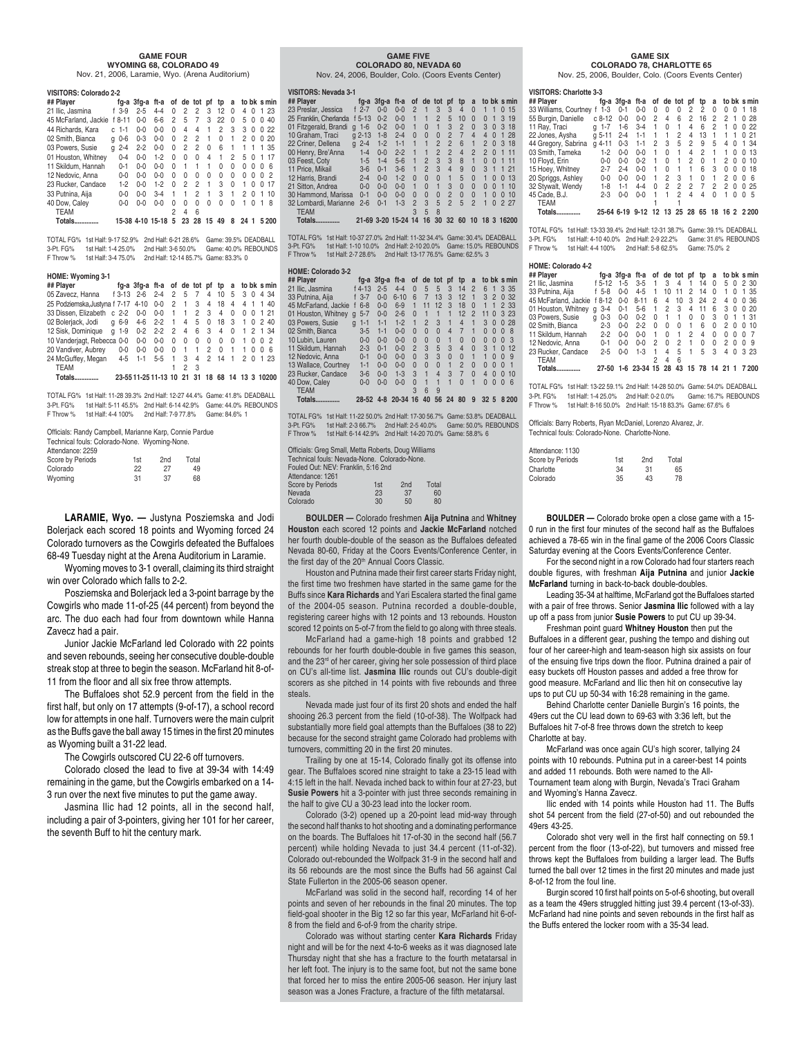#### **GAME FOUR WYOMING 68, COLORADO 49**

Nov. 21, 2006, Laramie, Wyo. (Arena Auditorium)

| VISITORS: Colorado 2-2 |    |         |            |                  |          |    |          |          |          |          |    |              |              |             |
|------------------------|----|---------|------------|------------------|----------|----|----------|----------|----------|----------|----|--------------|--------------|-------------|
| ## Plaver              |    |         | fa-a 3fa-a | ft-a             | of       |    | de tot   | pf       | tp       | a        |    |              |              | to bk s min |
| 21 Ilic, Jasmina       |    | $f$ 3-9 | $2 - 5$    | $4-4$            | U        | 2  | 2        | 3        | 12       | O        | 4  | 0            | 1            | -23         |
| 45 McFarland, Jackie   |    | f 8-11  | $0 - 0$    | $6 - 6$          | 2        | 5  | 7        | 3        | 22       | 0        | 5  | 0            | 0            | 40          |
| 44 Richards, Kara      | C. | $1 - 1$ | $0 - 0$    | $0 - 0$          | U        | 4  | 4        | 1        | 2        | 3        | З  | 0            | 0            | 22          |
| 02 Smith, Bianca       | a  | $0-6$   | $0 - 3$    | $0 - 0$          | U        | 2  | 2        | 1        | U        | 1        | 2  | O            | 0            | 20          |
| 03 Powers, Susie       | a  | $2 - 4$ | $2 - 2$    | $0 - 0$          | $\Omega$ | 2  | 2        | $\Omega$ | 6        | 1        | 1  | 1            | 1            | 35          |
| 01 Houston, Whitney    |    | $0 - 4$ | $0 - 0$    | $1 - 2$          | U        | U  | U        | 4        | 1        | 2        | 5  | O            |              | 17          |
| 11 Skildum, Hannah     |    | $0 - 1$ | $0 - 0$    | $0 - 0$          | U        | 1  | 1        |          | U        | 0        | 0  | O            | O            | ĥ           |
| 12 Nedovic, Anna       |    | $0 - 0$ | $0 - 0$    | $0 - 0$          | U        | 0  | $\Omega$ | $\Omega$ | $\Omega$ | 0        | 0  | O            | <sup>0</sup> | 2           |
| 23 Rucker, Candace     |    | $1 - 2$ | $0 - 0$    | $1 - 2$          | U        | 2  | 2        | 1        | 3        | $\Omega$ | 1  | <sup>0</sup> | <sup>0</sup> | 17          |
| 33 Putnina, Aija       |    | $0 - 0$ | $0 - 0$    | $3 - 4$          | 1        | 1  | 2        | 1        | 3        | 1        | 2  | O            |              | 10          |
| 40 Dow, Caley          |    | $0 - 0$ | $0 - 0$    | $0 - 0$          | 0        | U  | U        | U        | U        | U        | 1  | O            | 1            | R           |
| <b>TEAM</b>            |    |         |            |                  | 2        | 4  | ĥ        |          |          |          |    |              |              |             |
| Totals.                |    |         |            | 15-38 4-10 15-18 | 5        | 23 | 28       | 15       | 49       | 8        | 24 | 1            |              | 5200        |

TOTAL FG% 1st Half: 9-17 52.9% 2nd Half: 6-21 28.6% Game: 39.5% DEADBALL 3-Pt. FG% 1st Half: 1-4 25.0% 2nd Half: 3-6 50.0% Game: 40.0% REBOUNDS F Throw % 1st Half: 3-4 75.0% 2nd Half: 12-14 85.7% Game: 83.3% 0

#### **HOME: Wyoming 3-1**

| ## Plaver                             |            |                         |         |          |                   |                 |               |                |                |                | fg-a 3fg-a ft-a of de tot pf tp a to bk s min |
|---------------------------------------|------------|-------------------------|---------|----------|-------------------|-----------------|---------------|----------------|----------------|----------------|-----------------------------------------------|
| 05 Zavecz. Hanna                      | f 3-13 2-6 |                         | $2 - 4$ | 2        | 5                 | $7\overline{ }$ | 4 10          |                |                |                | 5 3 0 4 34                                    |
| 25 Podziemska.Justvna f 7-17 4-10 0-0 |            |                         |         |          |                   | 2 1 3 4         |               | 18             | 4              |                | 4 1 1 40                                      |
| 33 Dissen, Elizabeth                  |            | $c 2-2 0-0$             | $0 - 0$ | $-1$     |                   | $1 \t2 \t3$     |               | 4              | $\Omega$       | 0 <sub>0</sub> | 1 21                                          |
| 02 Bolerjack, Jodi g 6-9 4-6 2-2 1    |            |                         |         |          |                   | 4 5 0           |               | -18            | $\mathbf{3}$   |                | 1 0 2 40                                      |
| 12 Sisk, Dominique                    |            | a 1-9 0-2 2-2           |         |          | $2\quad 4\quad 6$ |                 | 3             | $\overline{4}$ | $\Omega$       |                | 1 2 1 34                                      |
| 10 Vanderjagt, Rebecca 0-0            |            | $0-0$                   | $0 - 0$ | $\Omega$ | $\Omega$          | $\Omega$        | $\Omega$      | $\Omega$       | $\Omega$       | 1 <sub>0</sub> | - 0                                           |
| 20 Vandiver, Aubrey                   | $0-0$      | $0 - 0$                 | $0 - 0$ | $\Omega$ |                   | 1 1             | 2             | $\overline{0}$ | $\overline{1}$ | 1 <sub>0</sub> | - 6<br>- 0                                    |
| 24 McGuffey, Megan                    | $4 - 5$    | $1 - 1$                 | $5 - 5$ | 1        | 3                 | $\overline{4}$  | $\mathcal{P}$ | 14 1           |                | 2 <sub>0</sub> | 1 23                                          |
| <b>TEAM</b>                           |            |                         |         |          |                   | 3               |               |                |                |                |                                               |
| Totals.                               |            | 23-55 11-25 11-13 10 21 |         |          |                   |                 |               |                |                |                | 31 18 68 14 13 3 10200                        |

TOTAL FG% 1st Half: 11-28 39.3% 2nd Half: 12-27 44.4% Game: 41.8% DEADBALL 3-Pt. FG% 1st Half: 5-11 45.5% 2nd Half: 6-14 42.9% Game: 44.0% REBOUNDS F Throw % 1st Half: 4-4 100% 2nd Half: 7-9 77.8% Game: 84.6% 1

Officials: Randy Campbell, Marianne Karp, Connie Pardue Technical fouls: Colorado-None. Wyoming-None.

Attendance: 2259 Score by Periods 1st 2nd Total<br>Colorado 22 27 49

Colorado 22 27 49 Wyoming

**LARAMIE, Wyo. —** Justyna Posziemska and Jodi Bolerjack each scored 18 points and Wyoming forced 24 Colorado turnovers as the Cowgirls defeated the Buffaloes 68-49 Tuesday night at the Arena Auditorium in Laramie.

Wyoming moves to 3-1 overall, claiming its third straight win over Colorado which falls to 2-2.

Posziemska and Bolerjack led a 3-point barrage by the Cowgirls who made 11-of-25 (44 percent) from beyond the arc. The duo each had four from downtown while Hanna Zavecz had a pair.

Junior Jackie McFarland led Colorado with 22 points and seven rebounds, seeing her consecutive double-double streak stop at three to begin the season. McFarland hit 8-of-11 from the floor and all six free throw attempts.

The Buffaloes shot 52.9 percent from the field in the first half, but only on 17 attempts (9-of-17), a school record low for attempts in one half. Turnovers were the main culprit as the Buffs gave the ball away 15 times in the first 20 minutes as Wyoming built a 31-22 lead.

The Cowgirls outscored CU 22-6 off turnovers.

Colorado closed the lead to five at 39-34 with 14:49 remaining in the game, but the Cowgirls embarked on a 14- 3 run over the next five minutes to put the game away.

Jasmina Ilic had 12 points, all in the second half, including a pair of 3-pointers, giving her 101 for her career, the seventh Buff to hit the century mark.

#### **GAME FIVE COLORADO 80, NEVADA 60**

Nov. 24, 2006, Boulder, Colo. (Coors Events Center)

| VISITORS: Nevada 3-1    |              |            |                  |                |                |                |                 |                |                |                |          |                |  |
|-------------------------|--------------|------------|------------------|----------------|----------------|----------------|-----------------|----------------|----------------|----------------|----------|----------------|--|
| ## Plaver               |              | fa-a 3fa-a | ft-a             | <b>of</b>      |                | de tot         | pf              | tp             | a              |                |          | to bk s min    |  |
| 23 Preslar, Jessica     | $f$ 2-7      | $0 - 0$    | $0 - 0$          | $\overline{2}$ |                | 3              | 3               |                | $\Omega$       |                |          | 15<br>$\Omega$ |  |
| 25 Franklin, Cherlanda  | $f_{5-13}$   | $0 - 2$    | $0 - 0$          | 1              |                | $\mathfrak{p}$ | 5               | 10             | $\Omega$       | $\Omega$       | 1        | 319            |  |
| 01 Fitzgerald, Brandi   | $1 - 6$<br>q | $0 - 2$    | $0 - 0$          | 1              | $\Omega$       | 1              | 3               | $\mathfrak{p}$ | $\Omega$       | 3              | $\Omega$ | 318            |  |
| 10 Graham, Traci        | $a$ 2-13     | $1 - 8$    | $2 - 4$          | $\Omega$       | $\Omega$       | $\Omega$       | $\overline{2}$  | 7              | 4              | 4              | $\Omega$ | 128            |  |
| 22 Criner, Dellena<br>a | $2 - 4$      | $1-2$      | $1 - 1$          | 1              |                | $\mathfrak{D}$ | $\mathfrak{D}$  | 6              | 1              | $\mathfrak{p}$ | $\Omega$ | 318            |  |
| 00 Henry, Bre'Anna      | $1 - 4$      | $0 - 0$    | $2 - 2$          | 1              |                | $\mathfrak{p}$ | $\mathfrak{p}$  | $\overline{4}$ | $\mathfrak{p}$ | $\mathfrak{p}$ | $\Omega$ | 11             |  |
| 03 Feest, Coty          | $1 - 5$      | $1 - 4$    | $5 - 6$          | 1              | $\overline{2}$ | 3              | 3               | 8              | 1              | $\Omega$       | $\Omega$ | 111            |  |
| 11 Price, Mikail        | $3-6$        | $0 - 1$    | $3-6$            | 1              | $\overline{2}$ | 3              | 4               | 9              | $\Omega$       | 3              | -1       | 21<br>÷        |  |
| 12 Harris, Brandi       | $2 - 4$      | $0 - 0$    | $1 - 2$          | $\Omega$       | $\Omega$       | $\Omega$       |                 | 5              | $\Omega$       | 1              | $\Omega$ | 13<br>$\Omega$ |  |
| 21 Sitton, Andrea       | $0 - 0$      | $0 - 0$    | $0 - 0$          | 1              | $\Omega$       |                | 3               | $\Omega$       | $\Omega$       | $\Omega$       | $\Omega$ | 10<br>1        |  |
| 30 Hammond, Marissa     | $0 - 1$      | $0 - 0$    | $0 - 0$          | $\Omega$       | $\Omega$       | $\Omega$       | $\overline{2}$  | $\Omega$       | $\Omega$       |                | $\Omega$ | 10<br>$\Omega$ |  |
| 32 Lombardi, Marianne   | $2 - 6$      | $0 - 1$    | $1 - 3$          | $\overline{2}$ | 3              | 5              | $\mathfrak{p}$  | 5              | $\mathfrak{p}$ | 1              | $\Omega$ | 227            |  |
| <b>TEAM</b>             |              |            |                  | 3              | 5              | 8              |                 |                |                |                |          |                |  |
| <b>Totals</b>           |              |            | 21-69 3-20 15-24 | 14             | 16             | 30             | 32 <sup>2</sup> | 60             | 10             |                |          | 18 3 16200     |  |

TOTAL FG% 1st Half: 10-37 27.0% 2nd Half: 11-32 34.4% Game: 30.4% DEADBALL 3-Pt. FG% 1st Half: 1-10 10.0% 2nd Half: 2-10 20.0% Game: 15.0% REBOUNDS F Throw % 1st Half: 2-7 28.6% 2nd Half: 13-17 76.5% Game: 62.5% 3

**HOME: Colorado 3-2 ## Player fg-a 3fg-a ft-a of de tot pf tp a to bk s min** 21 Ilic, Jasmina f 4-13 2-5 4-4 0 5 5 3 14 2 6 1 3 35 21 Ilic, Jasmina 14-13 2-5 4-4 0 5 5 3 14 2 6 1 3 35<br>33 Putnina, Aija 1 3-7 0-0 6-10 6 7 13 3 12 1 3 2 0 32<br>45 McFarland, Jackie 1 6-8 0-0 6-9 1 11 12 3 18 0 1 1 2 33<br>01 Plouston, Whitney g 5-7 0-0 2-6 0 1 1 1 1 2 3 11 0 3 45 McFarland, Jackie f 6-8 0-0 6-9 1 11 12 3 18 0 1 1 2 33 01 Houston, Whitney g 5-7 0-0 2-6 0 1 1 1 1 1 2 2 11 0 3 23<br>03 Powers, Susie g 1-1 1-1 1-2 1 2 3 1 4 1 3 0 0 28 03 Powers, Susie g 1-1 1-1 1-2 1 2 3 1 4 1 3 0 0 28 02 Smith, Bianca 3-5 1-1 0-0 0 0 0 4 7 1 0008 10 Lubin, Lauren 0-0 0-0 0-0 0 0 0 1 0 0 0003 11 Skildum, Hannah 2-3 0-1 0-0 2 3 5 3 4 0 3 1 0 12<br>12 Nedovic, Anna 0-1 0-0 0-0 0 3 3 0 0 1 1 0 0 9<br>13 Wallace, Courtney 1-1 0-0 0-0 0 0 0 1 2 0 0 0 0 1  $\begin{array}{cccc} 0 & 1 & 1 & 0 & 0 & 9 \\ 2 & 0 & 0 & 0 & 0 & 1 \end{array}$ 13 Wallace, Courtney 1-1 0-0 0-0 0 0 0 1 2 0<br>23 Rucker, Candace 3-6 0-0 1-3 3 1 4 3 7 0 Pucker, Candace 3-6 0-0 1-3 3 1 4<br>Dow Calev 0-0 0-0 0-0 1 1 1 0 1 0 0 0 6 40 Dow, Caley<br>TEAM<br>Totals........ **Totals.............. 28-52 4-8 20-34 16 40 56 24 80 9 32 5 8 200**

TOTAL FG% 1st Half: 11-22 50.0% 2nd Half: 17-30 56.7% Game: 53.8% DEADBALL 3-Pt. FG% 1st Half: 2-3 66.7% 2nd Half: 2-5 40.0% F Throw % 1st Half: 6-14 42.9% 2nd Half: 14-20 70.0% Game: 58.8% 6

Officials: Greg Small, Metta Roberts, Doug Williams Technical fouls: Nevada-None. Colorado-None. Fouled Out: NEV: Franklin, 5:16 2nd Attendance: 1261 Score by Periods 1st 2nd Total<br>Nevada 23 37 60 Nevada 23 37 60 Colorado

**BOULDER —** Colorado freshmen **Aija Putnina** and **Whitney Houston** each scored 12 points and **Jackie McFarland** notched her fourth double-double of the season as the Buffaloes defeated Nevada 80-60, Friday at the Coors Events/Conference Center, in the first day of the 20th Annual Coors Classic.

Houston and Putnina made their first career starts Friday night, the first time two freshmen have started in the same game for the Buffs since **Kara Richards** and Yari Escalera started the final game of the 2004-05 season. Putnina recorded a double-double, registering career highs with 12 points and 13 rebounds. Houston scored 12 points on 5-of-7 from the field to go along with three steals.

McFarland had a game-high 18 points and grabbed 12 rebounds for her fourth double-double in five games this season, and the 23<sup>rd</sup> of her career, giving her sole possession of third place on CU's all-time list. **Jasmina Ilic** rounds out CU's double-digit scorers as she pitched in 14 points with five rebounds and three steals.

Nevada made just four of its first 20 shots and ended the half shooing 26.3 percent from the field (10-of-38). The Wolfpack had substantially more field goal attempts than the Buffaloes (38 to 22) because for the second straight game Colorado had problems with turnovers, committing 20 in the first 20 minutes.

Trailing by one at 15-14, Colorado finally got its offense into gear. The Buffaloes scored nine straight to take a 23-15 lead with 4:15 left in the half. Nevada inched back to within four at 27-23, but **Susie Powers** hit a 3-pointer with just three seconds remaining in the half to give CU a 30-23 lead into the locker room.

Colorado (3-2) opened up a 20-point lead mid-way through the second half thanks to hot shooting and a dominating performance on the boards. The Buffaloes hit 17-of-30 in the second half (56.7 percent) while holding Nevada to just 34.4 percent (11-of-32). Colorado out-rebounded the Wolfpack 31-9 in the second half and its 56 rebounds are the most since the Buffs had 56 against Cal State Fullerton in the 2005-06 season opener.

McFarland was solid in the second half, recording 14 of her points and seven of her rebounds in the final 20 minutes. The top field-goal shooter in the Big 12 so far this year, McFarland hit 6-of-8 from the field and 6-of-9 from the charity stripe.

Colorado was without starting center **Kara Richards** Friday night and will be for the next 4-to-6 weeks as it was diagnosed late Thursday night that she has a fracture to the fourth metatarsal in her left foot. The injury is to the same foot, but not the same bone that forced her to miss the entire 2005-06 season. Her injury last season was a Jones Fracture, a fracture of the fifth metatarsal.

#### **GAME SIX COLORADO 78, CHARLOTTE 65**

Nov. 25, 2006, Boulder, Colo. (Coors Events Center)

| VISITORS: Charlotte 3-3 |  |
|-------------------------|--|
|                         |  |

| ## Plaver               |            | fg-a 3fg-a ft-a             |         |          |   | of de tot pf |   | tp | a        |   |          | to bk s min      |
|-------------------------|------------|-----------------------------|---------|----------|---|--------------|---|----|----------|---|----------|------------------|
| 33 Williams, Courtney f | $1-3$      | $0 - 1$                     | $0 - 0$ | $\Omega$ | 0 | $\Omega$     | 2 | 2  | $\Omega$ | U | U        | 1 18             |
| 55 Burgin, Danielle     | $c.8 - 12$ | $0 - 0$                     | $0 - 0$ | 2        | 4 | 6            | 2 | 16 | 2        | 2 | 1        | 0.28             |
| 11 Ray, Traci           | -1-7<br>a  | $1-6$                       | $3-4$   | 1        | 0 | 1            | 4 | 6  | 2        |   | U        | 0.22             |
| 22 Jones, Aysha         | $a 5-11$   | $2 - 4$                     | $1 - 1$ | 1        | 1 | 2            | 4 | 13 | 1        | 1 | 1        | 021              |
| 44 Gregory, Sabrina     | a 4-11     | $0 - 3$                     | $1-1$   | 2        | 3 | 5            | 2 | 9  | 5        | 4 | 0        | 1 34             |
| 03 Smith, Tameka        | $1 - 2$    | $0 - 0$                     | በ-በ     | 1        | U | 1            | 4 | 2  | 1        | 1 | U        | -13<br>0         |
| 10 Floyd, Erin          | $0 - 0$    | $0 - 0$                     | $0 - 2$ |          | U |              | 2 | 0  | 1        | 2 | O        | 0, 10            |
| 15 Hoey, Whitney        | $2 - 7$    | $2 - 4$                     | $0 - 0$ |          | U | 1            | 1 | 6  | 3        | 0 | U        | 18<br>0          |
| 20 Spriggs, Ashley      | $0 - 0$    | $0 - 0$                     | $0 - 0$ | 1        | 2 | 3            | 1 | U  | 1        | 2 | $\Omega$ | - 6<br>O         |
| 32 Stywalt, Wendy       | $1-8$      | $1 - 1$                     | $4-4$   | $\Omega$ | 2 | 2            | 2 | 7  | 2        | 2 | $\Omega$ | 0.25             |
| 45 Cade, B.J.           | $2 - 3$    | $0 - 0$                     | በ-በ     |          |   | 2            | 4 | 4  | U        | 1 | U        | -5<br>O          |
| <b>TEAM</b>             |            |                             |         |          |   |              |   |    |          |   |          |                  |
| Totals.                 |            | 25-64 6-19 9-12 12 13 25 28 |         |          |   |              |   |    |          |   |          | 65 18 16 2 2 200 |
|                         |            |                             |         |          |   |              |   |    |          |   |          |                  |

TOTAL FG% 1st Half: 13-33 39.4% 2nd Half: 12-31 38.7% Game: 39.1% DEADBALL 1st Half: 4-10 40.0% 2nd Half: 2-9 22.2% Game: 31.6% REBOUNDS F Throw % 1st Half: 4-4 100% 2nd Half: 5-8 62.5% Game: 75.0% 2

| HOME: Colorado 4-2   |              |         |                                 |          |              |    |          |          |          |          |              |             |
|----------------------|--------------|---------|---------------------------------|----------|--------------|----|----------|----------|----------|----------|--------------|-------------|
| ## Player            |              |         | fg-a 3fg-a ft-a of de tot pf tp |          |              |    |          |          | a        |          |              | to bk s min |
| 21 Ilic. Jasmina     | $f_{5-12}$   | $1-5$   | $3 - 5$                         | 1        | 3            | 4  | 1        | 14       | 0        |          |              | 5 0 2 30    |
| 33 Putnina, Aiia     | $f$ 5-8      | $0 - 0$ | $4 - 5$                         | 1        | 10           | 11 | 2        | 14       | $\Omega$ | 1        | 0            | 1 35        |
| 45 McFarland. Jackie | f 8-12       | $0 - 0$ | $8 - 11$                        | 6        | 4            | 10 | 3        | 24       | 2        | 4        | 0            | 0.36        |
| 01 Houston, Whitney  | $3 - 4$<br>q | $0 - 1$ | $5-6$                           | 1        | 2            | 3  | 4        | 11       | 6        | 3        | $\Omega$     | 0.20        |
| 03 Powers, Susie     | $0 - 3$<br>a | $0 - 0$ | $0 - 2$                         | $\Omega$ | $\mathbf{1}$ | 1  | $\Omega$ | $\Omega$ | 3        | $\Omega$ | $\mathbf{1}$ | 1.31        |
| 02 Smith, Bianca     | $2 - 3$      | $0 - 0$ | $2 - 2$                         | $\Omega$ | $\Omega$     | U  | 1        | ĥ        | $\Omega$ | 2        | $\Omega$     | 0, 10       |
| 11 Skildum, Hannah   | $2 - 2$      | $0 - 0$ | $0 - 0$                         | 1        | $\Omega$     | 1  | 2        | 4        | U        | 0        | O            | - 7<br>0    |
| 12 Nedovic, Anna     | $0 - 1$      | $0 - 0$ | $0 - 0$                         | 2        | $\Omega$     | 2  | 1        | 0        | $\Omega$ | 2        | $\Omega$     | - 9<br>U    |
| 23 Rucker, Candace   | $2 - 5$      | በ-በ     | $1-3$                           | 1        | 4            | 5  | 1        | 5        | 3        | 4        | $\Omega$     | 323         |
| <b>TEAM</b>          |              |         |                                 | 2        | 4            | 6  |          |          |          |          |              |             |
| Totals.              | $27 - 50$    |         | 1-6 23-34 15 28                 |          |              | 43 |          | 15 78    | 14 21    |          |              | 7 200       |

TOTAL FG% 1st Half: 13-22 59.1% 2nd Half: 14-28 50.0% Game: 54.0% DEADBALL 3-Pt. FG% 1st Half: 1-4 25.0% 2nd Half: 0-2 0.0% Game: 16.7% REBOUNDS F Throw % 1st Half: 8-16 50.0% 2nd Half: 15-18 83.3% Game: 67.6% 6

Officials: Barry Roberts, Ryan McDaniel, Lorenzo Alvarez, Jr. Technical fouls: Colorado-None. Charlotte-None.

| Attendance: 1130 |                 |                 |       |
|------------------|-----------------|-----------------|-------|
| Score by Periods | 1 <sub>st</sub> | 2 <sub>nd</sub> | Total |
| Charlotte        | 34              | 31              | 65    |
| Colorado         | 35              | 43              | 78    |

**BOULDER —** Colorado broke open a close game with a 15- 0 run in the first four minutes of the second half as the Buffaloes achieved a 78-65 win in the final game of the 2006 Coors Classic Saturday evening at the Coors Events/Conference Center.

For the second night in a row Colorado had four starters reach double figures, with freshman **Aija Putnina** and junior **Jackie McFarland** turning in back-to-back double-doubles.

Leading 35-34 at halftime, McFarland got the Buffaloes started with a pair of free throws. Senior **Jasmina Ilic** followed with a lay up off a pass from junior **Susie Powers** to put CU up 39-34.

Freshman point guard **Whitney Houston** then put the Buffaloes in a different gear, pushing the tempo and dishing out four of her career-high and team-season high six assists on four of the ensuing five trips down the floor. Putnina drained a pair of easy buckets off Houston passes and added a free throw for good measure. McFarland and Ilic then hit on consecutive lay ups to put CU up 50-34 with 16:28 remaining in the game.

Behind Charlotte center Danielle Burgin's 16 points, the 49ers cut the CU lead down to 69-63 with 3:36 left, but the Buffaloes hit 7-of-8 free throws down the stretch to keep Charlotte at bay.

McFarland was once again CU's high scorer, tallying 24 points with 10 rebounds. Putnina put in a career-best 14 points and added 11 rebounds. Both were named to the All-Tournament team along with Burgin, Nevada's Traci Graham and Wyoming's Hanna Zavecz.

Ilic ended with 14 points while Houston had 11. The Buffs shot 54 percent from the field (27-of-50) and out rebounded the 49ers 43-25.

Colorado shot very well in the first half connecting on 59.1 percent from the floor (13-of-22), but turnovers and missed free throws kept the Buffaloes from building a larger lead. The Buffs turned the ball over 12 times in the first 20 minutes and made just 8-of-12 from the foul line.

Burgin scored 10 first half points on 5-of-6 shooting, but overall as a team the 49ers struggled hitting just 39.4 percent (13-of-33). McFarland had nine points and seven rebounds in the first half as the Buffs entered the locker room with a 35-34 lead.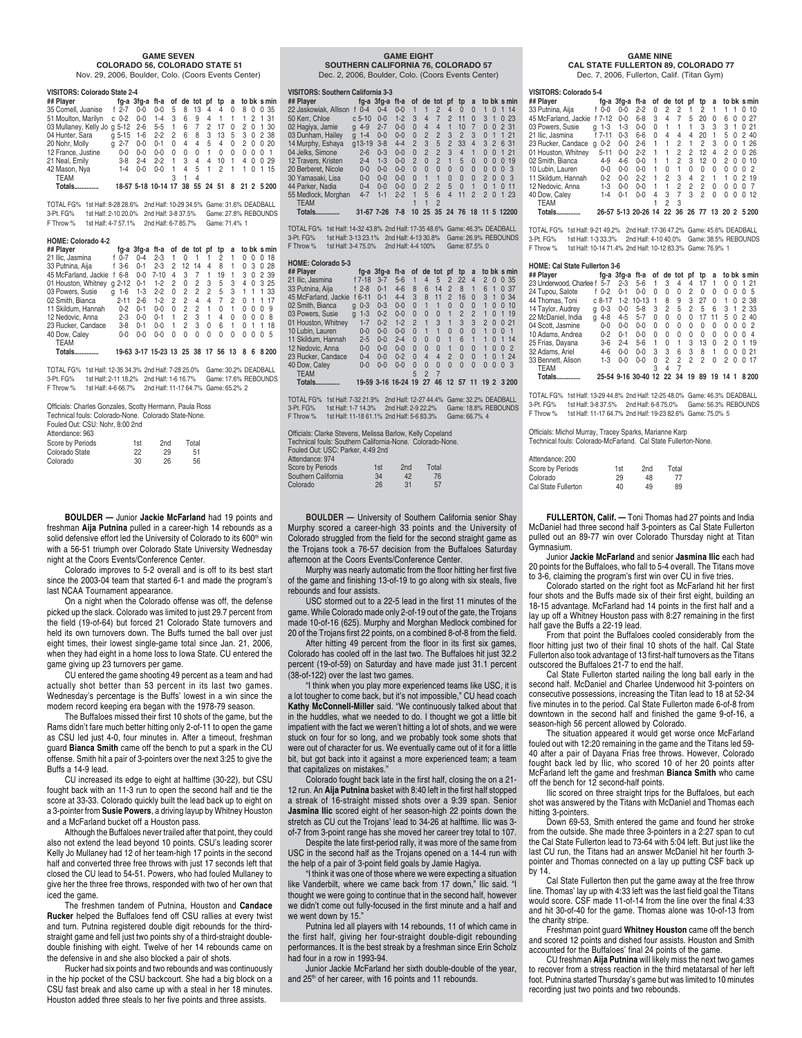#### **GAME SEVEN COLORADO 56, COLORADO STATE 51**

Nov. 29, 2006, Boulder, Colo. (Coors Events Center)

#### **VISITORS: Colorado State 2-4**

| ## Player             |              | fg-a 3fg-a ft-a of de tot pf tp |         |              |   |             |   |                | a        |               | to bk s min        |
|-----------------------|--------------|---------------------------------|---------|--------------|---|-------------|---|----------------|----------|---------------|--------------------|
| 35 Cornell, Juanise   | f $2-7$      | $0 - 0$                         | $0 - 0$ | 5            | 8 | 13          | 4 | 4              | $\Omega$ | 8<br>0        | 0.35               |
| 51 Moulton, Marilyn   | $c0-2$       | $0 - 0$                         | 1-4     | 3            | 6 | 9           | 4 | $\overline{1}$ |          | 2<br>1.       | 1 31               |
| 03 Mullaney, Kelly Jo | $a 5-12$     | $2 - 6$                         | $5 - 5$ | $\mathbf{1}$ | 6 | 7           | 2 | 17             | 0        | 2<br>$\Omega$ | -30<br>1.          |
| 04 Hunter, Sara       | $a 5-15$     | 1-6                             | $2 - 2$ | 2            | 6 | 8           | 3 | -13            | 5        | 30            | 2 38               |
| 20 Nohr, Molly        | $2 - 7$<br>α | $0 - 0$                         | $0 - 1$ | 0            | 4 | 4           | 5 | 4              | 0        | 2<br>$\Omega$ | 0.20               |
| 12 France, Justine    | በ-በ          | $0 - 0$                         | $0 - 0$ | U            | U | U           | 1 | U              | U        | U<br>0        | <sup>0</sup><br>-1 |
| 21 Neal, Emily        | $3-8$        | $2 - 4$                         | $2-2$   |              | 3 | 4           | 4 | 10             |          | 4<br>$\Omega$ | 0.29               |
| 42 Mason, Nya         | $1 - 4$      | $0 - 0$                         | 0-0     |              | 4 | 5           | 1 | 2              |          | 0<br>1        | 1 15               |
| <b>TEAM</b>           |              |                                 |         |              |   | 4           |   |                |          |               |                    |
| Totals.               |              | 18-57 5-18 10-14 17             |         |              |   | 38 55 24 51 |   |                |          |               | 8 21 2 5 200       |

TOTAL FG% 1st Half: 8-28 28.6% 2nd Half: 10-29 34.5% Game: 31.6% DEADBALL 3-Pt. FG% 1st Half: 2-10 20.0% 2nd Half: 3-8 37.5% Game: 27.8% REBOUNDS F Throw % 1st Half: 4-7 57.1% 2nd Half: 6-7 85.7% Game: 71.4% 1

**HOME: Colorado 4-2**

| ## Player            |   |           | fa-a 3fa-a ft-a |                           |   |          | of de tot pf tp |    |                | a        |          |              | to bk s min |
|----------------------|---|-----------|-----------------|---------------------------|---|----------|-----------------|----|----------------|----------|----------|--------------|-------------|
| 21 Ilic. Jasmina     |   | $f_{0-7}$ | $0 - 4$         | $2 - 3$                   | 1 | $\Omega$ | 1               | 1  | 2              | 1        | 0        | 0            | 0.18        |
| 33 Putnina, Aiia     |   | $f$ 3-6   | $0 - 1$         | $2 - 3$                   | 2 | 12       | 14              | 4  | 8              | 1        | 0        | 3            | 0.28        |
| 45 McFarland, Jackie |   | $6 - 8$   | $0 - 0$         | $7 - 10$                  | 4 | 3        | 7               | 1  | 19             | 1        | 3        | $\Omega$     | 2 39        |
| 01 Houston, Whitney  |   | $q2-12$   | $0 - 1$         | $1 - 2$                   | 2 | $\Omega$ | 2               | 3  | 5              | 3        | 4        | 0            | 325         |
| 03 Powers, Susie     | a | $1 - 6$   | $1-3$           | $2 - 2$                   | 0 | 2        | $\overline{c}$  | 2  | 5              | 3        | 1        |              | 1 33        |
| 02 Smith, Bianca     |   | $2 - 11$  | $2 - 6$         | $1-2$                     | 2 | 2        | 4               | 4  | $\overline{7}$ | 2        | $\Omega$ | $\mathbf{1}$ | 17<br>1     |
| 11 Skildum, Hannah   |   | $0 - 2$   | $0 - 1$         | $0 - 0$                   | U | 2        | 2               | 1  | 0              | 1        | 0        | <sup>0</sup> | -9<br>0     |
| 12 Nedovic, Anna     |   | $2 - 3$   | $0 - 0$         | $0 - 1$                   | 1 | 2        | 3               | 1  | 4              | $\Omega$ | 0        | <sup>0</sup> | -8<br>O     |
| 23 Rucker, Candace   |   | $3 - 8$   | $0 - 1$         | $0 - 0$                   |   | 2        | 3               | 0  | 6              | 1        | $\Omega$ | 1            | 18<br>1.    |
| 40 Dow, Caley        |   | $0 - 0$   | $0 - 0$         | 0-0                       | U | U        | U               | U  | U              | U        | 0        | O            | - 5<br>0    |
| <b>TEAM</b>          |   |           |                 |                           |   |          |                 |    |                |          |          |              |             |
| Totals.              |   |           |                 | 19-63 3-17 15-23 13 25 38 |   |          |                 | 17 | 56             | 13       | 8        | 6            | 8.200       |

TOTAL FG% 1st Half: 12-35 34.3% 2nd Half: 7-28 25.0% Game: 30.2% DEADBALL 3-Pt. FG% 1st Half: 2-11 18.2% 2nd Half: 1-6 16.7% Game: 17.6% REBOUNDS F Throw % 1st Half: 4-6 66.7% 2nd Half: 11-17 64.7% Game: 65.2% 2

Officials: Charles Gonzales, Scotty Hermann, Paula Ross Technical fouls: Colorado-None. Colorado State-None. Fouled Out: CSU: Nohr, 8:00 2nd Attendance: 963

| Allchuance, 500  |     |                 |       |  |
|------------------|-----|-----------------|-------|--|
| Score by Periods | 1st | 2 <sub>nd</sub> | Total |  |
| Colorado State   | 22  | 29              | 51    |  |
| Colorado         | 30  | 26              | 56    |  |
|                  |     |                 |       |  |

**BOULDER —** Junior **Jackie McFarland** had 19 points and freshman **Aija Putnina** pulled in a career-high 14 rebounds as a solid defensive effort led the University of Colorado to its 600<sup>th</sup> win with a 56-51 triumph over Colorado State University Wednesday night at the Coors Events/Conference Center.

Colorado improves to 5-2 overall and is off to its best start since the 2003-04 team that started 6-1 and made the program's last NCAA Tournament appearance.

On a night when the Colorado offense was off, the defense picked up the slack. Colorado was limited to just 29.7 percent from the field (19-of-64) but forced 21 Colorado State turnovers and held its own turnovers down. The Buffs turned the ball over just eight times, their lowest single-game total since Jan. 21, 2006, when they had eight in a home loss to Iowa State. CU entered the game giving up 23 turnovers per game.

CU entered the game shooting 49 percent as a team and had actually shot better than 53 percent in its last two games. Wednesday's percentage is the Buffs' lowest in a win since the modern record keeping era began with the 1978-79 season.

The Buffaloes missed their first 10 shots of the game, but the Rams didn't fare much better hitting only 2-of-11 to open the game as CSU led just 4-0, four minutes in. After a timeout, freshman guard **Bianca Smith** came off the bench to put a spark in the CU offense. Smith hit a pair of 3-pointers over the next 3:25 to give the Buffs a 14-9 lead.

CU increased its edge to eight at halftime (30-22), but CSU fought back with an 11-3 run to open the second half and tie the score at 33-33. Colorado quickly built the lead back up to eight on a 3-pointer from **Susie Powers**, a driving layup by Whitney Houston and a McFarland bucket off a Houston pass.

Although the Buffaloes never trailed after that point, they could also not extend the lead beyond 10 points. CSU's leading scorer Kelly Jo Mullaney had 12 of her team-high 17 points in the second half and converted three free throws with just 17 seconds left that closed the CU lead to 54-51. Powers, who had fouled Mullaney to give her the three free throws, responded with two of her own that iced the game.

The freshmen tandem of Putnina, Houston and **Candace Rucker** helped the Buffaloes fend off CSU rallies at every twist and turn. Putnina registered double digit rebounds for the thirdstraight game and fell just two points shy of a third-straight doubledouble finishing with eight. Twelve of her 14 rebounds came on the defensive in and she also blocked a pair of shots.

Rucker had six points and two rebounds and was continuously in the hip pocket of the CSU backcourt. She had a big block on a CSU fast break and also came up with a steal in her 18 minutes. Houston added three steals to her five points and three assists.

#### **GAME EIGHT**

**SOUTHERN CALIFORNIA 76, COLORADO 57** Dec. 2, 2006, Boulder, Colo. (Coors Events Center)

#### **VISITORS: Southern California 3-3**

| ## Plaver             |                     | fg-a 3fg-a | ft-a    | 0f             | de tot         |                | pf             | tp             | a              |                |                | to bk s min    |               |
|-----------------------|---------------------|------------|---------|----------------|----------------|----------------|----------------|----------------|----------------|----------------|----------------|----------------|---------------|
| 22 Jaskowiak, Allison | $0 - 4$<br>t.       | $0 - 4$    | $0 - 0$ | 1              |                | $\overline{2}$ | 4              | $\Omega$       | $\Omega$       | 1              | $\Omega$       | -14<br>4       |               |
| 50 Kerr, Chloe        | $c5-10$             | $0 - 0$    | $1 - 2$ | 3              | $\overline{4}$ | $\overline{7}$ | $\mathfrak{D}$ | 11             | $\Omega$       | 3              | -1             | $\Omega$       | 23            |
| 02 Hagiya, Jamie      | $4 - 9$<br>$\alpha$ | $2 - 7$    | $0 - 0$ | $\Omega$       | $\overline{4}$ | $\overline{4}$ | 1              | 10             | 7              | $\Omega$       | $\Omega$       | 2 31           |               |
| 03 Dunham, Hailey     | $1 - 4$<br>$\alpha$ | $0 - 0$    | $0 - 0$ | $\Omega$       | $\overline{2}$ | $\overline{2}$ | 3              | $\overline{2}$ | 3              | $\Omega$       | л              | 1, 21          |               |
| 14 Murphy, Eshaya     | $q13-19$            | $3 - 8$    | $4 - 4$ | $\mathfrak{p}$ | 3              | 5              | $\overline{2}$ | 33             | $\overline{4}$ | 3              | $\overline{2}$ | 6 31           |               |
| 04 Jelks, Simone      | $2 - 6$             | $0 - 3$    | $0 - 0$ | $\Omega$       | $\overline{2}$ | $\overline{2}$ | 3              | $\overline{4}$ | 1              | $\Omega$       | $\Omega$       | 21<br>1        |               |
| 12 Travers, Kristen   | $2 - 4$             | $1-3$      | $0 - 0$ | $\mathfrak{p}$ | $\Omega$       | $\mathfrak{p}$ | $\mathbf{1}$   | 5              | $\Omega$       | $\Omega$       | $\Omega$       | $\Omega$       | 19            |
| 20 Berberet, Nicole   | $0 - 0$             | $0 - 0$    | $0 - 0$ | $\Omega$       | $\Omega$       | $\Omega$       | $\Omega$       | $\Omega$       | $\Omega$       | $\Omega$       | $\Omega$       | -3<br>$\Omega$ |               |
| 30 Yamasaki, Lisa     | $0 - 0$             | $0 - 0$    | $0 - 0$ | $\Omega$       | 1              | 1              | $\Omega$       | $\Omega$       | $\Omega$       | $\mathfrak{p}$ | $\Omega$       | $\Omega$       | $\mathcal{S}$ |
| 44 Parker, Nadia      | $0 - 4$             | $0 - 0$    | $0 - 0$ | $\Omega$       | $\overline{2}$ | $\mathfrak{p}$ | 5              | $\Omega$       | 1              | $\Omega$       | п              | $\Omega$       | 11            |
| 55 Medlock, Morghan   | $4 - 7$             | $1 - 1$    | $2 - 2$ | 1              | 5              | 6              | 4              | 11             | 2              | $\mathfrak{p}$ | $\Omega$       | 1              | 23            |
| <b>TEAM</b>           |                     |            |         |                |                | $\overline{2}$ |                |                |                |                |                |                |               |
| Totals.               | 31-67 7-26          |            | $7 - 8$ | 10             | 25             | 35             | 24             | 76             | 18             | -11            |                | 5 12200        |               |

TOTAL FG% 1st Half: 14-32 43.8% 2nd Half: 17-35 48.6% Game: 46.3% DEADBALL 3-Pt. FG% 1st Half: 3-13 23.1% 2nd Half: 4-13 30.8% Game: 26.9% REBOUNDS F Throw % 1st Half: 3-4 75.0% 2nd Half: 4-4 100% Game: 87.5% 0

**HOME: Colorado 5-3 ## Player fg-a 3fg-a ft-a of de tot pf tp a to bk s min** 21 Ilic, Jasmina f 7-18 3-7 5-6 1 4 5 2 22 4 2 0 0 35 23 Putnina, Aija 17-18 3-7 5-6 1 4 5 2 22 4 2 0 0 35<br>33 Putnina, Aija 1 2-8 0-1 4-6 8 6 14 2 8 1 6 1 0 37<br>45 McFarland, Jackie 16-11 0-1 4-4 3 8 11 2 16 0 3 1 0 34<br>02 Smith, Bianca g 0 3 3 0-3 0-0 0 1 1 0 0 0 1 0 2 1 0 119 45 McFarland, Jackie f 6-11 0-1 4-4 3<br>02 Smith, Bianca g 0-3 0-3 0-0 0<br>03 Powers, Susie g 1-3 0-2 0-0 0<br>01 Houston, Whitney 1-7 0-2 1-2 2 02 Smith, Bianca g 0-3 0-3 0-0 0 1 1 0 0 0 1 0 0 10 03 Powers, Susie g 1-3 0-2 0-0 0 0 0 1 2 2 1 0 1 19 01 Houston, Whitney 1-7 0-2 1-2 2 1 3 1 3 3 2 0 0 21 10 Lubin, Lauren 0-0 0-0 0-0 0 1 1 0 0 0 1001 11 Skildum, Hannah 2-5 0-0 2-4 0 0 0 1 6 1 1 0 1 14 12 Nedovic, Anna 0 0 0 0 0 0 0 0 0 0 1 0 0 1 0 0 2<br>23 Rucker, Candace 0 4 0 0 0 2 0 4 4 2 0 0 1 0 1 24<br>40 Dow. Calev 0 0 0 0 0 0 0 0 0 0 0 0 0 0 0 3 23 Rucker, Candace 0-4 0-0 0-2 0 4 4 2 0 0 1 0 1 24 40 Dow, Caley 0-0 0-0 0-0 0 0 0 0 0 0 0 0 0 3 40 Dow, Caley<br>TEAM<br>Totals **Totals.............. 19-59 3-16 16-24 19 27 46 12 57 11 19 2 3 200**

TOTAL FG% 1st Half: 7-32 21.9% 2nd Half: 12-27 44.4% Game: 32.2% DEADBALL 3-Pt. FG% 1st Half: 1-7 14.3% 2nd Half: 2-9 22.2% Game: 18.8% REBOUNDS F Throw % 1st Half: 11-18 61.1% 2nd Half: 5-6 83.3% Game: 66.7% 4

Officials: Clarke Stevens, Melissa Barlow, Kelly Copeland Technical fouls: Southern California-None. Colorado-None.

Fouled Out: USC: Parker, 4:49 2nd Attendance: 974 Score by Periods 1st 2nd Total Southern California  $34$  42 76<br>Colorado 26 31 57 Colorado

**BOULDER —** University of Southern California senior Shay Murphy scored a career-high 33 points and the University of Colorado struggled from the field for the second straight game as the Trojans took a 76-57 decision from the Buffaloes Saturday afternoon at the Coors Events/Conference Center.

Murphy was nearly automatic from the floor hitting her first five of the game and finishing 13-of-19 to go along with six steals, five rebounds and four assists.

USC stormed out to a 22-5 lead in the first 11 minutes of the game. While Colorado made only 2-of-19 out of the gate, the Trojans made 10-of-16 (625). Murphy and Morghan Medlock combined for 20 of the Trojans first 22 points, on a combined 8-of-8 from the field.

After hitting 49 percent from the floor in its first six games, Colorado has cooled off in the last two. The Buffaloes hit just 32.2 percent (19-of-59) on Saturday and have made just 31.1 percent (38-of-122) over the last two games.

"I think when you play more experienced teams like USC, it is a lot tougher to come back, but it's not impossible," CU head coach **Kathy McConnell-Miller** said. "We continuously talked about that in the huddles, what we needed to do. I thought we got a little bit impatient with the fact we weren't hitting a lot of shots, and we were stuck on four for so long, and we probably took some shots that were out of character for us. We eventually came out of it for a little bit, but got back into it against a more experienced team; a team that capitalizes on mistakes."

Colorado fought back late in the first half, closing the on a 21- 12 run. An **Aija Putnina** basket with 8:40 left in the first half stopped a streak of 16-straight missed shots over a 9:39 span. Senior **Jasmina Ilic** scored eight of her season-high 22 points down the stretch as CU cut the Trojans' lead to 34-26 at halftime. Ilic was 3 of-7 from 3-point range has she moved her career trey total to 107.

Despite the late first-period rally, it was more of the same from USC in the second half as the Trojans opened on a 14-4 run with the help of a pair of 3-point field goals by Jamie Hagiya.

"I think it was one of those where we were expecting a situation like Vanderbilt, where we came back from 17 down," Ilic said. "I thought we were going to continue that in the second half, however we didn't come out fully-focused in the first minute and a half and we went down by 15."

Putnina led all players with 14 rebounds, 11 of which came in the first half, giving her four-straight double-digit rebounding performances. It is the best streak by a freshman since Erin Scholz .<br>had four in a row in 1993-94.

Junior Jackie McFarland her sixth double-double of the year, and 25<sup>th</sup> of her career, with 16 points and 11 rebounds.

#### **GAME NINE**

 **CAL STATE FULLERTON 89, COLORADO 77** Dec. 7, 2006, Fullerton, Calif. (Titan Gym)

| ## Player            |              | fg-a 3fg-a ft-a |                     |   |    | of de tot | pt | tp  | a  |                 |          |   | to bk s min    |
|----------------------|--------------|-----------------|---------------------|---|----|-----------|----|-----|----|-----------------|----------|---|----------------|
| 33 Putnina, Aija     | f 0-0        | $0 - 0$         | $2 - 2$             |   | 2  | 2         |    | 2   |    |                 |          | 0 | 10             |
| 45 McFarland, Jackie | f 7-12       | $0 - 0$         | $6 - 8$             | 3 | 4  | 7         | 5  | 20  | U  | հ               | $\Omega$ | 0 | 27             |
| 03 Powers, Susie     | -1-3<br>a    | $1 - 3$         | $0 - 0$             | 0 |    |           | 1  | 3   | 3  | 3               | 1        |   | 0.21           |
| 21 Ilic. Jasmina     | f 7-11       | $0 - 3$         | $6-6$               | U | 4  | 4         | 4  | 20  | 1  | 5               | 0        |   | 240            |
| 23 Rucker. Candace   | $0 - 2$<br>a | $0 - 0$         | $2 - 6$             |   |    | 2         | 1  | 2   | 3  | 0               | U        | 1 | -26            |
| 01 Houston, Whitnev  | $5 - 11$     | $0 - 0$         | $2 - 2$             |   |    | 2         | 2  | 12  | 4  | 2               | U        |   | 0.26           |
| 02 Smith, Bianca     | $4 - 9$      | $4-6$           | $0 - 0$             |   |    | 2         | 3  | 12  | 0  | 2               | U        | U | 10             |
| 10 Lubin, Lauren     | $0 - 0$      | $0 - 0$         | $0 - 0$             |   | U  |           | U  | 0   | U  | 0               | O        | 0 | $\overline{2}$ |
| 11 Skildum, Hannah   | $0 - 2$      | $0 - 0$         | $2 - 2$             |   | 2  | 3         | 4  | 2   | 1  |                 | U        |   | 2 19           |
| 12 Nedovic, Anna     | $1 - 3$      | $0 - 0$         | $0 - 0$             |   |    | 2         | 2  | 2   | U  | U               | U        | O |                |
| 40 Dow, Caley        | 1-4          | $0 - 1$         | በ-በ                 | 4 | 3  |           | 3  | 2   | U  | U               | U        | 0 | 12             |
| <b>TEAM</b>          |              |                 |                     |   | 2  | 3         |    |     |    |                 |          |   |                |
| Totals.              |              |                 | 26-57 5-13 20-26 14 |   | 22 | 36        | 26 | -77 | 13 | 20 <sub>2</sub> |          |   | 5 2 0 0        |
|                      |              |                 |                     |   |    |           |    |     |    |                 |          |   |                |

TOTAL FG% 1st Half: 9-21 49.2% 2nd Half: 17-36 47.2% Game: 45.6% DEADBALL 3-Pt. FG% 1st Half: 1-3 33.3% 2nd Half: 4-10 40.0% Game: 38.5% REBOUNDS F Throw % 1st Half: 10-14 71.4% 2nd Half: 10-12 83.3% Game: 76.9% 1

#### **HOME: Cal State Fullerton 3-6**

|   |         |                                                    |         |                            |          |   |                           | tp           | a        |   |   | to bk s min         |
|---|---------|----------------------------------------------------|---------|----------------------------|----------|---|---------------------------|--------------|----------|---|---|---------------------|
|   | $5 - 7$ | $2 - 3$                                            | $5-6$   |                            | З        | 4 | 4                         | 17           |          | 0 | 0 | 1 21                |
|   |         | $0 - 1$                                            | $0 - 0$ | U                          | U        | 0 | 2                         | $\Omega$     | 0        | U | U | - 5<br>$^{(1)}$     |
|   |         | $1-2$                                              |         |                            | 8        | 9 | 3                         | 27           | $\Omega$ | 1 | U | 2 38                |
| a | $0 - 3$ | $0 - 0$                                            | $5-8$   | 3                          | 2        | 5 | 2                         | 5            | 6        | 3 | 1 | 2 33                |
|   | $4 - 8$ | $4 - 5$                                            | $5 - 7$ | U                          | $\Omega$ | 0 | 0                         | 17           | 11       | 5 | 0 | 240                 |
|   | $0 - 0$ | $0 - 0$                                            | $0 - 0$ | U                          | U        | U | U                         | $\Omega$     | 0        | U | O | - 2<br>$^{(1)}$     |
|   | $0 - 2$ | $0 - 1$                                            | በ-በ     | U                          | U        | U | U                         | $\Omega$     | 0        | U | U | 0<br>$\overline{4}$ |
|   | $3-6$   | $2 - 4$                                            | $5-6$   | 1                          | U        | 1 | 3                         | 13           | $\Omega$ | 2 | U | 1 19                |
|   | $4-6$   | $0 - 0$                                            | $0 - 0$ | З                          | 3        | 6 | 3                         | 8            | 1        | U | O | 0.21                |
|   | $1-3$   | $0 - 0$                                            | በ-በ     | U                          | 2        | 2 | 2                         | 2            | U        | 2 | O | -17<br>0            |
|   |         |                                                    |         | 3                          | 4        | 7 |                           |              |          |   |   |                     |
|   |         |                                                    |         |                            |          |   | 19                        | 89           | 19       |   |   | 8200                |
|   | a       | 23 Underwood, Charlee f<br>$f_{0-2}$<br>$c.8 - 17$ |         | fg-a 3fg-a ft-a<br>$10-13$ |          |   | 25-54 9-16 30-40 12 22 34 | of de tot pf |          |   |   | 14                  |

TOTAL FG% 1st Half: 13-29 44.8% 2nd Half: 12-25 48.0% Game: 46.3% DEADBALL 3-Pt. FG% 1st Half: 3-8 37.5% 2nd Half: 6-8 75.0% Game: 56.3% REBOUNDS F Throw % 1st Half: 11-17 64.7% 2nd Half: 19-23 82.6% Game: 75.0% 5

Officials: Michol Murray, Tracey Sparks, Marianne Karp Technical fouls: Colorado-McFarland. Cal State Fullerton-None.

| Attendance: 200     |     |                 |       |
|---------------------|-----|-----------------|-------|
| Score by Periods    | 1st | 2 <sub>nd</sub> | Total |
| Colorado            | 29  | 48              | 77    |
| Cal State Fullerton | 40  | 49              | 89    |

**FULLERTON, Calif. —** Toni Thomas had 27 points and India McDaniel had three second half 3-pointers as Cal State Fullerton pulled out an 89-77 win over Colorado Thursday night at Titan Gymnasium.

Junior **Jackie McFarland** and senior **Jasmina Ilic** each had 20 points for the Buffaloes, who fall to 5-4 overall. The Titans move to 3-6, claiming the program's first win over CU in five tries.

Colorado started on the right foot as McFarland hit her first four shots and the Buffs made six of their first eight, building an 18-15 advantage. McFarland had 14 points in the first half and a lay up off a Whitney Houston pass with 8:27 remaining in the first half gave the Buffs a 22-19 lead.

From that point the Buffaloes cooled considerably from the floor hitting just two of their final 10 shots of the half. Cal State Fullerton also took advantage of 13 first-half turnovers as the Titans outscored the Buffaloes 21-7 to end the half.

Cal State Fullerton started nailing the long ball early in the second half. McDaniel and Charlee Underwood hit 3-pointers on consecutive possessions, increasing the Titan lead to 18 at 52-34 five minutes in to the period. Cal State Fullerton made 6-of-8 from downtown in the second half and finished the game 9-of-16, a season-high 56 percent allowed by Colorado.

The situation appeared it would get worse once McFarland fouled out with 12:20 remaining in the game and the Titans led 59- 40 after a pair of Dayana Frias free throws. However, Colorado fought back led by Ilic, who scored 10 of her 20 points after McFarland left the game and freshman **Bianca Smith** who came off the bench for 12 second-half points.

Ilic scored on three straight trips for the Buffaloes, but each shot was answered by the Titans with McDaniel and Thomas each hitting 3-pointers.

Down 69-53, Smith entered the game and found her stroke from the outside. She made three 3-pointers in a 2:27 span to cut the Cal State Fullerton lead to 73-64 with 5:04 left. But just like the last CU run, the Titans had an answer McDaniel hit her fourth 3 pointer and Thomas connected on a lay up putting CSF back up by 14.

Cal State Fullerton then put the game away at the free throw line. Thomas' lay up with 4:33 left was the last field goal the Titans would score. CSF made 11-of-14 from the line over the final 4:33 and hit 30-of-40 for the game. Thomas alone was 10-of-13 from the charity stripe.

Freshman point guard **Whitney Houston** came off the bench and scored 12 points and dished four assists. Houston and Smith accounted for the Buffaloes' final 24 points of the game.

CU freshman **Aija Putnina** will likely miss the next two games to recover from a stress reaction in the third metatarsal of her left foot. Putnina started Thursday's game but was limited to 10 minutes recording just two points and two rebounds.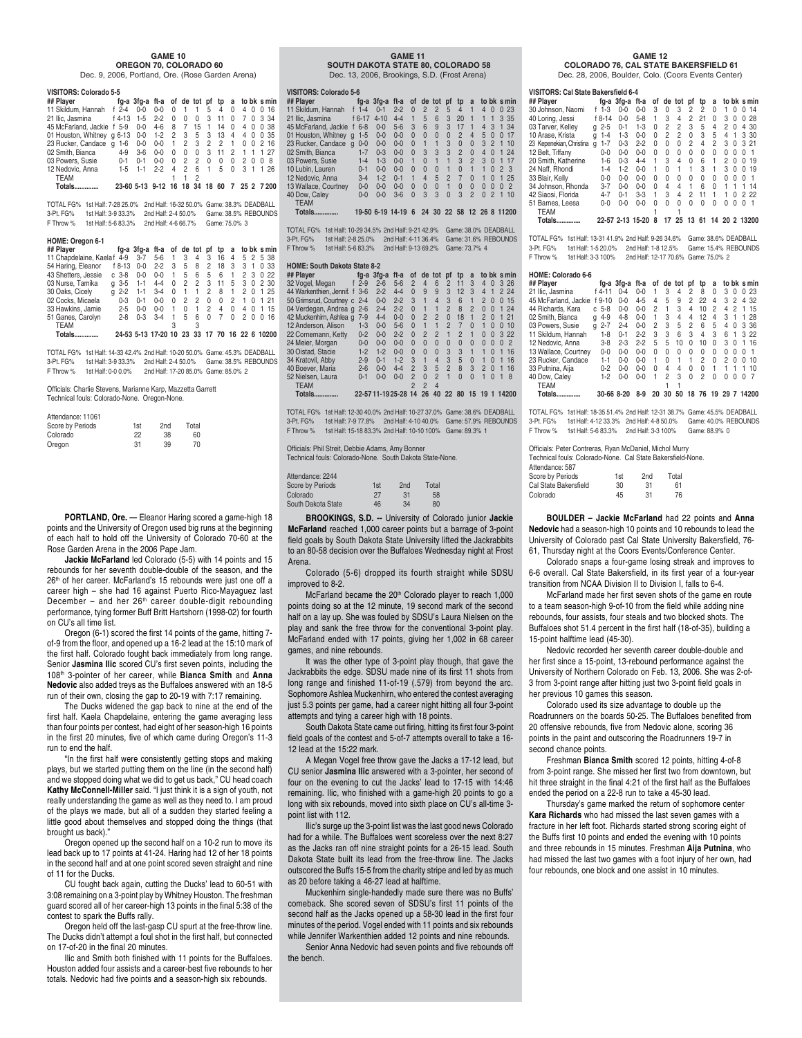#### **GAME 10 OREGON 70, COLORADO 60**

Dec. 9, 2006, Portland, Ore. (Rose Garden Arena)

#### **VISITORS: Colorado 5-5**

| viali ona. Goloiauo a-a                                  |         |            |              |          |                |          |          |              |          |                |                                              |
|----------------------------------------------------------|---------|------------|--------------|----------|----------------|----------|----------|--------------|----------|----------------|----------------------------------------------|
| ## Plaver                                                |         |            |              |          |                |          |          |              |          |                | fg-a 3fg-a ft-a of de tot pf tp a to bk smin |
| 11 Skildum, Hannah f 2-4 0-0                             |         |            | $0 - 0$      | $\Omega$ | $\overline{1}$ |          |          | 1 5 4        | $\Omega$ |                | 4 0 0 16                                     |
| 21 Ilic. Jasmina                                         |         | f 4-13 1-5 | $2 - 2$      | $\Omega$ | $\Omega$       | $\Omega$ | 3        | 11           | $\Omega$ |                | 7 0 3 34                                     |
| 45 McFarland, Jackie f 5-9 0-0                           |         |            | 4-6 8 7 15 1 |          |                |          |          | 14           | $\Omega$ | 4 0            | 038                                          |
| 01 Houston, Whitney g 6-13 0-0 1-2 2 3 5 3 13 4 4 0 0 35 |         |            |              |          |                |          |          |              |          |                |                                              |
| 23 Rucker, Candace q 1-6                                 |         | $0-0$      | $0-0$        |          |                |          |          | 1 2 3 2 2 1  |          |                | 0 0 2 16                                     |
| 02 Smith, Bianca                                         | $4 - 9$ | $3-6$      | $0 - 0$      | $\Omega$ | $\Omega$       | $\Omega$ |          | $3 \quad 11$ | 2        | 11             | 1 27                                         |
| 03 Powers, Susie                                         | $0 - 1$ | $0 - 1$    | $0 - 0$      | $\Omega$ | 2 2            |          | $\Omega$ | $\Omega$     | $\Omega$ | 2 <sub>0</sub> | $\Omega$<br>8                                |
| 12 Nedovic, Anna                                         |         | $1-5$ 1-1  | $2-2$        | 4        | $2^{\circ}$    | 6        | $-1$     | $5\quad 0$   |          | 31             | 1 26                                         |
| <b>TEAM</b>                                              |         |            |              |          |                |          |          |              |          |                |                                              |
| Totals.                                                  |         |            |              |          |                |          |          |              |          |                | 23-60 5-13 9-12 16 18 34 18 60 7 25 2 7 200  |

TOTAL FG% 1st Half: 7-28 25.0% 2nd Half: 16-32 50.0% Game: 38.3% DEADBALL 3-Pt. FG% 1st Half: 3-9 33.3% 2nd Half: 2-4 50.0% Game: 38.5% REBOUNDS F Throw % 1st Half: 5-6 83.3% 2nd Half: 4-6 66.7% Game: 75.0% 3

#### **HOME: Oregon 6-1**

| ## Plaver                  |              | fg-a 3fg-a ft-a of de tot pf tp |         |          |                |                |                |          |          |                |          | a to bk s min                                 |
|----------------------------|--------------|---------------------------------|---------|----------|----------------|----------------|----------------|----------|----------|----------------|----------|-----------------------------------------------|
| 11 Chapdelaine, Kaelaf 4-9 |              | $3 - 7$                         | $5 - 6$ | 1.       | 3              | 4              | 3 16           |          | 4        |                |          | 5 2 5 38                                      |
| 54 Haring, Eleanor         | f 8-13       | $0 - 0$                         | $2 - 2$ | 3        | 5              | 8              | 2              | 18       | 3        | 3 <sub>1</sub> |          | 0.33                                          |
| 43 Shetters, Jessie        | $c.3-8$      | $0 - 0$                         | $0 - 0$ | 1.       | 5              | 6              | 5              | 6        | 1        | 23             |          | 0.22                                          |
| 03 Nurse, Tamika           | $q - 3 - 5$  | $1-1$                           | $4 - 4$ | $\Omega$ | 2              | 2              | $3 \quad 11$   |          | 5        |                |          | 3 0 2 30                                      |
| 30 Oaks, Cicelv            | $2 - 2$<br>a | $1 - 1$                         | $3-4$   | $\Omega$ | $\overline{1}$ | $\overline{1}$ | $\overline{2}$ | 8        | 1        | 2 <sub>0</sub> |          | 1 25                                          |
| 02 Cocks, Micaela          | $0 - 3$      | $0 - 1$                         | $0 - 0$ | $\Omega$ | 2              | 2              | $\Omega$       | $\Omega$ | 2        | 1              | $\Omega$ | 1 21                                          |
| 33 Hawkins, Jamie          | $2 - 5$      | $0 - 0$                         | $0 - 0$ |          | $\Omega$       | $\overline{1}$ | 2              | 4        | U        | 4              | $\Omega$ | 1 15                                          |
| 51 Ganes, Carolyn          | $2 - 8$      | $0 - 3$                         | $3-4$   | 1        | 5              | ĥ              | $\Omega$       | 7        | $\Omega$ | 2 <sub>0</sub> |          | 0,16                                          |
| TEAM                       |              |                                 |         |          |                |                |                |          |          |                |          |                                               |
| Totals.                    |              |                                 |         |          |                |                |                |          |          |                |          | 24-53 5-13 17-20 10 23 33 17 70 16 22 6 10200 |

TOTAL FG% 1st Half: 14-33 42.4% 2nd Half: 10-20 50.0% Game: 45.3% DEADBALL 3-Pt. FG% 1st Half: 3-9 33.3% 2nd Half: 2-4 50.0% Game: 38.5% REBOUNDS F Throw % 1st Half: 0-0 0.0% 2nd Half: 17-20 85.0% Game: 85.0% 2

Officials: Charlie Stevens, Marianne Karp, Mazzetta Garrett Technical fouls: Colorado-None. Oregon-None.

| Attendance: 11061 |     |                 |       |  |
|-------------------|-----|-----------------|-------|--|
| Score by Periods  | 1st | 2 <sub>nd</sub> | Total |  |
| Colorado          | 22  | 38              | 60    |  |
| Oregon            | 31  | 39              | 70    |  |

**PORTLAND, Ore. —** Eleanor Haring scored a game-high 18 points and the University of Oregon used big runs at the beginning of each half to hold off the University of Colorado 70-60 at the Rose Garden Arena in the 2006 Pape Jam.

**Jackie McFarland** led Colorado (5-5) with 14 points and 15 rebounds for her seventh double-double of the season, and the 26<sup>th</sup> of her career. McFarland's 15 rebounds were just one off a career high – she had 16 against Puerto Rico-Mayaguez last December – and her  $26<sup>th</sup>$  career double-digit rebounding performance, tying former Buff Britt Hartshorn (1998-02) for fourth on CU's all time list.

Oregon (6-1) scored the first 14 points of the game, hitting 7 of-9 from the floor, and opened up a 16-2 lead at the 15:10 mark of the first half. Colorado fought back immediately from long range. Senior **Jasmina Ilic** scored CU's first seven points, including the 108th 3-pointer of her career, while **Bianca Smith** and **Anna Nedovic** also added treys as the Buffaloes answered with an 18-5 run of their own, closing the gap to 20-19 with 7:17 remaining.

The Ducks widened the gap back to nine at the end of the first half. Kaela Chapdelaine, entering the game averaging less than four points per contest, had eight of her season-high 16 points in the first 20 minutes, five of which came during Oregon's 11-3 run to end the half.

"In the first half were consistently getting stops and making plays, but we started putting them on the line (in the second half) and we stopped doing what we did to get us back," CU head coach **Kathy McConnell-Miller** said. "I just think it is a sign of youth, not really understanding the game as well as they need to. I am proud of the plays we made, but all of a sudden they started feeling a little good about themselves and stopped doing the things (that brought us back)."

Oregon opened up the second half on a 10-2 run to move its lead back up to 17 points at 41-24. Haring had 12 of her 18 points in the second half and at one point scored seven straight and nine of 11 for the Ducks.

CU fought back again, cutting the Ducks' lead to 60-51 with 3:08 remaining on a 3-point play by Whitney Houston. The freshman guard scored all of her career-high 13 points in the final 5:38 of the contest to spark the Buffs rally.

Oregon held off the last-gasp CU spurt at the free-throw line. The Ducks didn't attempt a foul shot in the first half, but connected on 17-of-20 in the final 20 minutes.

Ilic and Smith both finished with 11 points for the Buffaloes. Houston added four assists and a career-best five rebounds to her totals. Nedovic had five points and a season-high six rebounds.

#### **GAME 11**

 **SOUTH DAKOTA STATE 80, COLORADO 58** Dec. 13, 2006, Brookings, S.D. (Frost Arena)

#### **VISITORS: Colorado 5-6**

| ## Plaver            |                     | fa-a 3fa-a ft-a |                  | <b>of</b> |                | de tot         | pt             | tp             | a              |               |               | to bk s min    |               |
|----------------------|---------------------|-----------------|------------------|-----------|----------------|----------------|----------------|----------------|----------------|---------------|---------------|----------------|---------------|
| 11 Skildum, Hannah   | $f$ 1-4             | $0 - 1$         | $2 - 2$          | $\Omega$  | $\overline{2}$ | $\overline{2}$ | 5              | 4              | 1              | 4             | $\Omega$      | 0.23           |               |
| 21 Ilic. Jasmina     | $f$ 6-17            | $4 - 10$        | $4 - 4$          | 1         | 5              | 6              | 3              | 20             |                |               | $\mathbf{1}$  | 3 35           |               |
| 45 McFarland, Jackie | $6 - 8$<br>f        | $0 - 0$         | $5 - 6$          | 3         | 6              | 9              | $\mathcal{R}$  | 17             | $\mathbf{1}$   | 4             | 3             | 1 34           |               |
| 01 Houston, Whitney  | $1 - 5$<br>$\alpha$ | $0 - 0$         | $0 - 0$          | $\Omega$  | $\Omega$       | $\Omega$       | $\Omega$       | $\mathfrak{p}$ | 4              | 5             | $\Omega$      | $\Omega$       | 17            |
| 23 Rucker, Candace   | $0 - 0$<br>$\alpha$ | $0 - 0$         | $0 - 0$          | $\Omega$  | $\mathbf{1}$   | 1              | 3              | $\Omega$       | $\Omega$       | 3             | $\mathcal{P}$ | 110            |               |
| 02 Smith, Bianca     | $1 - 7$             | $0 - 3$         | $0 - 0$          | $\Omega$  | 3              | 3              | 3              | $\mathfrak{p}$ | $\Omega$       | 4             | $\Omega$      | 124            |               |
| 03 Powers, Susie     | $1 - 4$             | $1-3$           | $0 - 0$          | 1         | $\Omega$       | 1              |                | 3              | $\mathfrak{p}$ | $\mathcal{R}$ | $\Omega$      | 1              | 17            |
| 10 Lubin, Lauren     | $0 - 1$             | $0 - 0$         | $0 - 0$          | $\Omega$  | $\Omega$       | $\Omega$       |                | $\Omega$       | 1              |               | $\Omega$      | 2 <sub>3</sub> |               |
| 12 Nedovic, Anna     | $3 - 4$             | $1-2$           | $() - 1$         | 1         | 4              | 5              | $\mathfrak{p}$ | $\overline{7}$ | $\Omega$       | 1             | $\Omega$      |                | 25            |
| 13 Wallace, Courtney | $0 - 0$             | $0 - 0$         | $0 - 0$          | $\Omega$  | $\Omega$       | $\Omega$       | 1              | $\Omega$       | $\Omega$       | $\Omega$      | $\Omega$      | $\Omega$       | $\mathcal{P}$ |
| 40 Dow, Caley        | $0 - 0$             | $0 - 0$         | $3-6$            | $\Omega$  | 3              | $\mathcal{R}$  | $\Omega$       | 3              | $\mathfrak{p}$ | $\Omega$      | 2             |                | 10            |
| <b>TEAM</b>          |                     |                 |                  |           |                |                |                |                |                |               |               |                |               |
| Totals.              |                     |                 | 19-50 6-19 14-19 | 6         | 24             | 30 22 58       |                |                | 12, 26, 8      |               |               | 11200          |               |

TOTAL FG% 1st Half: 10-29 34.5% 2nd Half: 9-21 42.9% Game: 38.0% DEADBALL 3-Pt. FG% 1st Half: 2-8 25.0% 2nd Half: 4-11 36.4% Game: 31.6% REBOUNDS F Throw % 1st Half: 5-6 83.3% 2nd Half: 9-13 69.2% Game: 73.7% 4

### **HOME: South Dakota State 8-2**

**fg-a 3fg-a ft-a of de tot pf tp a to bk s min**<br>f 2-9 2-6 5-6 2 4 6 2 11 3 4 0 3 26 32 Vogel, Megan f 2-9 2-6 5-6 2 4 6 2 11 3 4 0 3 26<br>44 Warkenthien, Jennif. f 3-6 2-2 4 0 9 9 3 12 3 4 1 2 24<br>50 Grimsrud, Courtney c 2-4 0-0 2-2 3 1 4 3 6 1 2 0 0 15 11 Varianual, Sourliney c 2-4 2-0 2-2 3 1 4 3 6 1 2 0 0 15<br>
04 Verdegan, Andrea g 2-6 2-4 2-2 0 1 1 2 8 2 0 0 1 24<br>
42 Muckenhim, Ashlea g 7-9 4-4 0-0 0 2 2 0 1 8 1 2 0 1 21<br>
12 Anderson, Alison 1 -3 0-0 5-6 0 1 1 2 7 0 1 42 Muckenhirn, Ashlea g 7-9 4-4 0-0 0 2 2 0 18 1 2 0 1 21 12 Anderson, Alison 1-3 0-0 5-6 0 1 1 2 7 0 1 0 0 10 22 Cornemann, Ketty 0-2 0-0 2-2 0 2 2 1 2 1 0 0 3 22<br>24 Meier, Morgan 0-0 0-0 0 0 0 0 0 0 0 0 0 0 0 0 0 2 2<br>30 Oistad, Stacie 1-2 1-2 0-0 0 0 0 0 3 3 1 1 0 1 16 24 Meier, Morgan 0-0 0-0 0-0 0 0 0 0 0 0 0002 30 Oistad, Stacie 1-2 1-2 0-0 0 0 0 3 3 1 1 0 1 16 34 Kratovil, Abby 2-9 0-1 1-2 3 1 4 3 5 0 1 0 1 16<br>40 Boever, Maria 2-6 0-0 4-4 2 3 5 2 8 3 2 0 1 16<br>52 Nielsen, Laura 0-1 0-0 0-0 2 0 2 1 0 0 1 0 1 8 2-6 0-0 4-4 2 3 5 2 8 3 2 0<br>0-1 0-0 0-0 2 0 2 1 0 0 1 0 40 Boever, Maria 2-6 0-0 4-4 2 3<br>52 Nielsen, Laura 0-1 0-0 0-0 2 0<br>TFAM 2 2 TEAM 2 2 4 **Totals.............. 22-57 11-1925-28 14 26 40 22 80 15 19 1 14200**

TOTAL FG% 1st Half: 12-30 40.0% 2nd Half: 10-27 37.0% Game: 38.6% DEADBALL 3-Pt. FG% 1st Half: 7-9 77.8% 2nd Half: 4-10 40.0% Game: 57.9% REBOUNDS F Throw % 1st Half: 15-18 83.3% 2nd Half: 10-10 100% Game: 89.3% 1

Officials: Phil Streit, Debbie Adams, Amy Bonne Technical fouls: Colorado-None. South Dakota State-None.

Attendance: 2244

| Allui Iudi Iudi 4477    |                 |                 |       |  |
|-------------------------|-----------------|-----------------|-------|--|
| <b>Score by Periods</b> | 1 <sub>st</sub> | 2 <sub>nd</sub> | Total |  |
| Colorado                | 27              | 31              | 58    |  |
| South Dakota State      | 46              | 34              | 80    |  |
|                         |                 |                 |       |  |

**BROOKINGS, S.D. --** University of Colorado junior **Jackie McFarland** reached 1,000 career points but a barrage of 3-point field goals by South Dakota State University lifted the Jackrabbits to an 80-58 decision over the Buffaloes Wednesday night at Frost Arena.

Colorado (5-6) dropped its fourth straight while SDSU improved to 8-2.

McFarland became the 20<sup>th</sup> Colorado player to reach 1,000 points doing so at the 12 minute, 19 second mark of the second half on a lay up. She was fouled by SDSU's Laura Nielsen on the play and sank the free throw for the conventional 3-point play. McFarland ended with 17 points, giving her 1,002 in 68 career games, and nine rebounds.

It was the other type of 3-point play though, that gave the Jackrabbits the edge. SDSU made nine of its first 11 shots from long range and finished 11-of-19 (.579) from beyond the arc. Sophomore Ashlea Muckenhirn, who entered the contest averaging just 5.3 points per game, had a career night hitting all four 3-point attempts and tying a career high with 18 points.

South Dakota State came out firing, hitting its first four 3-point field goals of the contest and 5-of-7 attempts overall to take a 16- 12 lead at the 15:22 mark.

A Megan Vogel free throw gave the Jacks a 17-12 lead, but CU senior **Jasmina Ilic** answered with a 3-pointer, her second of four on the evening to cut the Jacks' lead to 17-15 with 14:46 remaining. Ilic, who finished with a game-high 20 points to go a long with six rebounds, moved into sixth place on CU's all-time 3 point list with 112.

Ilic's surge up the 3-point list was the last good news Colorado had for a while. The Buffaloes went scoreless over the next 8:27 as the Jacks ran off nine straight points for a 26-15 lead. South Dakota State built its lead from the free-throw line. The Jacks outscored the Buffs 15-5 from the charity stripe and led by as much as 20 before taking a 46-27 lead at halftime.

Muckenhirn single-handedly made sure there was no Buffs' comeback. She scored seven of SDSU's first 11 points of the second half as the Jacks opened up a 58-30 lead in the first four minutes of the period. Vogel ended with 11 points and six rebounds while Jennifer Warkenthien added 12 points and nine rebounds.

Senior Anna Nedovic had seven points and five rebounds off the bench.

#### **GAME 12**

 **COLORADO 76, CAL STATE BAKERSFIELD 61** Dec. 28, 2006, Boulder, Colo. (Coors Events Center)

#### **VISITORS: Cal State Bakersfield 6-4**

| ## Plaver                |                  | fa-a 3fa-a | ft-a    | οf       | de tot   |    | рf       | tp       | a        |   |          | to bk s min         |
|--------------------------|------------------|------------|---------|----------|----------|----|----------|----------|----------|---|----------|---------------------|
| 30 Johnson. Naomi        | f 1-3            | $0 - 0$    | $0 - 0$ | 3        | 0        | 3  | 2        | 2        | 0        | 1 | 0        | 0.14                |
| 40 Loring, Jessi         | f 8-14           | $0 - 0$    | $5-8$   |          | 3        | 4  | 2        | 21       | U        | 3 | 0        | -28<br>0            |
| 03 Tarver, Kelley        | $2 - 5$<br>a     | $0 - 1$    | $1-3$   | $\Omega$ | 2        | 2  | 3        | 5        | 4        | 2 | 0        | 4 30                |
| 10 Arase, Krista         | $1 - 4$<br>a     | $1 - 3$    | $0 - 0$ | $\Omega$ | 2        | 2  | $\Omega$ | 3        | 5        | 4 | 1        | 3 30                |
| 23 Kepenekian. Christina | $1 - 7$<br>a     | $0 - 3$    | $2 - 2$ | $\Omega$ | $\Omega$ | 0  | 2        | 4        | 2        | 3 | 0        | 321                 |
| 12 Belt, Tiffany         | $0 - 0$          | $0 - 0$    | $0 - 0$ | $\Omega$ | 0        | U  | 0        | $\Omega$ | U        | 0 | O        | $\overline{1}$<br>O |
| 20 Smith, Katherine      | $1-6$            | $0 - 3$    | $4 - 4$ | 1        | З        | 4  | 0        | 6        | 1        | 2 | 0        | 19<br>O             |
| 24 Naff, Rhondi          | $1 - 4$          | $1 - 2$    | $0 - 0$ | 1        | U        | 1  | 1        | 3        | 1        | З | 0        | 19<br>O             |
| 33 Blair, Kelly          | $0 - 0$          | $0 - 0$    | $0 - 0$ | $\Omega$ | U        | U  | 0        | $\Omega$ | 0        | U | U        | U                   |
| 34 Johnson, Rhonda       | $3 - 7$          | $0 - 0$    | $0 - 0$ | $\Omega$ | 4        | 4  | 1        | 6        | $\Omega$ | 1 | 1        | 14<br>1             |
| 42 Siaosi, Florida       | $4 - 7$          | $0 - 1$    | $3-3$   |          | 3        | 4  | 2        | 11       | 1        |   | $\Omega$ | 2 2 2               |
| 51 Barnes, Leesa         | $0 - 0$          | $0 - 0$    | $0 - 0$ | U        | U        | U  | U        | $\Omega$ | U        | U | O        | O<br>-1             |
| <b>TEAM</b>              |                  |            |         |          |          |    |          |          |          |   |          |                     |
| <b>Totals</b>            | 22-57 2-13 15-20 |            |         |          |          | 25 | 13       | 61       | 14       |   |          | 20 2 13200          |

TOTAL FG% 1st Half: 13-31 41.9% 2nd Half: 9-26 34.6% Game: 38.6% DEADBALL 3-Pt. FG% 1st Half: 1-5 20.0% 2nd Half: 1-8 12.5% Game: 15.4% REBOUNDS F Throw % 1st Half: 3-3 100% 2nd Half: 12-17 70.6% Game: 75.0% 2

| HOME: Colorado 6-6   |    |            |            |         |    |    |           |          |          |          |    |                |            |
|----------------------|----|------------|------------|---------|----|----|-----------|----------|----------|----------|----|----------------|------------|
| ## Plaver            |    |            | fa-a 3fa-a | ft-a    |    |    | of de tot | рf       | tp       | a        |    |                | to bk smin |
| 21 Ilic. Jasmina     |    | f 4-11     | $0 - 4$    | $0 - 0$ |    | 3  | 4         | 2        | 8        | $\Omega$ | 3  | $\Omega$       | 023        |
| 45 McFarland. Jackie |    | $f$ 9-10   | $0 - 0$    | $4 - 5$ | 4  | 5  | 9         | 2        | 22       | 4        | 3  | 2              | 4 32       |
| 44 Richards. Kara    | C. | $5-8$      | $0 - 0$    | $0 - 0$ | 2  | 1  | 3         | 4        | 10       | 2        | 4  | 2              | 15<br>1    |
| 02 Smith, Bianca     | a  | $4 - 9$    | $4 - 8$    | $0 - 0$ |    | 3  | 4         | 4        | 12       | 4        | 3  | 1              | 1 28       |
| 03 Powers. Susie     | a  | $2 - 7$    | $2 - 4$    | $0 - 0$ | 2  | 3  | 5         | 2        | 6        | 5        | 4  | $\Omega$       | 3 36       |
| 11 Skildum, Hannah   |    | $1 - 8$    | $0 - 1$    | $2 - 2$ | 3  | 3  | 6         | 3        | 4        | 3        | 6  | 1              | 322        |
| 12 Nedovic, Anna     |    | $3 - 8$    | $2 - 3$    | $2 - 2$ | 5  | 5  | 10        | U        | 10       | 0        | 3  | O              | 16<br>1    |
| 13 Wallace, Courtney |    | $0 - 0$    | $0 - 0$    | $0 - 0$ | U  | U  | U         | U        | 0        | $\Omega$ | 0  | U              | -1<br>O    |
| 23 Rucker, Candace   |    | $1 - 1$    | $0 - 0$    | $0 - 0$ | 1  | U  | 1         | 1        | 2        | $\Omega$ | 2  | U              | 10<br>O    |
| 33 Putnina, Aija     |    | $0 - 2$    | $0 - 0$    | $0 - 0$ | U  | 4  | 4         | $\Omega$ | $\Omega$ | 1        | 1  |                | 10<br>1    |
| 40 Dow, Caley        |    | $1-2$      | $0 - 0$    | $0 - 0$ |    | 2  | 3         | U        | 2        | U        | 0  | U              | 7<br>U     |
| <b>TEAM</b>          |    |            |            |         |    |    |           |          |          |          |    |                |            |
| Totals.              |    | 30-66 8-20 |            | $8-9$   | 20 | 30 | 50        | 18       | 76       | 19       | 29 | $\overline{7}$ | 14200      |

TOTAL FG% 1st Half: 18-35 51.4% 2nd Half: 12-31 38.7% Game: 45.5% DEADBALL 3-Pt. FG% 1st Half: 4-12 33.3% 2nd Half: 4-8 50.0% Game: 40.0% REBOUNDS F Throw % 1st Half: 5-6 83.3% 2nd Half: 3-3 100% Game: 88.9% 0

Officials: Peter Contreras, Ryan McDaniel, Michol Murry Technical fouls: Colorado-None. Cal State Bakersfield-None. Attendance: 587 Score by Periods 1st 2nd Total Cal State Bakersfield 30 31 61<br>Colorado 45 31 76 Colorado

**BOULDER – Jackie McFarland** had 22 points and **Anna Nedovic** had a season-high 10 points and 10 rebounds to lead the University of Colorado past Cal State University Bakersfield, 76- 61, Thursday night at the Coors Events/Conference Center.

Colorado snaps a four-game losing streak and improves to 6-6 overall. Cal State Bakersfield, in its first year of a four-year transition from NCAA Division II to Division I, falls to 6-4.

McFarland made her first seven shots of the game en route to a team season-high 9-of-10 from the field while adding nine rebounds, four assists, four steals and two blocked shots. The Buffaloes shot 51.4 percent in the first half (18-of-35), building a 15-point halftime lead (45-30).

Nedovic recorded her seventh career double-double and her first since a 15-point, 13-rebound performance against the University of Northern Colorado on Feb. 13, 2006. She was 2-of-3 from 3-point range after hitting just two 3-point field goals in her previous 10 games this season.

Colorado used its size advantage to double up the Roadrunners on the boards 50-25. The Buffaloes benefited from 20 offensive rebounds, five from Nedovic alone, scoring 36 points in the paint and outscoring the Roadrunners 19-7 in second chance points.

Freshman **Bianca Smith** scored 12 points, hitting 4-of-8 from 3-point range. She missed her first two from downtown, but hit three straight in the final 4:21 of the first half as the Buffaloes ended the period on a 22-8 run to take a 45-30 lead.

Thursday's game marked the return of sophomore center **Kara Richards** who had missed the last seven games with a fracture in her left foot. Richards started strong scoring eight of the Buffs first 10 points and ended the evening with 10 points and three rebounds in 15 minutes. Freshman **Aija Putnina**, who had missed the last two games with a foot injury of her own, had four rebounds, one block and one assist in 10 minutes.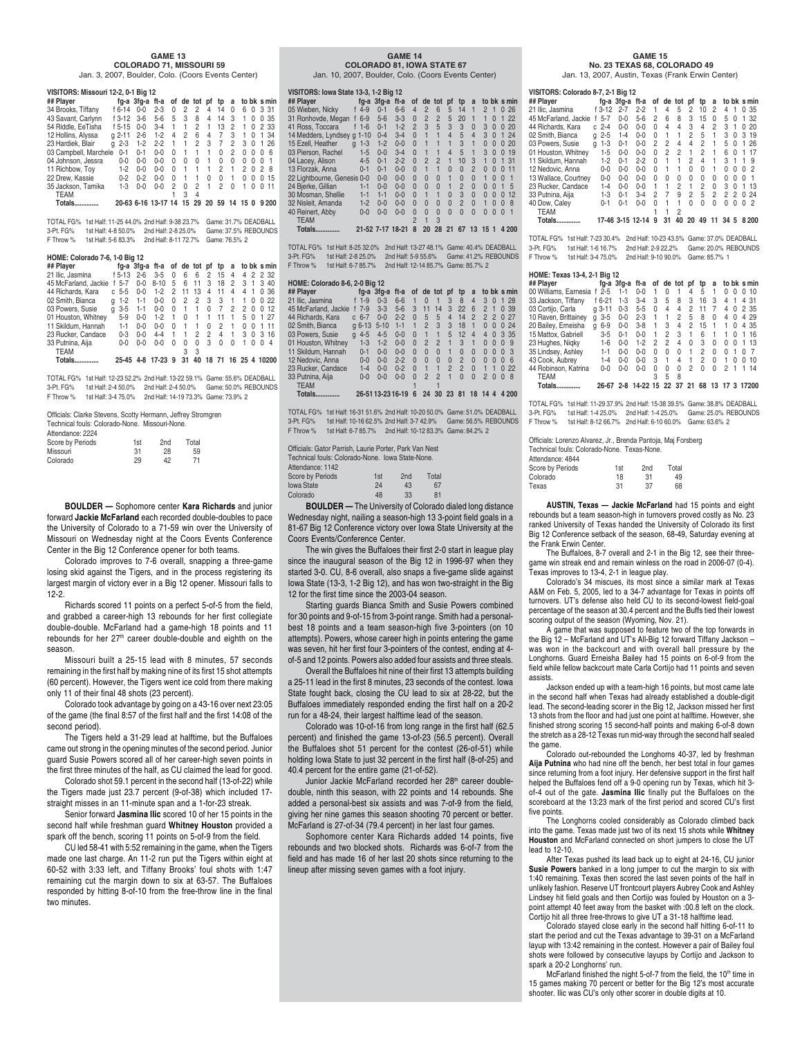#### **GAME 13 COLORADO 71, MISSOURI 59**

Jan. 3, 2007, Boulder, Colo. (Coors Events Center)

| VISITORS: Missouri 12-2, 0-1 Big 12 |               |            |         |              |          |           |          |          |          |    |              |             |
|-------------------------------------|---------------|------------|---------|--------------|----------|-----------|----------|----------|----------|----|--------------|-------------|
| ## Player                           |               | fg-a 3fg-a | ft-a    | of           |          | de tot pf |          | tp       | a        |    |              | to bk s min |
| 34 Brooks, Tiffany                  | f 6-14        | $0 - 0$    | $2 - 3$ | 0            | 2        | 2         | 4        | 14       | 0        | 6  | 0            | 3 31        |
| 43 Savant, Carlynn                  | f 3-12        | $3-6$      | $5-6$   | 5            | 3        | 8         | 4        | 14       | 3        | 1  | O            | 35<br>0     |
| 54 Riddle, EeTisha                  | $f$ 5-15      | $0 - 0$    | $3 - 4$ | 1            | 1        | 2         | 1        | 13       | 2        | 1  | 0            | 2 33        |
| 12 Hollins, Alyssa                  | $2 - 11$<br>α | $2 - 6$    | $1 - 2$ | 4            | 2        | 6         | 4        | 7        | 3        | 1  | O            | 1 34        |
| 23 Hardiek, Blair<br>q              | $2 - 3$       | $1 - 2$    | $2 - 2$ | 1            |          | 2         | 3        | 7        | 2        | 3  | <sup>0</sup> | 26<br>1     |
| 03 Campbell, Marchele               | $0 - 1$       | $0 - 1$    | $0 - 0$ | $\Omega$     | 1        | 1         | 1        | $\Omega$ | 2        | U  | <sup>0</sup> | ĥ<br>O      |
| 04 Johnson, Jessra                  | $0 - 0$       | $0 - 0$    | $0 - 0$ | <sup>0</sup> | $\Omega$ | $\Omega$  | 1        | 0        | $\Omega$ | U  | 0            | O<br>-1     |
| 11 Richbow, Toy                     | $1-2$         | $0 - 0$    | $0 - 0$ | U            | 1        | 1         | 1        | 2        | 1        | 2  | <sup>0</sup> | 2<br>R      |
| 22 Drew. Kassie                     | $0 - 2$       | $0 - 2$    | $0 - 0$ | $\Omega$     | 1        | 1         | $\Omega$ | $\Omega$ | 1        | U  | O            | 15<br>0     |
| 35 Jackson, Tamika                  | $1-3$         | $0 - 0$    | $0 - 0$ | 2            | $\Omega$ | 2         |          | 2        | U        |    | O            | 11<br>O     |
| <b>TEAM</b>                         |               |            |         |              | 3        | 4         |          |          |          |    |              |             |
| Totals.                             | 20-63 6-16    |            | 13-17   |              | 15       | 29        | 20       | 59       | 14       | 15 | n            | 9200        |

TOTAL FG% 1st Half: 11-25 44.0% 2nd Half: 9-38 23.7% Game: 31.7% DEADBALL 3-Pt. FG% 1st Half: 4-8 50.0% 2nd Half: 2-8 25.0% Game: 37.5% REBOUNDS F Throw % 1st Half: 5-6 83.3% 2nd Half: 8-11 72.7% Game: 76.5% 2

#### **HOME: Colorado 7-6, 1-0 Big 12**

| ## Plaver            |   |          |         | fg-a 3fg-a ft-a of de tot pf tp a to bk smin |   |    |    |    |          |   |   |                |          |               |
|----------------------|---|----------|---------|----------------------------------------------|---|----|----|----|----------|---|---|----------------|----------|---------------|
| 21 Ilic. Jasmina     |   | $f$ 5-13 | $2 - 6$ | $3 - 5$                                      | 0 | 6  | 6  |    | 2 15     | 4 |   |                |          | 4 2 2 3 2     |
| 45 McFarland, Jackie |   | 5-7      | $0 - 0$ | $8 - 10$                                     | 5 | 6  | 11 | 3  | 18       | 2 | 3 | $\overline{1}$ | 3        | 40            |
| 44 Richards, Kara    |   | $c.5-5$  | $0 - 0$ | $1 - 2$                                      | 2 | 11 | 13 | 4  | 11       | 4 | 4 |                | $\Omega$ | 36            |
| 02 Smith, Bianca     | a | $1 - 2$  | $1 - 1$ | $0 - 0$                                      | 0 | 2  | 2  | -3 | 3        | 1 | 1 | 0              | $\Omega$ | 22            |
| 03 Powers, Susie     | a | $3 - 5$  | $1-1$   | $0 - 0$                                      | 0 |    | 1  | 0  | 7        | 2 | 2 | 0              | O        | 12            |
| 01 Houston, Whitney  |   | $5-9$    | $0 - 0$ | $1-2$                                        |   | U  |    |    | 11       |   | 5 | $\Omega$       |          | 27            |
| 11 Skildum, Hannah   |   | $1 - 1$  | $0 - 0$ | በ-በ                                          | U |    |    | U  | 2        |   | U | <sup>0</sup>   |          | 11            |
| 23 Rucker, Candace   |   | $0 - 3$  | $0 - 0$ | $4-4$                                        |   |    | 2  | 2  | 4        |   | 3 | 0              | 3        | 16            |
| 33 Putnina, Aija     |   | $0 - 0$  | $0 - 0$ | ი-ი                                          |   | U  | 0  | 3  | $\Omega$ | 0 | 1 | O              | O        | 4             |
| <b>TEAM</b>          |   |          |         |                                              |   |    | 3  |    |          |   |   |                |          |               |
| Totals.              |   | 25-45    | 4-8     | 17-23                                        | 9 | 31 | 40 | 18 | -71      |   |   |                |          | 16 25 4 10200 |

TOTAL FG% 1st Half: 12-23 52.2% 2nd Half: 13-22 59.1% Game: 55.6% DEADBALL 3-Pt. FG% 1st Half: 2-4 50.0% 2nd Half: 2-4 50.0% Game: 50.0% REBOUNDS F Throw % 1st Half: 3-4 75.0% 2nd Half: 14-19 73.3% Game: 73.9% 2

| Officials: Clarke Stevens, Scotty Hermann, Jeffrey Stromgren<br>Technical fouls: Colorado-None. Missouri-None. |     |     |       |  |  |  |  |  |  |  |
|----------------------------------------------------------------------------------------------------------------|-----|-----|-------|--|--|--|--|--|--|--|
|                                                                                                                |     |     |       |  |  |  |  |  |  |  |
| Attendance: 2224                                                                                               |     |     |       |  |  |  |  |  |  |  |
| Score by Periods                                                                                               | 1st | 2nd | Total |  |  |  |  |  |  |  |

| Score by Periods | 1st | 2 <sub>nd</sub> | Total |
|------------------|-----|-----------------|-------|
| Missouri         | 31  | 28              | 59    |
| Colorado         | 29  | 42              | 71    |

**BOULDER —** Sophomore center **Kara Richards** and junior forward **Jackie McFarland** each recorded double-doubles to pace the University of Colorado to a 71-59 win over the University of Missouri on Wednesday night at the Coors Events Conference Center in the Big 12 Conference opener for both teams.

Colorado improves to 7-6 overall, snapping a three-game losing skid against the Tigers, and in the process registering its largest margin of victory ever in a Big 12 opener. Missouri falls to 12-2.

Richards scored 11 points on a perfect 5-of-5 from the field, and grabbed a career-high 13 rebounds for her first collegiate double-double. McFarland had a game-high 18 points and 11 rebounds for her 27<sup>th</sup> career double-double and eighth on the season.

Missouri built a 25-15 lead with 8 minutes, 57 seconds remaining in the first half by making nine of its first 15 shot attempts (60 percent). However, the Tigers went ice cold from there making only 11 of their final 48 shots (23 percent).

Colorado took advantage by going on a 43-16 over next 23:05 of the game (the final 8:57 of the first half and the first 14:08 of the second period).

The Tigers held a 31-29 lead at halftime, but the Buffaloes came out strong in the opening minutes of the second period. Junior guard Susie Powers scored all of her career-high seven points in the first three minutes of the half, as CU claimed the lead for good.

Colorado shot 59.1 percent in the second half (13-of-22) while the Tigers made just 23.7 percent (9-of-38) which included 17 straight misses in an 11-minute span and a 1-for-23 streak.

Senior forward **Jasmina Ilic** scored 10 of her 15 points in the second half while freshman guard **Whitney Houston** provided a spark off the bench, scoring 11 points on 5-of-9 from the field.

CU led 58-41 with 5:52 remaining in the game, when the Tigers made one last charge. An 11-2 run put the Tigers within eight at 60-52 with 3:33 left, and Tiffany Brooks' foul shots with 1:47 remaining cut the margin down to six at 63-57. The Buffaloes responded by hitting 8-of-10 from the free-throw line in the final two minutes.

#### **GAME 14 COLORADO 81, IOWA STATE 67**

Jan. 10, 2007, Boulder, Colo. (Coors Events Center)

| VISITORS: Iowa State 13-3, 1-2 Big 12 |                      |                  |         |                |                |                |                |                |                |                      |                          |
|---------------------------------------|----------------------|------------------|---------|----------------|----------------|----------------|----------------|----------------|----------------|----------------------|--------------------------|
| ## Player                             |                      | fg-a $3fq$ -a    | ft-a    | 0f             |                | de tot         | pt             | tp             | a              |                      | to bk s min              |
| 05 Wieben, Nicky                      | $4 - 9$<br>f         | $0 - 1$          | $6 - 6$ | 4              | $\overline{2}$ | 6              | 5              | 14             | 1              | $\mathfrak{p}$<br>1  | -26<br>$\Omega$          |
| 31 Ronhovde, Megan                    | $6-9$                | $5 - 6$          | $3-3$   | $\Omega$       | $\overline{2}$ | $\overline{2}$ | 5              | 20             | 1              | 1<br>$\Omega$        | 22<br>1                  |
| 41 Ross, Toccara                      | $f$ 1-6              | $0 - 1$          | $1 - 2$ | $\mathfrak{p}$ | 3              | 5              | 3              | 3              | $\Omega$       | 3<br>$\Omega$        | 20<br>$\Omega$           |
| 14 Medders, Lyndsey                   | $1 - 10$<br>$\alpha$ | $0 - 4$          | $3 - 4$ | $\Omega$       | 1              | 1              | $\overline{4}$ | 5              | $\overline{4}$ | 3<br>$\Omega$        | 24<br>1                  |
| 15 Ezell. Heather                     | $1 - 3$<br>a         | $1 - 2$          | $0 - 0$ | $\Omega$       | 1              |                | 1              | 3              | 1              | $\Omega$<br>$\Omega$ | 20<br>$\Omega$           |
| 03 Pierson, Rachel                    | $1 - 5$              | $0 - 0$          | $3 - 4$ | $\Omega$       | 1              | 1              | $\overline{4}$ | 5              |                | 3<br>$\Omega$        | 19<br>$\Omega$           |
| 04 Lacey, Alison                      | $4 - 5$              | $0 - 1$          | $2 - 2$ | $\Omega$       | $\overline{2}$ | $\overline{2}$ | $\blacksquare$ | 10             | 3              | 1<br>$\Omega$        | 31<br>1.                 |
| 13 Florzak, Anna                      | $0 - 1$              | $0 - 1$          | $0 - 0$ | $\Omega$       | $\mathbf{1}$   | 1              | $\Omega$       | $\Omega$       | $\overline{2}$ | $\Omega$<br>$\Omega$ | 11<br>$\Omega$           |
| 22 Lightbourne, Genesis 0-0           |                      | $0 - 0$          | $0 - 0$ | $\Omega$       | $\Omega$       | $\Omega$       | $\mathbf{1}$   | $\Omega$       | $\Omega$       | 1<br>$\Omega$        | $\Omega$<br>1            |
| 24 Bjerke, Gillian                    | $1 - 1$              | $0 - 0$          | $0 - 0$ | $\Omega$       | $\Omega$       | $\Omega$       | 1              | $\overline{2}$ | $\Omega$       | $\Omega$<br>$\Omega$ | 5<br>$\mathbf{1}$        |
| 30 Mosman, Shellie                    | $1 - 1$              | $1 - 1$          | $0 - 0$ | $\Omega$       | 1              | 1              | $\Omega$       | 3              | $\Omega$       | $\Omega$<br>$\Omega$ | 12<br>$\Omega$           |
| 32 Nisleit, Amanda                    | $1 - 2$              | $0 - 0$          | $0 - 0$ | $\Omega$       | $\Omega$       | $\Omega$       | $\Omega$       | $\overline{2}$ | $\Omega$       | 1<br>$\Omega$        | 8<br>$\Omega$            |
| 40 Reinert, Abby                      | $0 - 0$              | $0 - 0$          | $0 - 0$ | $\Omega$       | $\Omega$       | $\Omega$       | $\Omega$       | $\Omega$       | $\Omega$       | $\Omega$<br>$\Omega$ | $\mathbf{1}$<br>$\Omega$ |
| <b>TEAM</b>                           |                      |                  |         | $\overline{2}$ | 1              | 3              |                |                |                |                      |                          |
| Totals.<br>                           |                      | 21-52 7-17 18-21 |         | 8              | 20             | 28             | 21             | 67             | 13             | 15                   | 4 2 0 0                  |

TOTAL FG% 1st Half: 8-25 32.0% 2nd Half: 13-27 48.1% Game: 40.4% DEADBALL 3-Pt. FG% 1st Half: 2-8 25.0% 2nd Half: 5-9 55.6% Game: 41.2% REBOUNDS F Throw % 1st Half: 6-7 85.7% 2nd Half: 12-14 85.7% Game: 85.7% 2

#### **HOME: Colorado 8-6, 2-0 Big 12**

**## Player fg-a 3fg-a ft-a of de tot pf tp a to bk s min**<br>21 Ilic, Jasmina f 1-9 0-3 6-6 1 0 1 3 8 4 3 0 1 28<br>45 McFarland, Jackie f 7-9 3-3 5-6 3 11 14 3 22 6 2 1 0 39 44 Richards, Kara c 6-7 0-0 2-2 0 5 5 4 14 2 2 2 0 27 02 Smith, Bianca g 6-13 5-10 1-1 1 2 3 3 18 1 0 0 0 24 03 Powers, Susie g 4-5 4-5 0-0 0 1 1 5 12 4 4 0 3 35<br>01 Houston, Whitney 1-3 1-2 0-0 0 2 2 1 3 1 0 0 0 9<br>11 Skildum. Hannah 0-1 0-0 0-0 0 0 0 1 0 0 0 0 0 3 01 Houston, Whitney 1-3 1-2 0-0 0 2 2 1 3 1 0 0 0 9<br>11 Skildum Hannah 0-1 0-0 0-0 0 0 0 1 0 0 0 0 0 3 11 Skildum, Hannah 0-1 0-0 0-0 0 0 0 1 0 0 0003 Nedovic, Anna 0-0 0-0 2-2 0 0 0 0 2 0 0 0 0 6<br>
Rucker, Candace 1-4 0-0 0-2 0 1 1 2 2 0 1 1 0 22<br>
Putnina, Aija 0-0 0-0 0-0 0 2 2 1 0 0 2 0 0 8 23 Rucker, Candace 1-4 0-0 0-2 0 1 1 2 2<br>33 Putnina, Aija 0-0 0-0 0-0 0 2 2 1 0 33 Putnina, Aija 0-0 0-0 0-0 0 2 2 1 0 0 2008 TEAM 1 1

**Totals.............. 26-51 13-23 16-19 6 24 30 23 81 18 14 4 4 200**

TOTAL FG% 1st Half: 16-31 51.6% 2nd Half: 10-20 50.0% Game: 51.0% DEADBALL 3-Pt. FG% 1st Half: 10-16 62.5% 2nd Half: 3-7 42.9% Game: 56.5% REBOUNDS F Throw % 1st Half: 6-7 85.7% 2nd Half: 10-12 83.3% Game: 84.2% 2

| 1st | 2nd | Total                                                                                                      |
|-----|-----|------------------------------------------------------------------------------------------------------------|
| 24  | 43  | 67                                                                                                         |
| 48  | 33  | 81                                                                                                         |
|     |     | Officials: Gator Parrish. Laurie Porter. Park Van Nest<br>Technical fouls: Colorado-None. Iowa State-None. |

**BOULDER —** The University of Colorado dialed long distance Wednesday night, nailing a season-high 13 3-point field goals in a 81-67 Big 12 Conference victory over Iowa State University at the Coors Events/Conference Center.

The win gives the Buffaloes their first 2-0 start in league play since the inaugural season of the Big 12 in 1996-97 when they started 3-0. CU, 8-6 overall, also snaps a five-game slide against Iowa State (13-3, 1-2 Big 12), and has won two-straight in the Big 12 for the first time since the 2003-04 season.

Starting guards Bianca Smith and Susie Powers combined for 30 points and 9-of-15 from 3-point range. Smith had a personalbest 18 points and a team season-high five 3-pointers (on 10 attempts). Powers, whose career high in points entering the game was seven, hit her first four 3-pointers of the contest, ending at 4 of-5 and 12 points. Powers also added four assists and three steals.

Overall the Buffaloes hit nine of their first 13 attempts building a 25-11 lead in the first 8 minutes, 23 seconds of the contest. Iowa State fought back, closing the CU lead to six at 28-22, but the Buffaloes immediately responded ending the first half on a 20-2 run for a 48-24, their largest halftime lead of the season.

Colorado was 10-of-16 from long range in the first half (62.5 percent) and finished the game 13-of-23 (56.5 percent). Overall the Buffaloes shot 51 percent for the contest (26-of-51) while holding Iowa State to just 32 percent in the first half (8-of-25) and 40.4 percent for the entire game (21-of-52).

Junior Jackie McFarland recorded her 28<sup>th</sup> career doubledouble, ninth this season, with 22 points and 14 rebounds. She added a personal-best six assists and was 7-of-9 from the field, giving her nine games this season shooting 70 percent or better. McFarland is 27-of-34 (79.4 percent) in her last four games.

Sophomore center Kara Richards added 14 points, five rebounds and two blocked shots. Richards was 6-of-7 from the field and has made 16 of her last 20 shots since returning to the lineup after missing seven games with a foot injury.

#### **GAME 15**

 **No. 23 TEXAS 68, COLORADO 49** Jan. 13, 2007, Austin, Texas (Frank Erwin Center)

| VISITORS: Colorado 8-7, 2-1 Big 12 |         |                                              |                 |          |    |         |                    |                |      |         |          |
|------------------------------------|---------|----------------------------------------------|-----------------|----------|----|---------|--------------------|----------------|------|---------|----------|
| ## Player                          |         | fg-a 3fg-a ft-a of de tot pf tp a to bk smin |                 |          |    |         |                    |                |      |         |          |
| 21 Ilic, Jasmina                   |         | f 3-12 2-7 2-2 1 4 5 2 10 2 4 1 0 35         |                 |          |    |         |                    |                |      |         |          |
| 45 McFarland, Jackie f 5-7         |         | $0-0$                                        | 5-6 2           |          | 6. |         | 8 3 15 0           |                |      |         | 5 0 1 32 |
| 44 Richards, Kara                  | $c$ 2-4 | $0 - 0$                                      | $0-0$           | $\Omega$ |    |         | 4 4 3 4 2 3 1 0 20 |                |      |         |          |
| 02 Smith. Bianca                   |         | $a 2-5 1-4$                                  | 0-0 0 1 1 2 5 1 |          |    |         |                    |                |      |         | 3 0 3 19 |
| 03 Powers. Susie                   |         | a 1-3 0-1                                    | 0-0 2 2 4 4 2 1 |          |    |         |                    |                |      |         | 5 0 1 26 |
| 01 Houston, Whitnev                | $1 - 5$ | $0 - 0$                                      | $0-0$           | $\Omega$ |    | 2 2 1 2 |                    | $\overline{1}$ |      | 60      | 1 17     |
| 11 Skildum, Hannah 1-2             |         | $0 - 1$                                      | $2 - 2$         | 0        |    | 1 1 2 4 |                    | $\overline{1}$ |      | 3 1 1 9 |          |
| 12 Nedovic, Anna                   | 0-0     | 0-0                                          | 0-0 0 1 1 0 0 1 |          |    |         |                    |                | 0002 |         |          |

11 Skildum, Hannah 1-2 0-1 2-2 0 1 1 2 4 1 3119 12 Nedovic, Anna 0-0 0-0 0-0 0 1 1 0 0 1 0 0 0 2<br>13 Wallace, Courtney 0-0 0-0 0-0 0 0 0 0 0 0 0 0 0 0 1 1<br>23 Rucker, Candace 1-4 0-0 0-0 1 1 2 1 2 0 3 0 1 13<br>33 Putnina, Aija 1-3 0-1 3-4 2 7 9 2 5 2 2 0 24 40 Dow, Caley 0-1 0-1 0-0 0 1 1 0 0 0 0 0 0 2 TEAM 1 1 2 **Totals.............. 17-46 3-15 12-14 9 31 40 20 49 11 34 5 8 200**

TOTAL FG% 1st Half: 7-23 30.4% 2nd Half: 10-23 43.5% Game: 37.0% DEADBALL 3-Pt. FG% 1st Half: 1-6 16.7% 2nd Half: 2-9 22.2% Game: 20.0% REBOUNDS<br>F Throw % 1st Half: 3-4 75.0% 2nd Half: 9-10 90.0% Game: 85.7% 1 F Throw % 1st Half: 3-4 75.0% 2nd Half: 9-10 90.0% Game: 85.7% 1

#### **HOME: Texas 13-4, 2-1 Big 12**

| ## Player             |              |         | fg-a 3fg-a ft-a of de tot pf tp |   |    |    |    |    | a  | to bk smin |   |   |         |
|-----------------------|--------------|---------|---------------------------------|---|----|----|----|----|----|------------|---|---|---------|
| 00 Williams, Earnesia | $f$ 2-5      | 1-1     | $0 - 0$                         |   |    |    | 4  | 5  |    |            |   | 0 | 10      |
| 33 Jackson, Tiffany   | f 6-21       | $1-3$   | $3 - 4$                         | 3 | 5  | 8  | 3  | 16 | 3  | 4          |   |   | 4 31    |
| 03 Cortijo, Carla     | $a3-11$      | $0 - 3$ | $5 - 5$                         | 0 | 4  | 4  | 2  | 11 | 7  | 4          | 0 |   | 2 35    |
| 10 Raven, Brittainev  | $3 - 5$<br>a | $0 - 0$ | $2 - 3$                         |   |    | 2  | 5  | 8  | 0  | 4          | U |   | 4 29    |
| 20 Bailey, Erneisha   | $6 - 9$<br>a | $0 - 0$ | $3-8$                           |   | 3  | 4  | 2  | 15 | 1  | 1          | O |   | 4 35    |
| 15 Mattox, Gabriell   | $3 - 5$      | $0 - 1$ | $0 - 0$                         |   | 2  | 3  | 1  | 6  |    |            | U | 1 | 16      |
| 23 Hughes, Nigky      | $1 - 6$      | $0 - 0$ | $1-2$                           | 2 | 2  | 4  | U  | 3  | U  | U          | O |   | 13      |
| 35 Lindsey, Ashley    | $1-1$        | $0 - 0$ | በ-በ                             | U |    | U  | 1  | 2  | U  | U          |   | O |         |
| 43 Cook, Aubrey       | 1-4          | $0 - 0$ | በ-በ                             | 3 |    | 4  | 1  | 2  | U  | 1          | O | U | 10      |
| 44 Robinson, Katrina  | $0 - 0$      | $0 - 0$ | 0-0                             | U | U  | U  | 2  | U  | U  | 2          |   |   | 14      |
| <b>TEAM</b>           |              |         |                                 |   | 5  | 8  |    |    |    |            |   |   |         |
| Totals.               | 26-67        | $2 - 8$ | 14-22 15                        |   | 22 | 37 | 21 | 68 | 13 | 17         |   |   | 3 17200 |
|                       |              |         |                                 |   |    |    |    |    |    |            |   |   |         |

TOTAL FG% 1st Half: 11-29 37.9% 2nd Half: 15-38 39.5% Game: 38.8% DEADBALL 3-Pt. FG% 1st Half: 1-4 25.0% 2nd Half: 1-4 25.0% Game: 25.0% REBOUNDS F Throw % 1st Half: 8-12 66.7% 2nd Half: 6-10 60.0% Game: 63.6% 2

Officials: Lorenzo Alvarez, Jr., Brenda Pantoja, Maj Forsberg Technical fouls: Colorado-None. Texas-None.

| 1st | 2 <sub>nd</sub> | Total |
|-----|-----------------|-------|
| 18  | 31              | 49    |
| 31  | 37              | 68    |
|     |                 |       |

**AUSTIN, Texas — Jackie McFarland** had 15 points and eight rebounds but a team season-high in turnovers proved costly as No. 23 ranked University of Texas handed the University of Colorado its first Big 12 Conference setback of the season, 68-49, Saturday evening at the Frank Erwin Center.

The Buffaloes, 8-7 overall and 2-1 in the Big 12, see their threegame win streak end and remain winless on the road in 2006-07 (0-4). Texas improves to 13-4, 2-1 in league play.

Colorado's 34 miscues, its most since a similar mark at Texas A&M on Feb. 5, 2005, led to a 34-7 advantage for Texas in points off turnovers. UT's defense also held CU to its second-lowest field-goal percentage of the season at 30.4 percent and the Buffs tied their lowest scoring output of the season (Wyoming, Nov. 21).

A game that was supposed to feature two of the top forwards in the Big 12 – McFarland and UT's All-Big 12 forward Tiffany Jackson – was won in the backcourt and with overall ball pressure by the Longhorns. Guard Erneisha Bailey had 15 points on 6-of-9 from the field while fellow backcourt mate Carla Cortijo had 11 points and seven assists.

Jackson ended up with a team-high 16 points, but most came late in the second half when Texas had already established a double-digit lead. The second-leading scorer in the Big 12, Jackson missed her first 13 shots from the floor and had just one point at halftime. However, she finished strong scoring 15 second-half points and making 6-of-8 down the stretch as a 28-12 Texas run mid-way through the second half sealed the game.

Colorado out-rebounded the Longhorns 40-37, led by freshman **Aija Putnina** who had nine off the bench, her best total in four games since returning from a foot injury. Her defensive support in the first half helped the Buffaloes fend off a 9-0 opening run by Texas, which hit 3 of-4 out of the gate. **Jasmina Ilic** finally put the Buffaloes on the scoreboard at the 13:23 mark of the first period and scored CU's first five points.

The Longhorns cooled considerably as Colorado climbed back into the game. Texas made just two of its next 15 shots while **Whitney Houston** and McFarland connected on short jumpers to close the UT lead to 12-10.

After Texas pushed its lead back up to eight at 24-16, CU junior **Susie Powers** banked in a long jumper to cut the margin to six with 1:40 remaining. Texas then scored the last seven points of the half in unlikely fashion. Reserve UT frontcourt players Aubrey Cook and Ashley Lindsey hit field goals and then Cortijo was fouled by Houston on a 3 point attempt 40 feet away from the basket with :00.8 left on the clock. Cortijo hit all three free-throws to give UT a 31-18 halftime lead.

Colorado stayed close early in the second half hitting 6-of-11 to start the period and cut the Texas advantage to 39-31 on a McFarland layup with 13:42 remaining in the contest. However a pair of Bailey foul shots were followed by consecutive layups by Cortijo and Jackson to spark a 20-2 Longhorns' run.

McFarland finished the night 5-of-7 from the field, the 10<sup>th</sup> time in 15 games making 70 percent or better for the Big 12's most accurate shooter. Ilic was CU's only other scorer in double digits at 10.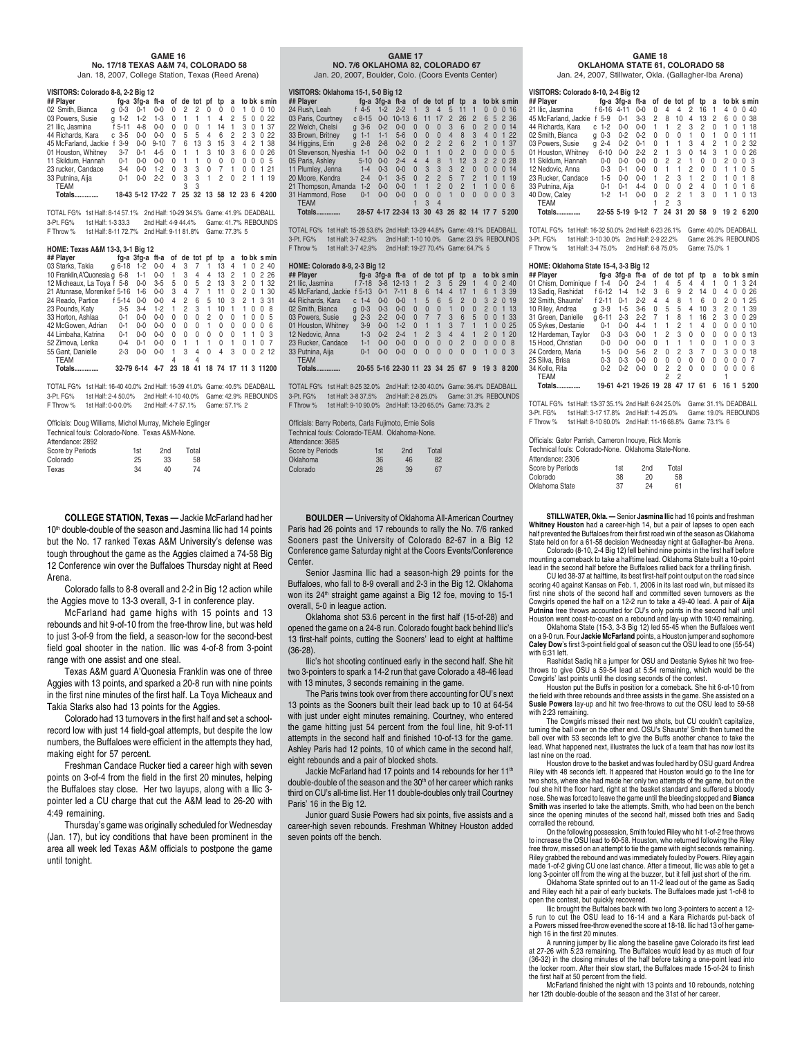### **GAME 16**

 **No. 17/18 TEXAS A&M 74, COLORADO 58** Jan. 18, 2007, College Station, Texas (Reed Arena)

#### **VISITORS: Colorado 8-8, 2-2 Big 12**

| ## Player            |   |             |         | fg-a 3fg-a ft-a of de tot pf tp |          |                |                     |                |    |          |               |                | a to bk s min  |
|----------------------|---|-------------|---------|---------------------------------|----------|----------------|---------------------|----------------|----|----------|---------------|----------------|----------------|
| 02 Smith, Bianca     | a | $0 - 3$     | $0 - 1$ | $0 - 0$                         | $\Omega$ | 2              | 2                   | $\Omega$       | 0  | 0        | $\mathbf{1}$  | 0              | 0, 10          |
| 03 Powers, Susie     |   | $a - 1 - 2$ | $1 - 2$ | $1-3$                           | $\Omega$ | $\overline{1}$ | $\overline{1}$      | $\overline{1}$ | 4  | 2        | 50            |                | 0.22           |
| 21 Ilic. Jasmina     |   | f 5-11      | $4 - 8$ | $0 - 0$                         | U        | U              | $\Omega$            | 1              | 14 | 1        | 3             | 0              | 1 37           |
| 44 Richards, Kara    |   | $c3-5$      | $0 - 0$ | $0 - 0$                         | U        | 5              | 5                   | 4              | 6  | 2        | 2             | 3              | 0.22           |
| 45 McFarland, Jackie |   | $3-9$       | $0 - 0$ | $9 - 10$                        | 7        | 6              | 13                  | 3              | 15 | 3        | 4             | 2              | 1 38           |
| 01 Houston, Whitney  |   | $3 - 7$     | $0 - 1$ | $4 - 5$                         | $\Omega$ |                | 1                   | 3              | 10 | 3        | 6             | 0              | 0.26           |
| 11 Skildum, Hannah   |   | $0 - 1$     | $0 - 0$ | $0 - 0$                         | U        |                | 1                   | $\Omega$       | 0  | $\Omega$ | 0             | 0              | 0 <sub>5</sub> |
| 23 rucker, Candace   |   | $3 - 4$     | $0 - 0$ | $1-2$                           | U        | 3              | 3                   | $\Omega$       | 7  | 1        | U             | 0              | 1 21           |
| 33 Putnina, Aiia     |   | $0 - 1$     | $0 - 0$ | $2 - 2$                         | U        | 3              | 3                   | 1              | 2  | 0        | $\mathcal{P}$ | $\overline{1}$ | 1 19           |
| <b>TEAM</b>          |   |             |         |                                 |          |                | 3                   |                |    |          |               |                |                |
| Totals.              |   |             |         | 18-43 5-12 17-22 7              |          |                | 25 32 13 58 12 23 6 |                |    |          |               |                | 4.200          |

TOTAL FG% 1st Half: 8-14 57.1% 2nd Half: 10-29 34.5% Game: 41.9% DEADBALL 3-Pt. FG% 1st Half: 1-3 33.3 2nd Half: 4-9 44.4% Game: 41.7% REBOUNDS F Throw % 1st Half: 8-11 72.7% 2nd Half: 9-11 81.8% Game: 77.3% 5

#### **HOME: Texas A&M 13-3, 3-1 Big 12**

| ## Plaver                     |            | fg-a 3fg-a | ft-a    |          |    | of de tot | рf             | tp       | a        |    |          | to bk s min        |
|-------------------------------|------------|------------|---------|----------|----|-----------|----------------|----------|----------|----|----------|--------------------|
| 03 Starks, Takia              | $q6-18$    | $1 - 2$    | $0 - 0$ | 4        | 3  | 7         | $\overline{1}$ | 13       | 4        | 1  | 0        | 240                |
| 10 Franklin, A'Quonesia q 6-8 |            | $1 - 1$    | $0 - 0$ | 1        | 3  | 4         | 4              | 13       | 2        | 1  | O        | 2.26               |
| 12 Micheaux, La Toya f 5-8    |            | $0-0$      | $3 - 5$ | 5        | 0  | 5         | 2              | 13       | 3        | 2  | 0        | 1 32               |
| 21 Atunrase, Morenike f 5-16  |            | $1 - 6$    | $0 - 0$ | 3        | 4  | 7         | 1              | 11       | $\Omega$ | 2  | $\Omega$ | 30<br>1            |
| 24 Reado, Partice             | f 5-14     | $0 - 0$    | $0 - 0$ | 4        | 2  | 6         | 5              | 10       | 3        | 2  | 1        | 3 31               |
| 23 Pounds, Katy               | $3 - 5$    | $3 - 4$    | $1 - 2$ | 1        | 2  | 3         | 1              | 10       | 1        | 1  | O        | 8<br>O             |
| 33 Horton, Ashlaa             | $0 - 1$    | $0 - 0$    | $0 - 0$ | U        | U  | $\Omega$  | 2              | $\Omega$ | $\Omega$ | 1  | O        | 5<br>O             |
| 42 McGowen, Adrian            | $0 - 1$    | $0 - 0$    | $0 - 0$ | U        | U  | $\Omega$  | 1              | 0        | U        | 0  | O        | 6<br>O             |
| 44 Limbaha, Katrina           | $0 - 1$    | $0 - 0$    | $0 - 0$ | U        | U  | U         | U              | $\Omega$ | U        | 1  | 1        | -3<br><sup>0</sup> |
| 52 Zimova, Lenka              | $0 - 4$    | $0 - 1$    | $0 - 0$ | $\Omega$ | 1  | 1         | 1              | $\Omega$ | 1        | U  | 1        | 7<br><sup>0</sup>  |
| 55 Gant, Danielle             | $2 - 3$    | $0 - 0$    | $0 - 0$ |          | 3  | 4         | $\Omega$       | 4        | 3        | 0  | O        | 212                |
| <b>TEAM</b>                   |            |            |         |          |    |           |                |          |          |    |          |                    |
| Totals.                       | 32-79 6-14 |            | 4-7     | 23       | 18 | 41        | 18             | 74       | 17       | 11 |          | 3 11200            |

| <u>101415</u>                                                              | $32 - 130 - 14$ $4 - 1200$ $10 + 100 + 111$ $1131200$ |  |  |  |  |  |
|----------------------------------------------------------------------------|-------------------------------------------------------|--|--|--|--|--|
|                                                                            |                                                       |  |  |  |  |  |
| TOTAL FG% 1st Half: 16-40 40.0% 2nd Half: 16-39 41.0% Game: 40.5% DEADBALL |                                                       |  |  |  |  |  |

3-Pt. FG% 1st Half: 2-4 50.0% 2nd Half: 4-10 40.0% Game: 42.9% REBOUNDS 2nd Half: 4-7 57.1%

| Officials: Doug Williams, Michol Murray, Michele Eglinger |     |                 |       |  |  |  |  |  |  |  |  |  |
|-----------------------------------------------------------|-----|-----------------|-------|--|--|--|--|--|--|--|--|--|
| Technical fouls: Colorado-None. Texas A&M-None.           |     |                 |       |  |  |  |  |  |  |  |  |  |
| Attendance: 2892                                          |     |                 |       |  |  |  |  |  |  |  |  |  |
| Score by Periods                                          | 1st | 2 <sub>nd</sub> | Total |  |  |  |  |  |  |  |  |  |
| Colorado                                                  | 25  | 33              | 58    |  |  |  |  |  |  |  |  |  |
| Texas                                                     | 34  | 40              | 74    |  |  |  |  |  |  |  |  |  |

**COLLEGE STATION, Texas —** Jackie McFarland had her 10<sup>th</sup> double-double of the season and Jasmina Ilic had 14 points but the No. 17 ranked Texas A&M University's defense was tough throughout the game as the Aggies claimed a 74-58 Big 12 Conference win over the Buffaloes Thursday night at Reed Arena.

Colorado falls to 8-8 overall and 2-2 in Big 12 action while the Aggies move to 13-3 overall, 3-1 in conference play.

McFarland had game highs with 15 points and 13 rebounds and hit 9-of-10 from the free-throw line, but was held to just 3-of-9 from the field, a season-low for the second-best field goal shooter in the nation. Ilic was 4-of-8 from 3-point range with one assist and one steal.

Texas A&M guard A'Quonesia Franklin was one of three Aggies with 13 points, and sparked a 20-8 run with nine points in the first nine minutes of the first half. La Toya Micheaux and Takia Starks also had 13 points for the Aggies.

Colorado had 13 turnovers in the first half and set a schoolrecord low with just 14 field-goal attempts, but despite the low numbers, the Buffaloes were efficient in the attempts they had, making eight for 57 percent.

Freshman Candace Rucker tied a career high with seven points on 3-of-4 from the field in the first 20 minutes, helping the Buffaloes stay close. Her two layups, along with a Ilic 3 pointer led a CU charge that cut the A&M lead to 26-20 with 4:49 remaining.

Thursday's game was originally scheduled for Wednesday (Jan. 17), but icy conditions that have been prominent in the area all week led Texas A&M officials to postpone the game until tonight.

#### **GAME 17 NO. 7/6 OKLAHOMA 82, COLORADO 67**

Jan. 20, 2007, Boulder, Colo. (Coors Events Center)

| VISITORS: Oklahoma 15-1, 5-0 Big 12 |                 |         |                  |                |                |                |                |                |                |                |          |                |
|-------------------------------------|-----------------|---------|------------------|----------------|----------------|----------------|----------------|----------------|----------------|----------------|----------|----------------|
| ## Plaver                           | fa-a 3fa-a ft-a |         |                  |                |                | of de tot pf   |                | tp             | a              |                |          | to bk s min    |
| 24 Rush, Leah                       | $f$ 4-5         | $1-2$   | $2 - 2$          | 1              | 3              | $\overline{4}$ | 5              | 11             | $\mathbf{1}$   | $\Omega$       | $\Omega$ | 16<br>$\Omega$ |
| 03 Paris, Courtney                  | $c8-15$         | $0 - 0$ | $10 - 13$        | 6              | 11             | 17             | $\mathfrak{p}$ | 26             | $\mathfrak{p}$ | 6              | 5        | 2 36           |
| 22 Welch, Chelsi                    | $3-6$<br>a      | $0 - 2$ | $0 - 0$          | $\Omega$       | $\Omega$       | $\Omega$       | 3              | 6              | $\Omega$       | $\mathfrak{p}$ | $\Omega$ | 14<br>0        |
| 33 Brown, Britney<br>$\overline{a}$ | $1-1$           | $1 - 1$ | $5 - 6$          | $\Omega$       | $\Omega$       | $\Omega$       | 4              | 8              | 3              | 4              | $\Omega$ | 22<br>1        |
| 34 Higgins, Erin<br>a               | $2 - 8$         | $2 - 8$ | $0 - 2$          | $\Omega$       | $\overline{2}$ | $\overline{2}$ | $\overline{2}$ | 6              | $\overline{2}$ | $\mathbf{1}$   | $\Omega$ | 37<br>1        |
| 01 Stevenson, Nyeshia               | $1 - 1$         | $0 - 0$ | $0 - 2$          | $\Omega$       | $\overline{1}$ | $\overline{1}$ | $\Omega$       | $\overline{2}$ | $\Omega$       | $\Omega$       | $\Omega$ | -5<br>$\Omega$ |
| 05 Paris, Ashley                    | $5 - 10$        | $0 - 0$ | $2 - 4$          | 4              | $\overline{4}$ | 8              | 1              | 12             | 3              | 2 <sub>2</sub> |          | 28<br>$\Omega$ |
| 11 Plumley, Jenna                   | $1 - 4$         | $0 - 3$ | $0 - 0$          | $\Omega$       | 3              | 3              | 3              | $\mathfrak{p}$ | $\Omega$       | $\Omega$       | $\Omega$ | 14<br>0        |
| 20 Moore, Kendra                    | $2 - 4$         | $0 - 1$ | $3 - 5$          | $\Omega$       | $\overline{2}$ | $\overline{2}$ | 5              | $\overline{7}$ | $\mathfrak{p}$ | 1              | $\Omega$ | 19             |
| 21 Thompson, Amanda                 | $1 - 2$         | $0 - 0$ | $0 - 0$          | $\overline{1}$ | 1              | $\overline{2}$ | $\Omega$       | $\overline{2}$ | $\mathbf{1}$   | 1              | $\Omega$ | 6<br>$\Omega$  |
| 31 Hammond, Rose                    | $0 - 1$         | $0 - 0$ | $0 - 0$          | $\Omega$       | $\Omega$       | $\Omega$       | $\overline{1}$ | $\Omega$       | $\Omega$       | $\Omega$       | $\Omega$ | 3<br>$\Omega$  |
| <b>TEAM</b>                         |                 |         |                  |                | 3              | 4              |                |                |                |                |          |                |
| <b>Totals</b>                       |                 |         | 28-57 4-17 22-34 | 13             | 30             | 43             | 26             | 82             | 14             |                |          | 5 2 0 0        |

TOTAL FG% 1st Half: 15-28 53.6% 2nd Half: 13-29 44.8% Game: 49.1% DEADBALL 3-Pt. FG% 1st Half: 3-7 42.9% 2nd Half: 1-10 10.0% Game: 23.5% REBOUNDS F Throw % 1st Half: 3-7 42.9% 2nd Half: 19-27 70.4% Game: 64.7% 5

**HOME: Colorado 8-9, 2-3 Big 12 ## Player fg-a 3fg-a ft-a of de tot pf tp a to bk s min** 21 Ilic, Jasmina f 7-18 3-8 12-13 1 2 3 5 29 1 4 0 2 40 19 McFarland, Jackie f 5-13 0-13 12-13 1 2 3 5 29 1 4 0 2 40<br>45 McFarland, Jackie f 5-13 0-1 7-11 8 6 14 4 17 1 6 1 3 39<br>44 Michards, Karac c 14 0-0 0-0 1 5 6 5 2 9 0 3 2 0 1 13<br>02 Smith, Bianca g 0-3 0-3 0-0 0 0 0 1 0 0 2 44 Richards, Kara c 1-4 0-0 0-0 1 5 6 5 2 0 3 2 0 19 02 Smith, Bianca g 0-3 0-3 0-0 0 0 0 1 0 0 2 0 1 13<br>03 Powers, Susie g 2-3 2-2 0-0 0 7 7 3 6 5 0 0 1 33<br>01 Houston, Whitney 3-9 0-0 1-2 0 1 1 3 7 1 1 0 0 25 03 Powers, Susie g 2-3 2-2 0-0 0 7 7 3 6 5 0 0 1 33 01 Houston, Whitney 3-9 0-0 1-2 0 1 1 3 7 1 1 0 0 25 12 Nedovic, Anna 1-3 0-2 2-4 1 2 3 4 4 1 2 0 1 20 23 Rucker, Candace 1-1 0-0 0-0 0 0 0 0 2 0 0008 33 Putnina, Aija 0-1 0-0 0-0 0 0 0 0 0 0 1003 TEAM<br>Totals

**Totals.............. 20-55 5-16 22-30 11 23 34 25 67 9 19 3 8 200**

TOTAL FG% 1st Half: 8-25 32.0% 2nd Half: 12-30 40.0% Game: 36.4% DEADBALL 3-Pt. FG% 1st Half: 3-8 37.5% 2nd Half: 2-8 25.0% Game: 31.3% REBOUNDS F Throw % 1st Half: 9-10 90.0% 2nd Half: 13-20 65.0% Game: 73.3% 2

| Officials: Barry Roberts, Carla Fujimoto, Ernie Solis |     |     |       |  |
|-------------------------------------------------------|-----|-----|-------|--|
| Technical fouls: Colorado-TEAM. Oklahoma-None.        |     |     |       |  |
| Attendance: 3685                                      |     |     |       |  |
| <b>Score by Periods</b>                               | 1st | 2nd | Total |  |
| Oklahoma                                              | 36  | 46  | 82    |  |
| Colorado                                              | 28  | 39  | 67    |  |

**BOULDER —** University of Oklahoma All-American Courtney Paris had 26 points and 17 rebounds to rally the No. 7/6 ranked Sooners past the University of Colorado 82-67 in a Big 12 Conference game Saturday night at the Coors Events/Conference **Center.** 

Senior Jasmina Ilic had a season-high 29 points for the Buffaloes, who fall to 8-9 overall and 2-3 in the Big 12. Oklahoma won its 24<sup>th</sup> straight game against a Big 12 foe, moving to 15-1 overall, 5-0 in league action.

Oklahoma shot 53.6 percent in the first half (15-of-28) and opened the game on a 24-8 run. Colorado fought back behind Ilic's 13 first-half points, cutting the Sooners' lead to eight at halftime (36-28).

Ilic's hot shooting continued early in the second half. She hit two 3-pointers to spark a 14-2 run that gave Colorado a 48-46 lead with 13 minutes, 3 seconds remaining in the game.

The Paris twins took over from there accounting for OU's next 13 points as the Sooners built their lead back up to 10 at 64-54 with just under eight minutes remaining. Courtney, who entered the game hitting just 54 percent from the foul line, hit 9-of-11 attempts in the second half and finished 10-of-13 for the game. Ashley Paris had 12 points, 10 of which came in the second half, eight rebounds and a pair of blocked shots.

Jackie McFarland had 17 points and 14 rebounds for her 11<sup>th</sup> double-double of the season and the 30th of her career which ranks third on CU's all-time list. Her 11 double-doubles only trail Courtney Paris' 16 in the Big 12.

Junior guard Susie Powers had six points, five assists and a career-high seven rebounds. Freshman Whitney Houston added seven points off the bench.

#### **GAME 18**

 **OKLAHOMA STATE 61, COLORADO 58** Jan. 24, 2007, Stillwater, Okla. (Gallagher-Iba Arena)

| VISITORS: Colorado 8-10, 2-4 Big 12 |              |            |          |              |           |          |    |    |          |    |   |             |
|-------------------------------------|--------------|------------|----------|--------------|-----------|----------|----|----|----------|----|---|-------------|
| ## Plaver                           |              | fa-a 3fa-a | ft-a     |              | of de tot |          | рf | tp | a        |    |   | to bk s min |
| 21 Ilic. Jasmina                    | f 6-16       | $4 - 11$   | $0 - 0$  | 0            | 4         | 4        | 2  | 16 | 1        | 4  | 0 | 40<br>0     |
| 45 McFarland, Jackie                | $5-9$        | $0 - 1$    | $3-3$    | 2            | 8         | 10       | 4  | 13 | 2        | 6  | 0 | -38<br>0    |
| 44 Richards, Kara                   | $c$ 1-2      | $0 - 0$    | $0 - 0$  | 1            |           | 2        | 3  | 2  | 0        | 1  | 0 | 18<br>1     |
| 02 Smith, Bianca                    | $0 - 3$<br>a | $0 - 2$    | $0 - 2$  | 0            | $\Omega$  | $\Omega$ | 1  | 0  | 1        | U  | 0 | 11          |
| 03 Powers, Susie                    | $2 - 4$<br>a | $0 - 2$    | $0 - 1$  | $\Omega$     | 1         | 1        | 3  | 4  | 2        | 1  | 0 | 2 32        |
| 01 Houston, Whitney                 | $6 - 10$     | $0 - 0$    | $2 - 2$  | 2            | 1         | 3        | 0  | 14 | 3        | 1  | 0 | -26<br>0    |
| 11 Skildum, Hannah                  | $0 - 0$      | $0 - 0$    | $0 - 0$  | <sup>0</sup> | 2         | 2        | 1  | U  | 0        | 2  | 0 | -3<br>O     |
| 12 Nedovic, Anna                    | $0 - 3$      | $0 - 1$    | $0 - 0$  | U            | 1         |          | 2  | 0  | 0        | 1  |   | -5<br>O     |
| 23 Rucker, Candace                  | $1 - 5$      | $0 - 0$    | $0 - 0$  | 1            | 2         | 3        | 1  | 2  | 0        | 1  | O | -8<br>1     |
| 33 Putnina, Aija                    | $0 - 1$      | $0 - 1$    | $4 - 4$  | $\Omega$     | U         | $\Omega$ | 2  | 4  | $\Omega$ | 1  | O | 6           |
| 40 Dow, Caley                       | $1-2$        | $1 - 1$    | $0 - 0$  | U            | 2         | 2        | 1  | 3  | U        | 1  | 1 | 13<br>U     |
| <b>TEAM</b>                         |              |            |          |              | 2         | 3        |    |    |          |    |   |             |
| Totals.                             | 22-55 5-19   |            | $9 - 12$ |              | 24        | 31       | 20 | 58 | 9        | 19 | 2 | 6 200       |

TOTAL FG% 1st Half: 16-32 50.0% 2nd Half: 6-23 26.1% Game: 40.0% DEADBALL 3-Pt. FG% 1st Half: 3-10 30.0% 2nd Half: 2-9 22.2% F Throw % 1st Half: 3-4 75.0% 2nd Half: 6-8 75.0% Game: 75.0% 1

| HOME: Oklahoma State 15-4, 3-3 Big 12 |              |                 |         |          |    |              |          |          |          |    |          |             |
|---------------------------------------|--------------|-----------------|---------|----------|----|--------------|----------|----------|----------|----|----------|-------------|
| ## Plaver                             |              | fa-a 3fa-a ft-a |         |          |    | of de tot pf |          | tp       | a        |    |          | to bk s min |
| 01 Chism. Dominique                   | $1 - 4$<br>f | $0 - 0$         | $2 - 4$ | 1        | 4  | 5            | 4        | 4        | 1        | 0  | 1        | 324         |
| 13 Sadig, Rashidat                    | f 6-12       | $1 - 4$         | $1 - 2$ | 3        | հ  | 9            | 2        | 14       | 0        | 4  | O        | -26<br>0    |
| 32 Smith, Shaunte'                    | f 2-11       | $0 - 1$         | $2 - 2$ | 4        | 4  | 8            | 1        | 6        | $\Omega$ | 2  | O        | 1 25        |
| 10 Riley, Andrea                      | $3-9$<br>q   | $1 - 5$         | $3-6$   | $\Omega$ | 5  | 5            | 4        | 10       | 3        | 2  | $\Omega$ | 39<br>1     |
| 31 Green, Danielle                    | $a 6-11$     | $2 - 3$         | $2 - 2$ | 7        | 1  | 8            | 1        | 16       | 2        | З  | O        | 0.29        |
| 05 Sykes, Destanie                    | $0 - 1$      | $0 - 0$         | $4 - 4$ | 1        |    | 2            | 1        | 4        | $\Omega$ | U  | O        | 10<br>0     |
| 12 Hardeman, Taylor                   | $0 - 3$      | $0 - 3$         | $0 - 0$ | 1        | 2  | 3            | $\Omega$ | $\Omega$ | $\Omega$ | 0  | O        | 13<br>0     |
| 15 Hood, Christian                    | $0 - 0$      | $0 - 0$         | $0 - 0$ | $\Omega$ | 1  | 1            | 1        | $\Omega$ | $\Omega$ | 1  | $\Omega$ | 3<br>O      |
| 24 Cordero, Maria                     | $1-5$        | $0 - 0$         | $5-6$   | 2        | U  | 2            | 3        | 7        | 0        | 3  | O        | 18<br>0     |
| 25 Silva, Brisa                       | $0 - 3$      | $0 - 3$         | $0 - 0$ | U        | U  | U            | $\Omega$ | $\Omega$ | 0        | U  | O        | O<br>7      |
| 34 Kollo, Rita                        | $0 - 2$      | $0 - 2$         | $0 - 0$ | U        | 2  | 2            | $\Omega$ | 0        | 0        | U  | U        | 6<br>O      |
| <b>TEAM</b>                           |              |                 |         |          |    | 2            |          |          |          |    |          |             |
| <b>Totals</b>                         | 19-61        | 4-21            | 19-26   | 19       | 28 | 47           |          | 6        | 6        | 16 |          | 5200        |

TOTAL FG% 1st Half: 13-37 35.1% 2nd Half: 6-24 25.0% Game: 31.1% DEADBALL 3-Pt. FG% 1st Half: 3-17 17.8% 2nd Half: 1-4 25.0% Game: 19.0% REBOUNDS 1st Half: 8-10 80.0% 2nd Half: 11-16 68.8% Game: 73.1% 6

Officials: Gator Parrish, Cameron Inouye, Rick Morris Technical fouls: Colorado-None. Oklahoma State-None.

| Attendance: 2306 |     |                 |       |
|------------------|-----|-----------------|-------|
| Score by Periods | 1st | 2 <sub>nd</sub> | Total |
| Colorado         | 38  | 20              | 58    |
| Oklahoma State   | 37  | 24              | 61    |

**STILLWATER, Okla. —** Senior **Jasmina Ilic** had 16 points and freshman Whitney Houston had a career-high 14, but a pair of lapses to open each half prevented the Buffaloes from their first road win of the season as Oklahoma State held on for a 61-58 decision Wednesday night at Gallagher-Iba Arena. Colorado (8-10, 2-4 Big 12) fell behind nine points in the first half before

mounting a comeback to take a halftime lead. Oklahoma State built a 10-point lead in the second half before the Buffaloes rallied back for a thrilling finish.

CU led 38-37 at halftime, its best first-half point output on the road since scoring 40 against Kansas on Feb. 1, 2006 in its last road win, but missed its first nine shots of the second half and committed seven turnovers as the Cowgirls opened the half on a 12-2 run to take a 49-40 lead. A pair of **Aija Putnina** free throws accounted for CU's only points in the second half until Houston went coast-to-coast on a rebound and lay-up with 10:40 remaining. Oklahoma State (15-3, 3-3 Big 12) led 55-45 when the Buffaloes went

on a 9-0 run. Four **Jackie McFarland** points, a Houston jumper and sophomore **Caley Dow's first 3-point field goal of season cut the OSU lead to one (55-54)** with 6:31 left

with 6:31 left. Rashidat Sadiq hit a jumper for OSU and Destanie Sykes hit two free-throws to give OSU a 59-54 lead at 5:54 remaining, which would be the Cowgirls' last points until the closing seconds of the contest.

Houston put the Buffs in position for a comeback. She hit 6-of-10 from the field with three rebounds and three assists in the game. She assisted on a **Susie Powers** lay-up and hit two free-throws to cut the OSU lead to 59-58

with 2:23 remaining. The Cowgirls missed their next two shots, but CU couldn't capitalize, turning the ball over on the other end. OSU's Shaunte' Smith then turned the ball over with 53 seconds left to give the Buffs another chance to take the lead. What happened next, illustrates the luck of a team that has now lost its last nine on the road.

Houston drove to the basket and was fouled hard by OSU guard Andrea Riley with 48 seconds left. It appeared that Houston would go to the line for two shots, where she had made her only two attempts of the game, but on the foul she hit the floor hard, right at the basket standard and suffered a bloody nose. She was forced to leave the game until the bleeding stopped and **Bianca Smith** was inserted to take the attempts. Smith, who had been on the bench since the opening minutes of the second half, missed both tries and Sadiq corralled the rebound.

 On the following possession, Smith fouled Riley who hit 1-of-2 free throws to increase the OSU lead to 60-58. Houston, who returned following the Riley free throw, missed on an attempt to tie the game with eight seconds remaining. Riley grabbed the rebound and was immediately fouled by Powers. Riley again made 1-of-2 giving CU one last chance. After a timeout, Ilic was able to get a<br>long 3-pointer off from the wing at the buzzer, but it fell just short of the rim.<br>Oklahoma State sprinted out to an 11-2 lead out of the game

and Riley each hit a pair of early buckets. The Buffaloes made just 1-of-8 to open the contest, but quickly recovered.

Ilic brought the Buffaloes back with two long 3-pointers to accent a 12- 5 run to cut the OSU lead to 16-14 and a Kara Richards put-back of a Powers missed free-throw evened the score at 18-18. Ilic had 13 of her gamehigh 16 in the first 20 minutes.

A running jumper by Ilic along the baseline gave Colorado its first lead<br>at 27-26 with 5:23 remaining. The Buffaloes would lead by as much of four<br>(36-32) in the closing minutes of the half before taking a one-point lead i the locker room. After their slow start, the Buffaloes made 15-of-24 to finish the first half at 50 percent from the field.

McFarland finished the night with 13 points and 10 rebounds, notching her 12th double-double of the season and the 31st of her career.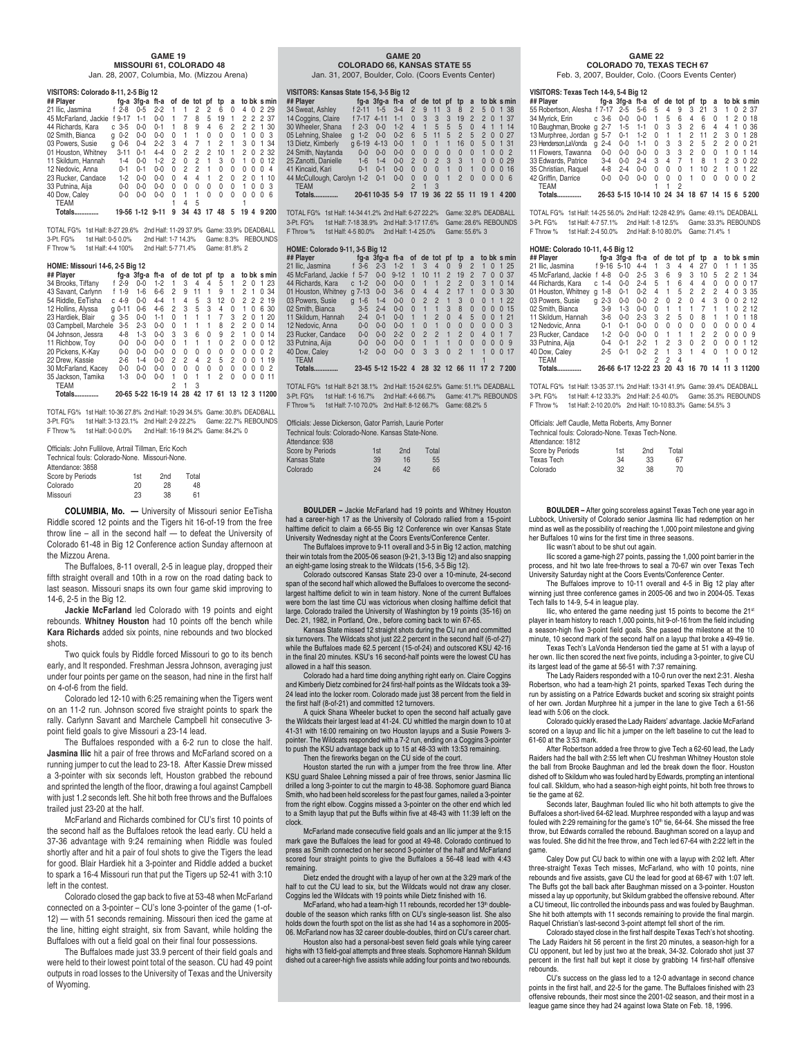#### **GAME 19 MISSOURI 61, COLORADO 48** Jan. 28, 2007, Columbia, Mo. (Mizzou Arena)

| VISITORS: Colorado 8-11, 2-5 Big 12 |               |                 |          |              |          |                |          |                |   |    |              |             |    |
|-------------------------------------|---------------|-----------------|----------|--------------|----------|----------------|----------|----------------|---|----|--------------|-------------|----|
| ## Plaver                           |               | fg-a 3fg-a ft-a |          | of           |          | de tot         | pf       | tp             | a |    |              | to bk s min |    |
| 21 Ilic. Jasmina                    | $f$ 2-8       | $0 - 5$         | $2 - 2$  |              |          | 2              | 2        | 6              | 0 | 4  | 0            | 2 2 9       |    |
| 45 McFarland, Jackie                | $9 - 17$<br>f | $1 - 1$         | $0 - 0$  |              | 7        | 8              | 5        | 19             | 1 | 2  | 2            | 2 37        |    |
| 44 Richards, Kara                   | $3 - 5$<br>c  | $0 - 0$         | $0 - 1$  |              | 8        | 9              | 4        | 6              | 2 | 2  | 2            | 1           | 30 |
| 02 Smith, Bianca                    | $0 - 2$<br>a  | $0 - 0$         | $0 - 0$  | $\Omega$     | 1        | 1              | $\Omega$ | $\Omega$       | 0 | 1  | O            | U           | 3  |
| 03 Powers, Susie                    | $0-6$<br>a    | $0 - 4$         | $2 - 2$  | 3            | 4        | 7              | 1        | 2              | 1 | 3  | O            | 1           | 34 |
| 01 Houston, Whitney                 | $3 - 11$      | $0 - 1$         | $4 - 4$  | $\Omega$     | 2        | 2              | 2        | 10             | 1 | 2  | <sup>0</sup> | 2 32        |    |
| 11 Skildum, Hannah                  | $1 - 4$       | $0 - 0$         | $1 - 2$  | 2            | $\Omega$ | $\overline{c}$ | 1        | 3              | 0 | 1  | O            | U           | 12 |
| 12 Nedovic, Anna                    | $0 - 1$       | $0 - 1$         | $0 - 0$  | <sup>0</sup> | 2        | 2              | 1        | 0              | 0 | 0  | O            | O           | 4  |
| 23 Rucker, Candace                  | $1 - 2$       | $0 - 0$         | $0 - 0$  | $\Omega$     | 4        | 4              | 1        | $\overline{c}$ | U | 2  | O            | 1           | 10 |
| 33 Putnina, Aija                    | $0 - 0$       | $0 - 0$         | $0 - 0$  | $\Omega$     | 0        | U              | $\Omega$ | 0              | 0 | 1  | O            | O           | 3  |
| 40 Dow, Caley                       | $0 - 0$       | $0 - 0$         | $0 - 0$  | $\Omega$     | 1        | 1              | U        | U              | U | U  | U            | U           | 6  |
| <b>TEAM</b>                         |               |                 |          |              | 4        | 5              |          |                |   |    |              |             |    |
| Totals.                             | 19-56 1-12    |                 | $9 - 11$ | 9            | 34       | 43             |          | 48             | 5 | 19 | Δ            | 9 200       |    |

TOTAL FG% 1st Half: 8-27 29.6% 2nd Half: 11-29 37.9% Game: 33.9% DEADBALL 2nd Half: 1-7 14.3% Game: 8.3% REBOUNDS F Throw % 1st Half: 4-4 100% 2nd Half: 5-7 71.4% Game: 81.8% 2

#### **HOME: Missouri 14-6, 2-5 Big 12**

| ## Plaver             |               | fa-a 3fa-a | ft-a             | οf |    | de tot pf |          | tp | a              |     |   |   | to bk s min |
|-----------------------|---------------|------------|------------------|----|----|-----------|----------|----|----------------|-----|---|---|-------------|
| 34 Brooks, Tiffany    | $f$ 2-9       | $0 - 0$    | $1 - 2$          |    | 3  | 4         | 4        | 5  | 1              | 2   | O |   | 23          |
| 43 Savant, Carlynn    | $1 - 9$       | $1-6$      | $6-6$            | 2  | g  | 11        |          | 9  |                | 2   |   | 0 | 34          |
| 54 Riddle, EeTisha    | $4 - 9$<br>c  | $0 - 0$    | 4-4              |    | 4  | 5         | 3        | 12 | 0              | 2   | 2 |   | 2 19        |
| 12 Hollins, Alyssa    | $0 - 11$<br>a | $0-6$      | $4 - 6$          | 2  | 3  | 5         | 3        | 4  | 0              |     | O | 6 | 30          |
| 23 Hardiek, Blair     | $3 - 5$<br>a  | $0 - 0$    | $1 - 1$          | U  |    |           |          | 7  | 3              | 2   | O |   | 20          |
| 03 Campbell, Marchele | $3 - 5$       | $2 - 3$    | $0 - 0$          | U  |    |           |          | 8  | 2              | 2   | 0 | 0 | 14          |
| 04 Johnson, Jessra    | $4 - 8$       | $1-3$      | $0 - 0$          | 3  | 3  | հ         | $\Omega$ | 9  | 2              |     | O | U | 14          |
| 11 Richbow, Toy       | $0-0$         | $0 - 0$    | $0 - 0$          | U  |    |           |          | U  | $\overline{c}$ | U   | O | U | 12          |
| 20 Pickens, K-Kav     | $0-0$         | $0 - 0$    | $0 - 0$          | U  | U  | U         | 0        | 0  | 0              | 0   | O | O | 2           |
| 22 Drew, Kassie       | $2 - 6$       | $1 - 4$    | $0 - 0$          | 2  | 2  | Δ         | 2        | 5  | 2              | U   | O |   | 19          |
| 30 McFarland, Kacey   | $0 - 0$       | $0 - 0$    | $0 - 0$          | U  | U  | U         | U        | 0  | 0              | 0   | O | U | 2           |
| 35 Jackson, Tamika    | $1 - 3$       | $0 - 0$    | $0 - 0$          |    | U  | 1         |          | 2  | 0              | 0   | O | U | 11          |
| TEAM                  |               |            |                  |    |    | 3         |          |    |                |     |   |   |             |
| Totals.               |               |            | 20-65 5-22 16-19 | 14 | 28 | 42        |          | 6  |                | 123 |   |   | 11200       |

TOTAL FG% 1st Half: 10-36 27.8% 2nd Half: 10-29 34.5% Game: 30.8% DEADBALL 3-Pt. FG% 1st Half: 3-13 23.1% 2nd Half: 2-9 22.2% Game: 22.7% REBOUNDS F Throw % 1st Half: 0-0 0.0% 2nd Half: 16-19 84.2% Game: 84.2% 0

| Officials: John Fullilove, Artrail Tillman, Eric Koch |     |                 |       |  |  |  |  |  |  |  |  |
|-------------------------------------------------------|-----|-----------------|-------|--|--|--|--|--|--|--|--|
| Technical fouls: Colorado-None. Missouri-None.        |     |                 |       |  |  |  |  |  |  |  |  |
| Attendance: 3858                                      |     |                 |       |  |  |  |  |  |  |  |  |
| Score by Periods                                      | 1st | 2 <sub>nd</sub> | Total |  |  |  |  |  |  |  |  |
| Colorado                                              | 20  | 28              | 48    |  |  |  |  |  |  |  |  |
| Missouri                                              | 23  | 38              | 61    |  |  |  |  |  |  |  |  |

**COLUMBIA, Mo. —** University of Missouri senior EeTisha Riddle scored 12 points and the Tigers hit 16-of-19 from the free throw line – all in the second half — to defeat the University of Colorado 61-48 in Big 12 Conference action Sunday afternoon at the Mizzou Arena.

The Buffaloes, 8-11 overall, 2-5 in league play, dropped their fifth straight overall and 10th in a row on the road dating back to last season. Missouri snaps its own four game skid improving to 14-6, 2-5 in the Big 12.

**Jackie McFarland** led Colorado with 19 points and eight rebounds. **Whitney Houston** had 10 points off the bench while **Kara Richards** added six points, nine rebounds and two blocked shots.

Two quick fouls by Riddle forced Missouri to go to its bench early, and It responded. Freshman Jessra Johnson, averaging just under four points per game on the season, had nine in the first half on 4-of-6 from the field.

Colorado led 12-10 with 6:25 remaining when the Tigers went on an 11-2 run. Johnson scored five straight points to spark the rally. Carlynn Savant and Marchele Campbell hit consecutive 3 point field goals to give Missouri a 23-14 lead.

The Buffaloes responded with a 6-2 run to close the half. **Jasmina Ilic** hit a pair of free throws and McFarland scored on a running jumper to cut the lead to 23-18. After Kassie Drew missed a 3-pointer with six seconds left, Houston grabbed the rebound and sprinted the length of the floor, drawing a foul against Campbell with just 1.2 seconds left. She hit both free throws and the Buffaloes trailed just 23-20 at the half.

McFarland and Richards combined for CU's first 10 points of the second half as the Buffaloes retook the lead early. CU held a 37-36 advantage with 9:24 remaining when Riddle was fouled shortly after and hit a pair of foul shots to give the Tigers the lead for good. Blair Hardiek hit a 3-pointer and Riddle added a bucket to spark a 16-4 Missouri run that put the Tigers up 52-41 with 3:10 left in the contest.

Colorado closed the gap back to five at 53-48 when McFarland connected on a 3-pointer – CU's lone 3-pointer of the game (1-of-12) — with 51 seconds remaining. Missouri then iced the game at the line, hitting eight straight, six from Savant, while holding the Buffaloes with out a field goal on their final four possessions.

The Buffaloes made just 33.9 percent of their field goals and were held to their lowest point total of the season. CU had 49 point outputs in road losses to the University of Texas and the University of Wyoming.

#### **GAME 20 COLORADO 66, KANSAS STATE 55**

Jan. 31, 2007, Boulder, Colo. (Coors Events Center)

#### **VISITORS: Kansas State 15-6, 3-5 Big 12**

| ## Plaver                  |               | fa-a 3fa-a ft-a of de tot pf |         |                |              |                |              | tp             | a              |                |                |          | to bk s min    |  |
|----------------------------|---------------|------------------------------|---------|----------------|--------------|----------------|--------------|----------------|----------------|----------------|----------------|----------|----------------|--|
| 34 Sweat, Ashlev           | $f$ 2-11      | $1 - 5$                      | $3 - 4$ | $\overline{2}$ | 9            | 11             | 3            | 8              | $\overline{2}$ | 5 <sub>0</sub> |                |          | 1 38           |  |
| 14 Coggins, Claire         | f 7-17        | $4 - 11$                     | $1 - 1$ | $\Omega$       | 3            | 3              | 3            | 19             | $\overline{2}$ | $\overline{2}$ | $\Omega$       |          | 1 37           |  |
| 30 Wheeler, Shana          | $f$ 2-3       | $0 - 0$                      | $1 - 2$ | $\overline{4}$ | 1            | 5              | 5            | 5              | $\Omega$       | $\overline{4}$ | $\overline{1}$ |          | 114            |  |
| 05 Lehning, Shalee         | $q - 1 - 2$   | $0 - 0$                      | $0 - 2$ | 6              | 5            | 11             | 5            | $\overline{2}$ | 5              | $\overline{2}$ | $\Omega$       |          | 0.27           |  |
| 13 Dietz, Kimberly         | $a$ 6-19 4-13 |                              | $0 - 0$ | $\mathbf{1}$   | $\mathbf{0}$ | $\overline{1}$ | $\mathbf{1}$ | 16             | $\Omega$       | 5              | $\overline{0}$ |          | 1 31           |  |
| 24 Smith, Naytanda         | $0 - 0$       | $0 - 0$                      | $0 - 0$ | $\Omega$       | $\Omega$     | $\Omega$       | $\Omega$     | $\Omega$       | $\Omega$       | $\mathbf{1}$   | $\Omega$       | $\Omega$ | $\overline{2}$ |  |
| 25 Zanotti, Danielle       | $1-6$         | $1 - 4$                      | $0 - 0$ | 2              | $\Omega$     | $\overline{2}$ | 3            | $\mathcal{R}$  |                | $\Omega$       | $\Omega$       |          | 0.29           |  |
| 41 Kincaid, Kari           | $0 - 1$       | $0 - 1$                      | $0 - 0$ | $\Omega$       | $\Omega$     | $\Omega$       |              | $\Omega$       |                | $\Omega$       | $\Omega$       | $\Omega$ | 16             |  |
| 44 McCullough, Carolyn 1-2 |               | $0 - 1$                      | $0 - 0$ | $\Omega$       | $\Omega$     | $\Omega$       |              | $\overline{2}$ | $\Omega$       | $\Omega$       | $\Omega$       | $\Omega$ | - 6            |  |
| <b>TEAM</b>                |               |                              |         |                |              |                |              |                |                |                |                |          |                |  |
| Totals.                    |               | 20-61 10-35 5-9              |         | 17             | 19           |                |              | 36 22 55 11    |                | 19 1           |                |          | 4 200          |  |

TOTAL FG% 1st Half: 14-34 41.2% 2nd Half: 6-27 22.2% Game: 32.8% DEADBALL

3-Pt. FG% 1st Half: 7-18 38.9% 2nd Half: 3-17 17.6% Game: 28.6% REBOUNDS F Throw % 1st Half: 4-5 80.0% 2nd Half: 1-4 25.0% Game: 55.6% 3

#### **HOME: Colorado 9-11, 3-5 Big 12**

| ## Player            |                          | fa-a 3fa-a ft-a |                  |          | of de tot      |                | pf             | tp             | a              |                      | to bk s min    |
|----------------------|--------------------------|-----------------|------------------|----------|----------------|----------------|----------------|----------------|----------------|----------------------|----------------|
| 21 Ilic. Jasmina     | $f$ 3-6                  | $2 - 3$         | $1 - 2$          |          | 3              | $\Delta$       | $\Omega$       | 9              | $\mathfrak{p}$ | 1<br>$\Omega$        | 25             |
| 45 McFarland, Jackie | $5 - 7$                  | $0 - 0$         | $9 - 12$         | 1        | 10             | 11             | 2              | 19             | $\mathfrak{p}$ | 7<br>$\Omega$        | 37<br>$\Omega$ |
| 44 Richards, Kara    | $c1-2$                   | $0 - 0$         | $0 - 0$          | $\Omega$ | $\mathbf{1}$   |                | 2              | $\overline{2}$ | $\Omega$       | 3                    | 14<br>$\Omega$ |
| 01 Houston, Whitney  | $7 - 13$<br>$\mathsf{q}$ | $0 - 0$         | $3-6$            | $\Omega$ | $\overline{4}$ | $\overline{4}$ | $\mathfrak{p}$ | 17             | $\mathbf{1}$   | $\Omega$<br>$\Omega$ | -30<br>3       |
| 03 Powers, Susie     | $1-6$<br>$\alpha$        | $1 - 4$         | $0 - 0$          | $\Omega$ | $\mathfrak{p}$ | $\mathfrak{p}$ | 1              | 3              | $\Omega$       | $\Omega$<br>1        | 22<br>1        |
| 02 Smith, Bianca     | $3 - 5$                  | $2 - 4$         | $0 - 0$          | $\Omega$ | $\mathbf{1}$   |                | 3              | 8              | $\Omega$       | $\Omega$<br>0        | 15<br>$\Omega$ |
| 11 Skildum, Hannah   | $2 - 4$                  | $0 - 1$         | $0 - 0$          |          | 1              | $\mathfrak{p}$ | $\Omega$       | $\Delta$       | 5              | $\Omega$<br>$\Omega$ | 21<br>1        |
| 12 Nedovic, Anna     | $0 - 0$                  | $0 - 0$         | $0 - 0$          |          | $\Omega$       | 1              | $\Omega$       | $\Omega$       | $\Omega$       | $\Omega$<br>$\Omega$ | 3<br>$\Omega$  |
| 23 Rucker, Candace   | $0 - 0$                  | $0 - 0$         | $2 - 2$          | $\Omega$ | $\mathfrak{p}$ | $\mathfrak{p}$ |                | $\mathfrak{p}$ | $\Omega$       | 4<br>$\Omega$        |                |
| 33 Putnina, Aija     | $0 - 0$                  | $0 - 0$         | $0 - 0$          | $\Omega$ | $\mathbf{1}$   | 1              | 1              | $\Omega$       | $\Omega$       | $\Omega$<br>$\Omega$ | 9<br>$\Omega$  |
| 40 Dow, Caley        | $1 - 2$                  | $0 - 0$         | $0 - 0$          | $\Omega$ | 3              | 3              | $\Omega$       | $\overline{2}$ | 1              | $\Omega$             | 17<br>$\Omega$ |
| <b>TEAM</b>          |                          |                 |                  |          |                |                |                |                |                |                      |                |
| Totals.              |                          |                 | 23-45 5-12 15-22 | 4        | 28             |                | 32 12          | 66             | 11             | $\mathcal{P}$<br>17  | 7 200          |

TOTAL FG% 1st Half: 8-21 38.1% 2nd Half: 15-24 62.5% Game: 51.1% DEADBALL

3-Pt. FG% 1st Half: 1-6 16.7% 2nd Half: 4-6 66.7% Game: 41.7% REBOUNDS F Throw % 1st Half: 7-10 70.0% 2nd Half: 8-12 66.7% Game: 68.2% 5

| Officials: Jesse Dickerson. Gator Parrish. Laurie Porter |     |                 |       |  |  |  |  |  |  |  |
|----------------------------------------------------------|-----|-----------------|-------|--|--|--|--|--|--|--|
| Technical fouls: Colorado-None. Kansas State-None.       |     |                 |       |  |  |  |  |  |  |  |
| Attendance: 938                                          |     |                 |       |  |  |  |  |  |  |  |
| <b>Score by Periods</b>                                  | 1st | 2 <sub>nd</sub> | Total |  |  |  |  |  |  |  |
| Kansas State                                             | 39  | 16              | 55    |  |  |  |  |  |  |  |
| Colorado                                                 | 24  | 42              | 66    |  |  |  |  |  |  |  |

**BOULDER –** Jackie McFarland had 19 points and Whitney Houston had a career-high 17 as the University of Colorado rallied from a 15-point me deficit to claim a 66-55 Big 12 Conference win over Kansas State University Wednesday night at the Coors Events/Conference Center.

The Buffaloes improve to 9-11 overall and 3-5 in Big 12 action, matching their win totals from the 2005-06 season (9-21, 3-13 Big 12) and also snapping an eight-game losing streak to the Wildcats (15-6, 3-5 Big 12).

Colorado outscored Kansas State 23-0 over a 10-minute, 24-second span of the second half which allowed the Buffaloes to overcome the secondlargest halftime deficit to win in team history. None of the current Buffaloes were born the last time CU was victorious when closing halftime deficit that large. Colorado trailed the University of Washington by 19 points (35-16) on Dec. 21, 1982, in Portland, Ore., before coming back to win 67-65.

Kansas State missed 12 straight shots during the CU run and committed six turnovers. The Wildcats shot just 22.2 percent in the second half (6-of-27) while the Buffaloes made 62.5 percent (15-of-24) and outscored KSU 42-16 in the final 20 minutes. KSU's 16 second-half points were the lowest CU has allowed in a half this season.

Colorado had a hard time doing anything right early on. Claire Coggins and Kimberly Dietz combined for 24 first-half points as the Wildcats took a 39- 24 lead into the locker room. Colorado made just 38 percent from the field in the first half (8-of-21) and committed 12 turnovers.

A quick Shana Wheeler bucket to open the second half actually gave the Wildcats their largest lead at 41-24. CU whittled the margin down to 10 at 41-31 with 16:00 remaining on two Houston layups and a Susie Powers 3 pointer. The Wildcats responded with a 7-2 run, ending on a Coggins 3-pointer to push the KSU advantage back up to 15 at 48-33 with 13:53 remaining. Then the fireworks began on the CU side of the court.

Houston started the run with a jumper from the free throw line. After KSU guard Shalee Lehning missed a pair of free throws, senior Jasmina Ilic drilled a long 3-pointer to cut the margin to 48-38. Sophomore guard Bianca Smith, who had been held scoreless for the past four games, nailed a 3-pointer from the right elbow. Coggins missed a 3-pointer on the other end which led to a Smith layup that put the Buffs within five at 48-43 with 11:39 left on the clock.

McFarland made consecutive field goals and an Ilic jumper at the 9:15 mark gave the Buffaloes the lead for good at 49-48. Colorado continued to press as Smith connected on her second 3-pointer of the half and McFarland scored four straight points to give the Buffaloes a 56-48 lead with 4:43 remaining.

Dietz ended the drought with a layup of her own at the 3:29 mark of the half to cut the CU lead to six, but the Wildcats would not draw any closer. Coggins led the Wildcats with 19 points while Dietz finished with 16.

McFarland, who had a team-high 11 rebounds, recorded her 13th doubledouble of the season which ranks fifth on CU's single-season list. She also holds down the fourth spot on the list as she had 14 as a sophomore in 2005- 06. McFarland now has 32 career double-doubles, third on CU's career chart.

Houston also had a personal-best seven field goals while tying career highs with 13 field-goal attempts and three steals. Sophomore Hannah Skildum dished out a career-high five assists while adding four points and two rebounds.

#### **GAME 22 COLORADO 70, TEXAS TECH 67**

Feb. 3, 2007, Boulder, Colo. (Coors Events Center)

| VISITORS: Texas Tech 14-9, 5-4 Big 12                     |                                               |  |  |  |  |  |
|-----------------------------------------------------------|-----------------------------------------------|--|--|--|--|--|
| ## Plaver                                                 | fg-a 3fg-a ft-a of de tot pf tp a to bk s min |  |  |  |  |  |
| 55 Robertson, Alesha f 7-17 2-5 5-6 5 4 9 3 21 3 1 0 2 37 |                                               |  |  |  |  |  |
| 34 Myrick Frince 3-6 0-0 0-0 1 5 6 4 6 0 1 2 0 18         |                                               |  |  |  |  |  |

| <b>Totals</b>                     |         |         | 26-53 5-15 10-14 10 24 34 18 67 14 15 6 5 200 |          |   |           |                |          |                |          |                    |  |
|-----------------------------------|---------|---------|-----------------------------------------------|----------|---|-----------|----------------|----------|----------------|----------|--------------------|--|
| <b>TEAM</b>                       |         |         |                                               |          |   |           |                |          |                |          |                    |  |
| 42 Griffin. Darrice               | $0 - 0$ | $0 - 0$ | $0 - 0$                                       | 0        | 0 | $\Omega$  | $\overline{1}$ | 0        | 0              | $\Omega$ | $0 \t0 \t2$        |  |
| 35 Christian, Raquel              | 4-8     | $2 - 4$ | $0 - 0$                                       | 0        | 0 | $\Omega$  | $\mathbf{1}$   | 10       | $\overline{2}$ |          | 1 0 1 22           |  |
| 33 Edwards, Patrice               | $3-4$   | $0 - 0$ | $2 - 4$                                       |          |   | 3 4 7 1 8 |                |          | $-1$           |          | 2 3 0 22           |  |
| 11 Flowers, Tawanna               | $0 - 0$ | $0 - 0$ | $0 - 0$                                       | 0        |   | 3 3 2     |                | $\Omega$ | $\Omega$       |          | 1 0 1 14           |  |
| 23 Henderson.LaVonda<br>a         | $2 - 4$ |         | $0 - 0$ 1-1 0                                 |          |   |           |                |          |                |          | 3 3 2 5 2 2 0 0 21 |  |
| 13 Murphree, Jordan q 5-7         |         |         | 0-1 1-2 0 1 1 2 11 2 3 0 1 28                 |          |   |           |                |          |                |          |                    |  |
| 10 Baughman, Brooke g 2-7 1-5 1-1 |         |         |                                               | $\Omega$ |   | 3 3 2     |                | - 6      | 4              |          | 4 1 0 36           |  |
| 34 Myrick, Erin c 3-6             |         | $0-0$   | $0-0$                                         | $-1$     | 5 | 6         | 4              | 6        | $\Omega$       |          | 1 2 0 18           |  |
|                                   |         |         |                                               |          |   |           |                |          |                |          |                    |  |

TOTAL FG% 1st Half: 14-25 56.0% 2nd Half: 12-28 42.9% Game: 49.1% DEADBALL 3-Pt. FG% 1st Half: 4-7 57.1% 2nd Half: 1-8 12.5% Game: 33.3% REBOUNDS F Throw % 1st Half: 2-4 50.0% 2nd Half: 8-10 80.0% Game: 71.4% 1

#### **HOME: Colorado 10-11, 4-5 Big 12**

| ## Plaver            |   |         | fg-a 3fg-a ft-a |                     |              |              | of de tot pf |              | tp | a  |              |              |          | to bk s min |
|----------------------|---|---------|-----------------|---------------------|--------------|--------------|--------------|--------------|----|----|--------------|--------------|----------|-------------|
| 21 Ilic. Jasmina     |   | f 9-16  | $5 - 10$        | $4-4$               |              | 3            | 4            | 4            | 27 | 0  |              |              |          | 1 35        |
| 45 McFarland, Jackie |   | $4 - 8$ | $0 - 0$         | $2 - 5$             | 3            | 6            | 9            | 3            | 10 | 5  | 2            | 2            |          | 1 34        |
| 44 Richards, Kara    |   | $c$ 1-4 | $0 - 0$         | $2 - 4$             | 5            |              | 6            | 4            | 4  | 0  | O            | $^{(1)}$     | $^{(1)}$ | -17         |
| 01 Houston, Whitney  | a | $1 - 8$ | $0 - 1$         | $0 - 2$             | 4            |              | 5            | 2            | 2  | 2  | 4            | 0            | 3 35     |             |
| 03 Powers, Susie     | a | $2 - 3$ | $0 - 0$         | $0 - 0$             | 2            | <sup>0</sup> | 2            | 0            | 4  | 3  | 0            | 0            |          | 2 1 2       |
| 02 Smith, Bianca     |   | $3-9$   | $1-3$           | $0 - 0$             | O            |              |              |              | 7  |    |              | 0            |          | 212         |
| 11 Skildum, Hannah   |   | $3-6$   | $0 - 0$         | $2 - 3$             | 3            | 2            | 5            | 0            | 8  | 1  | 1            | U            |          | 18          |
| 12 Nedovic, Anna     |   | $0 - 1$ | $0 - 1$         | $0 - 0$             | U            | <sup>0</sup> | <sup>0</sup> | <sup>0</sup> | 0  | 0  | <sup>0</sup> | <sup>0</sup> | O        | 4           |
| 23 Rucker, Candace   |   | $1-2$   | $0 - 0$         | $0 - 0$             | <sup>0</sup> |              |              | 1            | 2  | 2  | U            | U            | O        | ٩           |
| 33 Putnina, Aija     |   | $0 - 4$ | $0 - 1$         | $2 - 2$             |              | 2            | З            | 0            | 2  | O  | U            | U            | 1        | 12          |
| 40 Dow, Caley        |   | $2 - 5$ | $0 - 1$         | $0 - 2$             | 2            |              | 3            | 1            | 4  | O  |              | U            | 0        | 12          |
| <b>TEAM</b>          |   |         |                 |                     | 2            | 2            | 4            |              |    |    |              |              |          |             |
| Totals.              |   |         |                 | 26-66 6-17 12-22 23 |              | 20           | 43           | 16           | 70 | 14 |              |              |          | 3 11200     |

TOTAL FG% 1st Half: 13-35 37.1% 2nd Half: 13-31 41.9% Game: 39.4% DEADBALL 3-Pt. FG% 1st Half: 4-12 33.3% 2nd Half: 2-5 40.0% Game: 35.3% REBOUNDS F Throw % 1st Half: 2-10 20.0% 2nd Half: 10-10 83.3% Game: 54.5% 3

| Officials: Jeff Caudle, Metta Roberts, Amy Bonner |     |                 |       |  |  |  |  |  |  |  |  |
|---------------------------------------------------|-----|-----------------|-------|--|--|--|--|--|--|--|--|
| Technical fouls: Colorado-None, Texas Tech-None,  |     |                 |       |  |  |  |  |  |  |  |  |
| Attendance: 1812                                  |     |                 |       |  |  |  |  |  |  |  |  |
| Score by Periods                                  | 1st | 2 <sub>nd</sub> | Total |  |  |  |  |  |  |  |  |
| <b>Texas Tech</b>                                 | 34  | 33              | 67    |  |  |  |  |  |  |  |  |
| Colorado                                          | 32  | 38              | 70    |  |  |  |  |  |  |  |  |

**BOULDER –** After going scoreless against Texas Tech one year ago in Lubbock, University of Colorado senior Jasmina Ilic had redemption on her mind as well as the possibility of reaching the 1,000 point milestone and giving her Buffaloes 10 wins for the first time in three seasons.

Ilic wasn't about to be shut out again.

Ilic scored a game-high 27 points, passing the 1,000 point barrier in the process, and hit two late free-throws to seal a 70-67 win over Texas Tech University Saturday night at the Coors Events/Conference Center.

The Buffaloes improve to 10-11 overall and 4-5 in Big 12 play after winning just three conference games in 2005-06 and two in 2004-05. Texas Tech falls to 14-9, 5-4 in league play.

llic, who entered the game needing just 15 points to become the 21<sup>st</sup><br>player in team history to reach 1,000 points, hit 9-of-16 from the field including a season-high five 3-point field goals. She passed the milestone at the 10 minute, 10 second mark of the second half on a layup that broke a 49-49 tie.

Texas Tech's LaVonda Henderson tied the game at 51 with a layup of her own. Ilic then scored the next five points, including a 3-pointer, to give CU

its largest lead of the game at 56-51 with 7:37 remaining. The Lady Raiders responded with a 10-0 run over the next 2:31. Alesha Robertson, who had a team-high 21 points, sparked Texas Tech during the run by assisting on a Patrice Edwards bucket and scoring six straight points of her own. Jordan Murphree hit a jumper in the lane to give Tech a 61-56 lead with 5:06 on the clock.

Colorado quickly erased the Lady Raiders' advantage. Jackie McFarland scored on a layup and Ilic hit a jumper on the left baseline to cut the lead to 61-60 at the 3:53 mark.

After Robertson added a free throw to give Tech a 62-60 lead, the Lady Raiders had the ball with 2:55 left when CU freshman Whitney Houston stole the ball from Brooke Baughman and led the break down the floor. Houston dished off to Skildum who was fouled hard by Edwards, prompting an intentional foul call. Skildum, who had a season-high eight points, hit both free throws to tie the game at 62.

Seconds later, Baughman fouled Ilic who hit both attempts to give the Buffaloes a short-lived 64-62 lead. Murphree responded with a layup and was fouled with 2:29 remaining for the game's 10<sup>th</sup> tie, 64-64. She missed the free throw, but Edwards corralled the rebound. Baughman scored on a layup and was fouled. She did hit the free throw, and Tech led 67-64 with 2:22 left in the game.

Caley Dow put CU back to within one with a layup with 2:02 left. After three-straight Texas Tech misses, McFarland, who with 10 points, nine rebounds and five assists, gave CU the lead for good at 68-67 with 1:07 left. The Buffs got the ball back after Baughman missed on a 3-pointer. Houston missed a lay up opportunity, but Skildum grabbed the offensive rebound. After a CU timeout, Ilic controlled the inbounds pass and was fouled by Baughman. She hit both attempts with 11 seconds remaining to provide the final margin. Raquel Christian's last-second 3-point attempt fell short of the rim.

Colorado stayed close in the first half despite Texas Tech's hot shooting. The Lady Raiders hit 56 percent in the first 20 minutes, a season-high for a CU opponent, but led by just two at the break, 34-32. Colorado shot just 37 percent in the first half but kept it close by grabbing 14 first-half offensive rebounds.

CU's success on the glass led to a 12-0 advantage in second chance points in the first half, and 22-5 for the game. The Buffaloes finished with 23 offensive rebounds, their most since the 2001-02 season, and their most in a league game since they had 24 against Iowa State on Feb. 18, 1996.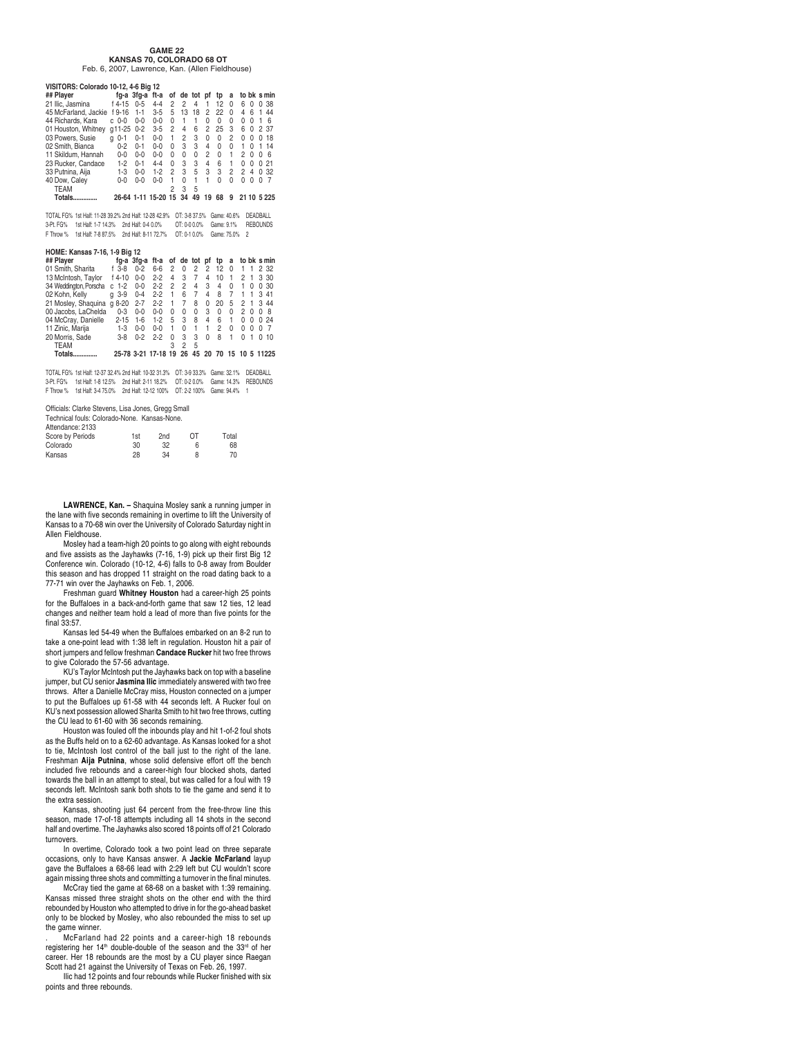#### **GAME 22 KANSAS 70, COLORADO 68 OT** Feb. 6, 2007, Lawrence, Kan. (Allen Fieldhouse)

#### **VISITORS: Colorado 10-12, 4-6 Big 12**

| ## Player            |              |         | fg-a 3fg-a ft-a of de tot pf |   |    |    |    | tp       | a        |   |          |              | to bk s min |
|----------------------|--------------|---------|------------------------------|---|----|----|----|----------|----------|---|----------|--------------|-------------|
| 21 Ilic. Jasmina     | f 4-15       | $0 - 5$ | $4 - 4$                      | 2 | 2  | 4  |    | 12       | 0        | 6 | 0        |              | 0.38        |
| 45 McFarland, Jackie | f 9-16       | $1 - 1$ | $3 - 5$                      | 5 | 13 | 18 | 2  | 22       | $\Omega$ | 4 | հ        |              | 44          |
| 44 Richards, Kara    | $c0-0$       | $0 - 0$ | $0 - 0$                      | U |    |    | U  | U        | U        | 0 | O        |              | ĥ           |
| 01 Houston, Whitney  | g11-25 0-2   |         | $3 - 5$                      | 2 | 4  | 6  | 2  | 25       | 3        | 6 | $\Omega$ |              | 2 37        |
| 03 Powers, Susie     | $0 - 1$<br>a | $0 - 1$ | $0-0$                        | 1 | 2  | 3  | 0  | $\Omega$ | 2        | 0 | U        | 0            | 18          |
| 02 Smith, Bianca     | $0 - 2$      | $0 - 1$ | $0 - 0$                      | U | З  | 3  | 4  | $\Omega$ | $\Omega$ | 1 | $\Omega$ | 1            | 14          |
| 11 Skildum, Hannah   | $0 - 0$      | $0 - 0$ | $0 - 0$                      | U | U  | 0  | 2  | $\Omega$ | 1        | 2 | O        | <sup>0</sup> | - 6         |
| 23 Rucker, Candace   | $1-2$        | $0 - 1$ | $4 - 4$                      | U | 3  | 3  | 4  | 6        | 1        | 0 | U        |              | 021         |
| 33 Putnina, Aija     | $1-3$        | $0 - 0$ | $1 - 2$                      | 2 | 3  | 5  | 3  | 3        | 2        | 2 | 4        |              | 0.32        |
| 40 Dow, Caley        | $0 - 0$      | $0 - 0$ | $0 - 0$                      |   | U  | 1  |    | U        | 0        | 0 | 0        | 0            |             |
| TEAM                 |              |         |                              |   | 3  | 5  |    |          |          |   |          |              |             |
| Totals.              |              |         | 26-64 1-11 15-20 15          |   | 34 | 49 | 19 | 68       | 9        |   |          |              | 21 10 5 225 |

TOTAL FG% 1st Half: 11-28 39.2% 2nd Half: 12-28 42.9% OT: 3-8 37.5% Game: 40.6% DEADBALL 3-Pt. FG% 1st Half: 1-7 14.3% 2nd Half: 0-4 0.0% OT: 0-0 0.0% Game: 9.1% REBOUNDS<br>F Throw % 1st Half: 7-8 87.5% 2nd Half: 8-11 72.7% OT: 0-1 0.0% Game: 75.0% 2

#### **HOME: Kansas 7-16, 1-9 Big 12**

| ## Plaver              |              |         |                     |                |                |              |              |          |                |               |                | fg-a 3fg-a ft-a of de tot pf tp a to bk smin |
|------------------------|--------------|---------|---------------------|----------------|----------------|--------------|--------------|----------|----------------|---------------|----------------|----------------------------------------------|
| 01 Smith, Sharita      | $f$ 3-8      | $0 - 2$ | 6-6                 | 2              | $\Omega$       | 2            | 2 12         |          | $\Omega$       |               |                | 1 1 2 32                                     |
| 13 McIntosh, Taylor    | f 4-10       | $0 - 0$ | $2 - 2$             | 4              | 3              | 7            | 4            | 10       | $\overline{1}$ | 2             | $\overline{1}$ | 3 30                                         |
| 34 Weddington, Porscha | $1 - 2$<br>C | $0-0$   | $2 - 2$             | 2              | 2              | 4            | 3            | 4        | $\Omega$       | 1             | U              | 0.30                                         |
| 02 Kohn, Kelly         | g 3-9        | $0 - 4$ | $2 - 2$             | $\overline{1}$ | 6              | 7            | 4            | - 8      | 7              | 1             | 1              | 341                                          |
| 21 Mosley, Shaquina    | $a 8-20$     | $2 - 7$ | $2 - 2$             | 1              | $\overline{7}$ | 8            | $\Omega$     | 20       | - 5            | $\mathcal{P}$ | $\overline{1}$ | 3 4 4                                        |
| 00 Jacobs, LaChelda    | $0 - 3$      | $0 - 0$ | $0 - 0$             | $\Omega$       | $\Omega$       | 0            | 3            | $\Omega$ | $\Omega$       | 2             | $\Omega$       | 08                                           |
| 04 McCray, Danielle    | $2 - 15$     | $1 - 6$ | $1 - 2$             | 5              | 3              | 8            | 4            | 6        | 1              | $\Omega$      | $\Omega$       | 0.24                                         |
| 11 Zinic, Marija       | $1-3$        | $0 - 0$ | $0 - 0$             | 1              | $\Omega$       | $\mathbf{1}$ | $\mathbf{1}$ | 2        | U              | 0             | <sup>0</sup>   | 0 7                                          |
| 20 Morris, Sade        | $3 - 8$      | $0 - 2$ | $2-2$               | U              | 3              | 3            | $\Omega$     | 8        | 1              | U             | $\overline{1}$ | 0, 10                                        |
| <b>TEAM</b>            |              |         |                     | 3              | 2              | 5            |              |          |                |               |                |                                              |
| Totals.                |              |         | 25-78 3-21 17-18 19 |                | 26             |              |              |          |                |               |                | 45 20 70 15 10 5 11225                       |
|                        |              |         |                     |                |                |              |              |          |                |               |                |                                              |

TOTAL FG% 1st Half: 12-37 32.4% 2nd Half: 10-32 31.3% OT: 3-9 33.3% Game: 32.1% DEADBALL 3-Pt. FG% 1st Half: 1-8 12.5% 2nd Half: 2-11 18.2% OT: 0-2 0.0% Game: 14.3% REBOUNDS F Throw % 1st Half: 3-4 75.0% 2nd Half: 12-12 100% OT: 2-2 100% Game: 94.4% 1

Officials: Clarke Stevens, Lisa Jones, Gregg Small

| Technical fouls: Colorado-None, Kansas-None, |  |  |  |  |
|----------------------------------------------|--|--|--|--|
|----------------------------------------------|--|--|--|--|

| 1st | 2 <sub>nd</sub> | OТ | Total |
|-----|-----------------|----|-------|
| 30  | 32              |    | 68    |
| 28  | 34              |    | 70    |
|     |                 |    |       |

**LAWRENCE, Kan. –** Shaquina Mosley sank a running jumper in the lane with five seconds remaining in overtime to lift the University of Kansas to a 70-68 win over the University of Colorado Saturday night in Allen Fieldhouse.

Mosley had a team-high 20 points to go along with eight rebounds and five assists as the Jayhawks (7-16, 1-9) pick up their first Big 12 Conference win. Colorado (10-12, 4-6) falls to 0-8 away from Boulder this season and has dropped 11 straight on the road dating back to a 77-71 win over the Jayhawks on Feb. 1, 2006.

Freshman guard **Whitney Houston** had a career-high 25 points for the Buffaloes in a back-and-forth game that saw 12 ties, 12 lead changes and neither team hold a lead of more than five points for the final 33:57.

Kansas led 54-49 when the Buffaloes embarked on an 8-2 run to take a one-point lead with 1:38 left in regulation. Houston hit a pair of short jumpers and fellow freshman **Candace Rucker** hit two free throws to give Colorado the 57-56 advantage.

KU's Taylor McIntosh put the Jayhawks back on top with a baseline jumper, but CU senior **Jasmina Ilic** immediately answered with two free throws. After a Danielle McCray miss, Houston connected on a jumper to put the Buffaloes up 61-58 with 44 seconds left. A Rucker foul on KU's next possession allowed Sharita Smith to hit two free throws, cutting the CU lead to 61-60 with 36 seconds remaining.

Houston was fouled off the inbounds play and hit 1-of-2 foul shots as the Buffs held on to a 62-60 advantage. As Kansas looked for a shot to tie, McIntosh lost control of the ball just to the right of the lane. Freshman **Aija Putnina**, whose solid defensive effort off the bench included five rebounds and a career-high four blocked shots, darted towards the ball in an attempt to steal, but was called for a foul with 19 seconds left. McIntosh sank both shots to tie the game and send it to the extra session.

Kansas, shooting just 64 percent from the free-throw line this season, made 17-of-18 attempts including all 14 shots in the second half and overtime. The Jayhawks also scored 18 points off of 21 Colorado turnovers.

In overtime, Colorado took a two point lead on three separate occasions, only to have Kansas answer. A **Jackie McFarland** layup gave the Buffaloes a 68-66 lead with 2:29 left but CU wouldn't score again missing three shots and committing a turnover in the final minutes.

McCray tied the game at 68-68 on a basket with 1:39 remaining. Kansas missed three straight shots on the other end with the third rebounded by Houston who attempted to drive in for the go-ahead basket only to be blocked by Mosley, who also rebounded the miss to set up the game winner.

. McFarland had 22 points and a career-high 18 rebounds registering her 14<sup>th</sup> double-double of the season and the 33<sup>rd</sup> of her career. Her 18 rebounds are the most by a CU player since Raegan Scott had 21 against the University of Texas on Feb. 26, 1997.

Ilic had 12 points and four rebounds while Rucker finished with six points and three rebounds.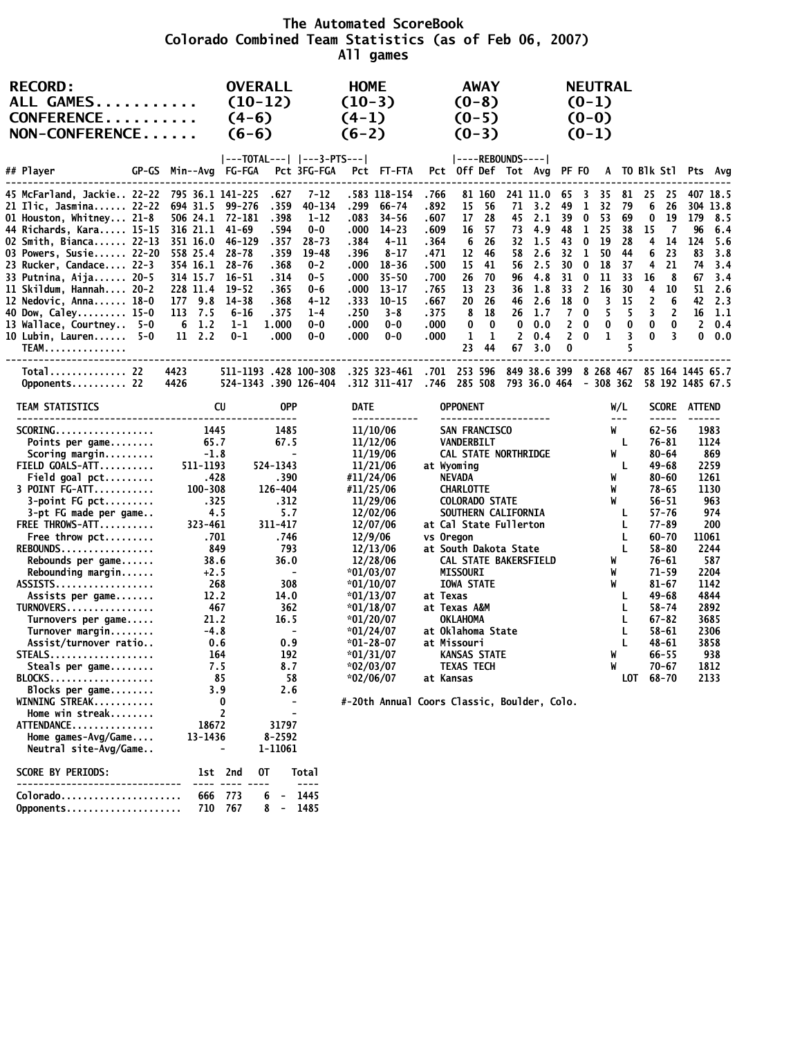**The Automated ScoreBook Colorado Combined Team Statistics (as of Feb 06, 2007) All games**

| <b>RECORD:</b><br>ALL GAMES<br>CONFERENCE<br>NON-CONFERENCE                                                                                                                                                                                                                                                                                                                                                                                                              |                                                                                                                                                                                                                                | <b>OVERALL</b><br>$(10-12)$<br>$(4-6)$<br>$(6-6)$                                                                                                                                                                                                              |                                                                                                                                                                 | <b>HOME</b><br>$(10-3)$<br>$(4-1)$<br>$(6-2)$                                                                                                                                                                                                                                                                                                          |                                                                                                      | <b>AWAY</b><br>$(0-8)$<br>$(0-5)$<br>$(0-3)$                                                                                                                                                                                                                     |                                                                                                                                              |                                                                                                                                                          |                                   |                                                                                                          | <b>NEUTRAL</b><br>$(0-1)$<br>$(0-0)$<br>$(0-1)$                                                                              |                                                                                |                                                                                                                           |                                                                                                                                                                                                                                                       |                             |                                                                                                                                                                         |
|--------------------------------------------------------------------------------------------------------------------------------------------------------------------------------------------------------------------------------------------------------------------------------------------------------------------------------------------------------------------------------------------------------------------------------------------------------------------------|--------------------------------------------------------------------------------------------------------------------------------------------------------------------------------------------------------------------------------|----------------------------------------------------------------------------------------------------------------------------------------------------------------------------------------------------------------------------------------------------------------|-----------------------------------------------------------------------------------------------------------------------------------------------------------------|--------------------------------------------------------------------------------------------------------------------------------------------------------------------------------------------------------------------------------------------------------------------------------------------------------------------------------------------------------|------------------------------------------------------------------------------------------------------|------------------------------------------------------------------------------------------------------------------------------------------------------------------------------------------------------------------------------------------------------------------|----------------------------------------------------------------------------------------------------------------------------------------------|----------------------------------------------------------------------------------------------------------------------------------------------------------|-----------------------------------|----------------------------------------------------------------------------------------------------------|------------------------------------------------------------------------------------------------------------------------------|--------------------------------------------------------------------------------|---------------------------------------------------------------------------------------------------------------------------|-------------------------------------------------------------------------------------------------------------------------------------------------------------------------------------------------------------------------------------------------------|-----------------------------|-------------------------------------------------------------------------------------------------------------------------------------------------------------------------|
| ## Player<br>GP-GS                                                                                                                                                                                                                                                                                                                                                                                                                                                       | Min--Avg FG-FGA                                                                                                                                                                                                                | ---TOTAL---   ---3-PTS---                                                                                                                                                                                                                                      | Pct 3FG-FGA                                                                                                                                                     | Pct FT-FTA                                                                                                                                                                                                                                                                                                                                             |                                                                                                      |                                                                                                                                                                                                                                                                  | $ ----REBOUNDS--- $<br>Pct Off Def Tot Avg PF FO                                                                                             |                                                                                                                                                          |                                   |                                                                                                          |                                                                                                                              |                                                                                |                                                                                                                           |                                                                                                                                                                                                                                                       | A TO Blk Stl Pts Avg        |                                                                                                                                                                         |
| 45 McFarland, Jackie 22-22 795 36.1 141-225<br>21 Ilic, Jasmina 22-22 694 31.5<br>01 Houston, Whitney 21-8<br>44 Richards, Kara 15-15<br>02 Smith, Bianca 22-13 351 16.0<br>03 Powers, Susie 22-20 558 25.4<br>23 Rucker, Candace 22-3<br>33 Putnina, Aija 20-5<br>11 Skildum, Hannah 20-2<br>12 Nedovic, Anna 18-0<br>40 Dow, Caley 15-0<br>13 Wallace, Courtney 5-0<br>10 Lubin, Lauren 5-0<br><b>TEAM</b>                                                             | 506 24.1 72-181<br>316 21.1<br>354 16.1 28-76<br>314 15.7<br>228 11.4<br>177 9.8<br>113 7.5<br>$6 \t1.2$<br>$11 \quad 2.2$                                                                                                     | .627<br>.359<br>99-276<br>.398<br>. 594<br>41-69<br>46-129<br>.357<br>.359<br>$28 - 78$<br>.368<br>$16 - 51$<br>.314<br>19-52<br>.365<br>.368<br>14-38<br>$6 - 16$<br>.375<br>1.000<br>$1 - 1$<br>$0 - 1$<br>.000                                              | $7 - 12$<br>.299<br>40-134<br>1-12<br>$0-0$<br>$28 - 73$<br>$19 - 48$<br>.396<br>$0 - 2$<br>$0 - 5$<br>0-6<br>$4 - 12$<br>.250<br>$1 - 4$<br>$0 - 0$<br>$0 - 0$ | .583 118-154<br>66-74<br>$34 - 56$<br>.083<br>.000<br>$14 - 23$<br>.384<br>4-11<br>$8 - 17$<br>.000<br>18-36<br>.000<br>$35 - 50$<br>.000<br>13-17<br>.333<br>$10 - 15$<br>$3 - 8$<br>.000<br>$0 - 0$<br>.000<br>$0-0$                                                                                                                                 | .766<br>.892<br>.607<br>.609<br>.364<br>.471<br>.500<br>.700<br>.765<br>.667<br>.375<br>.000<br>.000 | 81 160<br>15<br>17 28<br>16<br>6 26<br>12<br>15<br>26 70<br>13 23<br>20<br>8<br>0<br>1<br>23                                                                                                                                                                     | -56<br>71<br>- 57<br>- 46<br>-41<br>- 26<br>18<br>$\bf{0}$<br>0<br>-1<br>44<br>67                                                            | 241 11.0<br>3.2<br>45 2.1<br>73 4.9<br>$32 \quad 1.5$<br>58 2.6<br>56 2.5<br>96 4.8<br>36 1.8<br>46 2.6<br>$26$ 1.7<br>0.0<br>$\mathbf{2}$<br>0.4<br>3.0 | 65<br>49<br>39<br>48<br>18 0<br>0 | - 3<br>-1<br>$\bf{0}$<br>$\mathbf{1}$<br>300<br>310<br>$33 \quad 2$<br>7 0<br>$2 \quad 0$<br>$2 \quad 0$ | 35<br>32<br>-53<br>25<br>43 0 19<br>32 1 50 44<br>18<br>11<br>16<br>$\overline{\mathbf{3}}$<br>5<br>$\bf{0}$<br>$\mathbf{1}$ | - 81<br>79<br>69<br>38<br>28<br>- 37<br>- 33<br>30<br>- 15<br>5<br>0<br>3<br>5 | 25<br>6<br>$\bf{0}$<br>15<br>4<br>6<br>4<br>16<br>-4<br>$\overline{2}$<br>$\overline{\mathbf{3}}$<br>$\bf{0}$<br>$\bf{0}$ | 25<br>26<br>19<br>7<br>- 14<br>23<br>21<br>8<br>10<br>6<br>$\overline{2}$<br>$\bf{0}$<br>$\overline{\mathbf{3}}$                                                                                                                                      | 96<br>124<br>83<br>74<br>67 | 407 18.5<br>304 13.8<br>179 8.5<br>6.4<br>5.6<br>3.8<br>3.4<br>3.4<br>$51 \quad 2.6$<br>42 2.3<br>$16$ 1.1<br>$2 \t 0.4$<br>0.0                                         |
| Total 22<br>Opponents 22                                                                                                                                                                                                                                                                                                                                                                                                                                                 | 4423<br>4426                                                                                                                                                                                                                   | 511-1193 .428 100-308<br>524-1343.390 126-404                                                                                                                                                                                                                  |                                                                                                                                                                 | .325 323-461<br>.312 311-417 .746 285 508 793 36.0 464 - 308 362 58 192 1485 67.5                                                                                                                                                                                                                                                                      |                                                                                                      |                                                                                                                                                                                                                                                                  | .701 253 596 849 38.6 399 8 268 467 85 164 1445 65.7                                                                                         |                                                                                                                                                          |                                   |                                                                                                          |                                                                                                                              |                                                                                |                                                                                                                           |                                                                                                                                                                                                                                                       |                             |                                                                                                                                                                         |
| TEAM STATISTICS                                                                                                                                                                                                                                                                                                                                                                                                                                                          | CU                                                                                                                                                                                                                             | <b>OPP</b>                                                                                                                                                                                                                                                     |                                                                                                                                                                 | <b>DATE</b><br>------------                                                                                                                                                                                                                                                                                                                            |                                                                                                      | <b>OPPONENT</b>                                                                                                                                                                                                                                                  | --------------------                                                                                                                         |                                                                                                                                                          |                                   |                                                                                                          |                                                                                                                              | W/L<br>$- - -$                                                                 |                                                                                                                           | $- - - - -$                                                                                                                                                                                                                                           | SCORE ATTEND                |                                                                                                                                                                         |
| SCORING<br>Points per game<br>Scoring margin<br>FIELD GOALS-ATT<br>Field goal $pt$<br>3 POINT FG-ATT<br>$3$ -point FG pct<br>3-pt FG made per game<br>FREE THROWS-ATT<br>Free throw pct<br>REBOUNDS<br>Rebounds per game<br>Rebounding margin<br>ASSISTS<br>Assists per game<br>TURNOVERS<br>Turnovers per game<br>Turnover margin<br>Assist/turnover ratio<br>STEALS<br>Steals per game<br>BLOCKS<br>Blocks per game<br>WINNING STREAK<br>Home win streak<br>ATTENDANCE | 1445<br>65.7<br>$-1.8$<br>511-1193<br>.428<br>$100 - 308$<br>.325<br>4.5<br>323-461<br>.701<br>849<br>38.6<br>$+2.5$<br>268<br>12.2<br>467<br>21.2<br>$-4.8$<br>0.6<br>164<br>7.5<br>85<br>3.9<br>0<br>$\overline{2}$<br>18672 | 1485<br>67.5<br>$\overline{\phantom{a}}$<br>524-1343<br>.390<br>126-404<br>.312<br>5.7<br>311-417<br>.746<br>793<br>36.0<br>$\overline{\phantom{a}}$<br>308<br>14.0<br>362<br>16.5<br>$\overline{\phantom{a}}$<br>0.9<br>192<br>8.7<br>58<br>2.6<br>-<br>31797 |                                                                                                                                                                 | 11/10/06<br>11/12/06<br>11/19/06<br>11/21/06<br>#11/24/06<br>#11/25/06<br>11/29/06<br>12/02/06<br>12/07/06<br>12/9/06<br>12/13/06<br>12/28/06<br>$*01/03/07$<br>$*01/10/07$<br>$*01/13/07$<br>$*01/18/07$<br>$*01/20/07$<br>$*01/24/07$<br>$*01 - 28 - 07$<br>$*01/31/07$<br>$*02/03/07$<br>$*02/06/07$<br>#-20th Annual Coors Classic, Boulder, Colo. | at Texas                                                                                             | SAN FRANCISCO<br>VANDERBILT<br>at Wyoming<br>NEVADA<br><b>CHARLOTTE</b><br><b>COLORADO STATE</b><br>vs Oregon<br><b>MISSOURI</b><br><b>IOWA STATE</b><br>at Texas A&M<br><b>OKLAHOMA</b><br>at Missouri<br><b>KANSAS STATE</b><br><b>TEXAS TECH</b><br>at Kansas | CAL STATE NORTHRIDGE<br>SOUTHERN CALIFORNIA<br>at Cal State Fullerton<br>at South Dakota State<br>CAL STATE BAKERSFIELD<br>at Oklahoma State |                                                                                                                                                          |                                   |                                                                                                          | W<br>W<br>W<br>W<br>W<br>W                                                                                                   | W<br>L<br>W<br>L<br>L<br>L<br>L<br>L<br>W<br>W<br>L<br>L<br>L<br>L<br>L        | LOT 68-70                                                                                                                 | $62 - 56$<br>76-81<br>$80 - 64$<br>$49 - 68$<br>$80 - 60$<br>$78 - 65$<br>$56 - 51$<br>$57 - 76$<br>77-89<br>$60 - 70$<br>$58 - 80$<br>76-61<br>$71 - 59$<br>$81 - 67$<br>49-68<br>$58 - 74$<br>$67 - 82$<br>58-61<br>48-61<br>$66 - 55$<br>$70 - 67$ |                             | 1983<br>1124<br>869<br>2259<br>1261<br>1130<br>963<br>974<br>200<br>11061<br>2244<br>587<br>2204<br>1142<br>4844<br>2892<br>3685<br>2306<br>3858<br>938<br>1812<br>2133 |
| Home games-Avg/Game<br>Neutral site-Avg/Game<br><b>SCORE BY PERIODS:</b>                                                                                                                                                                                                                                                                                                                                                                                                 | 13-1436<br>1st 2nd                                                                                                                                                                                                             | 8-2592<br>1-11061<br>0T                                                                                                                                                                                                                                        | <b>Total</b>                                                                                                                                                    |                                                                                                                                                                                                                                                                                                                                                        |                                                                                                      |                                                                                                                                                                                                                                                                  |                                                                                                                                              |                                                                                                                                                          |                                   |                                                                                                          |                                                                                                                              |                                                                                |                                                                                                                           |                                                                                                                                                                                                                                                       |                             |                                                                                                                                                                         |

| $Colora do. \ldots \ldots \ldots \ldots \ldots \ldots$ |  |  | 666 773 6 - 1445 |
|--------------------------------------------------------|--|--|------------------|
| Opponents 710 767 8 - 1485                             |  |  |                  |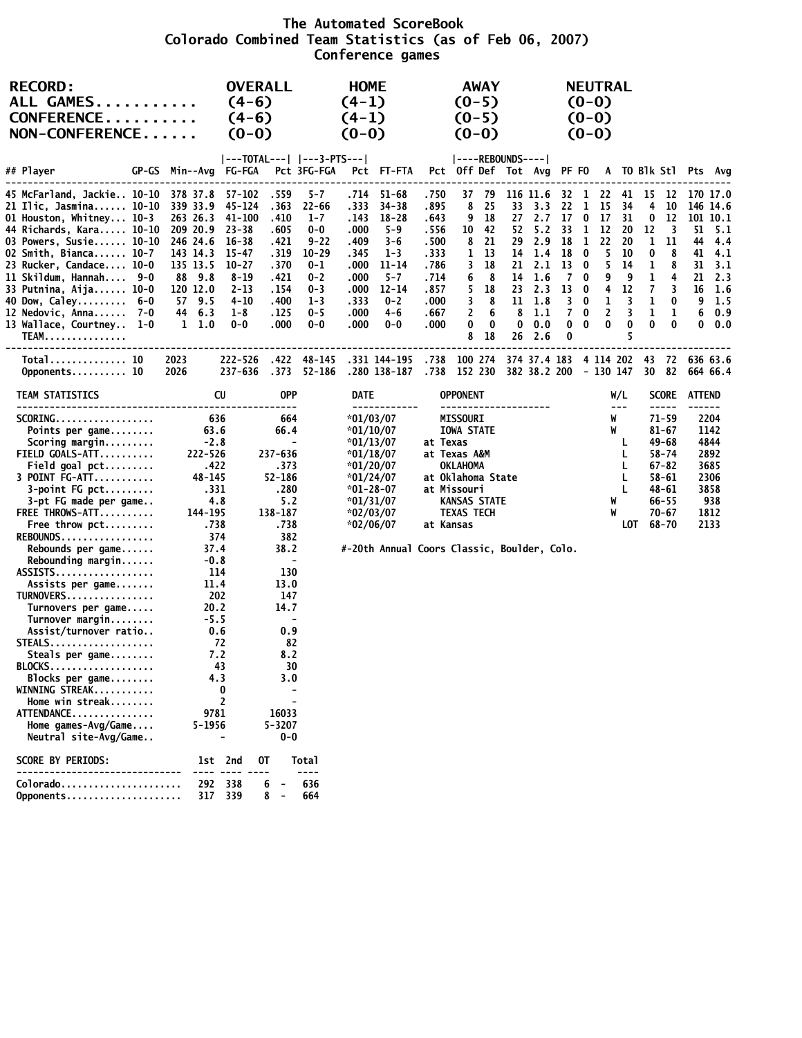#### **The Automated ScoreBook Colorado Combined Team Statistics (as of Feb 06, 2007) Conference games**

| <b>RECORD:</b><br>ALL GAMES<br>CONFERENCE<br>NON-CONFERENCE                                                                                                                                                                                                                                                                                               |                                                                                                                                          | $(4-6)$<br>$(4-6)$<br>$(0-0)$                                                                                                        | <b>OVERALL</b>                                                                                                                                                         |                                                                                                                   | <b>HOME</b><br>$(4-1)$<br>$(4-1)$<br>$(0-0)$                                          |                                                                                                                                                                  |                                                                                                | $(0-5)$<br>$(0-5)$<br>$(0-0)$                                                                                                                                      | AWAY                                                                        |                                      |                                                                                                                 |                                                                          |                                                                                                           | <b>NEUTRAL</b><br>$(0-0)$<br>$(0-0)$<br>$(0-0)$                              |                                                                       |                                                            |                                                                                                                           |                                       |                                                                                                     |
|-----------------------------------------------------------------------------------------------------------------------------------------------------------------------------------------------------------------------------------------------------------------------------------------------------------------------------------------------------------|------------------------------------------------------------------------------------------------------------------------------------------|--------------------------------------------------------------------------------------------------------------------------------------|------------------------------------------------------------------------------------------------------------------------------------------------------------------------|-------------------------------------------------------------------------------------------------------------------|---------------------------------------------------------------------------------------|------------------------------------------------------------------------------------------------------------------------------------------------------------------|------------------------------------------------------------------------------------------------|--------------------------------------------------------------------------------------------------------------------------------------------------------------------|-----------------------------------------------------------------------------|--------------------------------------|-----------------------------------------------------------------------------------------------------------------|--------------------------------------------------------------------------|-----------------------------------------------------------------------------------------------------------|------------------------------------------------------------------------------|-----------------------------------------------------------------------|------------------------------------------------------------|---------------------------------------------------------------------------------------------------------------------------|---------------------------------------|-----------------------------------------------------------------------------------------------------|
| ## Player                                                                                                                                                                                                                                                                                                                                                 | GP-GS Min--Avg                                                                                                                           | FG-FGA                                                                                                                               |                                                                                                                                                                        | ---TOTAL---   ---3-PTS--- <br>Pct 3FG-FGA                                                                         |                                                                                       | Pct FT-FTA                                                                                                                                                       |                                                                                                | ----REBOUNDS---- <br>Pct Off Def Tot Avg PF FO                                                                                                                     |                                                                             |                                      |                                                                                                                 |                                                                          |                                                                                                           |                                                                              |                                                                       |                                                            |                                                                                                                           |                                       | A TO BIK StI Pts Avg                                                                                |
| 45 McFarland, Jackie 10-10<br>21 Ilic, Jasmina 10-10<br>01 Houston, Whitney 10-3<br>44 Richards, Kara 10-10<br>03 Powers, Susie 10-10<br>02 Smith, Bianca 10-7<br>23 Rucker, Candace 10-0<br>11 Skildum, Hannah 9-0<br>33 Putnina, Aija 10-0<br>40 Dow, Caley 6-0<br>12 Nedovic, Anna $7-0$<br>13 Wallace, Courtney 1-0<br><b>TEAM.</b>                   | 378 37.8<br>339 33.9<br>263 26.3<br>209 20.9<br>246 24.6<br>143 14.3<br>135 13.5<br>88 9.8<br>120 12.0<br>57 9.5<br>44 6.3<br>$1\;\;1.0$ | 57-102<br>45-124<br>41-100<br>$23 - 38$<br>$16 - 38$<br>15-47<br>$10 - 27$<br>$8 - 19$<br>$2 - 13$<br>$4 - 10$<br>$1 - 8$<br>$0 - 0$ | .559<br>. 363<br>.410<br>.605<br>.421<br>. 319<br>.370<br>.421<br>. 154<br>. 400<br>. 125<br>.000                                                                      | $5 - 7$<br>$22 - 66$<br>$1 - 7$<br>0-0<br>9-22<br>$10 - 29$<br>0-1<br>0-2<br>$0 - 3$<br>$1 - 3$<br>$0 - 5$<br>0-0 | .333<br>. 143<br>.000<br>.409<br>.345<br>.000<br>.000<br>.000<br>.333<br>.000<br>.000 | .714 51-68<br>$34 - 38$<br>$18 - 28$<br>5-9<br>$3 - 6$<br>$1 - 3$<br>11-14<br>$5 - 7$<br>$12 - 14$<br>$0 - 2$<br>4-6<br>$0 - 0$                                  | .750<br>. 895<br>. 643<br>.556<br>.500<br>.333<br>.786<br>.714<br>.857<br>.000<br>.667<br>.000 | 37<br>8<br>9<br>10<br>8<br>1<br>3<br>6<br>5<br>3<br>2<br>0<br>8                                                                                                    | 79<br>-25<br>18<br>-42<br>21<br>- 13<br>18<br>-8<br>18<br>8<br>6<br>0<br>18 | 33<br>27<br>29<br>14<br>8<br>0<br>26 | 116 11.6<br>3.3<br>2.7<br>52 5.2<br>2.9<br>14 1.4<br>21 2.1<br>1.6<br>23 2.3<br>$11 \t1.8$<br>1.1<br>0.0<br>2.6 | 32<br>22<br>17<br>33<br>18<br>18<br>13<br>13<br>$\overline{7}$<br>0<br>0 | $\mathbf{1}$<br>1<br>0<br>$\mathbf{1}$<br>$\bf{0}$<br>0<br>$7\quad0$<br>$\bf{0}$<br>$3 \quad 0$<br>0<br>0 | 22<br>15<br>17<br>1 12<br>22<br>5<br>5<br>9<br>4<br>1<br>$\overline{2}$<br>0 | 41<br>34<br>31<br>20<br>20<br>10<br>14<br>9<br>12<br>3<br>3<br>0<br>5 | 15<br>4<br>0<br>12<br>1<br>0<br>1<br>1<br>7<br>1<br>1<br>0 | 12<br>10<br>12<br>3<br>11<br>8<br>8<br>4<br>3<br>0<br>1<br>0                                                              | 51<br>44<br>41<br>31<br>21<br>16<br>6 | 170 17.0<br>146 14.6<br>101 10.1<br>- 5.1<br>4.4<br>4.1<br>3.1<br>2.3<br>1.6<br>9 1.5<br>0.9<br>0.0 |
| ---------------------<br>Total 10<br>Opponents 10                                                                                                                                                                                                                                                                                                         | 2023<br>2026                                                                                                                             | 222-526<br>237-636                                                                                                                   |                                                                                                                                                                        | .422 48-145<br>$.373$ $52 - 186$                                                                                  |                                                                                       | .331 144-195<br>.280 138-187                                                                                                                                     |                                                                                                | .738 100 274<br>.738 152 230 382 38.2 200                                                                                                                          |                                                                             |                                      | 374 37.4 183                                                                                                    |                                                                          |                                                                                                           | - 130 147                                                                    | 4 114 202                                                             | 43                                                         | 72<br>30 82                                                                                                               |                                       | 636 63.6<br>664 66.4                                                                                |
| TEAM STATISTICS                                                                                                                                                                                                                                                                                                                                           |                                                                                                                                          | CU                                                                                                                                   | 0PP                                                                                                                                                                    |                                                                                                                   | DATE                                                                                  |                                                                                                                                                                  |                                                                                                | <b>OPPONENT</b>                                                                                                                                                    |                                                                             |                                      |                                                                                                                 |                                                                          |                                                                                                           |                                                                              | W/L                                                                   |                                                            | <b>SCORE</b>                                                                                                              | ATTEND                                |                                                                                                     |
| ----------------------------------<br>SCORING<br>Points per game<br>Scoring margin<br>FIELD GOALS-ATT<br>Field goal $pct$<br>$3$ -point FG pct<br>3-pt FG made per game<br>FREE THROWS-ATT<br>Free throw pct                                                                                                                                              | 63.6<br>$-2.8$<br>222-526<br>.422<br>48-145<br>. 331<br>144-195<br>.738                                                                  | 636<br>4.8                                                                                                                           | ----<br>664<br>66.4<br>$\overline{\phantom{a}}$<br>237-636<br>.373<br>52-186<br>.280<br>5.2<br>138-187<br>.738                                                         |                                                                                                                   |                                                                                       | ------------<br>*01/03/07<br>*01/10/07<br>$*01/13/07$<br>*01/18/07<br>$*01/20/07$<br>$*01/24/07$<br>$*01 - 28 - 07$<br>$*01/31/07$<br>$*02/03/07$<br>$*02/06/07$ | at Texas<br>at Kansas                                                                          | ---------------------<br><b>MISSOURI</b><br><b>IOWA STATE</b><br>at Texas A&M<br>OKLAHOMA<br>at Oklahoma State<br>at Missouri<br>KANSAS STATE<br><b>TEXAS TECH</b> |                                                                             |                                      |                                                                                                                 |                                                                          |                                                                                                           | W<br>W<br>W                                                                  | $---$<br>W<br>L<br>L<br>L<br>L<br>L<br>LOT                            |                                                            | $- - - - -$<br>$71 - 59$<br>$81 - 67$<br>49-68<br>$58 - 74$<br>$67 - 82$<br>58-61<br>48-61<br>$66 - 55$<br>70-67<br>68-70 | $- - - - - -$                         | 2204<br>1142<br>4844<br>2892<br>3685<br>2306<br>3858<br>938<br>1812<br>2133                         |
| REBOUNDS<br>Rebounds per game<br>Rebounding margin<br>ASSISTS<br>Assists per game<br>TURNOVERS<br>Turnovers per game<br>Turnover margin<br>Assist/turnover ratio<br>STEALS<br>Steals per game<br>BLOCKS<br>Blocks per game<br>WINNING STREAK<br>Home win streak<br>ATTENDANCE<br>Home games-Avg/Game<br>Neutral site-Avg/Game<br><b>SCORE BY PERIODS:</b> | 37.4<br>$-0.8$<br>114<br>11.4<br>202<br>20.2<br>$-5.5$<br>0.6<br>7.2<br>9781<br>5-1956                                                   | 374<br>72<br>43<br>4.3<br>0<br>2<br>1st 2nd                                                                                          | 382<br>38.2<br>$\overline{\phantom{a}}$<br>130<br>13.0<br>147<br>14.7<br>$\overline{\phantom{a}}$<br>0.9<br>82<br>8.2<br>30<br>3.0<br>16033<br>$5 - 3207$<br>0-0<br>0T | <b>Total</b>                                                                                                      |                                                                                       | #-20th Annual Coors Classic, Boulder, Colo.                                                                                                                      |                                                                                                |                                                                                                                                                                    |                                                                             |                                      |                                                                                                                 |                                                                          |                                                                                                           |                                                                              |                                                                       |                                                            |                                                                                                                           |                                       |                                                                                                     |
|                                                                                                                                                                                                                                                                                                                                                           |                                                                                                                                          |                                                                                                                                      |                                                                                                                                                                        | ----                                                                                                              |                                                                                       |                                                                                                                                                                  |                                                                                                |                                                                                                                                                                    |                                                                             |                                      |                                                                                                                 |                                                                          |                                                                                                           |                                                                              |                                                                       |                                                            |                                                                                                                           |                                       |                                                                                                     |
| Colorado<br>Opponents                                                                                                                                                                                                                                                                                                                                     | 292                                                                                                                                      | 338<br>317 339                                                                                                                       | 6<br>8 –                                                                                                                                                               | 636<br>664                                                                                                        |                                                                                       |                                                                                                                                                                  |                                                                                                |                                                                                                                                                                    |                                                                             |                                      |                                                                                                                 |                                                                          |                                                                                                           |                                                                              |                                                                       |                                                            |                                                                                                                           |                                       |                                                                                                     |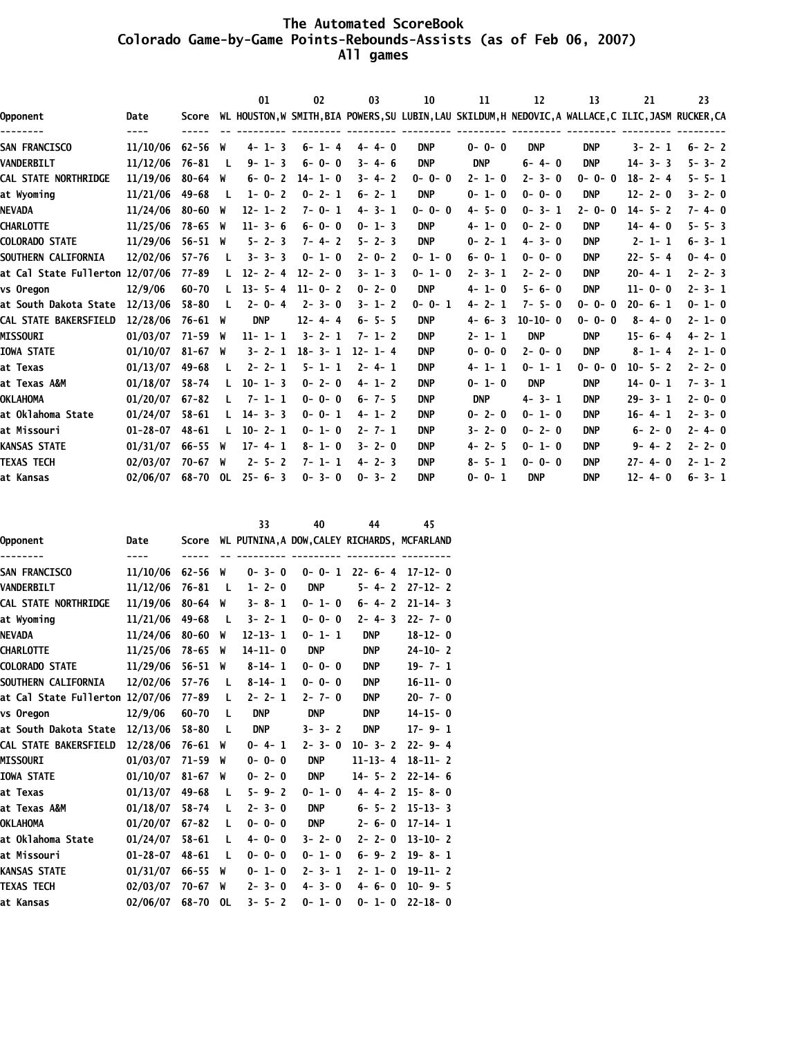#### **The Automated ScoreBook Colorado Game-by-Game Points-Rebounds-Assists (as of Feb 06, 2007) All games**

|                                 |           |    | 01                                                                                                                                            | 02           | 03           | 10           | 11          | 12          | 13          | 21           | 23                                                                                                    |
|---------------------------------|-----------|----|-----------------------------------------------------------------------------------------------------------------------------------------------|--------------|--------------|--------------|-------------|-------------|-------------|--------------|-------------------------------------------------------------------------------------------------------|
| Date                            | Score     |    |                                                                                                                                               |              |              |              |             |             |             |              |                                                                                                       |
| 11/10/06                        |           |    | $4 - 1 - 3$                                                                                                                                   | $6 - 1 - 4$  | $4 - 4 - 0$  | <b>DNP</b>   | $0 - 0 - 0$ | <b>DNP</b>  | <b>DNP</b>  | $3 - 2 - 1$  | $6 - 2 - 2$                                                                                           |
| 11/12/06                        | $76 - 81$ | L  | $9 - 1 - 3$                                                                                                                                   | $6 - 0 - 0$  | $3 - 4 - 6$  | <b>DNP</b>   | <b>DNP</b>  | $6 - 4 - 0$ | <b>DNP</b>  | $14 - 3 - 3$ | $5 - 3 - 2$                                                                                           |
| 11/19/06                        |           |    | $6 - 0 - 2$                                                                                                                                   | $14 - 1 - 0$ | $3 - 4 - 2$  | $0 - 0 - 0$  | $2 - 1 - 0$ | $2 - 3 - 0$ | $0 - 0 - 0$ | $18 - 2 - 4$ | $5 - 5 - 1$                                                                                           |
| 11/21/06                        | $49 - 68$ | л. | $1 - 0 - 2$                                                                                                                                   | $0 - 2 - 1$  | $6 - 2 - 1$  | <b>DNP</b>   | $0 - 1 - 0$ | $0 - 0 - 0$ | <b>DNP</b>  | $12 - 2 - 0$ | $3 - 2 - 0$                                                                                           |
| 11/24/06                        |           |    | $12 - 1 - 2$                                                                                                                                  | $7 - 0 - 1$  | $4 - 3 - 1$  | $0 - 0 - 0$  | $4 - 5 - 0$ | $0 - 3 - 1$ | $2 - 0 - 0$ | $14 - 5 - 2$ | $7 - 4 - 0$                                                                                           |
| 11/25/06                        |           |    | $11 - 3 - 6$                                                                                                                                  | $6 - 0 - 0$  | $0 - 1 - 3$  | <b>DNP</b>   | $4 - 1 - 0$ | $0 - 2 - 0$ | <b>DNP</b>  | $14 - 4 - 0$ | $5 - 5 - 3$                                                                                           |
| 11/29/06                        |           |    | $5 - 2 - 3$                                                                                                                                   | $7 - 4 - 2$  | $5 - 2 - 3$  | <b>DNP</b>   | $0 - 2 - 1$ | $4 - 3 - 0$ | <b>DNP</b>  | $2 - 1 - 1$  | $6 - 3 - 1$                                                                                           |
| 12/02/06                        | $57 - 76$ |    | $3 - 3 - 3$                                                                                                                                   | $0 - 1 - 0$  | $2 - 0 - 2$  | $0 - 1 - 0$  | $6 - 0 - 1$ | $0 - 0 - 0$ | <b>DNP</b>  | $22 - 5 - 4$ | $0 - 4 - 0$                                                                                           |
| at Cal State Fullerton 12/07/06 | $77 - 89$ |    | $12 - 2 - 4$                                                                                                                                  | $12 - 2 - 0$ | $3 - 1 - 3$  | $0 - 1 - 0$  | $2 - 3 - 1$ | $2 - 2 - 0$ | <b>DNP</b>  | $20 - 4 - 1$ | $2 - 2 - 3$                                                                                           |
| 12/9/06                         | $60 - 70$ |    | $13 - 5 - 4$                                                                                                                                  | $11 - 0 - 2$ | $0 - 2 - 0$  | <b>DNP</b>   | $4 - 1 - 0$ | $5 - 6 - 0$ | <b>DNP</b>  | $11 - 0 - 0$ | $2 - 3 - 1$                                                                                           |
| 12/13/06                        | $58 - 80$ |    | $2 - 0 - 4$                                                                                                                                   | $2 - 3 - 0$  | $3 - 1 - 2$  | $0 - 0 - 1$  | $4 - 2 - 1$ | $7 - 5 - 0$ | $0 - 0 - 0$ | $20 - 6 - 1$ | $0 - 1 - 0$                                                                                           |
| 12/28/06                        |           |    | <b>DNP</b>                                                                                                                                    | $12 - 4 - 4$ | $6 - 5 - 5$  | <b>DNP</b>   | $4 - 6 - 3$ | $10-10-0$   | $0 - 0 - 0$ | $8 - 4 - 0$  | $2 - 1 - 0$                                                                                           |
| 01/03/07                        |           |    | $11 - 1 - 1$                                                                                                                                  | $3 - 2 - 1$  | $7 - 1 - 2$  | <b>DNP</b>   | $2 - 1 - 1$ | <b>DNP</b>  | <b>DNP</b>  | $15 - 6 - 4$ | $4 - 2 - 1$                                                                                           |
| 01/10/07                        |           |    |                                                                                                                                               |              | $12 - 1 - 4$ | <b>DNP</b>   | $0 - 0 - 0$ | $2 - 0 - 0$ | <b>DNP</b>  | $8 - 1 - 4$  | $2 - 1 - 0$                                                                                           |
| 01/13/07                        | 49-68     |    | $2 - 2 - 1$                                                                                                                                   | $5 - 1 - 1$  | $2 - 4 - 1$  | <b>DNP</b>   | $4 - 1 - 1$ | $0 - 1 - 1$ | $0 - 0 - 0$ | $10 - 5 - 2$ | $2 - 2 - 0$                                                                                           |
| 01/18/07                        | $58 - 74$ | L  | $10 - 1 - 3$                                                                                                                                  | $0 - 2 - 0$  | $4 - 1 - 2$  | <b>DNP</b>   | $0 - 1 - 0$ | <b>DNP</b>  | <b>DNP</b>  | $14 - 0 - 1$ | $7 - 3 - 1$                                                                                           |
| 01/20/07                        | $67 - 82$ |    | $7 - 1 - 1$                                                                                                                                   | $0 - 0 - 0$  | $6 - 7 - 5$  | <b>DNP</b>   | <b>DNP</b>  | $4 - 3 - 1$ | <b>DNP</b>  | $29 - 3 - 1$ | $2 - 0 - 0$                                                                                           |
| 01/24/07                        | $58 - 61$ |    | $3 - 3$<br>14-                                                                                                                                | $0 - 0 - 1$  | $4 - 1 - 2$  | <b>DNP</b>   | $0 - 2 - 0$ | $0 - 1 - 0$ | <b>DNP</b>  | $16 - 4 - 1$ | $2 - 3 - 0$                                                                                           |
| $01 - 28 - 07$                  | $48 - 61$ |    | $10-$<br>$2 - 1$                                                                                                                              | $0 - 1 - 0$  | $2 - 7 - 1$  | <b>DNP</b>   | $3 - 2 - 0$ | $0 - 2 - 0$ | <b>DNP</b>  | $6 - 2 - 0$  | $2 - 4 - 0$                                                                                           |
| 01/31/07                        |           |    | $17 - 4 - 1$                                                                                                                                  | $8 - 1 - 0$  | $3 - 2 - 0$  | <b>DNP</b>   | $4 - 2 - 5$ | $0 - 1 - 0$ | <b>DNP</b>  | $9 - 4 - 2$  | $2 - 2 - 0$                                                                                           |
| 02/03/07                        |           |    | $2 - 5 - 2$                                                                                                                                   | $7 - 1 - 1$  | $4 - 2 - 3$  | <b>DNP</b>   | $8 - 5 - 1$ | $0 - 0 - 0$ | <b>DNP</b>  | $27 - 4 - 0$ | $2 - 1 - 2$                                                                                           |
| 02/06/07                        | 68-70     |    | $25 - 6 - 3$                                                                                                                                  | $0 - 3 - 0$  | $0 - 3 - 2$  | <b>DNP</b>   | $0 - 0 - 1$ | <b>DNP</b>  | <b>DNP</b>  | $12 - 4 - 0$ | $6 - 3 - 1$                                                                                           |
|                                 | ----      |    | $62 - 56$ W<br>$80 - 64$ W<br>$80 - 60$ W<br>78-65 W<br>$56 - 51$ W<br>76-61 W<br>71-59 W<br>$81 - 67$ W<br>$66 - 55$ W<br>$70 - 67$ W<br>OL. |              | $3 - 2 - 1$  | $18 - 3 - 1$ |             |             |             |              | WL HOUSTON, W SMITH, BIA POWERS, SU LUBIN, LAU SKILDUM, H NEDOVIC, A WALLACE, C ILIC, JASM RUCKER, CA |

|                                 |                |           |     | 33                                           | 40          | 44            | 45            |
|---------------------------------|----------------|-----------|-----|----------------------------------------------|-------------|---------------|---------------|
| Opponent                        | Date           | Score     |     | WL PUTNINA, A DOW, CALEY RICHARDS, MCFARLAND |             |               |               |
| -------                         | ----           | -----     |     |                                              |             |               |               |
| <b>SAN FRANCISCO</b>            | 11/10/06       | $62 - 56$ | W   | $0 - 3 - 0$                                  | $0 - 0 - 1$ | $22 - 6 - 4$  | $17 - 12 - 0$ |
| <b>VANDERBILT</b>               | 11/12/06       | $76 - 81$ | - L | $1 - 2 - 0$                                  | <b>DNP</b>  | $5 - 4 - 2$   | $27 - 12 - 2$ |
| CAL STATE NORTHRIDGE            | 11/19/06       | $80 - 64$ | W   | $3 - 8 - 1$                                  | $0 - 1 - 0$ | $6 - 4 - 2$   | $21 - 14 - 3$ |
| at Wyoming                      | 11/21/06       | $49 - 68$ | - L | $3 - 2 - 1$                                  | $0 - 0 - 0$ | $2 - 4 - 3$   | $22 - 7 - 0$  |
| NEVADA                          | 11/24/06       | $80 - 60$ | W   | $12 - 13 - 1$                                | $0 - 1 - 1$ | <b>DNP</b>    | $18 - 12 - 0$ |
| CHARLOTTE                       | 11/25/06       | $78 - 65$ | W   | $14 - 11 - 0$                                | <b>DNP</b>  | <b>DNP</b>    | $24 - 10 - 2$ |
| <b>COLORADO STATE</b>           | 11/29/06       | $56 - 51$ | W   | $8 - 14 - 1$                                 | $0 - 0 - 0$ | <b>DNP</b>    | $19 - 7 - 1$  |
| <b>SOUTHERN CALIFORNIA</b>      | 12/02/06       | $57 - 76$ | L   | $8 - 14 - 1$                                 | $0 - 0 - 0$ | <b>DNP</b>    | $16-11-0$     |
| at Cal State Fullerton 12/07/06 |                | 77-89     | L   | $2 - 2 - 1$                                  | $2 - 7 - 0$ | <b>DNP</b>    | $20 - 7 - 0$  |
| vs Oregon                       | 12/9/06        | $60 - 70$ | L   | <b>DNP</b>                                   | <b>DNP</b>  | <b>DNP</b>    | $14 - 15 - 0$ |
| at South Dakota State           | 12/13/06       | $58 - 80$ | -L  | <b>DNP</b>                                   | $3 - 3 - 2$ | <b>DNP</b>    | $17 - 9 - 1$  |
| <b>CAL STATE BAKERSFIELD</b>    | 12/28/06       | $76 - 61$ | W   | $0 - 4 - 1$                                  | $2 - 3 - 0$ | $10 - 3 - 2$  | $22 - 9 - 4$  |
| <b>MISSOURI</b>                 | 01/03/07       | $71 - 59$ | W   | $0 - 0 - 0$                                  | <b>DNP</b>  | $11 - 13 - 4$ | $18 - 11 - 2$ |
| <b>IOWA STATE</b>               | 01/10/07       | $81 - 67$ | W   | $0 - 2 - 0$                                  | <b>DNP</b>  | $14 - 5 - 2$  | $22 - 14 - 6$ |
| at Texas                        | 01/13/07       | $49 - 68$ | L   | $5 - 9 - 2$                                  | $0 - 1 - 0$ | $4 - 4 - 2$   | $15 - 8 - 0$  |
| at Texas A&M                    | 01/18/07       | $58 - 74$ | L   | $2 - 3 - 0$                                  | <b>DNP</b>  | $6 - 5 - 2$   | $15 - 13 - 3$ |
| OKLAHOMA                        | 01/20/07       | $67 - 82$ | L   | $0 - 0 - 0$                                  | <b>DNP</b>  | $2 - 6 - 0$   | $17 - 14 - 1$ |
| at Oklahoma State               | 01/24/07       | $58 - 61$ | L   | $4 - 0 - 0$                                  | $3 - 2 - 0$ | $2 - 2 - 0$   | $13 - 10 - 2$ |
| at Missouri                     | $01 - 28 - 07$ | $48 - 61$ | L   | $0 - 0 - 0$                                  | $0 - 1 - 0$ | $6 - 9 - 2$   | $19 - 8 - 1$  |
| KANSAS STATE                    | 01/31/07       | $66 - 55$ | W   | $0 - 1 - 0$                                  | $2 - 3 - 1$ | $2 - 1 - 0$   | $19-11-2$     |
| <b>TEXAS TECH</b>               | 02/03/07       | $70 - 67$ | W   | $2 - 3 - 0$                                  | $4 - 3 - 0$ | $4 - 6 - 0$   | $10 - 9 - 5$  |
| at Kansas                       | 02/06/07       | $68 - 70$ | 0L  | $3 - 5 - 2$                                  | $0 - 1 - 0$ | $0 - 1 - 0$   | $22 - 18 - 0$ |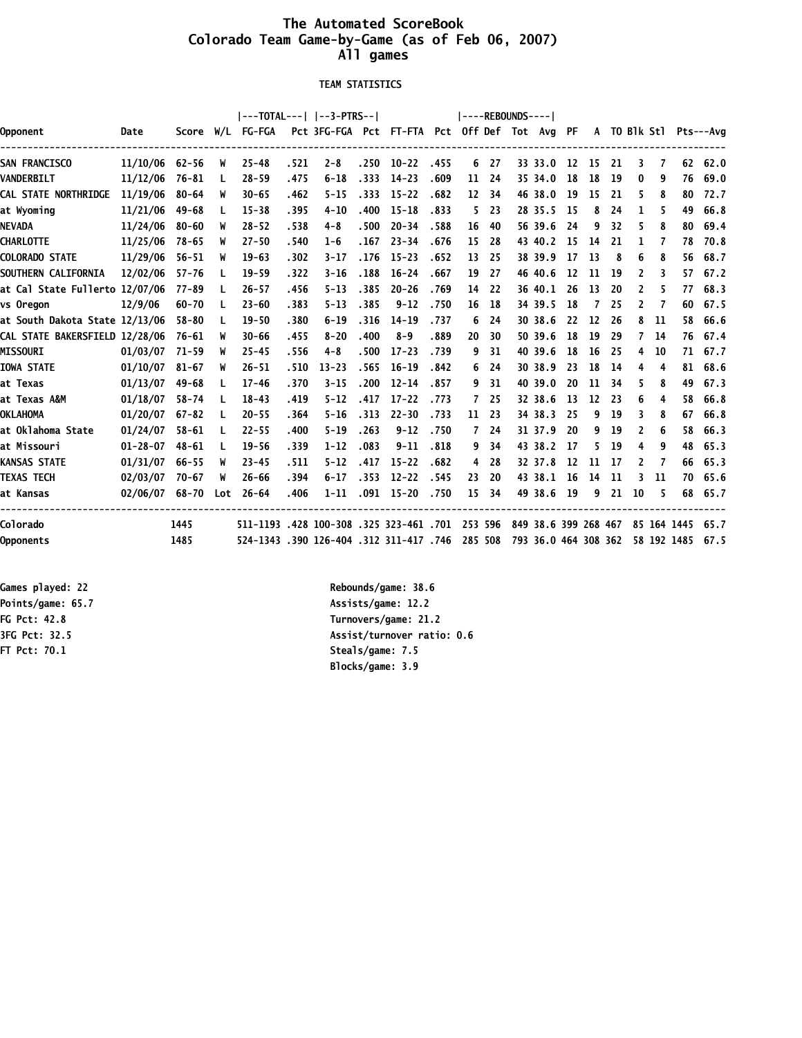### **The Automated ScoreBook Colorado Team Game-by-Game (as of Feb 06, 2007) All games**

 **TEAM STATISTICS**

|                                |                  |           |     |                                         |       |                                               |       |                |      | $ ----REBOUNDS--- $ |      |                      |     |     |     |    |    |    |                        |
|--------------------------------|------------------|-----------|-----|-----------------------------------------|-------|-----------------------------------------------|-------|----------------|------|---------------------|------|----------------------|-----|-----|-----|----|----|----|------------------------|
| Opponent                       | Date             |           |     | Score W/L FG-FGA                        |       | Pct 3FG-FGA Pct FT-FTA Pct Off Def Tot Avg PF |       |                |      |                     |      |                      |     |     |     |    |    |    | A TO Blk Stl Pts---Ava |
| <b>SAN FRANCISCO</b>           | $11/10/06$ 62-56 |           | W   | $25 - 48$                               | .521  | $2 - 8$                                       |       | $.250$ $10-22$ | .455 |                     | 6 27 | 33 33.0 12           |     | -15 | -21 | 3  | 7  |    | 62 62.0                |
| <b>VANDERBILT</b>              | 11/12/06         | 76-81     | L   | $28 - 59$                               | .475  | $6 - 18$                                      | .333  | $14 - 23$      | .609 | 11                  | 24   | 35 34.0              | 18  | 18  | -19 | 0  | 9  | 76 | 69.0                   |
| CAL STATE NORTHRIDGE           | 11/19/06         | 80-64     | W   | $30 - 65$                               | .462  | $5 - 15$                                      | .333  | $15 - 22$      | .682 | 12                  | 34   | 46 38.0              | -19 | 15  | -21 | 5  | 8  | 80 | 72.7                   |
| at Wyominq                     | 11/21/06         | $49 - 68$ | L   | $15 - 38$                               | .395  | $4 - 10$                                      | .400  | $15 - 18$      | .833 | 5.                  | 23   | 28 35.5              | -15 | 8   | 24  | 1  | 5. | 49 | 66.8                   |
| NEVADA                         | 11/24/06         | $80 - 60$ | W   | $28 - 52$                               | .538  | $4 - 8$                                       | .500  | $20 - 34$      | .588 | 16                  | 40   | 56 39.6              | -24 | 9   | 32  | 5  | 8  | 80 | 69.4                   |
| CHARLOTTE                      | 11/25/06         | 78-65     | W   | $27 - 50$                               | .540  | $1 - 6$                                       | . 167 | $23 - 34$      | .676 | 15                  | 28   | 43 40.2              | -15 | 14  | 21  | L  | 7  | 78 | 70.8                   |
| <b>COLORADO STATE</b>          | 11/29/06         | $56 - 51$ | W   | $19 - 63$                               | .302  | $3 - 17$                                      | . 176 | $15 - 23$      | .652 | 13                  | 25   | 38 39.9              | 17  | 13  | 8   | 6  | 8  | 56 | 68.7                   |
| SOUTHERN CALIFORNIA            | 12/02/06         | $57 - 76$ |     | $19 - 59$                               | .322  | $3 - 16$                                      | .188  | $16 - 24$      | .667 | 19                  | 27   | 46 40.6              | 12  | 11  | -19 | 2  | 3  | 57 | 67.2                   |
| at Cal State Fullerto 12/07/06 |                  | 77-89     | L   | $26 - 57$                               | .456  | $5 - 13$                                      | .385  | $20 - 26$      | .769 | 14                  | 22   | 36 40.1              | -26 | 13  | 20  | 2  | 5. | 77 | 68.3                   |
| vs Oregon                      | 12/9/06          | $60 - 70$ |     | $23 - 60$                               | .383  | $5 - 13$                                      | .385  | $9 - 12$       | .750 | 16                  | 18   | 34 39.5              | 18  | 7   | 25  | 2  |    | 60 | 67.5                   |
| at South Dakota State 12/13/06 |                  | $58 - 80$ |     | $19 - 50$                               | .380  | $6 - 19$                                      | .316  | $14 - 19$      | .737 | 6                   | 24   | 30 38.6              | 22  | 12  | 26  | 8  | 11 | 58 | 66.6                   |
| CAL STATE BAKERSFIELD 12/28/06 |                  | 76-61     | W   | $30 - 66$                               | .455  | $8 - 20$                                      | .400  | $8 - 9$        | .889 | 20                  | 30   | 50 39.6              | 18  | 19  | 29  | 7  | 14 | 76 | 67.4                   |
| <b>MISSOURI</b>                | 01/03/07         | 71-59     | W   | $25 - 45$                               | .556  | $4 - 8$                                       | .500  | $17 - 23$      | .739 | 9                   | 31   | 40 39.6              | 18  | 16  | -25 | 4  | 10 |    | 71 67.7                |
| <b>IOWA STATE</b>              | 01/10/07         | 81-67     | W   | $26 - 51$                               | .510  | $13 - 23$                                     | .565  | $16 - 19$      | .842 | 6                   | 24   | 30 38.9              | 23  | 18  | -14 | 4  | 4  | 81 | 68.6                   |
| at Texas                       | 01/13/07         | 49-68     | L.  | $17 - 46$                               | .370  | $3 - 15$                                      | .200  | $12 - 14$      | .857 | 9                   | 31   | 40 39.0              | 20  | 11  | 34  | 5  | 8  | 49 | 67.3                   |
| at Texas A&M                   | 01/18/07         | $58 - 74$ |     | $18 - 43$                               | .419  | $5 - 12$                                      | .417  | $17 - 22$      | .773 | $\overline{7}$      | 25   | 32 38.6              | 13  | 12  | -23 | 6  | 4  | 58 | 66.8                   |
| OKLAHOMA                       | 01/20/07         | 67-82     | L   | $20 - 55$                               | .364  | $5 - 16$                                      | .313  | $22 - 30$      | .733 | 11                  | 23   | 34 38.3              | -25 | 9   | 19  | 3  | 8  | 67 | 66.8                   |
| at Oklahoma State              | 01/24/07         | $58 - 61$ | L.  | $22 - 55$                               | .400  | $5 - 19$                                      | .263  | $9 - 12$       | .750 | 7                   | 24   | 31 37.9              | -20 | 9   | 19  | 2  | 6  | 58 | 66.3                   |
| at Missouri                    | $01 - 28 - 07$   | $48 - 61$ | L   | $19 - 56$                               | .339  | $1 - 12$                                      | .083  | $9 - 11$       | .818 | 9                   | 34   | 43 38.2              | -17 | 5.  | -19 | 4  | 9  | 48 | 65.3                   |
| KANSAS STATE                   | 01/31/07         | $66 - 55$ | W   | $23 - 45$                               | . 511 | $5 - 12$                                      | .417  | $15 - 22$      | .682 | 4                   | 28   | 32 37.8              | 12  | 11  | -17 | 2  | 7  | 66 | 65.3                   |
| TEXAS TECH                     | 02/03/07         | 70-67     | W   | $26 - 66$                               | .394  | $6 - 17$                                      | .353  | $12 - 22$      | .545 | 23                  | 20   | 43 38.1              | -16 | 14  | 11  | 3  | 11 |    | 70 65.6                |
| at Kansas                      | 02/06/07 68-70   |           | Lot | $26 - 64$                               | .406  | $1 - 11$                                      | .091  | $15 - 20$      | .750 | 15                  | 34   | 49 38.6              | 19  | 9   | 21  | 10 | 5  |    | 68 65.7                |
| Colorado                       |                  | 1445      |     | 511-1193 .428 100-308 .325 323-461 .701 |       |                                               |       |                |      | 253 596             |      | 849 38.6 399 268 467 |     |     |     |    |    |    | 85 164 1445 65.7       |
| Opponents                      |                  | 1485      |     | 524-1343 .390 126-404 .312 311-417 .746 |       |                                               |       |                |      | 285 508             |      | 793 36.0 464 308 362 |     |     |     |    |    |    | 58 192 1485 67.5       |

**FT Pct: 70.1 Steals/game: 7.5**

**Games played: 22 Rebounds/game: 38.6** Points/game: 65.7 **Assists/game: 12.2 FG Pct: 42.8 Turnovers/game: 21.2 3FG Pct: 32.5 Assist/turnover ratio: 0.6 Blocks/game: 3.9**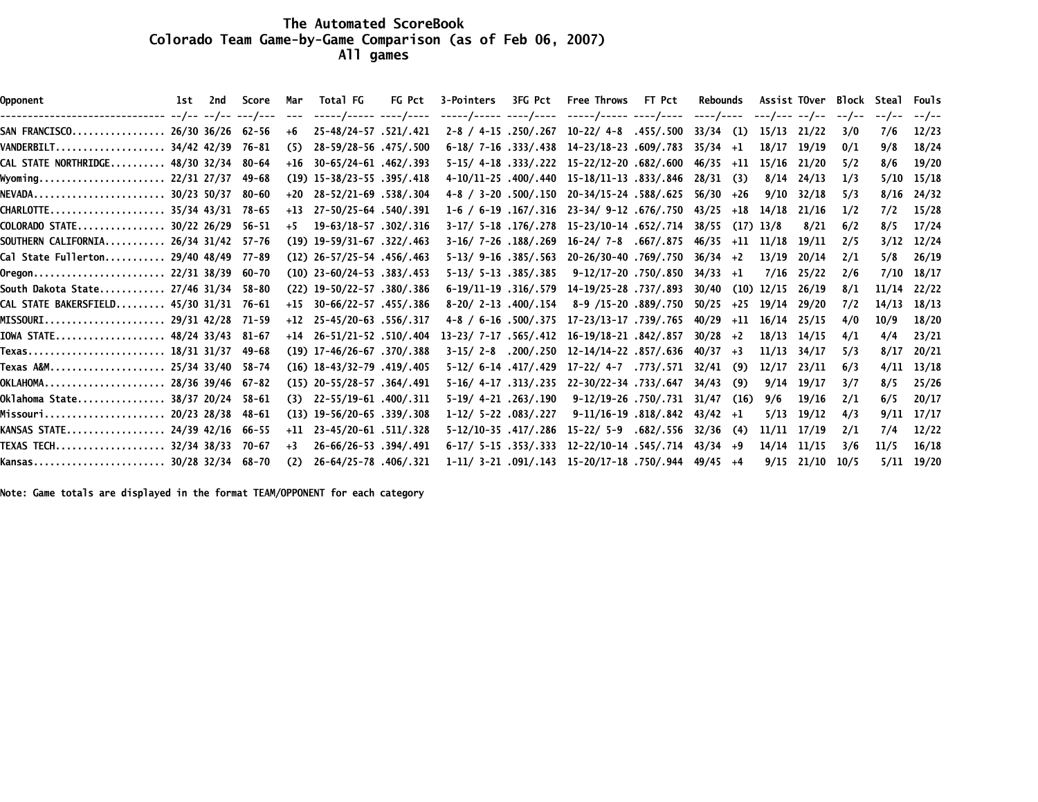#### **The Automated ScoreBook Colorado Team Game-by-Game Comparison (as of Feb 06, 2007) All games**

| Opponent                                | lst 2nd | Score     | Mar   | Total FG                          | FG Pct | 3-Pointers 3FG Pct Free Throws FT Pct |                                                                           | Rebounds    |       |              |       |      | Assist TOver Block Steal Fouls |                |
|-----------------------------------------|---------|-----------|-------|-----------------------------------|--------|---------------------------------------|---------------------------------------------------------------------------|-------------|-------|--------------|-------|------|--------------------------------|----------------|
|                                         |         |           | $---$ | -----/----- ----/----             |        |                                       | -----/----- ----/---- -----/----- ----/---- ----/---- ---/--- --/-- --/-- |             |       |              |       |      | --/--                          | --/--          |
| SAN FRANCISCO 26/30 36/26 62-56         |         |           | +6    | 25-48/24-57.521/.421              |        |                                       | $2-8$ / 4-15 $.250/0.267$ 10-22/ 4-8 $.455/0.500$                         | 33/34       | (1)   | 15/13        | 21/22 | 3/0  | 7/6                            | 12/23          |
| VANDERBILT 34/42 42/39                  |         | 76-81     | (5)   | 28-59/28-56.475/.500              |        |                                       | $6-18/7-16$ .333/.438 14-23/18-23.609/.783                                | $35/34 +1$  |       | 18/17        | 19/19 | 0/1  | 9/8                            | 18/24          |
| CAL STATE NORTHRIDGE 48/30 32/34        |         | 80-64     |       | $+16$ 30-65/24-61 .462/.393       |        |                                       | 5-15/4-18.333/.222 15-22/12-20.682/.600                                   | 46/35       | +11   | 15/16        | 21/20 | 5/2  | 8/6                            | 19/20          |
| Wyoming 22/31 27/37                     |         | 49-68     |       | $(19)$ 15-38/23-55 .395/.418      |        |                                       | 4-10/11-25 .400/.440 15-18/11-13 .833/.846                                | 28/31       | (3)   | 8/14         | 24/13 | 1/3  |                                | $5/10$ $15/18$ |
| NEVADA 30/23 50/37                      |         | 80-60     |       | $+20$ $28-52/21-69$ $.538/0.304$  |        |                                       | 4-8 / 3-20 .500/.150 20-34/15-24 .588/.625                                | 56/30       | +26   | 9/10         | 32/18 | 5/3  |                                | $8/16$ 24/32   |
| CHARLOTTE 35/34 43/31 78-65             |         |           |       | $+13$ $27-50/25-64$ $.540/.391$   |        |                                       | $1-6$ / 6-19 $.167/316$ 23-34/ 9-12 .676/.750                             | 43/25       | +18   | 14/18        | 21/16 | 1/2  | 7/2                            | 15/28          |
| COLORADO STATE 30/22 26/29              |         | 56–51     | $+5$  | 19-63/18-57 .302/.316             |        |                                       | 3-17/ 5-18.176/.278 15-23/10-14.652/.714                                  | 38/55       |       | $(17)$ 13/8  | 8/21  | 6/2  | 8/5                            | 17/24          |
| SOUTHERN CALIFORNIA 26/34 31/42 57-76   |         |           |       | $(19)$ $19-59/31-67$ $.322/0.463$ |        |                                       | $3-16/7-26$ .188/.269 16-24/7-8 .667/.875                                 | 46/35       |       | +11 11/18    | 19/11 | 2/5  |                                | $3/12$ $12/24$ |
| Cal State Fullerton 29/40 48/49         |         | 77-89     |       | $(12)$ 26-57/25-54 .456/.463      |        |                                       | 5-13/9-16.385/.563 20-26/30-40.769/.750                                   | $36/34 +2$  |       | 13/19        | 20/14 | 2/1  | 5/8                            | 26/19          |
| Oregon 22/31 38/39                      |         | 60-70     |       | $(10)$ 23-60/24-53 .383/.453      |        | 5-13/ 5-13 .385/.385                  | 9-12/17-20 .750/.850                                                      | $34/33 + 1$ |       | 7/16         | 25/22 | 2/6  |                                | 7/10 18/17     |
| South Dakota State 27/46 31/34          |         | 58-80     |       | (22) 19-50/22-57 .380/.386        |        |                                       | 6-19/11-19.316/.579 14-19/25-28.737/.893                                  | 30/40       |       | $(10)$ 12/15 | 26/19 | 8/1  | 11/14 22/22                    |                |
| CAL STATE BAKERSFIELD 45/30 31/31 76-61 |         |           |       | $+15$ 30-66/22-57 .455/.386       |        | $8-20/2-13.400/.154$                  | 8-9 /15-20 .889/.750                                                      | 50/25       | $+25$ | 19/14        | 29/20 | 7/2  | $14/13$ $18/13$                |                |
| MISSOURI 29/31 42/28                    |         | 71–59     |       | $+12$ 25-45/20-63 .556/.317       |        |                                       | 4-8 / 6-16 .500/.375 17-23/13-17 .739/.765                                | 40/29       | $+11$ | 16/14        | 25/15 | 4/0  | 10/9                           | 18/20          |
| IOWA STATE 48/24 33/43                  |         | 81-67     |       | $+14$ 26-51/21-52 .510/.404       |        |                                       | 13-23/ 7-17 .565/.412 16-19/18-21 .842/.857                               | 30/28       | $+2$  | 18/13        | 14/15 | 4/1  | 4/4                            | 23/21          |
| Texas 18/31 31/37                       |         | 49-68     |       | $(19)$ 17-46/26-67 .370/.388      |        |                                       | 3-15/2-8 .200/.250 12-14/14-22 .857/.636                                  | 40/37       | $+3$  | 11/13        | 34/17 | 5/3  | 8/17                           | 20/21          |
| Texas A&M 25/34 33/40                   |         | - 58 – 74 |       | $(16)$ $18-43/32-79$ $.419/0.405$ |        |                                       | 5-12/6-14.417/.429 17-22/4-7.773/.571                                     | 32/41       | (9)   | 12/17        | 23/11 | 6/3  | 4/11                           | 13/18          |
| OKLAHOMA 28/36 39/46                    |         | 67-82     |       | $(15)$ 20-55/28-57 .364/.491      |        |                                       | 5-16/4-17.313/.235 22-30/22-34.733/.647                                   | 34/43       | (9)   | 9/14         | 19/17 | 3/7  | 8/5                            | 25/26          |
| Oklahoma State 38/37 20/24              |         | 58-61     | (3)   | 22-55/19-61 .400/.311             |        | 5-19/ 4-21 .263/.190                  | 9-12/19-26 .750/.731                                                      | 31/47       | (16)  | 9/6          | 19/16 | 2/1  | 6/5                            | 20/17          |
| Missouri 20/23 28/38                    |         | 48-61     |       | $(13)$ 19-56/20-65 .339/.308      |        | 1-12/ 5-22 .083/.227                  | 9-11/16-19 818/842                                                        | 43/42       | $+1$  | 5/13         | 19/12 | 4/3  | 9/11                           | 17/17          |
| KANSAS STATE 24/39 42/16                |         | 66–55     |       | $+11$ 23-45/20-61 .511/.328       |        |                                       | 5-12/10-35.417/.286 15-22/ 5-9.682/.556                                   | 32/36       | (4)   | 11/11        | 17/19 | 2/1  | 7/4                            | 12/22          |
| TEXAS TECH 32/34 38/33                  |         | 70-67     | $+3$  | 26-66/26-53.394/.491              |        |                                       | $6-17/5-15$ $.353/.333$ $12-22/10-14$ $.545/.714$                         | 43/34       | +9    | 14/14        | 11/15 | 3/6  | 11/5                           | 16/18          |
| Kansas 30/28 32/34 68-70                |         |           | (2)   | 26-64/25-78.406/.321              |        |                                       | $1-11/3-21$ .091/.143 15-20/17-18.750/.944 49/45 +4                       |             |       | 9/15         | 21/10 | 10/5 |                                | $5/11$ 19/20   |

**Note: Game totals are displayed in the format TEAM/OPPONENT for each category**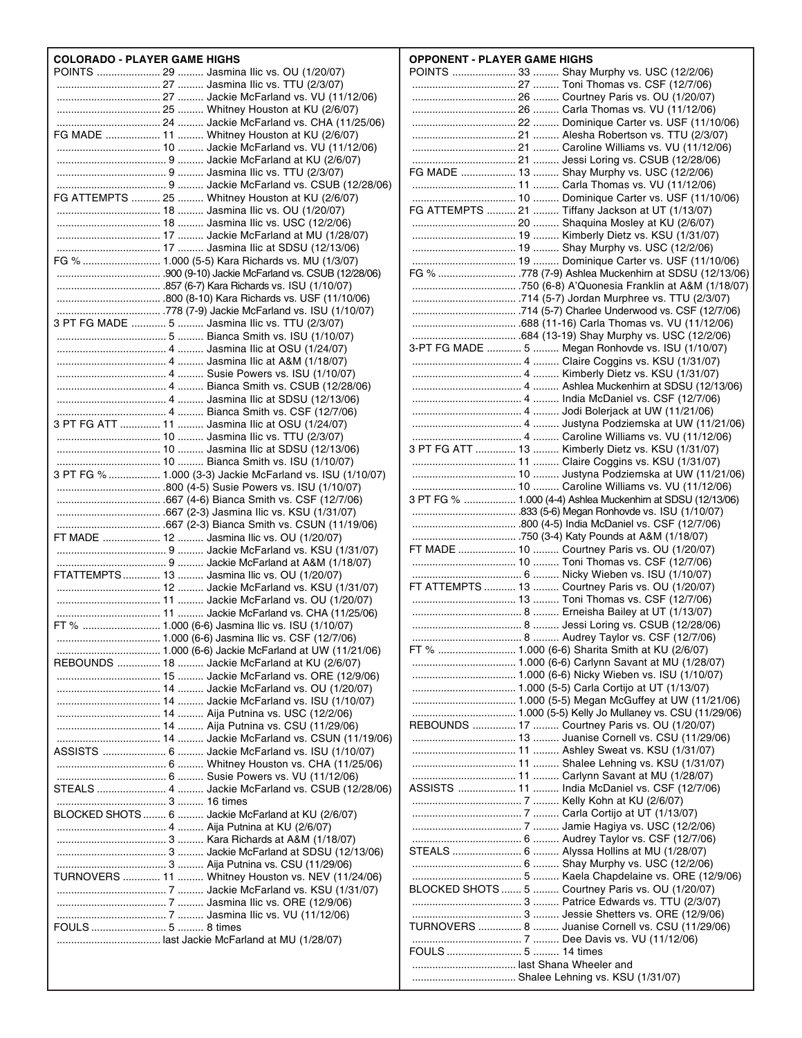| <b>COLORADO - PLAYER GAME HIGHS</b>                       |
|-----------------------------------------------------------|
| POINTS  29  Jasmina Ilic vs. OU (1/20/07)                 |
|                                                           |
|                                                           |
|                                                           |
| FG MADE  11  Whitney Houston at KU (2/6/07)               |
|                                                           |
|                                                           |
|                                                           |
|                                                           |
| FG ATTEMPTS  25  Whitney Houston at KU (2/6/07)           |
|                                                           |
|                                                           |
|                                                           |
| FG %  1.000 (5-5) Kara Richards vs. MU (1/3/07)           |
|                                                           |
|                                                           |
|                                                           |
| 3 PT FG MADE  5  Jasmina Ilic vs. TTU (2/3/07)            |
|                                                           |
|                                                           |
|                                                           |
|                                                           |
|                                                           |
|                                                           |
|                                                           |
| 3 PT FG ATT  11  Jasmina Ilic at OSU (1/24/07)            |
|                                                           |
|                                                           |
| 3 PT FG %  1.000 (3-3) Jackie McFarland vs. ISU (1/10/07) |
|                                                           |
|                                                           |
|                                                           |
|                                                           |
| FT MADE  12  Jasmina Ilic vs. OU (1/20/07)                |
|                                                           |
| FTATTEMPTS 13  Jasmina Ilic vs. OU (1/20/07)              |
|                                                           |
|                                                           |
|                                                           |
| 1.000 (6-6) Jasmina Ilic vs. CSF (12/7/06)                |
|                                                           |
| REBOUNDS  18  Jackie McFarland at KU (2/6/07)             |
|                                                           |
|                                                           |
|                                                           |
|                                                           |
|                                                           |
| ASSISTS  6  Jackie McFarland vs. ISU (1/10/07)            |
|                                                           |
|                                                           |
| STEALS  4  Jackie McFarland vs. CSUB (12/28/06)           |
|                                                           |
| BLOCKED SHOTS  6  Jackie McFarland at KU (2/6/07)         |
|                                                           |
|                                                           |
|                                                           |
| TURNOVERS  11  Whitney Houston vs. NEV (11/24/06)         |
|                                                           |
|                                                           |
|                                                           |
|                                                           |
|                                                           |
|                                                           |
|                                                           |

| POINTS  33  Shay Murphy vs. USC (12/2/06)                   |
|-------------------------------------------------------------|
|                                                             |
|                                                             |
|                                                             |
|                                                             |
|                                                             |
|                                                             |
| FG MADE  13  Shay Murphy vs. USC (12/2/06)                  |
|                                                             |
|                                                             |
| FG ATTEMPTS  21  Tiffany Jackson at UT (1/13/07)            |
|                                                             |
|                                                             |
|                                                             |
|                                                             |
|                                                             |
|                                                             |
|                                                             |
|                                                             |
|                                                             |
| 3-PT FG MADE  5  Megan Ronhovde vs. ISU (1/10/07)           |
|                                                             |
|                                                             |
|                                                             |
|                                                             |
|                                                             |
|                                                             |
| 3 PT FG ATT  13  Kimberly Dietz vs. KSU (1/31/07)           |
|                                                             |
|                                                             |
|                                                             |
| 3 PT FG %  1.000 (4-4) Ashlea Muckenhirn at SDSU (12/13/06) |
|                                                             |
|                                                             |
|                                                             |
|                                                             |
| FT MADE  10  Courtney Paris vs. OU (1/20/07)                |
|                                                             |
|                                                             |
| FT ATTEMPTS  13  Courtney Paris vs. OU (1/20/07)            |
|                                                             |
|                                                             |
|                                                             |
| FT %  1.000 (6-6) Sharita Smith at KU (2/6/07)              |
|                                                             |
|                                                             |
|                                                             |
|                                                             |
| REBOUNDS  17  Courtney Paris vs. OU (1/20/07)               |
|                                                             |
|                                                             |
|                                                             |
|                                                             |
| ASSISTS  11  India McDaniel vs. CSF (12/7/06)               |
|                                                             |
|                                                             |
|                                                             |
| STEALS  6  Alyssa Hollins at MU (1/28/07)                   |
|                                                             |
|                                                             |
| BLOCKED SHOTS  5  Courtney Paris vs. OU (1/20/07)           |
|                                                             |
|                                                             |
| TURNOVERS  8  Juanise Cornell vs. CSU (11/29/06)            |
|                                                             |
|                                                             |